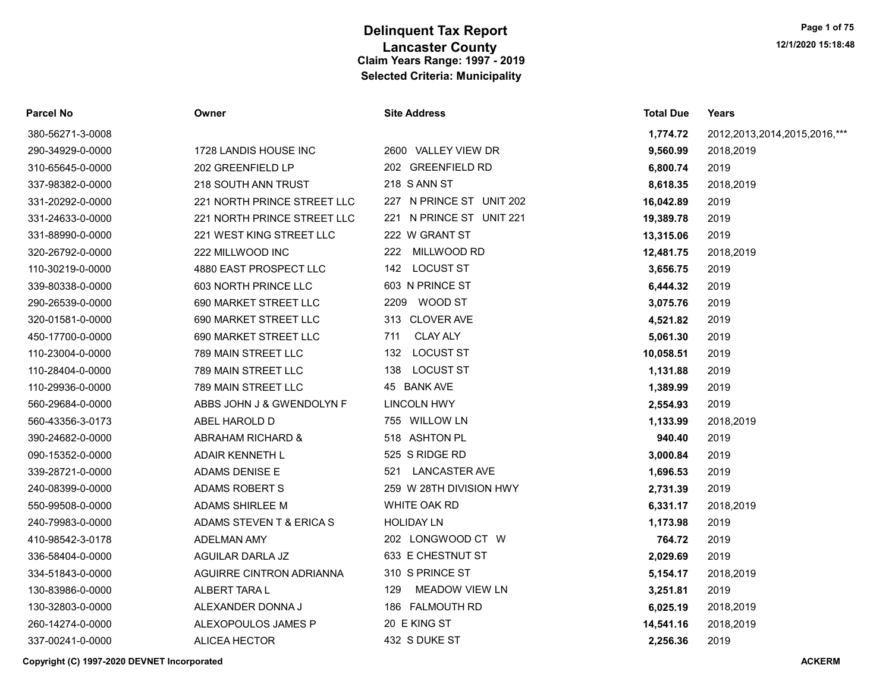| Parcel No        | Owner                       | <b>Site Address</b>          | <b>Total Due</b> | Years                             |
|------------------|-----------------------------|------------------------------|------------------|-----------------------------------|
| 380-56271-3-0008 |                             |                              | 1,774.72         | 2012, 2013, 2014, 2015, 2016, *** |
| 290-34929-0-0000 | 1728 LANDIS HOUSE INC       | 2600 VALLEY VIEW DR          | 9,560.99         | 2018,2019                         |
| 310-65645-0-0000 | 202 GREENFIELD LP           | 202 GREENFIELD RD            | 6,800.74         | 2019                              |
| 337-98382-0-0000 | 218 SOUTH ANN TRUST         | 218 S ANN ST                 | 8,618.35         | 2018,2019                         |
| 331-20292-0-0000 | 221 NORTH PRINCE STREET LLC | 227 N PRINCE ST UNIT 202     | 16,042.89        | 2019                              |
| 331-24633-0-0000 | 221 NORTH PRINCE STREET LLC | 221 N PRINCE ST UNIT 221     | 19,389.78        | 2019                              |
| 331-88990-0-0000 | 221 WEST KING STREET LLC    | 222 W GRANT ST               | 13,315.06        | 2019                              |
| 320-26792-0-0000 | 222 MILLWOOD INC            | MILLWOOD RD<br>222           | 12,481.75        | 2018,2019                         |
| 110-30219-0-0000 | 4880 EAST PROSPECT LLC      | 142 LOCUST ST                | 3,656.75         | 2019                              |
| 339-80338-0-0000 | 603 NORTH PRINCE LLC        | 603 N PRINCE ST              | 6,444.32         | 2019                              |
| 290-26539-0-0000 | 690 MARKET STREET LLC       | 2209 WOOD ST                 | 3,075.76         | 2019                              |
| 320-01581-0-0000 | 690 MARKET STREET LLC       | 313 CLOVER AVE               | 4,521.82         | 2019                              |
| 450-17700-0-0000 | 690 MARKET STREET LLC       | <b>CLAY ALY</b><br>711       | 5,061.30         | 2019                              |
| 110-23004-0-0000 | 789 MAIN STREET LLC         | 132 LOCUST ST                | 10,058.51        | 2019                              |
| 110-28404-0-0000 | 789 MAIN STREET LLC         | <b>LOCUST ST</b><br>138      | 1,131.88         | 2019                              |
| 110-29936-0-0000 | 789 MAIN STREET LLC         | 45 BANK AVE                  | 1,389.99         | 2019                              |
| 560-29684-0-0000 | ABBS JOHN J & GWENDOLYN F   | <b>LINCOLN HWY</b>           | 2,554.93         | 2019                              |
| 560-43356-3-0173 | ABEL HAROLD D               | 755 WILLOW LN                | 1,133.99         | 2018,2019                         |
| 390-24682-0-0000 | ABRAHAM RICHARD &           | 518 ASHTON PL                | 940.40           | 2019                              |
| 090-15352-0-0000 | <b>ADAIR KENNETH L</b>      | 525 S RIDGE RD               | 3,000.84         | 2019                              |
| 339-28721-0-0000 | ADAMS DENISE E              | <b>LANCASTER AVE</b><br>521  | 1,696.53         | 2019                              |
| 240-08399-0-0000 | ADAMS ROBERT S              | 259 W 28TH DIVISION HWY      | 2,731.39         | 2019                              |
| 550-99508-0-0000 | ADAMS SHIRLEE M             | WHITE OAK RD                 | 6,331.17         | 2018,2019                         |
| 240-79983-0-0000 | ADAMS STEVEN T & ERICA S    | <b>HOLIDAY LN</b>            | 1,173.98         | 2019                              |
| 410-98542-3-0178 | <b>ADELMAN AMY</b>          | 202 LONGWOOD CT W            | 764.72           | 2019                              |
| 336-58404-0-0000 | AGUILAR DARLA JZ            | 633 E CHESTNUT ST            | 2,029.69         | 2019                              |
| 334-51843-0-0000 | AGUIRRE CINTRON ADRIANNA    | 310 S PRINCE ST              | 5,154.17         | 2018,2019                         |
| 130-83986-0-0000 | ALBERT TARAL                | <b>MEADOW VIEW LN</b><br>129 | 3,251.81         | 2019                              |
| 130-32803-0-0000 | ALEXANDER DONNA J           | 186 FALMOUTH RD              | 6,025.19         | 2018,2019                         |
| 260-14274-0-0000 | ALEXOPOULOS JAMES P         | 20 E KING ST                 | 14,541.16        | 2018,2019                         |
| 337-00241-0-0000 | <b>ALICEA HECTOR</b>        | 432 S DUKE ST                | 2.256.36         | 2019                              |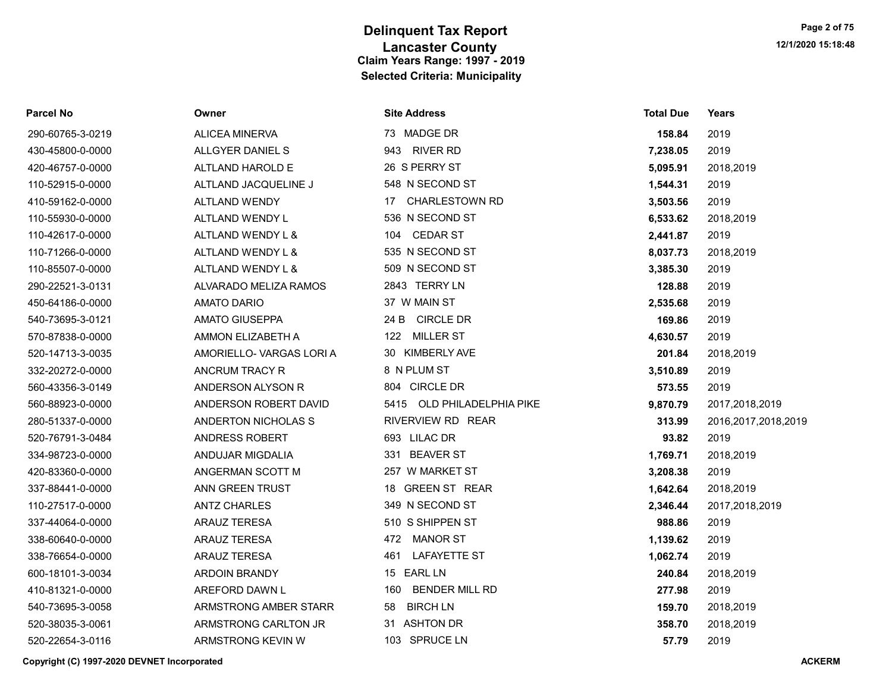| <b>Parcel No</b> | Owner                    | <b>Site Address</b>          | <b>Total Due</b> | Years                  |
|------------------|--------------------------|------------------------------|------------------|------------------------|
| 290-60765-3-0219 | <b>ALICEA MINERVA</b>    | 73 MADGE DR                  | 158.84           | 2019                   |
| 430-45800-0-0000 | ALLGYER DANIEL S         | <b>RIVER RD</b><br>943       | 7,238.05         | 2019                   |
| 420-46757-0-0000 | ALTLAND HAROLD E         | 26 S PERRY ST                | 5,095.91         | 2018,2019              |
| 110-52915-0-0000 | ALTLAND JACQUELINE J     | 548 N SECOND ST              | 1,544.31         | 2019                   |
| 410-59162-0-0000 | ALTLAND WENDY            | <b>CHARLESTOWN RD</b><br>17  | 3,503.56         | 2019                   |
| 110-55930-0-0000 | ALTLAND WENDY L          | 536 N SECOND ST              | 6,533.62         | 2018,2019              |
| 110-42617-0-0000 | ALTLAND WENDY L &        | 104 CEDAR ST                 | 2,441.87         | 2019                   |
| 110-71266-0-0000 | ALTLAND WENDY L &        | 535 N SECOND ST              | 8,037.73         | 2018,2019              |
| 110-85507-0-0000 | ALTLAND WENDY L &        | 509 N SECOND ST              | 3,385.30         | 2019                   |
| 290-22521-3-0131 | ALVARADO MELIZA RAMOS    | 2843 TERRY LN                | 128.88           | 2019                   |
| 450-64186-0-0000 | <b>AMATO DARIO</b>       | 37 W MAIN ST                 | 2,535.68         | 2019                   |
| 540-73695-3-0121 | <b>AMATO GIUSEPPA</b>    | 24 B CIRCLE DR               | 169.86           | 2019                   |
| 570-87838-0-0000 | AMMON ELIZABETH A        | MILLER ST<br>122             | 4,630.57         | 2019                   |
| 520-14713-3-0035 | AMORIELLO- VARGAS LORI A | 30 KIMBERLY AVE              | 201.84           | 2018,2019              |
| 332-20272-0-0000 | ANCRUM TRACY R           | 8 N PLUM ST                  | 3,510.89         | 2019                   |
| 560-43356-3-0149 | ANDERSON ALYSON R        | 804 CIRCLE DR                | 573.55           | 2019                   |
| 560-88923-0-0000 | ANDERSON ROBERT DAVID    | 5415 OLD PHILADELPHIA PIKE   | 9,870.79         | 2017,2018,2019         |
| 280-51337-0-0000 | ANDERTON NICHOLAS S      | RIVERVIEW RD REAR            | 313.99           | 2016, 2017, 2018, 2019 |
| 520-76791-3-0484 | ANDRESS ROBERT           | 693 LILAC DR                 | 93.82            | 2019                   |
| 334-98723-0-0000 | ANDUJAR MIGDALIA         | 331 BEAVER ST                | 1,769.71         | 2018,2019              |
| 420-83360-0-0000 | ANGERMAN SCOTT M         | 257 W MARKET ST              | 3,208.38         | 2019                   |
| 337-88441-0-0000 | ANN GREEN TRUST          | 18 GREEN ST REAR             | 1,642.64         | 2018,2019              |
| 110-27517-0-0000 | <b>ANTZ CHARLES</b>      | 349 N SECOND ST              | 2,346.44         | 2017,2018,2019         |
| 337-44064-0-0000 | <b>ARAUZ TERESA</b>      | 510 S SHIPPEN ST             | 988.86           | 2019                   |
| 338-60640-0-0000 | <b>ARAUZ TERESA</b>      | 472 MANOR ST                 | 1,139.62         | 2019                   |
| 338-76654-0-0000 | ARAUZ TERESA             | <b>LAFAYETTE ST</b><br>461   | 1,062.74         | 2019                   |
| 600-18101-3-0034 | ARDOIN BRANDY            | 15 EARL LN                   | 240.84           | 2018,2019              |
| 410-81321-0-0000 | AREFORD DAWN L           | <b>BENDER MILL RD</b><br>160 | 277.98           | 2019                   |
| 540-73695-3-0058 | ARMSTRONG AMBER STARR    | <b>BIRCH LN</b><br>58        | 159.70           | 2018,2019              |
| 520-38035-3-0061 | ARMSTRONG CARLTON JR     | 31 ASHTON DR                 | 358.70           | 2018,2019              |
| 520-22654-3-0116 | ARMSTRONG KEVIN W        | 103 SPRUCE LN                | 57.79            | 2019                   |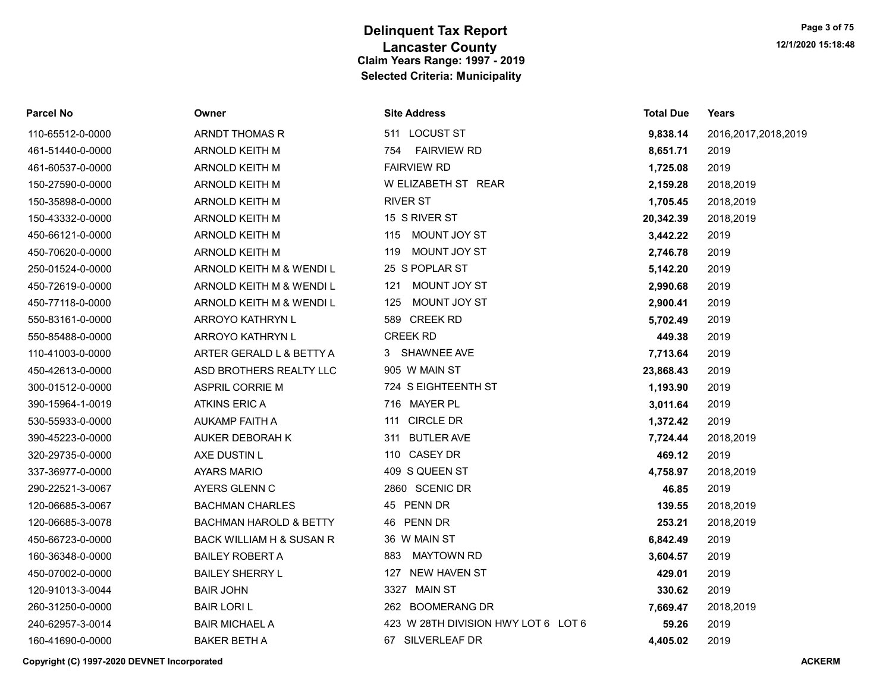| Parcel No        | Owner                             | <b>Site Address</b>                 | <b>Total Due</b> | Years                  |
|------------------|-----------------------------------|-------------------------------------|------------------|------------------------|
| 110-65512-0-0000 | ARNDT THOMAS R                    | 511 LOCUST ST                       | 9,838.14         | 2016, 2017, 2018, 2019 |
| 461-51440-0-0000 | ARNOLD KEITH M                    | <b>FAIRVIEW RD</b><br>754           | 8,651.71         | 2019                   |
| 461-60537-0-0000 | ARNOLD KEITH M                    | <b>FAIRVIEW RD</b>                  | 1,725.08         | 2019                   |
| 150-27590-0-0000 | ARNOLD KEITH M                    | W ELIZABETH ST REAR                 | 2,159.28         | 2018,2019              |
| 150-35898-0-0000 | ARNOLD KEITH M                    | <b>RIVER ST</b>                     | 1,705.45         | 2018,2019              |
| 150-43332-0-0000 | ARNOLD KEITH M                    | 15 S RIVER ST                       | 20,342.39        | 2018,2019              |
| 450-66121-0-0000 | ARNOLD KEITH M                    | 115 MOUNT JOY ST                    | 3,442.22         | 2019                   |
| 450-70620-0-0000 | ARNOLD KEITH M                    | MOUNT JOY ST<br>119                 | 2,746.78         | 2019                   |
| 250-01524-0-0000 | ARNOLD KEITH M & WENDI L          | 25 S POPLAR ST                      | 5,142.20         | 2019                   |
| 450-72619-0-0000 | ARNOLD KEITH M & WENDI L          | MOUNT JOY ST<br>121                 | 2,990.68         | 2019                   |
| 450-77118-0-0000 | ARNOLD KEITH M & WENDI L          | MOUNT JOY ST<br>125                 | 2,900.41         | 2019                   |
| 550-83161-0-0000 | ARROYO KATHRYN L                  | 589 CREEK RD                        | 5,702.49         | 2019                   |
| 550-85488-0-0000 | ARROYO KATHRYN L                  | <b>CREEK RD</b>                     | 449.38           | 2019                   |
| 110-41003-0-0000 | ARTER GERALD L & BETTY A          | 3 SHAWNEE AVE                       | 7,713.64         | 2019                   |
| 450-42613-0-0000 | ASD BROTHERS REALTY LLC           | 905 W MAIN ST                       | 23,868.43        | 2019                   |
| 300-01512-0-0000 | <b>ASPRIL CORRIE M</b>            | 724 S EIGHTEENTH ST                 | 1,193.90         | 2019                   |
| 390-15964-1-0019 | <b>ATKINS ERIC A</b>              | 716 MAYER PL                        | 3,011.64         | 2019                   |
| 530-55933-0-0000 | AUKAMP FAITH A                    | 111 CIRCLE DR                       | 1,372.42         | 2019                   |
| 390-45223-0-0000 | AUKER DEBORAH K                   | 311 BUTLER AVE                      | 7,724.44         | 2018,2019              |
| 320-29735-0-0000 | AXE DUSTIN L                      | 110 CASEY DR                        | 469.12           | 2019                   |
| 337-36977-0-0000 | <b>AYARS MARIO</b>                | 409 S QUEEN ST                      | 4,758.97         | 2018,2019              |
| 290-22521-3-0067 | AYERS GLENN C                     | 2860 SCENIC DR                      | 46.85            | 2019                   |
| 120-06685-3-0067 | <b>BACHMAN CHARLES</b>            | 45 PENN DR                          | 139.55           | 2018,2019              |
| 120-06685-3-0078 | <b>BACHMAN HAROLD &amp; BETTY</b> | 46 PENN DR                          | 253.21           | 2018,2019              |
| 450-66723-0-0000 | BACK WILLIAM H & SUSAN R          | 36 W MAIN ST                        | 6,842.49         | 2019                   |
| 160-36348-0-0000 | <b>BAILEY ROBERT A</b>            | MAYTOWN RD<br>883                   | 3,604.57         | 2019                   |
| 450-07002-0-0000 | <b>BAILEY SHERRY L</b>            | 127 NEW HAVEN ST                    | 429.01           | 2019                   |
| 120-91013-3-0044 | <b>BAIR JOHN</b>                  | 3327 MAIN ST                        | 330.62           | 2019                   |
| 260-31250-0-0000 | <b>BAIR LORI L</b>                | 262 BOOMERANG DR                    | 7,669.47         | 2018,2019              |
| 240-62957-3-0014 | <b>BAIR MICHAEL A</b>             | 423 W 28TH DIVISION HWY LOT 6 LOT 6 | 59.26            | 2019                   |
| 160-41690-0-0000 | <b>BAKER BETH A</b>               | 67 SILVERLEAF DR                    | 4,405.02         | 2019                   |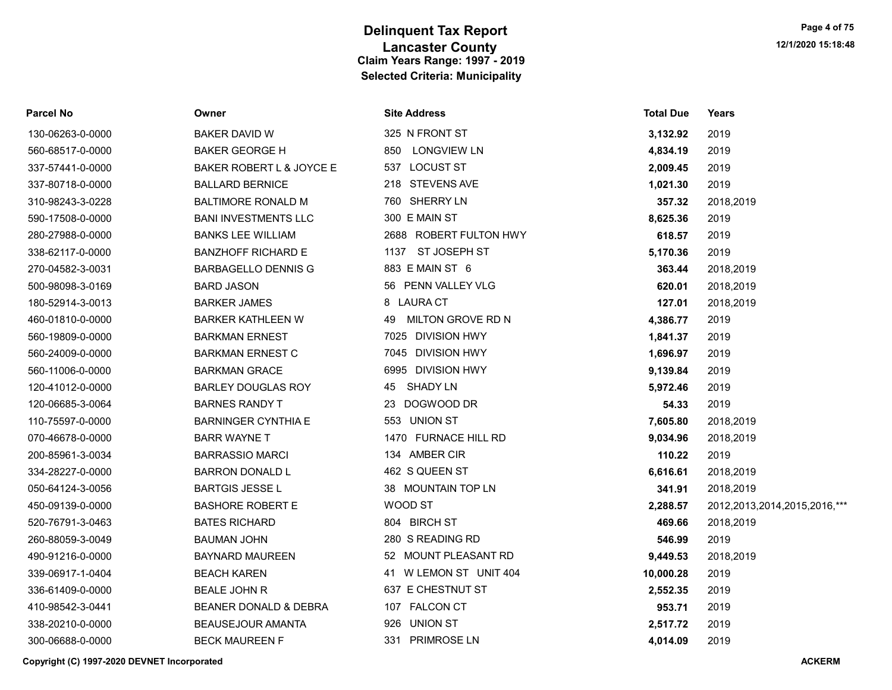| <b>Parcel No</b> | Owner                       | <b>Site Address</b>       | <b>Total Due</b> | Years                        |
|------------------|-----------------------------|---------------------------|------------------|------------------------------|
| 130-06263-0-0000 | BAKER DAVID W               | 325 N FRONT ST            | 3,132.92         | 2019                         |
| 560-68517-0-0000 | <b>BAKER GEORGE H</b>       | LONGVIEW LN<br>850        | 4,834.19         | 2019                         |
| 337-57441-0-0000 | BAKER ROBERT L & JOYCE E    | <b>LOCUST ST</b><br>537   | 2,009.45         | 2019                         |
| 337-80718-0-0000 | <b>BALLARD BERNICE</b>      | 218 STEVENS AVE           | 1,021.30         | 2019                         |
| 310-98243-3-0228 | <b>BALTIMORE RONALD M</b>   | 760 SHERRY LN             | 357.32           | 2018,2019                    |
| 590-17508-0-0000 | <b>BANI INVESTMENTS LLC</b> | 300 E MAIN ST             | 8,625.36         | 2019                         |
| 280-27988-0-0000 | <b>BANKS LEE WILLIAM</b>    | 2688 ROBERT FULTON HWY    | 618.57           | 2019                         |
| 338-62117-0-0000 | <b>BANZHOFF RICHARD E</b>   | 1137 ST JOSEPH ST         | 5,170.36         | 2019                         |
| 270-04582-3-0031 | <b>BARBAGELLO DENNIS G</b>  | 883 E MAIN ST 6           | 363.44           | 2018,2019                    |
| 500-98098-3-0169 | <b>BARD JASON</b>           | 56 PENN VALLEY VLG        | 620.01           | 2018,2019                    |
| 180-52914-3-0013 | <b>BARKER JAMES</b>         | 8 LAURA CT                | 127.01           | 2018,2019                    |
| 460-01810-0-0000 | <b>BARKER KATHLEEN W</b>    | MILTON GROVE RD N<br>49   | 4,386.77         | 2019                         |
| 560-19809-0-0000 | <b>BARKMAN ERNEST</b>       | 7025 DIVISION HWY         | 1,841.37         | 2019                         |
| 560-24009-0-0000 | <b>BARKMAN ERNEST C</b>     | 7045 DIVISION HWY         | 1,696.97         | 2019                         |
| 560-11006-0-0000 | <b>BARKMAN GRACE</b>        | 6995 DIVISION HWY         | 9,139.84         | 2019                         |
| 120-41012-0-0000 | <b>BARLEY DOUGLAS ROY</b>   | SHADY LN<br>45            | 5,972.46         | 2019                         |
| 120-06685-3-0064 | <b>BARNES RANDY T</b>       | 23 DOGWOOD DR             | 54.33            | 2019                         |
| 110-75597-0-0000 | <b>BARNINGER CYNTHIA E</b>  | 553 UNION ST              | 7,605.80         | 2018,2019                    |
| 070-46678-0-0000 | <b>BARR WAYNE T</b>         | 1470 FURNACE HILL RD      | 9,034.96         | 2018,2019                    |
| 200-85961-3-0034 | <b>BARRASSIO MARCI</b>      | 134 AMBER CIR             | 110.22           | 2019                         |
| 334-28227-0-0000 | <b>BARRON DONALD L</b>      | 462 S QUEEN ST            | 6,616.61         | 2018,2019                    |
| 050-64124-3-0056 | <b>BARTGIS JESSE L</b>      | 38 MOUNTAIN TOP LN        | 341.91           | 2018,2019                    |
| 450-09139-0-0000 | <b>BASHORE ROBERT E</b>     | WOOD ST                   | 2,288.57         | 2012,2013,2014,2015,2016,*** |
| 520-76791-3-0463 | <b>BATES RICHARD</b>        | 804 BIRCH ST              | 469.66           | 2018,2019                    |
| 260-88059-3-0049 | <b>BAUMAN JOHN</b>          | 280 S READING RD          | 546.99           | 2019                         |
| 490-91216-0-0000 | <b>BAYNARD MAUREEN</b>      | 52 MOUNT PLEASANT RD      | 9,449.53         | 2018,2019                    |
| 339-06917-1-0404 | <b>BEACH KAREN</b>          | 41 W LEMON ST UNIT 404    | 10,000.28        | 2019                         |
| 336-61409-0-0000 | <b>BEALE JOHN R</b>         | 637 E CHESTNUT ST         | 2,552.35         | 2019                         |
| 410-98542-3-0441 | BEANER DONALD & DEBRA       | 107 FALCON CT             | 953.71           | 2019                         |
| 338-20210-0-0000 | <b>BEAUSEJOUR AMANTA</b>    | <b>UNION ST</b><br>926    | 2,517.72         | 2019                         |
| 300-06688-0-0000 | <b>BECK MAUREEN F</b>       | 331<br><b>PRIMROSE LN</b> | 4.014.09         | 2019                         |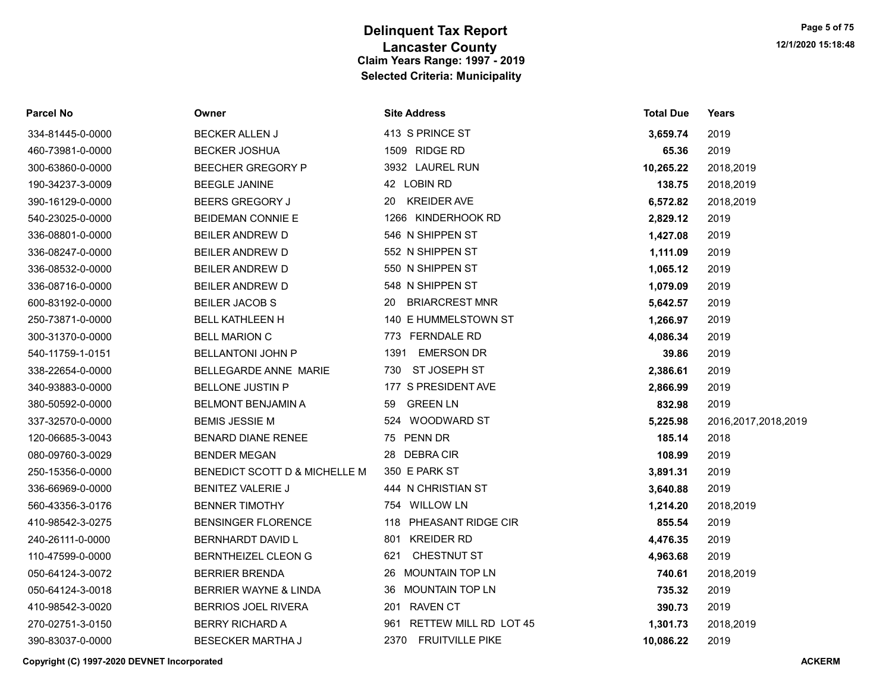| <b>Parcel No</b> | Owner                            | <b>Site Address</b>         | <b>Total Due</b> | Years                  |
|------------------|----------------------------------|-----------------------------|------------------|------------------------|
| 334-81445-0-0000 | <b>BECKER ALLEN J</b>            | 413 S PRINCE ST             | 3,659.74         | 2019                   |
| 460-73981-0-0000 | <b>BECKER JOSHUA</b>             | 1509 RIDGE RD               | 65.36            | 2019                   |
| 300-63860-0-0000 | <b>BEECHER GREGORY P</b>         | 3932 LAUREL RUN             | 10,265.22        | 2018,2019              |
| 190-34237-3-0009 | <b>BEEGLE JANINE</b>             | 42 LOBIN RD                 | 138.75           | 2018,2019              |
| 390-16129-0-0000 | <b>BEERS GREGORY J</b>           | <b>KREIDER AVE</b><br>20    | 6,572.82         | 2018,2019              |
| 540-23025-0-0000 | <b>BEIDEMAN CONNIE E</b>         | 1266 KINDERHOOK RD          | 2,829.12         | 2019                   |
| 336-08801-0-0000 | <b>BEILER ANDREW D</b>           | 546 N SHIPPEN ST            | 1,427.08         | 2019                   |
| 336-08247-0-0000 | <b>BEILER ANDREW D</b>           | 552 N SHIPPEN ST            | 1,111.09         | 2019                   |
| 336-08532-0-0000 | <b>BEILER ANDREW D</b>           | 550 N SHIPPEN ST            | 1,065.12         | 2019                   |
| 336-08716-0-0000 | <b>BEILER ANDREW D</b>           | 548 N SHIPPEN ST            | 1,079.09         | 2019                   |
| 600-83192-0-0000 | <b>BEILER JACOB S</b>            | <b>BRIARCREST MNR</b><br>20 | 5,642.57         | 2019                   |
| 250-73871-0-0000 | <b>BELL KATHLEEN H</b>           | 140 E HUMMELSTOWN ST        | 1,266.97         | 2019                   |
| 300-31370-0-0000 | <b>BELL MARION C</b>             | 773 FERNDALE RD             | 4,086.34         | 2019                   |
| 540-11759-1-0151 | <b>BELLANTONI JOHN P</b>         | <b>EMERSON DR</b><br>1391   | 39.86            | 2019                   |
| 338-22654-0-0000 | BELLEGARDE ANNE MARIE            | 730 ST JOSEPH ST            | 2,386.61         | 2019                   |
| 340-93883-0-0000 | <b>BELLONE JUSTIN P</b>          | 177 S PRESIDENT AVE         | 2,866.99         | 2019                   |
| 380-50592-0-0000 | <b>BELMONT BENJAMIN A</b>        | <b>GREEN LN</b><br>59       | 832.98           | 2019                   |
| 337-32570-0-0000 | <b>BEMIS JESSIE M</b>            | 524 WOODWARD ST             | 5,225.98         | 2016, 2017, 2018, 2019 |
| 120-06685-3-0043 | <b>BENARD DIANE RENEE</b>        | 75 PENN DR                  | 185.14           | 2018                   |
| 080-09760-3-0029 | <b>BENDER MEGAN</b>              | 28 DEBRACIR                 | 108.99           | 2019                   |
| 250-15356-0-0000 | BENEDICT SCOTT D & MICHELLE M    | 350 E PARK ST               | 3,891.31         | 2019                   |
| 336-66969-0-0000 | <b>BENITEZ VALERIE J</b>         | 444 N CHRISTIAN ST          | 3,640.88         | 2019                   |
| 560-43356-3-0176 | <b>BENNER TIMOTHY</b>            | 754 WILLOW LN               | 1,214.20         | 2018,2019              |
| 410-98542-3-0275 | <b>BENSINGER FLORENCE</b>        | 118 PHEASANT RIDGE CIR      | 855.54           | 2019                   |
| 240-26111-0-0000 | BERNHARDT DAVID L                | 801 KREIDER RD              | 4,476.35         | 2019                   |
| 110-47599-0-0000 | <b>BERNTHEIZEL CLEON G</b>       | CHESTNUT ST<br>621          | 4,963.68         | 2019                   |
| 050-64124-3-0072 | <b>BERRIER BRENDA</b>            | 26 MOUNTAIN TOP LN          | 740.61           | 2018,2019              |
| 050-64124-3-0018 | <b>BERRIER WAYNE &amp; LINDA</b> | 36 MOUNTAIN TOP LN          | 735.32           | 2019                   |
| 410-98542-3-0020 | <b>BERRIOS JOEL RIVERA</b>       | 201 RAVEN CT                | 390.73           | 2019                   |
| 270-02751-3-0150 | <b>BERRY RICHARD A</b>           | 961 RETTEW MILL RD LOT 45   | 1,301.73         | 2018,2019              |
| 390-83037-0-0000 | <b>BESECKER MARTHA J</b>         | 2370 FRUITVILLE PIKE        | 10,086.22        | 2019                   |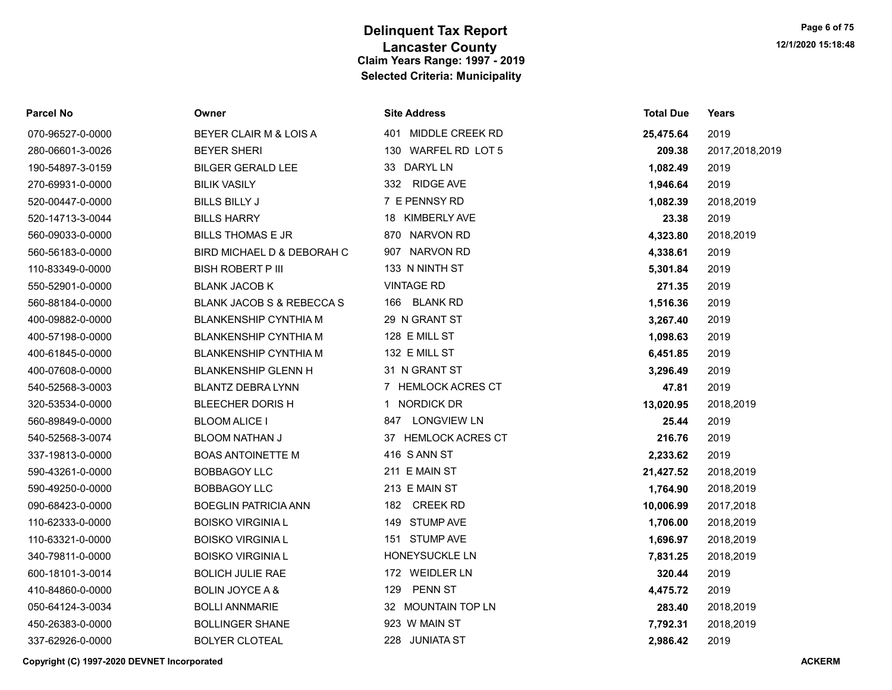| <b>Parcel No</b> | Owner                                | <b>Site Address</b>       | <b>Total Due</b> | Years          |
|------------------|--------------------------------------|---------------------------|------------------|----------------|
| 070-96527-0-0000 | BEYER CLAIR M & LOIS A               | 401 MIDDLE CREEK RD       | 25,475.64        | 2019           |
| 280-06601-3-0026 | <b>BEYER SHERI</b>                   | 130 WARFEL RD LOT 5       | 209.38           | 2017,2018,2019 |
| 190-54897-3-0159 | <b>BILGER GERALD LEE</b>             | 33 DARYL LN               | 1,082.49         | 2019           |
| 270-69931-0-0000 | <b>BILIK VASILY</b>                  | 332 RIDGE AVE             | 1,946.64         | 2019           |
| 520-00447-0-0000 | <b>BILLS BILLY J</b>                 | 7 E PENNSY RD             | 1,082.39         | 2018,2019      |
| 520-14713-3-0044 | <b>BILLS HARRY</b>                   | <b>KIMBERLY AVE</b><br>18 | 23.38            | 2019           |
| 560-09033-0-0000 | <b>BILLS THOMAS E JR</b>             | 870 NARVON RD             | 4,323.80         | 2018,2019      |
| 560-56183-0-0000 | BIRD MICHAEL D & DEBORAH C           | 907 NARVON RD             | 4,338.61         | 2019           |
| 110-83349-0-0000 | <b>BISH ROBERT P III</b>             | 133 N NINTH ST            | 5,301.84         | 2019           |
| 550-52901-0-0000 | <b>BLANK JACOB K</b>                 | <b>VINTAGE RD</b>         | 271.35           | 2019           |
| 560-88184-0-0000 | <b>BLANK JACOB S &amp; REBECCA S</b> | 166 BLANK RD              | 1,516.36         | 2019           |
| 400-09882-0-0000 | <b>BLANKENSHIP CYNTHIA M</b>         | 29 N GRANT ST             | 3,267.40         | 2019           |
| 400-57198-0-0000 | <b>BLANKENSHIP CYNTHIA M</b>         | 128 E MILL ST             | 1,098.63         | 2019           |
| 400-61845-0-0000 | <b>BLANKENSHIP CYNTHIA M</b>         | 132 E MILL ST             | 6,451.85         | 2019           |
| 400-07608-0-0000 | <b>BLANKENSHIP GLENN H</b>           | 31 N GRANT ST             | 3,296.49         | 2019           |
| 540-52568-3-0003 | <b>BLANTZ DEBRA LYNN</b>             | 7 HEMLOCK ACRES CT        | 47.81            | 2019           |
| 320-53534-0-0000 | BLEECHER DORIS H                     | 1 NORDICK DR              | 13,020.95        | 2018,2019      |
| 560-89849-0-0000 | <b>BLOOM ALICE I</b>                 | 847 LONGVIEW LN           | 25.44            | 2019           |
| 540-52568-3-0074 | <b>BLOOM NATHAN J</b>                | 37 HEMLOCK ACRES CT       | 216.76           | 2019           |
| 337-19813-0-0000 | <b>BOAS ANTOINETTE M</b>             | 416 S ANN ST              | 2,233.62         | 2019           |
| 590-43261-0-0000 | <b>BOBBAGOY LLC</b>                  | 211 E MAIN ST             | 21,427.52        | 2018,2019      |
| 590-49250-0-0000 | <b>BOBBAGOY LLC</b>                  | 213 E MAIN ST             | 1,764.90         | 2018,2019      |
| 090-68423-0-0000 | <b>BOEGLIN PATRICIA ANN</b>          | 182 CREEK RD              | 10,006.99        | 2017,2018      |
| 110-62333-0-0000 | <b>BOISKO VIRGINIA L</b>             | 149 STUMP AVE             | 1,706.00         | 2018,2019      |
| 110-63321-0-0000 | <b>BOISKO VIRGINIA L</b>             | 151 STUMP AVE             | 1,696.97         | 2018,2019      |
| 340-79811-0-0000 | <b>BOISKO VIRGINIA L</b>             | HONEYSUCKLE LN            | 7,831.25         | 2018,2019      |
| 600-18101-3-0014 | <b>BOLICH JULIE RAE</b>              | 172 WEIDLER LN            | 320.44           | 2019           |
| 410-84860-0-0000 | <b>BOLIN JOYCE A &amp;</b>           | PENN ST<br>129            | 4,475.72         | 2019           |
| 050-64124-3-0034 | <b>BOLLI ANNMARIE</b>                | 32 MOUNTAIN TOP LN        | 283.40           | 2018,2019      |
| 450-26383-0-0000 | <b>BOLLINGER SHANE</b>               | 923 W MAIN ST             | 7,792.31         | 2018,2019      |
| 337-62926-0-0000 | <b>BOLYER CLOTEAL</b>                | 228 JUNIATA ST            | 2,986.42         | 2019           |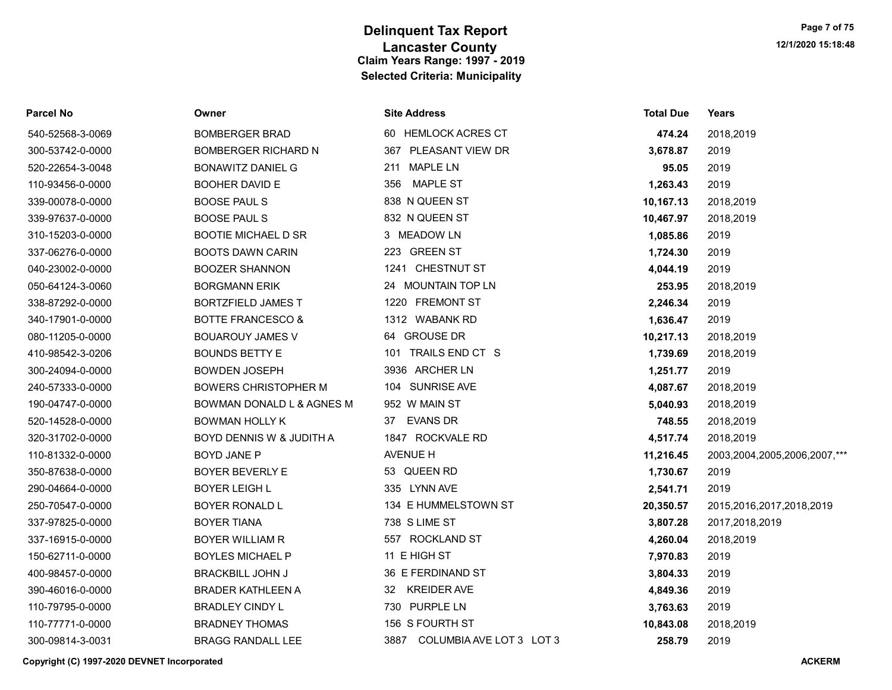| <b>Parcel No</b> | Owner                        | <b>Site Address</b>           | <b>Total Due</b> | Years                             |
|------------------|------------------------------|-------------------------------|------------------|-----------------------------------|
| 540-52568-3-0069 | <b>BOMBERGER BRAD</b>        | 60 HEMLOCK ACRES CT           | 474.24           | 2018,2019                         |
| 300-53742-0-0000 | <b>BOMBERGER RICHARD N</b>   | 367 PLEASANT VIEW DR          | 3,678.87         | 2019                              |
| 520-22654-3-0048 | <b>BONAWITZ DANIEL G</b>     | <b>MAPLE LN</b><br>211        | 95.05            | 2019                              |
| 110-93456-0-0000 | <b>BOOHER DAVID E</b>        | MAPLE ST<br>356               | 1,263.43         | 2019                              |
| 339-00078-0-0000 | <b>BOOSE PAUL S</b>          | 838 N QUEEN ST                | 10,167.13        | 2018,2019                         |
| 339-97637-0-0000 | <b>BOOSE PAUL S</b>          | 832 N QUEEN ST                | 10,467.97        | 2018,2019                         |
| 310-15203-0-0000 | <b>BOOTIE MICHAEL D SR</b>   | 3 MEADOW LN                   | 1,085.86         | 2019                              |
| 337-06276-0-0000 | <b>BOOTS DAWN CARIN</b>      | 223 GREEN ST                  | 1,724.30         | 2019                              |
| 040-23002-0-0000 | <b>BOOZER SHANNON</b>        | 1241 CHESTNUT ST              | 4,044.19         | 2019                              |
| 050-64124-3-0060 | <b>BORGMANN ERIK</b>         | 24 MOUNTAIN TOP LN            | 253.95           | 2018,2019                         |
| 338-87292-0-0000 | <b>BORTZFIELD JAMES T</b>    | 1220 FREMONT ST               | 2,246.34         | 2019                              |
| 340-17901-0-0000 | <b>BOTTE FRANCESCO &amp;</b> | 1312 WABANK RD                | 1,636.47         | 2019                              |
| 080-11205-0-0000 | <b>BOUAROUY JAMES V</b>      | 64 GROUSE DR                  | 10,217.13        | 2018,2019                         |
| 410-98542-3-0206 | <b>BOUNDS BETTY E</b>        | 101 TRAILS END CT S           | 1,739.69         | 2018,2019                         |
| 300-24094-0-0000 | <b>BOWDEN JOSEPH</b>         | 3936 ARCHER LN                | 1,251.77         | 2019                              |
| 240-57333-0-0000 | <b>BOWERS CHRISTOPHER M</b>  | 104 SUNRISE AVE               | 4,087.67         | 2018,2019                         |
| 190-04747-0-0000 | BOWMAN DONALD L & AGNES M    | 952 W MAIN ST                 | 5,040.93         | 2018,2019                         |
| 520-14528-0-0000 | <b>BOWMAN HOLLY K</b>        | <b>EVANS DR</b><br>37         | 748.55           | 2018,2019                         |
| 320-31702-0-0000 | BOYD DENNIS W & JUDITH A     | 1847 ROCKVALE RD              | 4,517.74         | 2018,2019                         |
| 110-81332-0-0000 | <b>BOYD JANE P</b>           | AVENUE H                      | 11,216.45        | 2003, 2004, 2005, 2006, 2007, *** |
| 350-87638-0-0000 | <b>BOYER BEVERLY E</b>       | 53 QUEEN RD                   | 1,730.67         | 2019                              |
| 290-04664-0-0000 | <b>BOYER LEIGH L</b>         | 335 LYNN AVE                  | 2,541.71         | 2019                              |
| 250-70547-0-0000 | BOYER RONALD L               | 134 E HUMMELSTOWN ST          | 20,350.57        | 2015, 2016, 2017, 2018, 2019      |
| 337-97825-0-0000 | <b>BOYER TIANA</b>           | 738 S LIME ST                 | 3,807.28         | 2017,2018,2019                    |
| 337-16915-0-0000 | <b>BOYER WILLIAM R</b>       | 557 ROCKLAND ST               | 4,260.04         | 2018,2019                         |
| 150-62711-0-0000 | <b>BOYLES MICHAEL P</b>      | 11 E HIGH ST                  | 7,970.83         | 2019                              |
| 400-98457-0-0000 | <b>BRACKBILL JOHN J</b>      | 36 E FERDINAND ST             | 3,804.33         | 2019                              |
| 390-46016-0-0000 | <b>BRADER KATHLEEN A</b>     | 32 KREIDER AVE                | 4,849.36         | 2019                              |
| 110-79795-0-0000 | <b>BRADLEY CINDY L</b>       | 730 PURPLE LN                 | 3,763.63         | 2019                              |
| 110-77771-0-0000 | <b>BRADNEY THOMAS</b>        | 156 S FOURTH ST               | 10,843.08        | 2018,2019                         |
| 300-09814-3-0031 | <b>BRAGG RANDALL LEE</b>     | 3887 COLUMBIA AVE LOT 3 LOT 3 | 258.79           | 2019                              |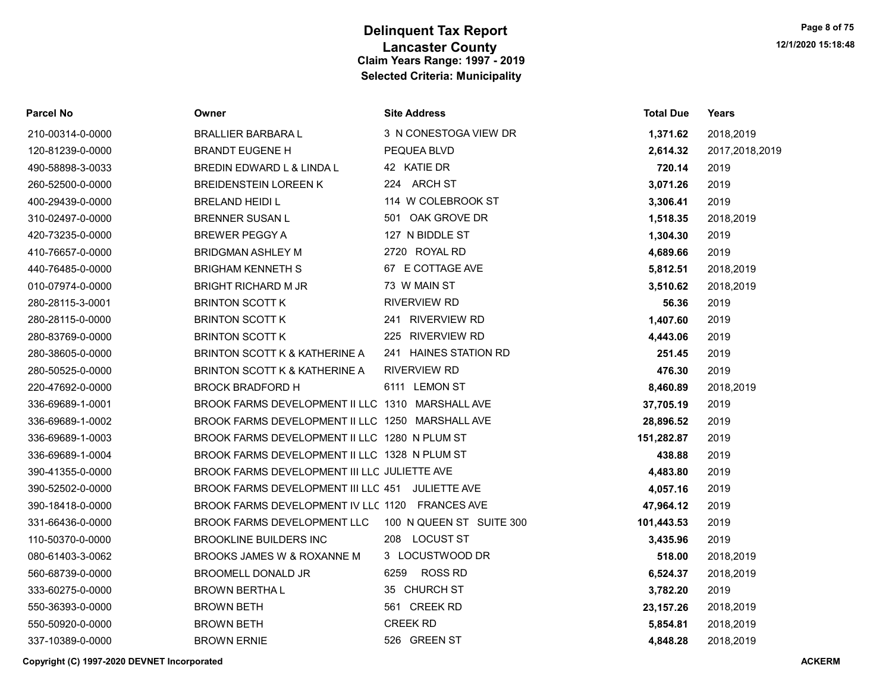| <b>Parcel No</b> | Owner                                            | <b>Site Address</b>      | <b>Total Due</b> | Years          |
|------------------|--------------------------------------------------|--------------------------|------------------|----------------|
| 210-00314-0-0000 | <b>BRALLIER BARBARA L</b>                        | 3 N CONESTOGA VIEW DR    | 1,371.62         | 2018,2019      |
| 120-81239-0-0000 | <b>BRANDT EUGENE H</b>                           | PEQUEA BLVD              | 2,614.32         | 2017,2018,2019 |
| 490-58898-3-0033 | BREDIN EDWARD L & LINDA L                        | 42 KATIE DR              | 720.14           | 2019           |
| 260-52500-0-0000 | <b>BREIDENSTEIN LOREEN K</b>                     | 224 ARCH ST              | 3,071.26         | 2019           |
| 400-29439-0-0000 | <b>BRELAND HEIDI L</b>                           | 114 W COLEBROOK ST       | 3,306.41         | 2019           |
| 310-02497-0-0000 | <b>BRENNER SUSAN L</b>                           | 501 OAK GROVE DR         | 1,518.35         | 2018,2019      |
| 420-73235-0-0000 | <b>BREWER PEGGY A</b>                            | 127 N BIDDLE ST          | 1,304.30         | 2019           |
| 410-76657-0-0000 | <b>BRIDGMAN ASHLEY M</b>                         | 2720 ROYAL RD            | 4,689.66         | 2019           |
| 440-76485-0-0000 | <b>BRIGHAM KENNETH S</b>                         | 67 E COTTAGE AVE         | 5,812.51         | 2018,2019      |
| 010-07974-0-0000 | <b>BRIGHT RICHARD M JR</b>                       | 73 W MAIN ST             | 3,510.62         | 2018,2019      |
| 280-28115-3-0001 | <b>BRINTON SCOTT K</b>                           | <b>RIVERVIEW RD</b>      | 56.36            | 2019           |
| 280-28115-0-0000 | <b>BRINTON SCOTT K</b>                           | 241 RIVERVIEW RD         | 1,407.60         | 2019           |
| 280-83769-0-0000 | <b>BRINTON SCOTT K</b>                           | 225 RIVERVIEW RD         | 4,443.06         | 2019           |
| 280-38605-0-0000 | BRINTON SCOTT K & KATHERINE A                    | 241 HAINES STATION RD    | 251.45           | 2019           |
| 280-50525-0-0000 | BRINTON SCOTT K & KATHERINE A                    | <b>RIVERVIEW RD</b>      | 476.30           | 2019           |
| 220-47692-0-0000 | <b>BROCK BRADFORD H</b>                          | 6111 LEMON ST            | 8,460.89         | 2018,2019      |
| 336-69689-1-0001 | BROOK FARMS DEVELOPMENT II LLC 1310 MARSHALL AVE |                          | 37,705.19        | 2019           |
| 336-69689-1-0002 | BROOK FARMS DEVELOPMENT II LLC 1250 MARSHALL AVE |                          | 28,896.52        | 2019           |
| 336-69689-1-0003 | BROOK FARMS DEVELOPMENT II LLC 1280 N PLUM ST    |                          | 151,282.87       | 2019           |
| 336-69689-1-0004 | BROOK FARMS DEVELOPMENT II LLC 1328 N PLUM ST    |                          | 438.88           | 2019           |
| 390-41355-0-0000 | BROOK FARMS DEVELOPMENT III LLC JULIETTE AVE     |                          | 4,483.80         | 2019           |
| 390-52502-0-0000 | BROOK FARMS DEVELOPMENT III LLC 451 JULIETTE AVE |                          | 4,057.16         | 2019           |
| 390-18418-0-0000 | BROOK FARMS DEVELOPMENT IV LLC 1120 FRANCES AVE  |                          | 47,964.12        | 2019           |
| 331-66436-0-0000 | BROOK FARMS DEVELOPMENT LLC                      | 100 N QUEEN ST SUITE 300 | 101,443.53       | 2019           |
| 110-50370-0-0000 | <b>BROOKLINE BUILDERS INC.</b>                   | 208 LOCUST ST            | 3,435.96         | 2019           |
| 080-61403-3-0062 | BROOKS JAMES W & ROXANNE M                       | 3 LOCUSTWOOD DR          | 518.00           | 2018,2019      |
| 560-68739-0-0000 | BROOMELL DONALD JR                               | <b>ROSS RD</b><br>6259   | 6,524.37         | 2018,2019      |
| 333-60275-0-0000 | <b>BROWN BERTHAL</b>                             | 35 CHURCH ST             | 3,782.20         | 2019           |
| 550-36393-0-0000 | <b>BROWN BETH</b>                                | 561 CREEK RD             | 23, 157. 26      | 2018,2019      |
| 550-50920-0-0000 | <b>BROWN BETH</b>                                | <b>CREEK RD</b>          | 5,854.81         | 2018,2019      |
| 337-10389-0-0000 | <b>BROWN ERNIE</b>                               | 526 GREEN ST             | 4,848.28         | 2018.2019      |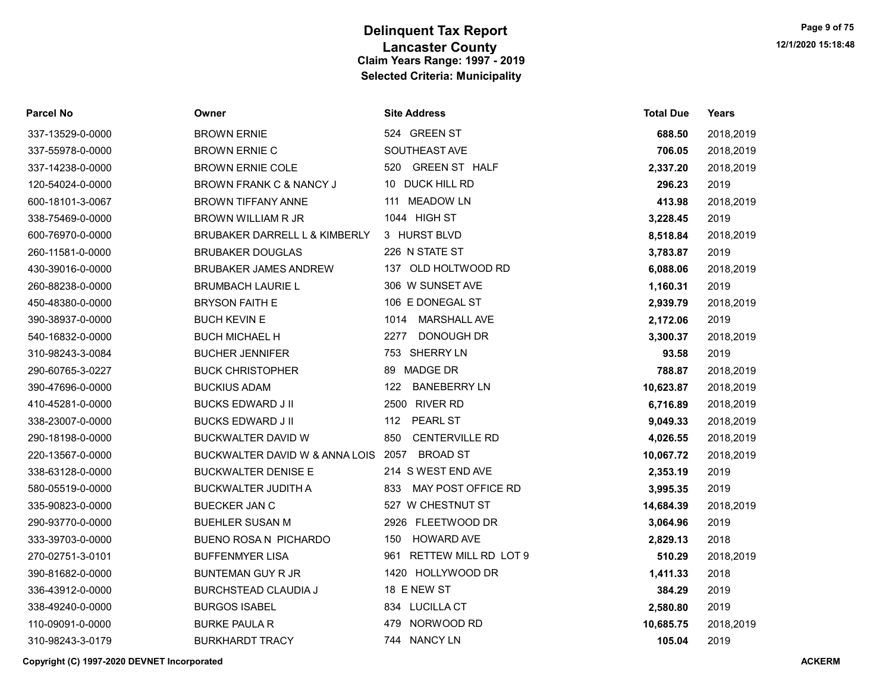| Parcel No        | Owner                               | <b>Site Address</b>          | <b>Total Due</b> | Years     |
|------------------|-------------------------------------|------------------------------|------------------|-----------|
| 337-13529-0-0000 | <b>BROWN ERNIE</b>                  | 524 GREEN ST                 | 688.50           | 2018,2019 |
| 337-55978-0-0000 | <b>BROWN ERNIE C</b>                | SOUTHEAST AVE                | 706.05           | 2018,2019 |
| 337-14238-0-0000 | <b>BROWN ERNIE COLE</b>             | 520 GREEN ST HALF            | 2,337.20         | 2018,2019 |
| 120-54024-0-0000 | BROWN FRANK C & NANCY J             | 10 DUCK HILL RD              | 296.23           | 2019      |
| 600-18101-3-0067 | <b>BROWN TIFFANY ANNE</b>           | 111 MEADOW LN                | 413.98           | 2018,2019 |
| 338-75469-0-0000 | <b>BROWN WILLIAM R JR</b>           | 1044 HIGH ST                 | 3,228.45         | 2019      |
| 600-76970-0-0000 | BRUBAKER DARRELL L & KIMBERLY       | 3 HURST BLVD                 | 8,518.84         | 2018,2019 |
| 260-11581-0-0000 | <b>BRUBAKER DOUGLAS</b>             | 226 N STATE ST               | 3,783.87         | 2019      |
| 430-39016-0-0000 | <b>BRUBAKER JAMES ANDREW</b>        | 137 OLD HOLTWOOD RD          | 6,088.06         | 2018,2019 |
| 260-88238-0-0000 | <b>BRUMBACH LAURIE L</b>            | 306 W SUNSET AVE             | 1,160.31         | 2019      |
| 450-48380-0-0000 | <b>BRYSON FAITH E</b>               | 106 E DONEGAL ST             | 2,939.79         | 2018,2019 |
| 390-38937-0-0000 | <b>BUCH KEVIN E</b>                 | <b>MARSHALL AVE</b><br>1014  | 2,172.06         | 2019      |
| 540-16832-0-0000 | <b>BUCH MICHAEL H</b>               | 2277<br>DONOUGH DR           | 3,300.37         | 2018,2019 |
| 310-98243-3-0084 | <b>BUCHER JENNIFER</b>              | 753 SHERRY LN                | 93.58            | 2019      |
| 290-60765-3-0227 | <b>BUCK CHRISTOPHER</b>             | <b>MADGE DR</b><br>89        | 788.87           | 2018,2019 |
| 390-47696-0-0000 | <b>BUCKIUS ADAM</b>                 | 122<br><b>BANEBERRY LN</b>   | 10,623.87        | 2018,2019 |
| 410-45281-0-0000 | <b>BUCKS EDWARD J II</b>            | 2500 RIVER RD                | 6,716.89         | 2018,2019 |
| 338-23007-0-0000 | <b>BUCKS EDWARD J II</b>            | <b>PEARL ST</b><br>112       | 9,049.33         | 2018,2019 |
| 290-18198-0-0000 | BUCKWALTER DAVID W                  | 850<br><b>CENTERVILLE RD</b> | 4,026.55         | 2018,2019 |
| 220-13567-0-0000 | BUCKWALTER DAVID W & ANNA LOIS 2057 | <b>BROAD ST</b>              | 10,067.72        | 2018,2019 |
| 338-63128-0-0000 | <b>BUCKWALTER DENISE E</b>          | 214 S WEST END AVE           | 2,353.19         | 2019      |
| 580-05519-0-0000 | <b>BUCKWALTER JUDITH A</b>          | MAY POST OFFICE RD<br>833    | 3,995.35         | 2019      |
| 335-90823-0-0000 | <b>BUECKER JAN C</b>                | 527 W CHESTNUT ST            | 14,684.39        | 2018,2019 |
| 290-93770-0-0000 | <b>BUEHLER SUSAN M</b>              | 2926 FLEETWOOD DR            | 3,064.96         | 2019      |
| 333-39703-0-0000 | BUENO ROSA N PICHARDO               | <b>HOWARD AVE</b><br>150     | 2,829.13         | 2018      |
| 270-02751-3-0101 | <b>BUFFENMYER LISA</b>              | RETTEW MILL RD LOT 9<br>961  | 510.29           | 2018,2019 |
| 390-81682-0-0000 | <b>BUNTEMAN GUY R JR</b>            | 1420 HOLLYWOOD DR            | 1,411.33         | 2018      |
| 336-43912-0-0000 | <b>BURCHSTEAD CLAUDIA J</b>         | 18 E NEW ST                  | 384.29           | 2019      |
| 338-49240-0-0000 | <b>BURGOS ISABEL</b>                | 834 LUCILLA CT               | 2,580.80         | 2019      |
| 110-09091-0-0000 | <b>BURKE PAULA R</b>                | NORWOOD RD<br>479            | 10,685.75        | 2018,2019 |
| 310-98243-3-0179 | <b>BURKHARDT TRACY</b>              | 744 NANCY LN                 | 105.04           | 2019      |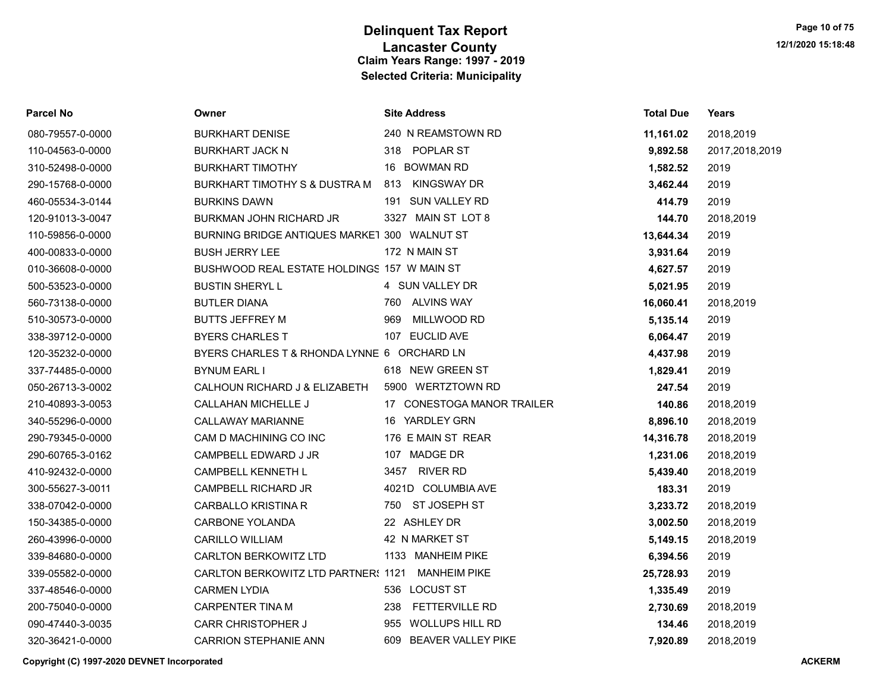| Parcel No        | Owner                                        | <b>Site Address</b>          | <b>Total Due</b> | <b>Years</b>   |
|------------------|----------------------------------------------|------------------------------|------------------|----------------|
| 080-79557-0-0000 | <b>BURKHART DENISE</b>                       | 240 N REAMSTOWN RD           | 11,161.02        | 2018,2019      |
| 110-04563-0-0000 | <b>BURKHART JACK N</b>                       | 318 POPLAR ST                | 9,892.58         | 2017,2018,2019 |
| 310-52498-0-0000 | <b>BURKHART TIMOTHY</b>                      | 16 BOWMAN RD                 | 1,582.52         | 2019           |
| 290-15768-0-0000 | BURKHART TIMOTHY S & DUSTRA M                | KINGSWAY DR<br>813           | 3,462.44         | 2019           |
| 460-05534-3-0144 | <b>BURKINS DAWN</b>                          | 191 SUN VALLEY RD            | 414.79           | 2019           |
| 120-91013-3-0047 | <b>BURKMAN JOHN RICHARD JR</b>               | 3327 MAIN ST LOT 8           | 144.70           | 2018,2019      |
| 110-59856-0-0000 | BURNING BRIDGE ANTIQUES MARKET 300 WALNUT ST |                              | 13,644.34        | 2019           |
| 400-00833-0-0000 | <b>BUSH JERRY LEE</b>                        | 172 N MAIN ST                | 3,931.64         | 2019           |
| 010-36608-0-0000 | BUSHWOOD REAL ESTATE HOLDINGS 157 W MAIN ST  |                              | 4,627.57         | 2019           |
| 500-53523-0-0000 | <b>BUSTIN SHERYLL</b>                        | 4 SUN VALLEY DR              | 5,021.95         | 2019           |
| 560-73138-0-0000 | <b>BUTLER DIANA</b>                          | 760 ALVINS WAY               | 16,060.41        | 2018,2019      |
| 510-30573-0-0000 | <b>BUTTS JEFFREY M</b>                       | MILLWOOD RD<br>969           | 5,135.14         | 2019           |
| 338-39712-0-0000 | <b>BYERS CHARLES T</b>                       | 107 EUCLID AVE               | 6,064.47         | 2019           |
| 120-35232-0-0000 | BYERS CHARLES T & RHONDA LYNNE 6 ORCHARD LN  |                              | 4,437.98         | 2019           |
| 337-74485-0-0000 | <b>BYNUM EARL I</b>                          | 618 NEW GREEN ST             | 1,829.41         | 2019           |
| 050-26713-3-0002 | CALHOUN RICHARD J & ELIZABETH                | 5900 WERTZTOWN RD            | 247.54           | 2019           |
| 210-40893-3-0053 | <b>CALLAHAN MICHELLE J</b>                   | 17 CONESTOGA MANOR TRAILER   | 140.86           | 2018,2019      |
| 340-55296-0-0000 | <b>CALLAWAY MARIANNE</b>                     | 16 YARDLEY GRN               | 8,896.10         | 2018,2019      |
| 290-79345-0-0000 | CAM D MACHINING CO INC                       | 176 E MAIN ST REAR           | 14,316.78        | 2018,2019      |
| 290-60765-3-0162 | CAMPBELL EDWARD J JR                         | 107 MADGE DR                 | 1,231.06         | 2018,2019      |
| 410-92432-0-0000 | CAMPBELL KENNETH L                           | 3457<br><b>RIVER RD</b>      | 5,439.40         | 2018,2019      |
| 300-55627-3-0011 | <b>CAMPBELL RICHARD JR</b>                   | 4021D COLUMBIA AVE           | 183.31           | 2019           |
| 338-07042-0-0000 | <b>CARBALLO KRISTINA R</b>                   | 750 ST JOSEPH ST             | 3,233.72         | 2018,2019      |
| 150-34385-0-0000 | <b>CARBONE YOLANDA</b>                       | 22 ASHLEY DR                 | 3,002.50         | 2018,2019      |
| 260-43996-0-0000 | <b>CARILLO WILLIAM</b>                       | 42 N MARKET ST               | 5,149.15         | 2018,2019      |
| 339-84680-0-0000 | <b>CARLTON BERKOWITZ LTD</b>                 | 1133 MANHEIM PIKE            | 6,394.56         | 2019           |
| 339-05582-0-0000 | CARLTON BERKOWITZ LTD PARTNER: 1121          | <b>MANHEIM PIKE</b>          | 25,728.93        | 2019           |
| 337-48546-0-0000 | <b>CARMEN LYDIA</b>                          | 536 LOCUST ST                | 1,335.49         | 2019           |
| 200-75040-0-0000 | <b>CARPENTER TINA M</b>                      | <b>FETTERVILLE RD</b><br>238 | 2,730.69         | 2018,2019      |
| 090-47440-3-0035 | <b>CARR CHRISTOPHER J</b>                    | WOLLUPS HILL RD<br>955       | 134.46           | 2018,2019      |
| 320-36421-0-0000 | <b>CARRION STEPHANIE ANN</b>                 | 609 BEAVER VALLEY PIKE       | 7,920.89         | 2018.2019      |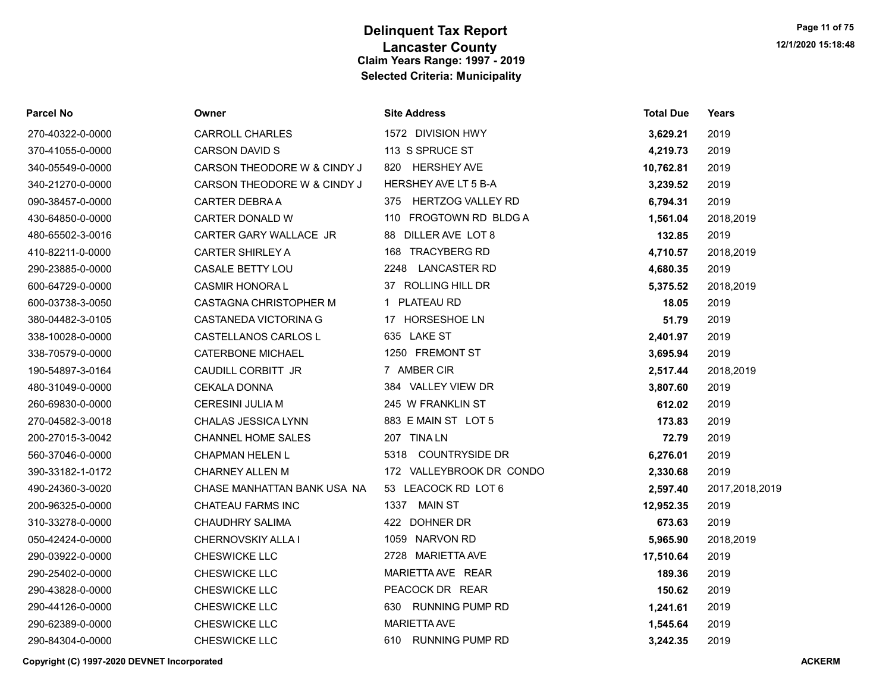| <b>Parcel No</b> | Owner                       | <b>Site Address</b>           | <b>Total Due</b> | <b>Years</b>   |
|------------------|-----------------------------|-------------------------------|------------------|----------------|
| 270-40322-0-0000 | <b>CARROLL CHARLES</b>      | 1572 DIVISION HWY             | 3,629.21         | 2019           |
| 370-41055-0-0000 | <b>CARSON DAVID S</b>       | 113 S SPRUCE ST               | 4,219.73         | 2019           |
| 340-05549-0-0000 | CARSON THEODORE W & CINDY J | <b>HERSHEY AVE</b><br>820     | 10,762.81        | 2019           |
| 340-21270-0-0000 | CARSON THEODORE W & CINDY J | HERSHEY AVE LT 5 B-A          | 3,239.52         | 2019           |
| 090-38457-0-0000 | CARTER DEBRA A              | 375 HERTZOG VALLEY RD         | 6,794.31         | 2019           |
| 430-64850-0-0000 | CARTER DONALD W             | 110 FROGTOWN RD BLDG A        | 1,561.04         | 2018,2019      |
| 480-65502-3-0016 | CARTER GARY WALLACE JR      | DILLER AVE LOT 8<br>88        | 132.85           | 2019           |
| 410-82211-0-0000 | <b>CARTER SHIRLEY A</b>     | 168 TRACYBERG RD              | 4,710.57         | 2018,2019      |
| 290-23885-0-0000 | <b>CASALE BETTY LOU</b>     | <b>LANCASTER RD</b><br>2248   | 4,680.35         | 2019           |
| 600-64729-0-0000 | <b>CASMIR HONORAL</b>       | 37 ROLLING HILL DR            | 5,375.52         | 2018,2019      |
| 600-03738-3-0050 | CASTAGNA CHRISTOPHER M      | 1 PLATEAU RD                  | 18.05            | 2019           |
| 380-04482-3-0105 | CASTANEDA VICTORINA G       | 17 HORSESHOE LN               | 51.79            | 2019           |
| 338-10028-0-0000 | CASTELLANOS CARLOS L        | 635 LAKE ST                   | 2,401.97         | 2019           |
| 338-70579-0-0000 | <b>CATERBONE MICHAEL</b>    | 1250 FREMONT ST               | 3,695.94         | 2019           |
| 190-54897-3-0164 | CAUDILL CORBITT JR          | 7 AMBER CIR                   | 2,517.44         | 2018,2019      |
| 480-31049-0-0000 | <b>CEKALA DONNA</b>         | 384 VALLEY VIEW DR            | 3,807.60         | 2019           |
| 260-69830-0-0000 | <b>CERESINI JULIA M</b>     | 245 W FRANKLIN ST             | 612.02           | 2019           |
| 270-04582-3-0018 | CHALAS JESSICA LYNN         | 883 E MAIN ST LOT 5           | 173.83           | 2019           |
| 200-27015-3-0042 | <b>CHANNEL HOME SALES</b>   | 207 TINA LN                   | 72.79            | 2019           |
| 560-37046-0-0000 | <b>CHAPMAN HELEN L</b>      | <b>COUNTRYSIDE DR</b><br>5318 | 6,276.01         | 2019           |
| 390-33182-1-0172 | <b>CHARNEY ALLEN M</b>      | 172 VALLEYBROOK DR CONDO      | 2,330.68         | 2019           |
| 490-24360-3-0020 | CHASE MANHATTAN BANK USA NA | 53 LEACOCK RD LOT 6           | 2,597.40         | 2017,2018,2019 |
| 200-96325-0-0000 | CHATEAU FARMS INC           | 1337 MAIN ST                  | 12,952.35        | 2019           |
| 310-33278-0-0000 | <b>CHAUDHRY SALIMA</b>      | 422 DOHNER DR                 | 673.63           | 2019           |
| 050-42424-0-0000 | <b>CHERNOVSKIY ALLA I</b>   | 1059 NARVON RD                | 5,965.90         | 2018,2019      |
| 290-03922-0-0000 | CHESWICKE LLC               | 2728 MARIETTA AVE             | 17,510.64        | 2019           |
| 290-25402-0-0000 | CHESWICKE LLC               | MARIETTA AVE REAR             | 189.36           | 2019           |
| 290-43828-0-0000 | <b>CHESWICKE LLC</b>        | PEACOCK DR REAR               | 150.62           | 2019           |
| 290-44126-0-0000 | <b>CHESWICKE LLC</b>        | 630 RUNNING PUMP RD           | 1,241.61         | 2019           |
| 290-62389-0-0000 | CHESWICKE LLC               | <b>MARIETTA AVE</b>           | 1,545.64         | 2019           |
| 290-84304-0-0000 | <b>CHESWICKE LLC</b>        | 610 RUNNING PUMP RD           | 3.242.35         | 2019           |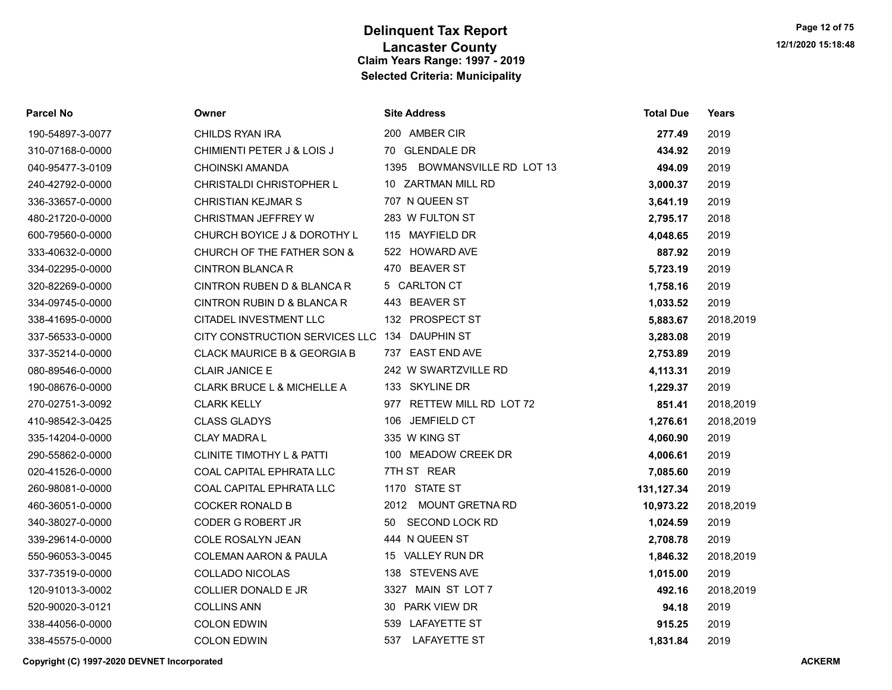| <b>Parcel No</b> | Owner                                | <b>Site Address</b>         | <b>Total Due</b> | Years     |
|------------------|--------------------------------------|-----------------------------|------------------|-----------|
| 190-54897-3-0077 | CHILDS RYAN IRA                      | 200 AMBER CIR               | 277.49           | 2019      |
| 310-07168-0-0000 | CHIMIENTI PETER J & LOIS J           | 70 GLENDALE DR              | 434.92           | 2019      |
| 040-95477-3-0109 | CHOINSKI AMANDA                      | 1395 BOWMANSVILLE RD LOT 13 | 494.09           | 2019      |
| 240-42792-0-0000 | <b>CHRISTALDI CHRISTOPHER L</b>      | 10 ZARTMAN MILL RD          | 3,000.37         | 2019      |
| 336-33657-0-0000 | <b>CHRISTIAN KEJMAR S</b>            | 707 N QUEEN ST              | 3,641.19         | 2019      |
| 480-21720-0-0000 | CHRISTMAN JEFFREY W                  | 283 W FULTON ST             | 2,795.17         | 2018      |
| 600-79560-0-0000 | CHURCH BOYICE J & DOROTHY L          | 115 MAYFIELD DR             | 4,048.65         | 2019      |
| 333-40632-0-0000 | CHURCH OF THE FATHER SON &           | 522 HOWARD AVE              | 887.92           | 2019      |
| 334-02295-0-0000 | <b>CINTRON BLANCA R</b>              | 470 BEAVER ST               | 5,723.19         | 2019      |
| 320-82269-0-0000 | CINTRON RUBEN D & BLANCA R           | 5 CARLTON CT                | 1,758.16         | 2019      |
| 334-09745-0-0000 | CINTRON RUBIN D & BLANCA R           | 443 BEAVER ST               | 1,033.52         | 2019      |
| 338-41695-0-0000 | CITADEL INVESTMENT LLC               | 132 PROSPECT ST             | 5,883.67         | 2018,2019 |
| 337-56533-0-0000 | CITY CONSTRUCTION SERVICES LLC       | 134 DAUPHIN ST              | 3,283.08         | 2019      |
| 337-35214-0-0000 | CLACK MAURICE B & GEORGIA B          | 737 EAST END AVE            | 2,753.89         | 2019      |
| 080-89546-0-0000 | <b>CLAIR JANICE E</b>                | 242 W SWARTZVILLE RD        | 4,113.31         | 2019      |
| 190-08676-0-0000 | CLARK BRUCE L & MICHELLE A           | 133 SKYLINE DR              | 1,229.37         | 2019      |
| 270-02751-3-0092 | <b>CLARK KELLY</b>                   | 977 RETTEW MILL RD LOT 72   | 851.41           | 2018,2019 |
| 410-98542-3-0425 | <b>CLASS GLADYS</b>                  | 106 JEMFIELD CT             | 1,276.61         | 2018,2019 |
| 335-14204-0-0000 | <b>CLAY MADRAL</b>                   | 335 W KING ST               | 4,060.90         | 2019      |
| 290-55862-0-0000 | <b>CLINITE TIMOTHY L &amp; PATTI</b> | 100 MEADOW CREEK DR         | 4,006.61         | 2019      |
| 020-41526-0-0000 | COAL CAPITAL EPHRATA LLC             | 7TH ST REAR                 | 7,085.60         | 2019      |
| 260-98081-0-0000 | COAL CAPITAL EPHRATA LLC             | 1170 STATE ST               | 131,127.34       | 2019      |
| 460-36051-0-0000 | <b>COCKER RONALD B</b>               | 2012 MOUNT GRETNA RD        | 10,973.22        | 2018,2019 |
| 340-38027-0-0000 | CODER G ROBERT JR                    | 50 SECOND LOCK RD           | 1,024.59         | 2019      |
| 339-29614-0-0000 | COLE ROSALYN JEAN                    | 444 N QUEEN ST              | 2,708.78         | 2019      |
| 550-96053-3-0045 | <b>COLEMAN AARON &amp; PAULA</b>     | 15 VALLEY RUN DR            | 1,846.32         | 2018,2019 |
| 337-73519-0-0000 | <b>COLLADO NICOLAS</b>               | 138 STEVENS AVE             | 1,015.00         | 2019      |
| 120-91013-3-0002 | <b>COLLIER DONALD E JR</b>           | 3327 MAIN ST LOT 7          | 492.16           | 2018,2019 |
| 520-90020-3-0121 | <b>COLLINS ANN</b>                   | 30 PARK VIEW DR             | 94.18            | 2019      |
| 338-44056-0-0000 | <b>COLON EDWIN</b>                   | 539 LAFAYETTE ST            | 915.25           | 2019      |
| 338-45575-0-0000 | <b>COLON EDWIN</b>                   | 537<br><b>LAFAYETTE ST</b>  | 1,831.84         | 2019      |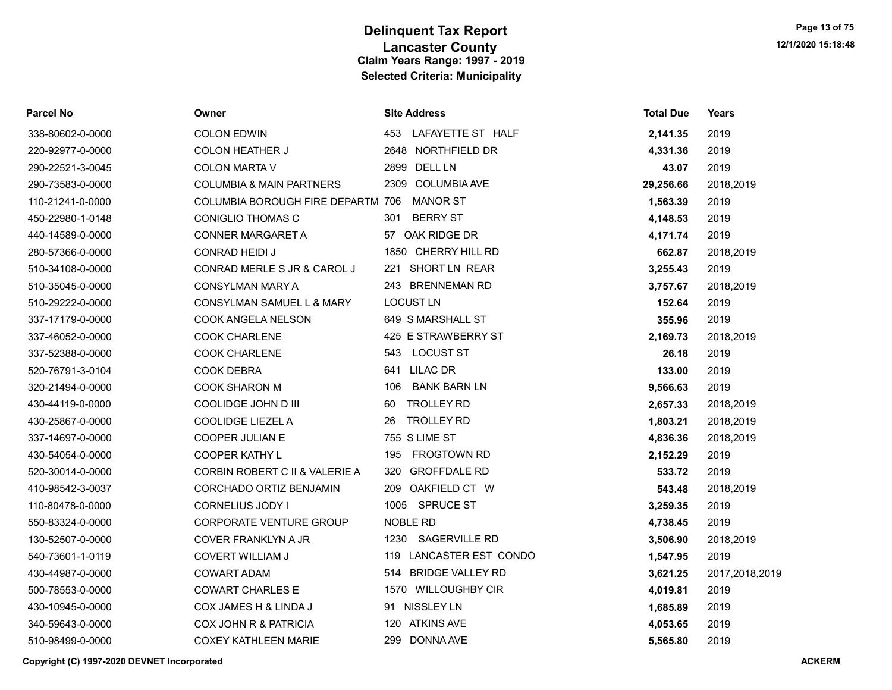| <b>Parcel No</b> | Owner                                    | <b>Site Address</b>            | <b>Total Due</b> | <b>Years</b>   |
|------------------|------------------------------------------|--------------------------------|------------------|----------------|
| 338-80602-0-0000 | <b>COLON EDWIN</b>                       | 453<br>LAFAYETTE ST HALF       | 2,141.35         | 2019           |
| 220-92977-0-0000 | <b>COLON HEATHER J</b>                   | 2648 NORTHFIELD DR             | 4,331.36         | 2019           |
| 290-22521-3-0045 | <b>COLON MARTA V</b>                     | <b>DELL LN</b><br>2899         | 43.07            | 2019           |
| 290-73583-0-0000 | <b>COLUMBIA &amp; MAIN PARTNERS</b>      | <b>COLUMBIA AVE</b><br>2309    | 29,256.66        | 2018,2019      |
| 110-21241-0-0000 | <b>COLUMBIA BOROUGH FIRE DEPARTM 706</b> | <b>MANOR ST</b>                | 1,563.39         | 2019           |
| 450-22980-1-0148 | <b>CONIGLIO THOMAS C</b>                 | <b>BERRY ST</b><br>301         | 4,148.53         | 2019           |
| 440-14589-0-0000 | CONNER MARGARET A                        | 57 OAK RIDGE DR                | 4,171.74         | 2019           |
| 280-57366-0-0000 | CONRAD HEIDI J                           | 1850 CHERRY HILL RD            | 662.87           | 2018,2019      |
| 510-34108-0-0000 | CONRAD MERLE S JR & CAROL J              | SHORT LN REAR<br>221           | 3,255.43         | 2019           |
| 510-35045-0-0000 | CONSYLMAN MARY A                         | 243 BRENNEMAN RD               | 3,757.67         | 2018,2019      |
| 510-29222-0-0000 | CONSYLMAN SAMUEL L & MARY                | <b>LOCUST LN</b>               | 152.64           | 2019           |
| 337-17179-0-0000 | COOK ANGELA NELSON                       | 649 S MARSHALL ST              | 355.96           | 2019           |
| 337-46052-0-0000 | <b>COOK CHARLENE</b>                     | 425 E STRAWBERRY ST            | 2,169.73         | 2018,2019      |
| 337-52388-0-0000 | <b>COOK CHARLENE</b>                     | <b>LOCUST ST</b><br>543        | 26.18            | 2019           |
| 520-76791-3-0104 | <b>COOK DEBRA</b>                        | <b>LILAC DR</b><br>641         | 133.00           | 2019           |
| 320-21494-0-0000 | <b>COOK SHARON M</b>                     | <b>BANK BARN LN</b><br>106     | 9,566.63         | 2019           |
| 430-44119-0-0000 | COOLIDGE JOHN D III                      | <b>TROLLEY RD</b><br>60        | 2,657.33         | 2018,2019      |
| 430-25867-0-0000 | <b>COOLIDGE LIEZEL A</b>                 | <b>TROLLEY RD</b><br>26        | 1,803.21         | 2018,2019      |
| 337-14697-0-0000 | <b>COOPER JULIAN E</b>                   | 755 S LIME ST                  | 4,836.36         | 2018,2019      |
| 430-54054-0-0000 | <b>COOPER KATHY L</b>                    | <b>FROGTOWN RD</b><br>195      | 2,152.29         | 2019           |
| 520-30014-0-0000 | CORBIN ROBERT C II & VALERIE A           | 320<br><b>GROFFDALE RD</b>     | 533.72           | 2019           |
| 410-98542-3-0037 | CORCHADO ORTIZ BENJAMIN                  | OAKFIELD CT W<br>209           | 543.48           | 2018,2019      |
| 110-80478-0-0000 | CORNELIUS JODY I                         | 1005<br>SPRUCE ST              | 3,259.35         | 2019           |
| 550-83324-0-0000 | <b>CORPORATE VENTURE GROUP</b>           | NOBLE RD                       | 4,738.45         | 2019           |
| 130-52507-0-0000 | COVER FRANKLYN A JR                      | SAGERVILLE RD<br>1230          | 3,506.90         | 2018,2019      |
| 540-73601-1-0119 | <b>COVERT WILLIAM J</b>                  | 119 LANCASTER EST CONDO        | 1,547.95         | 2019           |
| 430-44987-0-0000 | <b>COWART ADAM</b>                       | <b>BRIDGE VALLEY RD</b><br>514 | 3,621.25         | 2017,2018,2019 |
| 500-78553-0-0000 | <b>COWART CHARLES E</b>                  | 1570 WILLOUGHBY CIR            | 4,019.81         | 2019           |
| 430-10945-0-0000 | COX JAMES H & LINDA J                    | 91 NISSLEY LN                  | 1,685.89         | 2019           |
| 340-59643-0-0000 | COX JOHN R & PATRICIA                    | 120 ATKINS AVE                 | 4,053.65         | 2019           |
| 510-98499-0-0000 | <b>COXEY KATHLEEN MARIE</b>              | 299 DONNA AVE                  | 5,565.80         | 2019           |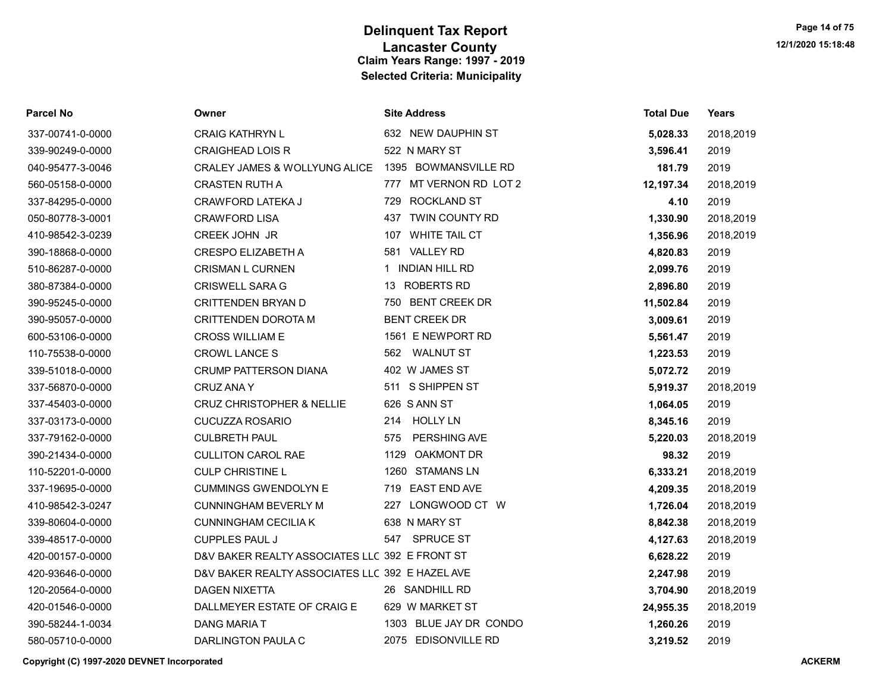| Parcel No        | Owner                                           | <b>Site Address</b>        | <b>Total Due</b> | Years     |
|------------------|-------------------------------------------------|----------------------------|------------------|-----------|
| 337-00741-0-0000 | <b>CRAIG KATHRYN L</b>                          | 632 NEW DAUPHIN ST         | 5,028.33         | 2018,2019 |
| 339-90249-0-0000 | <b>CRAIGHEAD LOIS R</b>                         | 522 N MARY ST              | 3,596.41         | 2019      |
| 040-95477-3-0046 | CRALEY JAMES & WOLLYUNG ALICE                   | 1395 BOWMANSVILLE RD       | 181.79           | 2019      |
| 560-05158-0-0000 | <b>CRASTEN RUTH A</b>                           | 777 MT VERNON RD LOT 2     | 12,197.34        | 2018,2019 |
| 337-84295-0-0000 | CRAWFORD LATEKA J                               | 729 ROCKLAND ST            | 4.10             | 2019      |
| 050-80778-3-0001 | <b>CRAWFORD LISA</b>                            | 437 TWIN COUNTY RD         | 1,330.90         | 2018,2019 |
| 410-98542-3-0239 | CREEK JOHN JR                                   | 107 WHITE TAIL CT          | 1,356.96         | 2018,2019 |
| 390-18868-0-0000 | <b>CRESPO ELIZABETH A</b>                       | 581 VALLEY RD              | 4,820.83         | 2019      |
| 510-86287-0-0000 | <b>CRISMAN L CURNEN</b>                         | 1 INDIAN HILL RD           | 2,099.76         | 2019      |
| 380-87384-0-0000 | <b>CRISWELL SARA G</b>                          | 13 ROBERTS RD              | 2,896.80         | 2019      |
| 390-95245-0-0000 | <b>CRITTENDEN BRYAN D</b>                       | 750 BENT CREEK DR          | 11,502.84        | 2019      |
| 390-95057-0-0000 | CRITTENDEN DOROTA M                             | <b>BENT CREEK DR</b>       | 3,009.61         | 2019      |
| 600-53106-0-0000 | <b>CROSS WILLIAM E</b>                          | 1561 E NEWPORT RD          | 5,561.47         | 2019      |
| 110-75538-0-0000 | <b>CROWL LANCE S</b>                            | 562 WALNUT ST              | 1,223.53         | 2019      |
| 339-51018-0-0000 | <b>CRUMP PATTERSON DIANA</b>                    | 402 W JAMES ST             | 5,072.72         | 2019      |
| 337-56870-0-0000 | <b>CRUZ ANA Y</b>                               | 511 S SHIPPEN ST           | 5,919.37         | 2018,2019 |
| 337-45403-0-0000 | <b>CRUZ CHRISTOPHER &amp; NELLIE</b>            | 626 S ANN ST               | 1,064.05         | 2019      |
| 337-03173-0-0000 | <b>CUCUZZA ROSARIO</b>                          | 214 HOLLY LN               | 8,345.16         | 2019      |
| 337-79162-0-0000 | <b>CULBRETH PAUL</b>                            | <b>PERSHING AVE</b><br>575 | 5,220.03         | 2018,2019 |
| 390-21434-0-0000 | <b>CULLITON CAROL RAE</b>                       | 1129 OAKMONT DR            | 98.32            | 2019      |
| 110-52201-0-0000 | <b>CULP CHRISTINE L</b>                         | 1260 STAMANS LN            | 6,333.21         | 2018,2019 |
| 337-19695-0-0000 | <b>CUMMINGS GWENDOLYN E</b>                     | 719 EAST END AVE           | 4,209.35         | 2018,2019 |
| 410-98542-3-0247 | <b>CUNNINGHAM BEVERLY M</b>                     | 227 LONGWOOD CT W          | 1,726.04         | 2018,2019 |
| 339-80604-0-0000 | <b>CUNNINGHAM CECILIA K</b>                     | 638 N MARY ST              | 8,842.38         | 2018,2019 |
| 339-48517-0-0000 | <b>CUPPLES PAUL J</b>                           | 547 SPRUCE ST              | 4,127.63         | 2018,2019 |
| 420-00157-0-0000 | D&V BAKER REALTY ASSOCIATES LLC 392 E FRONT ST  |                            | 6,628.22         | 2019      |
| 420-93646-0-0000 | D&V BAKER REALTY ASSOCIATES LLC 392 E HAZEL AVE |                            | 2,247.98         | 2019      |
| 120-20564-0-0000 | <b>DAGEN NIXETTA</b>                            | 26 SANDHILL RD             | 3,704.90         | 2018,2019 |
| 420-01546-0-0000 | DALLMEYER ESTATE OF CRAIG E                     | 629 W MARKET ST            | 24,955.35        | 2018,2019 |
| 390-58244-1-0034 | DANG MARIA T                                    | 1303 BLUE JAY DR CONDO     | 1,260.26         | 2019      |
| 580-05710-0-0000 | DARLINGTON PAULA C                              | 2075 EDISONVILLE RD        | 3,219.52         | 2019      |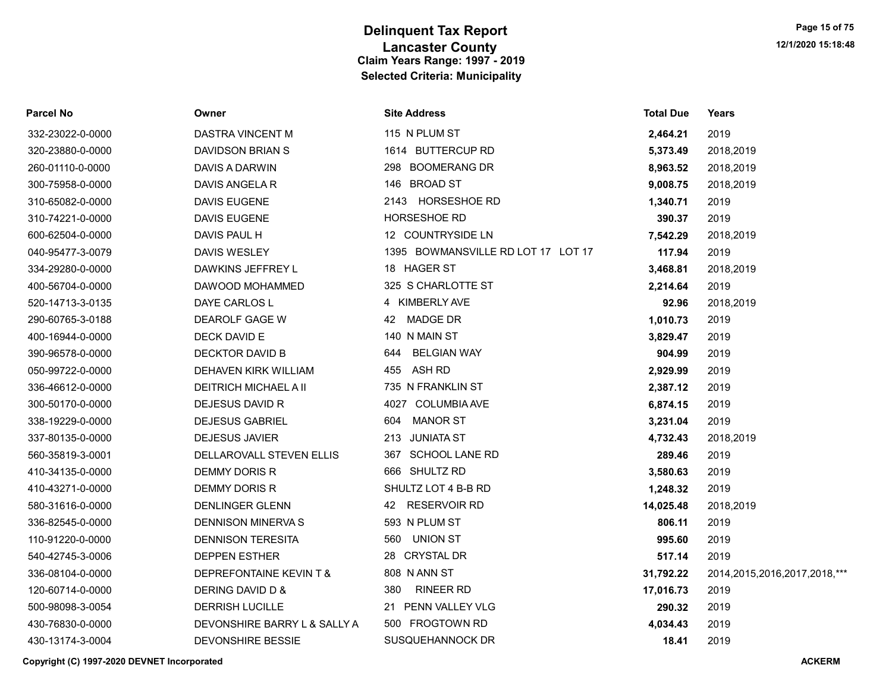| <b>Parcel No</b> | Owner                        | <b>Site Address</b>                | <b>Total Due</b> | Years                             |
|------------------|------------------------------|------------------------------------|------------------|-----------------------------------|
| 332-23022-0-0000 | DASTRA VINCENT M             | 115 N PLUM ST                      | 2,464.21         | 2019                              |
| 320-23880-0-0000 | DAVIDSON BRIAN S             | 1614 BUTTERCUP RD                  | 5,373.49         | 2018,2019                         |
| 260-01110-0-0000 | DAVIS A DARWIN               | 298 BOOMERANG DR                   | 8,963.52         | 2018,2019                         |
| 300-75958-0-0000 | DAVIS ANGELA R               | 146 BROAD ST                       | 9,008.75         | 2018,2019                         |
| 310-65082-0-0000 | <b>DAVIS EUGENE</b>          | 2143 HORSESHOE RD                  | 1,340.71         | 2019                              |
| 310-74221-0-0000 | <b>DAVIS EUGENE</b>          | HORSESHOE RD                       | 390.37           | 2019                              |
| 600-62504-0-0000 | DAVIS PAUL H                 | 12 COUNTRYSIDE LN                  | 7,542.29         | 2018,2019                         |
| 040-95477-3-0079 | DAVIS WESLEY                 | 1395 BOWMANSVILLE RD LOT 17 LOT 17 | 117.94           | 2019                              |
| 334-29280-0-0000 | DAWKINS JEFFREY L            | 18 HAGER ST                        | 3,468.81         | 2018,2019                         |
| 400-56704-0-0000 | DAWOOD MOHAMMED              | 325 S CHARLOTTE ST                 | 2,214.64         | 2019                              |
| 520-14713-3-0135 | DAYE CARLOS L                | 4 KIMBERLY AVE                     | 92.96            | 2018,2019                         |
| 290-60765-3-0188 | DEAROLF GAGE W               | <b>MADGE DR</b><br>42              | 1,010.73         | 2019                              |
| 400-16944-0-0000 | DECK DAVID E                 | 140 N MAIN ST                      | 3,829.47         | 2019                              |
| 390-96578-0-0000 | DECKTOR DAVID B              | <b>BELGIAN WAY</b><br>644          | 904.99           | 2019                              |
| 050-99722-0-0000 | DEHAVEN KIRK WILLIAM         | ASH RD<br>455                      | 2,929.99         | 2019                              |
| 336-46612-0-0000 | <b>DEITRICH MICHAEL A II</b> | 735 N FRANKLIN ST                  | 2,387.12         | 2019                              |
| 300-50170-0-0000 | DEJESUS DAVID R              | 4027 COLUMBIA AVE                  | 6,874.15         | 2019                              |
| 338-19229-0-0000 | <b>DEJESUS GABRIEL</b>       | <b>MANOR ST</b><br>604             | 3,231.04         | 2019                              |
| 337-80135-0-0000 | <b>DEJESUS JAVIER</b>        | JUNIATA ST<br>213                  | 4,732.43         | 2018,2019                         |
| 560-35819-3-0001 | DELLAROVALL STEVEN ELLIS     | 367 SCHOOL LANE RD                 | 289.46           | 2019                              |
| 410-34135-0-0000 | <b>DEMMY DORIS R</b>         | 666 SHULTZ RD                      | 3,580.63         | 2019                              |
| 410-43271-0-0000 | DEMMY DORIS R                | SHULTZ LOT 4 B-B RD                | 1,248.32         | 2019                              |
| 580-31616-0-0000 | <b>DENLINGER GLENN</b>       | 42 RESERVOIR RD                    | 14,025.48        | 2018,2019                         |
| 336-82545-0-0000 | DENNISON MINERVA S           | 593 N PLUM ST                      | 806.11           | 2019                              |
| 110-91220-0-0000 | <b>DENNISON TERESITA</b>     | 560<br>UNION ST                    | 995.60           | 2019                              |
| 540-42745-3-0006 | <b>DEPPEN ESTHER</b>         | 28 CRYSTAL DR                      | 517.14           | 2019                              |
| 336-08104-0-0000 | DEPREFONTAINE KEVIN T &      | 808 N ANN ST                       | 31,792.22        | 2014, 2015, 2016, 2017, 2018, *** |
| 120-60714-0-0000 | DERING DAVID D &             | <b>RINEER RD</b><br>380            | 17,016.73        | 2019                              |
| 500-98098-3-0054 | <b>DERRISH LUCILLE</b>       | 21 PENN VALLEY VLG                 | 290.32           | 2019                              |
| 430-76830-0-0000 | DEVONSHIRE BARRY L & SALLY A | 500 FROGTOWN RD                    | 4,034.43         | 2019                              |
| 430-13174-3-0004 | <b>DEVONSHIRE BESSIE</b>     | <b>SUSQUEHANNOCK DR</b>            | 18.41            | 2019                              |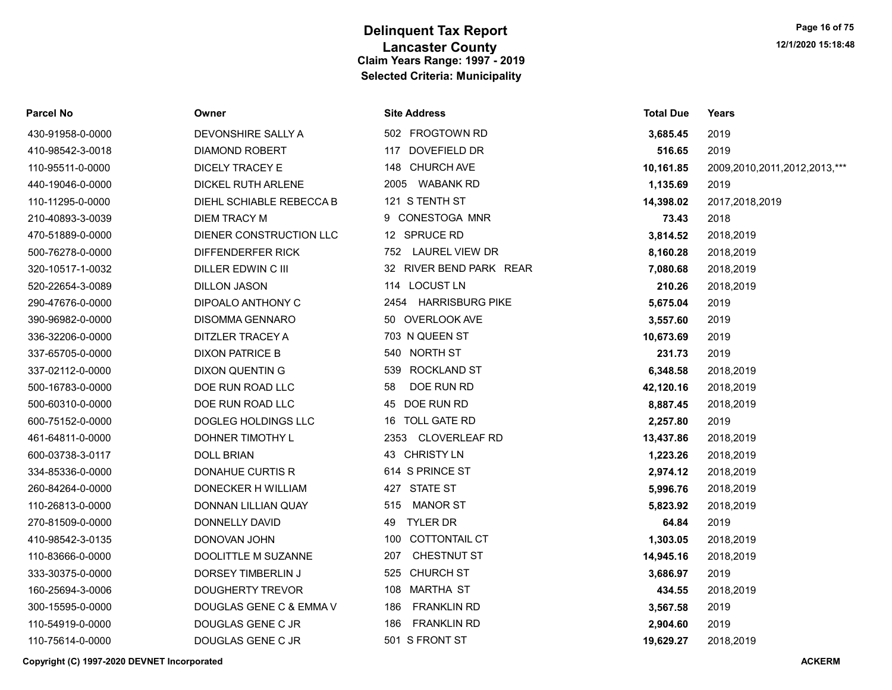| Parcel No        | Owner                    | <b>Site Address</b>         | <b>Total Due</b> | Years                        |
|------------------|--------------------------|-----------------------------|------------------|------------------------------|
| 430-91958-0-0000 | DEVONSHIRE SALLY A       | 502 FROGTOWN RD             | 3,685.45         | 2019                         |
| 410-98542-3-0018 | <b>DIAMOND ROBERT</b>    | DOVEFIELD DR<br>117         | 516.65           | 2019                         |
| 110-95511-0-0000 | DICELY TRACEY E          | 148 CHURCH AVE              | 10,161.85        | 2009,2010,2011,2012,2013,*** |
| 440-19046-0-0000 | DICKEL RUTH ARLENE       | 2005 WABANK RD              | 1,135.69         | 2019                         |
| 110-11295-0-0000 | DIEHL SCHIABLE REBECCA B | 121 S TENTH ST              | 14,398.02        | 2017,2018,2019               |
| 210-40893-3-0039 | <b>DIEM TRACY M</b>      | 9 CONESTOGA MNR             | 73.43            | 2018                         |
| 470-51889-0-0000 | DIENER CONSTRUCTION LLC  | 12 SPRUCE RD                | 3,814.52         | 2018,2019                    |
| 500-76278-0-0000 | DIFFENDERFER RICK        | 752 LAUREL VIEW DR          | 8,160.28         | 2018,2019                    |
| 320-10517-1-0032 | DILLER EDWIN C III       | 32 RIVER BEND PARK REAR     | 7,080.68         | 2018,2019                    |
| 520-22654-3-0089 | <b>DILLON JASON</b>      | <b>LOCUST LN</b><br>114     | 210.26           | 2018,2019                    |
| 290-47676-0-0000 | DIPOALO ANTHONY C        | 2454 HARRISBURG PIKE        | 5,675.04         | 2019                         |
| 390-96982-0-0000 | <b>DISOMMA GENNARO</b>   | 50 OVERLOOK AVE             | 3,557.60         | 2019                         |
| 336-32206-0-0000 | DITZLER TRACEY A         | 703 N QUEEN ST              | 10,673.69        | 2019                         |
| 337-65705-0-0000 | <b>DIXON PATRICE B</b>   | 540 NORTH ST                | 231.73           | 2019                         |
| 337-02112-0-0000 | <b>DIXON QUENTIN G</b>   | <b>ROCKLAND ST</b><br>539   | 6,348.58         | 2018,2019                    |
| 500-16783-0-0000 | DOE RUN ROAD LLC         | DOE RUN RD<br>58            | 42,120.16        | 2018,2019                    |
| 500-60310-0-0000 | DOE RUN ROAD LLC         | 45 DOE RUN RD               | 8,887.45         | 2018,2019                    |
| 600-75152-0-0000 | DOGLEG HOLDINGS LLC      | 16 TOLL GATE RD             | 2,257.80         | 2019                         |
| 461-64811-0-0000 | DOHNER TIMOTHY L         | 2353 CLOVERLEAF RD          | 13,437.86        | 2018,2019                    |
| 600-03738-3-0117 | <b>DOLL BRIAN</b>        | 43 CHRISTY LN               | 1,223.26         | 2018,2019                    |
| 334-85336-0-0000 | <b>DONAHUE CURTIS R</b>  | 614 S PRINCE ST             | 2,974.12         | 2018,2019                    |
| 260-84264-0-0000 | DONECKER H WILLIAM       | 427 STATE ST                | 5,996.76         | 2018,2019                    |
| 110-26813-0-0000 | DONNAN LILLIAN QUAY      | <b>MANOR ST</b><br>515      | 5,823.92         | 2018,2019                    |
| 270-81509-0-0000 | DONNELLY DAVID           | <b>TYLER DR</b><br>49       | 64.84            | 2019                         |
| 410-98542-3-0135 | DONOVAN JOHN             | <b>COTTONTAIL CT</b><br>100 | 1,303.05         | 2018,2019                    |
| 110-83666-0-0000 | DOOLITTLE M SUZANNE      | <b>CHESTNUT ST</b><br>207   | 14,945.16        | 2018,2019                    |
| 333-30375-0-0000 | DORSEY TIMBERLIN J       | <b>CHURCH ST</b><br>525     | 3,686.97         | 2019                         |
| 160-25694-3-0006 | <b>DOUGHERTY TREVOR</b>  | 108 MARTHA ST               | 434.55           | 2018,2019                    |
| 300-15595-0-0000 | DOUGLAS GENE C & EMMA V  | <b>FRANKLIN RD</b><br>186   | 3,567.58         | 2019                         |
| 110-54919-0-0000 | DOUGLAS GENE C JR        | <b>FRANKLIN RD</b><br>186   | 2,904.60         | 2019                         |
| 110-75614-0-0000 | DOUGLAS GENE C JR        | 501 S FRONT ST              | 19.629.27        | 2018.2019                    |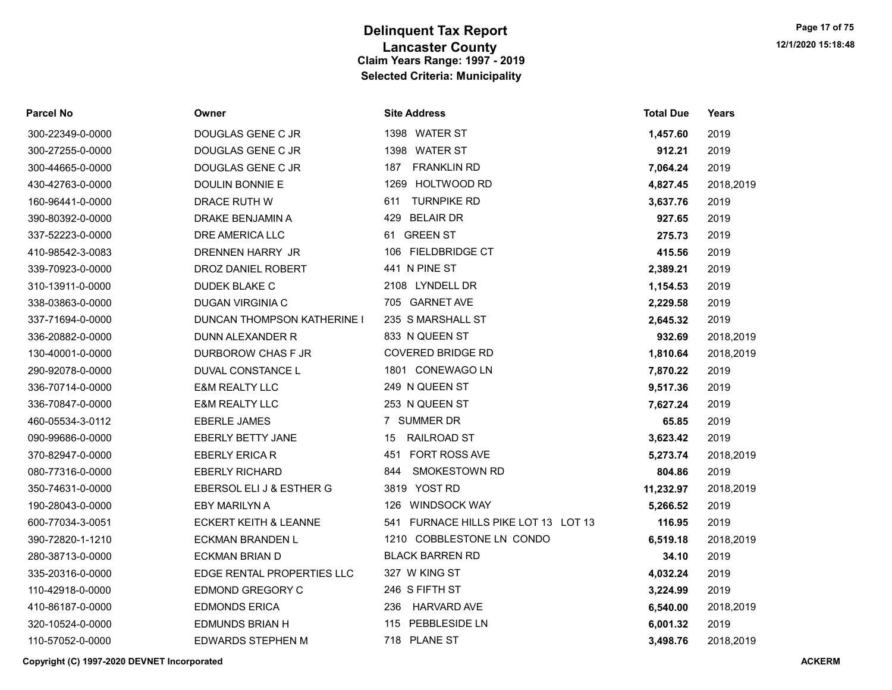| <b>Parcel No</b> | Owner                              | <b>Site Address</b>                  | <b>Total Due</b> | Years     |
|------------------|------------------------------------|--------------------------------------|------------------|-----------|
| 300-22349-0-0000 | DOUGLAS GENE C JR                  | 1398 WATER ST                        | 1,457.60         | 2019      |
| 300-27255-0-0000 | DOUGLAS GENE C JR                  | 1398 WATER ST                        | 912.21           | 2019      |
| 300-44665-0-0000 | DOUGLAS GENE C JR                  | <b>FRANKLIN RD</b><br>187            | 7,064.24         | 2019      |
| 430-42763-0-0000 | <b>DOULIN BONNIE E</b>             | 1269 HOLTWOOD RD                     | 4,827.45         | 2018,2019 |
| 160-96441-0-0000 | <b>DRACE RUTH W</b>                | <b>TURNPIKE RD</b><br>611            | 3,637.76         | 2019      |
| 390-80392-0-0000 | DRAKE BENJAMIN A                   | 429 BELAIR DR                        | 927.65           | 2019      |
| 337-52223-0-0000 | DRE AMERICA LLC                    | 61 GREEN ST                          | 275.73           | 2019      |
| 410-98542-3-0083 | DRENNEN HARRY JR                   | 106 FIELDBRIDGE CT                   | 415.56           | 2019      |
| 339-70923-0-0000 | DROZ DANIEL ROBERT                 | 441 N PINE ST                        | 2,389.21         | 2019      |
| 310-13911-0-0000 | DUDEK BLAKE C                      | 2108 LYNDELL DR                      | 1,154.53         | 2019      |
| 338-03863-0-0000 | DUGAN VIRGINIA C                   | 705 GARNET AVE                       | 2,229.58         | 2019      |
| 337-71694-0-0000 | <b>DUNCAN THOMPSON KATHERINE I</b> | 235 S MARSHALL ST                    | 2,645.32         | 2019      |
| 336-20882-0-0000 | DUNN ALEXANDER R                   | 833 N QUEEN ST                       | 932.69           | 2018,2019 |
| 130-40001-0-0000 | DURBOROW CHAS F JR                 | <b>COVERED BRIDGE RD</b>             | 1,810.64         | 2018,2019 |
| 290-92078-0-0000 | DUVAL CONSTANCE L                  | 1801 CONEWAGO LN                     | 7,870.22         | 2019      |
| 336-70714-0-0000 | <b>E&amp;M REALTY LLC</b>          | 249 N QUEEN ST                       | 9,517.36         | 2019      |
| 336-70847-0-0000 | <b>E&amp;M REALTY LLC</b>          | 253 N QUEEN ST                       | 7,627.24         | 2019      |
| 460-05534-3-0112 | <b>EBERLE JAMES</b>                | 7 SUMMER DR                          | 65.85            | 2019      |
| 090-99686-0-0000 | <b>EBERLY BETTY JANE</b>           | <b>RAILROAD ST</b><br>15             | 3,623.42         | 2019      |
| 370-82947-0-0000 | <b>EBERLY ERICA R</b>              | 451 FORT ROSS AVE                    | 5,273.74         | 2018,2019 |
| 080-77316-0-0000 | <b>EBERLY RICHARD</b>              | <b>SMOKESTOWN RD</b><br>844          | 804.86           | 2019      |
| 350-74631-0-0000 | EBERSOL ELI J & ESTHER G           | 3819 YOST RD                         | 11,232.97        | 2018,2019 |
| 190-28043-0-0000 | EBY MARILYN A                      | 126 WINDSOCK WAY                     | 5,266.52         | 2019      |
| 600-77034-3-0051 | <b>ECKERT KEITH &amp; LEANNE</b>   | 541 FURNACE HILLS PIKE LOT 13 LOT 13 | 116.95           | 2019      |
| 390-72820-1-1210 | ECKMAN BRANDEN L                   | 1210 COBBLESTONE LN CONDO            | 6,519.18         | 2018,2019 |
| 280-38713-0-0000 | <b>ECKMAN BRIAN D</b>              | <b>BLACK BARREN RD</b>               | 34.10            | 2019      |
| 335-20316-0-0000 | EDGE RENTAL PROPERTIES LLC         | 327 W KING ST                        | 4,032.24         | 2019      |
| 110-42918-0-0000 | EDMOND GREGORY C                   | 246 S FIFTH ST                       | 3,224.99         | 2019      |
| 410-86187-0-0000 | <b>EDMONDS ERICA</b>               | <b>HARVARD AVE</b><br>236            | 6,540.00         | 2018,2019 |
| 320-10524-0-0000 | EDMUNDS BRIAN H                    | 115 PEBBLESIDE LN                    | 6,001.32         | 2019      |
| 110-57052-0-0000 | <b>EDWARDS STEPHEN M</b>           | 718 PLANE ST                         | 3,498.76         | 2018,2019 |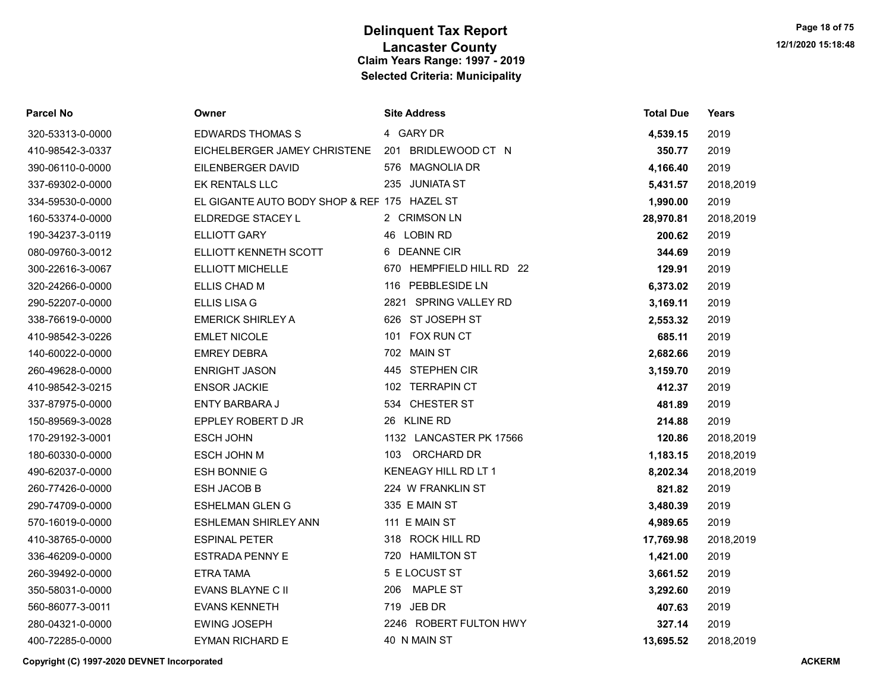| Parcel No        | Owner                                        | <b>Site Address</b>         | <b>Total Due</b> | <b>Years</b> |
|------------------|----------------------------------------------|-----------------------------|------------------|--------------|
| 320-53313-0-0000 | <b>EDWARDS THOMAS S</b>                      | 4 GARY DR                   | 4,539.15         | 2019         |
| 410-98542-3-0337 | EICHELBERGER JAMEY CHRISTENE                 | BRIDLEWOOD CT N<br>201      | 350.77           | 2019         |
| 390-06110-0-0000 | EILENBERGER DAVID                            | <b>MAGNOLIA DR</b><br>576   | 4,166.40         | 2019         |
| 337-69302-0-0000 | EK RENTALS LLC                               | 235 JUNIATA ST              | 5,431.57         | 2018,2019    |
| 334-59530-0-0000 | EL GIGANTE AUTO BODY SHOP & REF 175 HAZEL ST |                             | 1,990.00         | 2019         |
| 160-53374-0-0000 | ELDREDGE STACEY L                            | 2 CRIMSON LN                | 28,970.81        | 2018,2019    |
| 190-34237-3-0119 | <b>ELLIOTT GARY</b>                          | 46 LOBIN RD                 | 200.62           | 2019         |
| 080-09760-3-0012 | ELLIOTT KENNETH SCOTT                        | 6 DEANNE CIR                | 344.69           | 2019         |
| 300-22616-3-0067 | <b>ELLIOTT MICHELLE</b>                      | HEMPFIELD HILL RD 22<br>670 | 129.91           | 2019         |
| 320-24266-0-0000 | ELLIS CHAD M                                 | 116 PEBBLESIDE LN           | 6,373.02         | 2019         |
| 290-52207-0-0000 | <b>ELLIS LISA G</b>                          | 2821 SPRING VALLEY RD       | 3,169.11         | 2019         |
| 338-76619-0-0000 | <b>EMERICK SHIRLEY A</b>                     | 626 ST JOSEPH ST            | 2,553.32         | 2019         |
| 410-98542-3-0226 | <b>EMLET NICOLE</b>                          | 101 FOX RUN CT              | 685.11           | 2019         |
| 140-60022-0-0000 | <b>EMREY DEBRA</b>                           | 702 MAIN ST                 | 2,682.66         | 2019         |
| 260-49628-0-0000 | <b>ENRIGHT JASON</b>                         | 445 STEPHEN CIR             | 3,159.70         | 2019         |
| 410-98542-3-0215 | <b>ENSOR JACKIE</b>                          | 102 TERRAPIN CT             | 412.37           | 2019         |
| 337-87975-0-0000 | <b>ENTY BARBARA J</b>                        | 534 CHESTER ST              | 481.89           | 2019         |
| 150-89569-3-0028 | EPPLEY ROBERT D JR                           | 26 KLINE RD                 | 214.88           | 2019         |
| 170-29192-3-0001 | <b>ESCH JOHN</b>                             | 1132 LANCASTER PK 17566     | 120.86           | 2018,2019    |
| 180-60330-0-0000 | ESCH JOHN M                                  | ORCHARD DR<br>103           | 1,183.15         | 2018,2019    |
| 490-62037-0-0000 | <b>ESH BONNIE G</b>                          | KENEAGY HILL RD LT 1        | 8,202.34         | 2018,2019    |
| 260-77426-0-0000 | <b>ESH JACOB B</b>                           | 224 W FRANKLIN ST           | 821.82           | 2019         |
| 290-74709-0-0000 | <b>ESHELMAN GLEN G</b>                       | 335 E MAIN ST               | 3,480.39         | 2019         |
| 570-16019-0-0000 | ESHLEMAN SHIRLEY ANN                         | 111 E MAIN ST               | 4,989.65         | 2019         |
| 410-38765-0-0000 | <b>ESPINAL PETER</b>                         | 318 ROCK HILL RD            | 17,769.98        | 2018,2019    |
| 336-46209-0-0000 | <b>ESTRADA PENNY E</b>                       | 720 HAMILTON ST             | 1,421.00         | 2019         |
| 260-39492-0-0000 | ETRA TAMA                                    | 5 E LOCUST ST               | 3,661.52         | 2019         |
| 350-58031-0-0000 | EVANS BLAYNE C II                            | MAPLE ST<br>206             | 3,292.60         | 2019         |
| 560-86077-3-0011 | <b>EVANS KENNETH</b>                         | 719 JEB DR                  | 407.63           | 2019         |
| 280-04321-0-0000 | <b>EWING JOSEPH</b>                          | 2246 ROBERT FULTON HWY      | 327.14           | 2019         |
| 400-72285-0-0000 | <b>EYMAN RICHARD E</b>                       | 40 N MAIN ST                | 13,695.52        | 2018.2019    |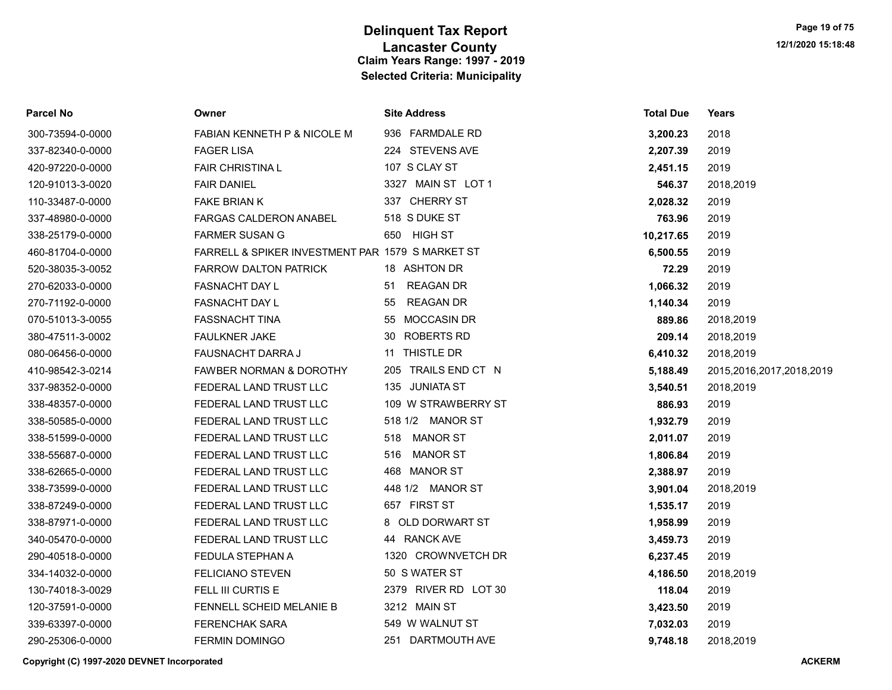| Parcel No        | Owner                                            | <b>Site Address</b>    | <b>Total Due</b> | Years                    |
|------------------|--------------------------------------------------|------------------------|------------------|--------------------------|
| 300-73594-0-0000 | FABIAN KENNETH P & NICOLE M                      | 936 FARMDALE RD        | 3,200.23         | 2018                     |
| 337-82340-0-0000 | <b>FAGER LISA</b>                                | 224 STEVENS AVE        | 2,207.39         | 2019                     |
| 420-97220-0-0000 | <b>FAIR CHRISTINAL</b>                           | 107 S CLAY ST          | 2,451.15         | 2019                     |
| 120-91013-3-0020 | <b>FAIR DANIEL</b>                               | 3327 MAIN ST LOT 1     | 546.37           | 2018,2019                |
| 110-33487-0-0000 | <b>FAKE BRIAN K</b>                              | 337 CHERRY ST          | 2,028.32         | 2019                     |
| 337-48980-0-0000 | <b>FARGAS CALDERON ANABEL</b>                    | 518 S DUKE ST          | 763.96           | 2019                     |
| 338-25179-0-0000 | <b>FARMER SUSAN G</b>                            | 650 HIGH ST            | 10,217.65        | 2019                     |
| 460-81704-0-0000 | FARRELL & SPIKER INVESTMENT PAR 1579 S MARKET ST |                        | 6,500.55         | 2019                     |
| 520-38035-3-0052 | FARROW DALTON PATRICK                            | 18 ASHTON DR           | 72.29            | 2019                     |
| 270-62033-0-0000 | FASNACHT DAY L                                   | <b>REAGAN DR</b><br>51 | 1,066.32         | 2019                     |
| 270-71192-0-0000 | <b>FASNACHT DAY L</b>                            | <b>REAGAN DR</b><br>55 | 1,140.34         | 2019                     |
| 070-51013-3-0055 | <b>FASSNACHT TINA</b>                            | 55 MOCCASIN DR         | 889.86           | 2018,2019                |
| 380-47511-3-0002 | <b>FAULKNER JAKE</b>                             | 30 ROBERTS RD          | 209.14           | 2018,2019                |
| 080-06456-0-0000 | FAUSNACHT DARRA J                                | 11 THISTLE DR          | 6,410.32         | 2018,2019                |
| 410-98542-3-0214 | <b>FAWBER NORMAN &amp; DOROTHY</b>               | 205 TRAILS END CT N    | 5,188.49         | 2015,2016,2017,2018,2019 |
| 337-98352-0-0000 | FEDERAL LAND TRUST LLC                           | 135 JUNIATA ST         | 3,540.51         | 2018,2019                |
| 338-48357-0-0000 | FEDERAL LAND TRUST LLC                           | 109 W STRAWBERRY ST    | 886.93           | 2019                     |
| 338-50585-0-0000 | FEDERAL LAND TRUST LLC                           | 518 1/2 MANOR ST       | 1,932.79         | 2019                     |
| 338-51599-0-0000 | FEDERAL LAND TRUST LLC                           | 518 MANOR ST           | 2,011.07         | 2019                     |
| 338-55687-0-0000 | FEDERAL LAND TRUST LLC                           | 516<br>MANOR ST        | 1,806.84         | 2019                     |
| 338-62665-0-0000 | FEDERAL LAND TRUST LLC                           | 468 MANOR ST           | 2,388.97         | 2019                     |
| 338-73599-0-0000 | FEDERAL LAND TRUST LLC                           | 448 1/2 MANOR ST       | 3,901.04         | 2018,2019                |
| 338-87249-0-0000 | FEDERAL LAND TRUST LLC                           | 657 FIRST ST           | 1,535.17         | 2019                     |
| 338-87971-0-0000 | FEDERAL LAND TRUST LLC                           | 8 OLD DORWART ST       | 1,958.99         | 2019                     |
| 340-05470-0-0000 | FEDERAL LAND TRUST LLC                           | 44 RANCK AVE           | 3,459.73         | 2019                     |
| 290-40518-0-0000 | FEDULA STEPHAN A                                 | 1320 CROWNVETCH DR     | 6,237.45         | 2019                     |
| 334-14032-0-0000 | <b>FELICIANO STEVEN</b>                          | 50 S WATER ST          | 4,186.50         | 2018,2019                |
| 130-74018-3-0029 | FELL III CURTIS E                                | 2379 RIVER RD LOT 30   | 118.04           | 2019                     |
| 120-37591-0-0000 | FENNELL SCHEID MELANIE B                         | 3212 MAIN ST           | 3,423.50         | 2019                     |
| 339-63397-0-0000 | <b>FERENCHAK SARA</b>                            | 549 W WALNUT ST        | 7,032.03         | 2019                     |
| 290-25306-0-0000 | <b>FERMIN DOMINGO</b>                            | 251 DARTMOUTH AVE      | 9,748.18         | 2018,2019                |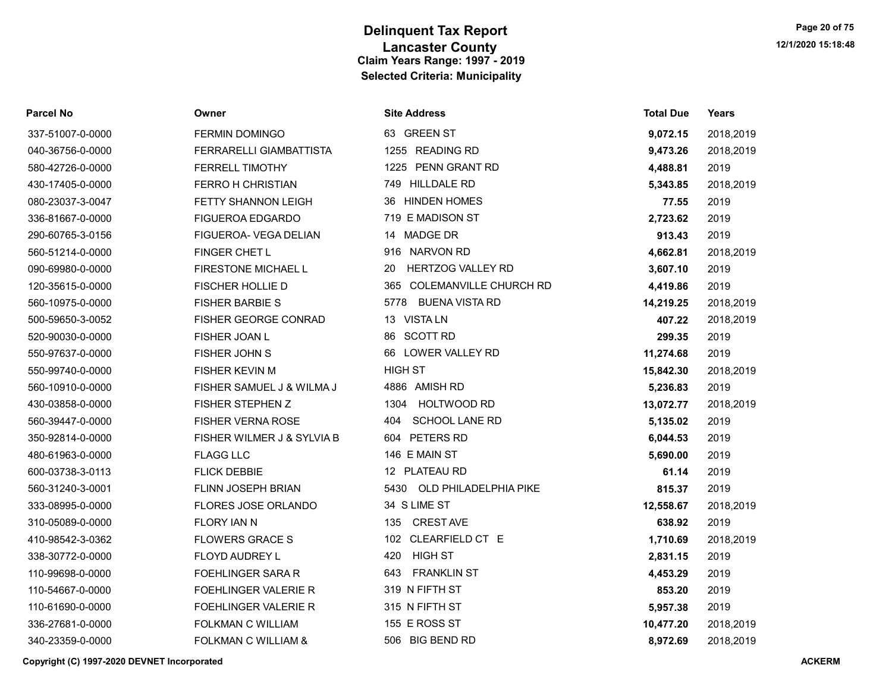| Parcel No        | Owner                       | <b>Site Address</b>            | <b>Total Due</b> | Years     |
|------------------|-----------------------------|--------------------------------|------------------|-----------|
| 337-51007-0-0000 | <b>FERMIN DOMINGO</b>       | 63 GREEN ST                    | 9,072.15         | 2018,2019 |
| 040-36756-0-0000 | FERRARELLI GIAMBATTISTA     | 1255 READING RD                | 9,473.26         | 2018,2019 |
| 580-42726-0-0000 | <b>FERRELL TIMOTHY</b>      | 1225 PENN GRANT RD             | 4,488.81         | 2019      |
| 430-17405-0-0000 | <b>FERRO H CHRISTIAN</b>    | 749 HILLDALE RD                | 5,343.85         | 2018,2019 |
| 080-23037-3-0047 | <b>FETTY SHANNON LEIGH</b>  | 36 HINDEN HOMES                | 77.55            | 2019      |
| 336-81667-0-0000 | <b>FIGUEROA EDGARDO</b>     | 719 E MADISON ST               | 2,723.62         | 2019      |
| 290-60765-3-0156 | FIGUEROA- VEGA DELIAN       | 14 MADGE DR                    | 913.43           | 2019      |
| 560-51214-0-0000 | FINGER CHET L               | 916 NARVON RD                  | 4,662.81         | 2018,2019 |
| 090-69980-0-0000 | FIRESTONE MICHAEL L         | <b>HERTZOG VALLEY RD</b><br>20 | 3,607.10         | 2019      |
| 120-35615-0-0000 | <b>FISCHER HOLLIE D</b>     | 365 COLEMANVILLE CHURCH RD     | 4,419.86         | 2019      |
| 560-10975-0-0000 | <b>FISHER BARBIE S</b>      | 5778 BUENA VISTA RD            | 14,219.25        | 2018,2019 |
| 500-59650-3-0052 | FISHER GEORGE CONRAD        | 13 VISTA LN                    | 407.22           | 2018,2019 |
| 520-90030-0-0000 | FISHER JOAN L               | 86 SCOTT RD                    | 299.35           | 2019      |
| 550-97637-0-0000 | FISHER JOHN S               | 66 LOWER VALLEY RD             | 11,274.68        | 2019      |
| 550-99740-0-0000 | <b>FISHER KEVIN M</b>       | <b>HIGH ST</b>                 | 15,842.30        | 2018,2019 |
| 560-10910-0-0000 | FISHER SAMUEL J & WILMA J   | 4886 AMISH RD                  | 5,236.83         | 2019      |
| 430-03858-0-0000 | <b>FISHER STEPHEN Z</b>     | 1304<br>HOLTWOOD RD            | 13,072.77        | 2018,2019 |
| 560-39447-0-0000 | <b>FISHER VERNA ROSE</b>    | <b>SCHOOL LANE RD</b><br>404   | 5,135.02         | 2019      |
| 350-92814-0-0000 | FISHER WILMER J & SYLVIA B  | 604 PETERS RD                  | 6,044.53         | 2019      |
| 480-61963-0-0000 | <b>FLAGG LLC</b>            | 146 E MAIN ST                  | 5,690.00         | 2019      |
| 600-03738-3-0113 | <b>FLICK DEBBIE</b>         | 12 PLATEAU RD                  | 61.14            | 2019      |
| 560-31240-3-0001 | <b>FLINN JOSEPH BRIAN</b>   | 5430 OLD PHILADELPHIA PIKE     | 815.37           | 2019      |
| 333-08995-0-0000 | FLORES JOSE ORLANDO         | 34 S LIME ST                   | 12,558.67        | 2018,2019 |
| 310-05089-0-0000 | FLORY IAN N                 | <b>CREST AVE</b><br>135        | 638.92           | 2019      |
| 410-98542-3-0362 | <b>FLOWERS GRACE S</b>      | 102 CLEARFIELD CT E            | 1,710.69         | 2018,2019 |
| 338-30772-0-0000 | FLOYD AUDREY L              | HIGH ST<br>420                 | 2,831.15         | 2019      |
| 110-99698-0-0000 | <b>FOEHLINGER SARA R</b>    | <b>FRANKLIN ST</b><br>643      | 4,453.29         | 2019      |
| 110-54667-0-0000 | <b>FOEHLINGER VALERIE R</b> | 319 N FIFTH ST                 | 853.20           | 2019      |
| 110-61690-0-0000 | <b>FOEHLINGER VALERIE R</b> | 315 N FIFTH ST                 | 5,957.38         | 2019      |
| 336-27681-0-0000 | FOLKMAN C WILLIAM           | 155 E ROSS ST                  | 10,477.20        | 2018,2019 |
| 340-23359-0-0000 | FOLKMAN C WILLIAM &         | 506 BIG BEND RD                | 8,972.69         | 2018,2019 |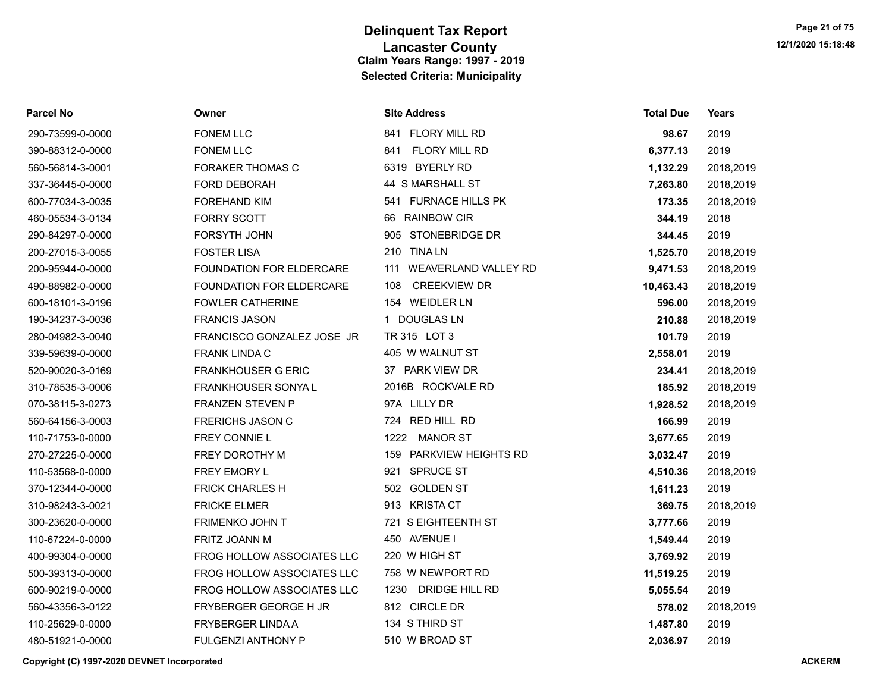| <b>Parcel No</b> | Owner                      | <b>Site Address</b>           | <b>Total Due</b> | Years     |
|------------------|----------------------------|-------------------------------|------------------|-----------|
| 290-73599-0-0000 | <b>FONEM LLC</b>           | 841 FLORY MILL RD             | 98.67            | 2019      |
| 390-88312-0-0000 | <b>FONEM LLC</b>           | <b>FLORY MILL RD</b><br>841   | 6,377.13         | 2019      |
| 560-56814-3-0001 | <b>FORAKER THOMAS C</b>    | 6319 BYERLY RD                | 1,132.29         | 2018,2019 |
| 337-36445-0-0000 | FORD DEBORAH               | 44 S MARSHALL ST              | 7,263.80         | 2018,2019 |
| 600-77034-3-0035 | <b>FOREHAND KIM</b>        | 541 FURNACE HILLS PK          | 173.35           | 2018,2019 |
| 460-05534-3-0134 | <b>FORRY SCOTT</b>         | 66 RAINBOW CIR                | 344.19           | 2018      |
| 290-84297-0-0000 | FORSYTH JOHN               | 905 STONEBRIDGE DR            | 344.45           | 2019      |
| 200-27015-3-0055 | <b>FOSTER LISA</b>         | 210 TINA LN                   | 1,525.70         | 2018,2019 |
| 200-95944-0-0000 | FOUNDATION FOR ELDERCARE   | 111 WEAVERLAND VALLEY RD      | 9,471.53         | 2018,2019 |
| 490-88982-0-0000 | FOUNDATION FOR ELDERCARE   | <b>CREEKVIEW DR</b><br>108    | 10,463.43        | 2018,2019 |
| 600-18101-3-0196 | <b>FOWLER CATHERINE</b>    | 154 WEIDLER LN                | 596.00           | 2018,2019 |
| 190-34237-3-0036 | <b>FRANCIS JASON</b>       | 1 DOUGLAS LN                  | 210.88           | 2018,2019 |
| 280-04982-3-0040 | FRANCISCO GONZALEZ JOSE JR | TR 315 LOT 3                  | 101.79           | 2019      |
| 339-59639-0-0000 | <b>FRANK LINDA C</b>       | 405 W WALNUT ST               | 2,558.01         | 2019      |
| 520-90020-3-0169 | <b>FRANKHOUSER G ERIC</b>  | 37 PARK VIEW DR               | 234.41           | 2018,2019 |
| 310-78535-3-0006 | <b>FRANKHOUSER SONYAL</b>  | 2016B ROCKVALE RD             | 185.92           | 2018,2019 |
| 070-38115-3-0273 | <b>FRANZEN STEVEN P</b>    | 97A LILLY DR                  | 1,928.52         | 2018,2019 |
| 560-64156-3-0003 | <b>FRERICHS JASON C</b>    | 724 RED HILL RD               | 166.99           | 2019      |
| 110-71753-0-0000 | FREY CONNIE L              | 1222 MANOR ST                 | 3,677.65         | 2019      |
| 270-27225-0-0000 | FREY DOROTHY M             | 159 PARKVIEW HEIGHTS RD       | 3,032.47         | 2019      |
| 110-53568-0-0000 | FREY EMORY L               | 921 SPRUCE ST                 | 4,510.36         | 2018,2019 |
| 370-12344-0-0000 | <b>FRICK CHARLES H</b>     | 502 GOLDEN ST                 | 1,611.23         | 2019      |
| 310-98243-3-0021 | <b>FRICKE ELMER</b>        | 913 KRISTA CT                 | 369.75           | 2018,2019 |
| 300-23620-0-0000 | FRIMENKO JOHN T            | 721 S EIGHTEENTH ST           | 3,777.66         | 2019      |
| 110-67224-0-0000 | <b>FRITZ JOANN M</b>       | 450 AVENUE I                  | 1,549.44         | 2019      |
| 400-99304-0-0000 | FROG HOLLOW ASSOCIATES LLC | 220 W HIGH ST                 | 3,769.92         | 2019      |
| 500-39313-0-0000 | FROG HOLLOW ASSOCIATES LLC | 758 W NEWPORT RD              | 11,519.25        | 2019      |
| 600-90219-0-0000 | FROG HOLLOW ASSOCIATES LLC | <b>DRIDGE HILL RD</b><br>1230 | 5,055.54         | 2019      |
| 560-43356-3-0122 | FRYBERGER GEORGE H JR      | 812 CIRCLE DR                 | 578.02           | 2018,2019 |
| 110-25629-0-0000 | FRYBERGER LINDA A          | 134 S THIRD ST                | 1,487.80         | 2019      |
| 480-51921-0-0000 | <b>FULGENZI ANTHONY P</b>  | 510 W BROAD ST                | 2,036.97         | 2019      |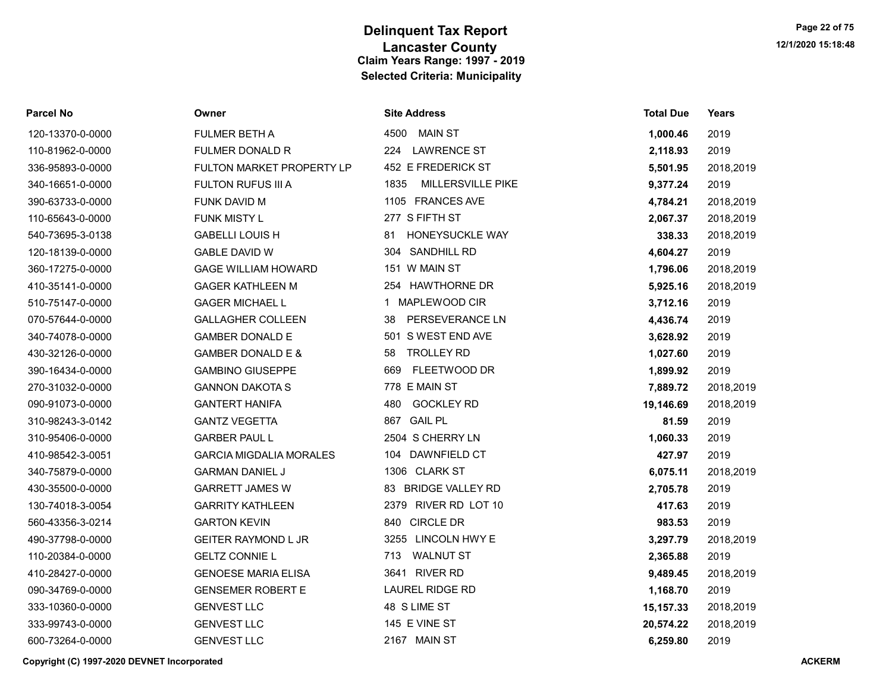| Parcel No        | Owner                          | <b>Site Address</b>              | <b>Total Due</b> | Years     |
|------------------|--------------------------------|----------------------------------|------------------|-----------|
| 120-13370-0-0000 | <b>FULMER BETH A</b>           | 4500 MAIN ST                     | 1,000.46         | 2019      |
| 110-81962-0-0000 | <b>FULMER DONALD R</b>         | 224<br><b>LAWRENCE ST</b>        | 2,118.93         | 2019      |
| 336-95893-0-0000 | FULTON MARKET PROPERTY LP      | 452 E FREDERICK ST               | 5,501.95         | 2018,2019 |
| 340-16651-0-0000 | <b>FULTON RUFUS III A</b>      | <b>MILLERSVILLE PIKE</b><br>1835 | 9,377.24         | 2019      |
| 390-63733-0-0000 | FUNK DAVID M                   | 1105 FRANCES AVE                 | 4,784.21         | 2018,2019 |
| 110-65643-0-0000 | <b>FUNK MISTY L</b>            | 277 S FIFTH ST                   | 2,067.37         | 2018,2019 |
| 540-73695-3-0138 | <b>GABELLI LOUIS H</b>         | HONEYSUCKLE WAY<br>81            | 338.33           | 2018,2019 |
| 120-18139-0-0000 | <b>GABLE DAVID W</b>           | 304 SANDHILL RD                  | 4,604.27         | 2019      |
| 360-17275-0-0000 | <b>GAGE WILLIAM HOWARD</b>     | 151 W MAIN ST                    | 1,796.06         | 2018,2019 |
| 410-35141-0-0000 | <b>GAGER KATHLEEN M</b>        | 254 HAWTHORNE DR                 | 5,925.16         | 2018,2019 |
| 510-75147-0-0000 | <b>GAGER MICHAEL L</b>         | 1 MAPLEWOOD CIR                  | 3,712.16         | 2019      |
| 070-57644-0-0000 | <b>GALLAGHER COLLEEN</b>       | <b>PERSEVERANCE LN</b><br>38     | 4,436.74         | 2019      |
| 340-74078-0-0000 | <b>GAMBER DONALD E</b>         | 501 S WEST END AVE               | 3,628.92         | 2019      |
| 430-32126-0-0000 | <b>GAMBER DONALD E &amp;</b>   | <b>TROLLEY RD</b><br>58          | 1,027.60         | 2019      |
| 390-16434-0-0000 | <b>GAMBINO GIUSEPPE</b>        | FLEETWOOD DR<br>669              | 1,899.92         | 2019      |
| 270-31032-0-0000 | <b>GANNON DAKOTA S</b>         | 778 E MAIN ST                    | 7,889.72         | 2018,2019 |
| 090-91073-0-0000 | <b>GANTERT HANIFA</b>          | <b>GOCKLEY RD</b><br>480         | 19,146.69        | 2018,2019 |
| 310-98243-3-0142 | <b>GANTZ VEGETTA</b>           | 867 GAIL PL                      | 81.59            | 2019      |
| 310-95406-0-0000 | <b>GARBER PAUL L</b>           | 2504 S CHERRY LN                 | 1,060.33         | 2019      |
| 410-98542-3-0051 | <b>GARCIA MIGDALIA MORALES</b> | 104 DAWNFIELD CT                 | 427.97           | 2019      |
| 340-75879-0-0000 | <b>GARMAN DANIEL J</b>         | 1306 CLARK ST                    | 6,075.11         | 2018,2019 |
| 430-35500-0-0000 | <b>GARRETT JAMES W</b>         | 83 BRIDGE VALLEY RD              | 2,705.78         | 2019      |
| 130-74018-3-0054 | <b>GARRITY KATHLEEN</b>        | 2379 RIVER RD LOT 10             | 417.63           | 2019      |
| 560-43356-3-0214 | <b>GARTON KEVIN</b>            | 840 CIRCLE DR                    | 983.53           | 2019      |
| 490-37798-0-0000 | <b>GEITER RAYMOND L JR</b>     | 3255 LINCOLN HWY E               | 3,297.79         | 2018,2019 |
| 110-20384-0-0000 | <b>GELTZ CONNIE L</b>          | <b>WALNUT ST</b><br>713          | 2,365.88         | 2019      |
| 410-28427-0-0000 | <b>GENOESE MARIA ELISA</b>     | 3641 RIVER RD                    | 9,489.45         | 2018,2019 |
| 090-34769-0-0000 | <b>GENSEMER ROBERT E</b>       | <b>LAUREL RIDGE RD</b>           | 1,168.70         | 2019      |
| 333-10360-0-0000 | <b>GENVEST LLC</b>             | 48 S LIME ST                     | 15, 157. 33      | 2018,2019 |
| 333-99743-0-0000 | <b>GENVEST LLC</b>             | 145 E VINE ST                    | 20,574.22        | 2018,2019 |
| 600-73264-0-0000 | <b>GENVEST LLC</b>             | 2167 MAIN ST                     | 6,259.80         | 2019      |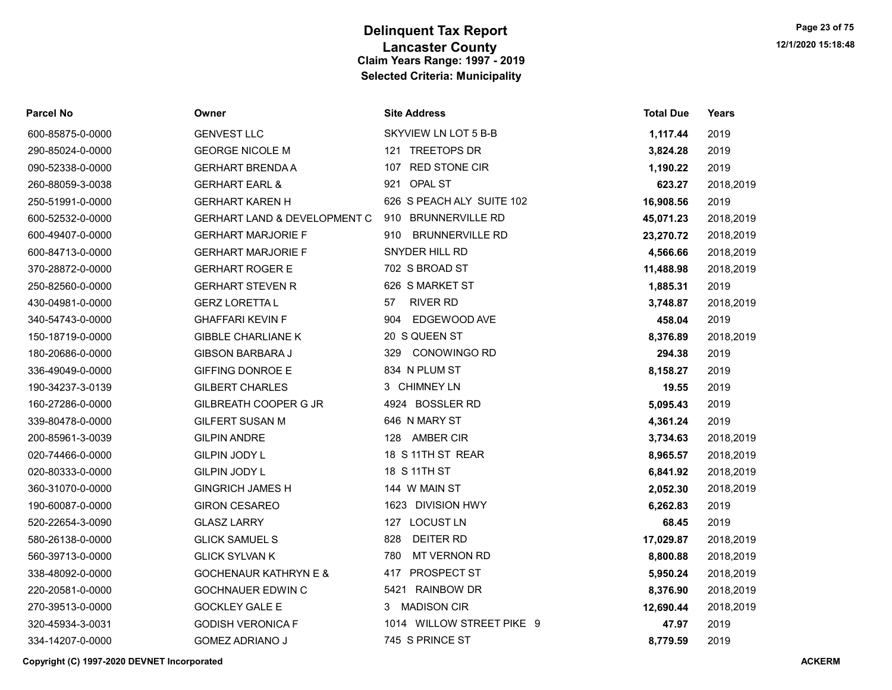| <b>Parcel No</b> | Owner                                   | <b>Site Address</b>           | <b>Total Due</b> | Years     |
|------------------|-----------------------------------------|-------------------------------|------------------|-----------|
| 600-85875-0-0000 | <b>GENVEST LLC</b>                      | SKYVIEW LN LOT 5 B-B          | 1,117.44         | 2019      |
| 290-85024-0-0000 | <b>GEORGE NICOLE M</b>                  | 121 TREETOPS DR               | 3,824.28         | 2019      |
| 090-52338-0-0000 | <b>GERHART BRENDA A</b>                 | 107 RED STONE CIR             | 1,190.22         | 2019      |
| 260-88059-3-0038 | <b>GERHART EARL &amp;</b>               | 921 OPAL ST                   | 623.27           | 2018,2019 |
| 250-51991-0-0000 | <b>GERHART KAREN H</b>                  | 626 S PEACH ALY SUITE 102     | 16,908.56        | 2019      |
| 600-52532-0-0000 | <b>GERHART LAND &amp; DEVELOPMENT C</b> | 910 BRUNNERVILLE RD           | 45,071.23        | 2018,2019 |
| 600-49407-0-0000 | <b>GERHART MARJORIE F</b>               | <b>BRUNNERVILLE RD</b><br>910 | 23,270.72        | 2018,2019 |
| 600-84713-0-0000 | <b>GERHART MARJORIE F</b>               | SNYDER HILL RD                | 4,566.66         | 2018,2019 |
| 370-28872-0-0000 | <b>GERHART ROGER E</b>                  | 702 S BROAD ST                | 11,488.98        | 2018,2019 |
| 250-82560-0-0000 | <b>GERHART STEVEN R</b>                 | 626 S MARKET ST               | 1,885.31         | 2019      |
| 430-04981-0-0000 | <b>GERZ LORETTA L</b>                   | <b>RIVER RD</b><br>57         | 3,748.87         | 2018,2019 |
| 340-54743-0-0000 | <b>GHAFFARI KEVIN F</b>                 | EDGEWOOD AVE<br>904           | 458.04           | 2019      |
| 150-18719-0-0000 | <b>GIBBLE CHARLIANE K</b>               | 20 S QUEEN ST                 | 8,376.89         | 2018,2019 |
| 180-20686-0-0000 | <b>GIBSON BARBARA J</b>                 | 329<br><b>CONOWINGO RD</b>    | 294.38           | 2019      |
| 336-49049-0-0000 | <b>GIFFING DONROE E</b>                 | 834 N PLUM ST                 | 8,158.27         | 2019      |
| 190-34237-3-0139 | <b>GILBERT CHARLES</b>                  | 3 CHIMNEY LN                  | 19.55            | 2019      |
| 160-27286-0-0000 | GILBREATH COOPER G JR                   | 4924 BOSSLER RD               | 5,095.43         | 2019      |
| 339-80478-0-0000 | <b>GILFERT SUSAN M</b>                  | 646 N MARY ST                 | 4,361.24         | 2019      |
| 200-85961-3-0039 | <b>GILPIN ANDRE</b>                     | 128<br>AMBER CIR              | 3,734.63         | 2018,2019 |
| 020-74466-0-0000 | GILPIN JODY L                           | 18 S 11TH ST REAR             | 8,965.57         | 2018,2019 |
| 020-80333-0-0000 | GILPIN JODY L                           | 18 S 11TH ST                  | 6,841.92         | 2018,2019 |
| 360-31070-0-0000 | <b>GINGRICH JAMES H</b>                 | 144 W MAIN ST                 | 2,052.30         | 2018,2019 |
| 190-60087-0-0000 | <b>GIRON CESAREO</b>                    | 1623 DIVISION HWY             | 6,262.83         | 2019      |
| 520-22654-3-0090 | <b>GLASZ LARRY</b>                      | 127 LOCUST LN                 | 68.45            | 2019      |
| 580-26138-0-0000 | <b>GLICK SAMUEL S</b>                   | <b>DEITER RD</b><br>828       | 17,029.87        | 2018,2019 |
| 560-39713-0-0000 | <b>GLICK SYLVAN K</b>                   | <b>MT VERNON RD</b><br>780    | 8,800.88         | 2018,2019 |
| 338-48092-0-0000 | <b>GOCHENAUR KATHRYN E &amp;</b>        | 417 PROSPECT ST               | 5,950.24         | 2018,2019 |
| 220-20581-0-0000 | <b>GOCHNAUER EDWIN C</b>                | 5421 RAINBOW DR               | 8,376.90         | 2018,2019 |
| 270-39513-0-0000 | <b>GOCKLEY GALE E</b>                   | <b>MADISON CIR</b><br>3       | 12,690.44        | 2018,2019 |
| 320-45934-3-0031 | <b>GODISH VERONICA F</b>                | 1014 WILLOW STREET PIKE 9     | 47.97            | 2019      |
| 334-14207-0-0000 | <b>GOMEZ ADRIANO J</b>                  | 745 S PRINCE ST               | 8,779.59         | 2019      |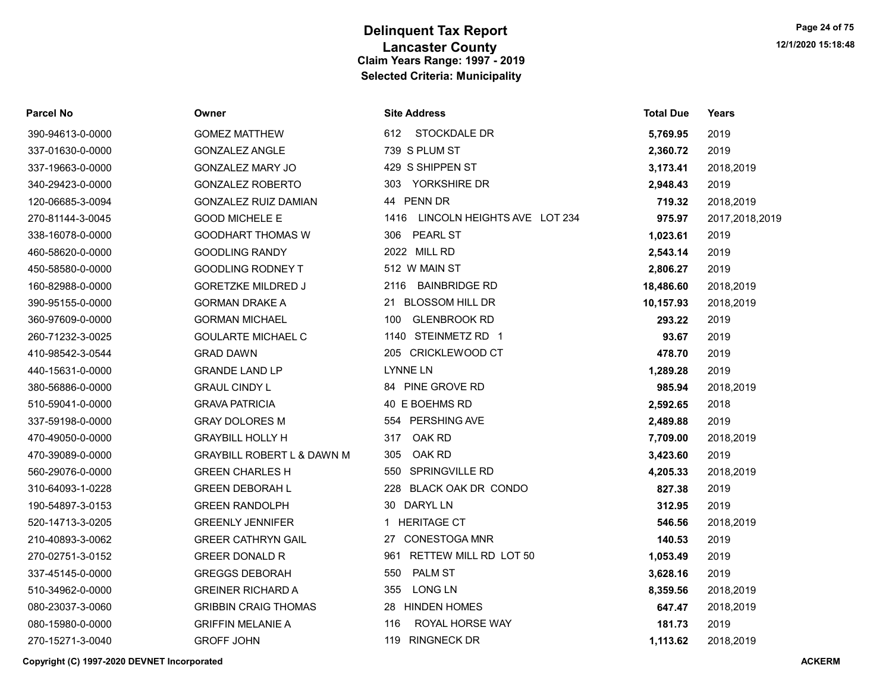| Parcel No        | Owner                                 | <b>Site Address</b>                 | <b>Total Due</b> | Years          |
|------------------|---------------------------------------|-------------------------------------|------------------|----------------|
| 390-94613-0-0000 | <b>GOMEZ MATTHEW</b>                  | 612 STOCKDALE DR                    | 5,769.95         | 2019           |
| 337-01630-0-0000 | <b>GONZALEZ ANGLE</b>                 | 739 S PLUM ST                       | 2,360.72         | 2019           |
| 337-19663-0-0000 | <b>GONZALEZ MARY JO</b>               | 429 S SHIPPEN ST                    | 3,173.41         | 2018,2019      |
| 340-29423-0-0000 | <b>GONZALEZ ROBERTO</b>               | 303 YORKSHIRE DR                    | 2,948.43         | 2019           |
| 120-06685-3-0094 | <b>GONZALEZ RUIZ DAMIAN</b>           | 44 PENN DR                          | 719.32           | 2018,2019      |
| 270-81144-3-0045 | <b>GOOD MICHELE E</b>                 | LINCOLN HEIGHTS AVE LOT 234<br>1416 | 975.97           | 2017,2018,2019 |
| 338-16078-0-0000 | <b>GOODHART THOMAS W</b>              | 306<br><b>PEARL ST</b>              | 1,023.61         | 2019           |
| 460-58620-0-0000 | <b>GOODLING RANDY</b>                 | 2022 MILL RD                        | 2,543.14         | 2019           |
| 450-58580-0-0000 | <b>GOODLING RODNEY T</b>              | 512 W MAIN ST                       | 2,806.27         | 2019           |
| 160-82988-0-0000 | <b>GORETZKE MILDRED J</b>             | <b>BAINBRIDGE RD</b><br>2116        | 18,486.60        | 2018,2019      |
| 390-95155-0-0000 | <b>GORMAN DRAKE A</b>                 | 21 BLOSSOM HILL DR                  | 10,157.93        | 2018,2019      |
| 360-97609-0-0000 | <b>GORMAN MICHAEL</b>                 | <b>GLENBROOK RD</b><br>100          | 293.22           | 2019           |
| 260-71232-3-0025 | <b>GOULARTE MICHAEL C</b>             | 1140 STEINMETZ RD 1                 | 93.67            | 2019           |
| 410-98542-3-0544 | <b>GRAD DAWN</b>                      | 205 CRICKLEWOOD CT                  | 478.70           | 2019           |
| 440-15631-0-0000 | <b>GRANDE LAND LP</b>                 | <b>LYNNE LN</b>                     | 1,289.28         | 2019           |
| 380-56886-0-0000 | <b>GRAUL CINDY L</b>                  | 84 PINE GROVE RD                    | 985.94           | 2018,2019      |
| 510-59041-0-0000 | <b>GRAVA PATRICIA</b>                 | 40 E BOEHMS RD                      | 2,592.65         | 2018           |
| 337-59198-0-0000 | <b>GRAY DOLORES M</b>                 | 554 PERSHING AVE                    | 2,489.88         | 2019           |
| 470-49050-0-0000 | <b>GRAYBILL HOLLY H</b>               | OAK RD<br>317                       | 7,709.00         | 2018,2019      |
| 470-39089-0-0000 | <b>GRAYBILL ROBERT L &amp; DAWN M</b> | OAK RD<br>305                       | 3,423.60         | 2019           |
| 560-29076-0-0000 | <b>GREEN CHARLES H</b>                | SPRINGVILLE RD<br>550               | 4,205.33         | 2018,2019      |
| 310-64093-1-0228 | <b>GREEN DEBORAH L</b>                | 228<br>BLACK OAK DR CONDO           | 827.38           | 2019           |
| 190-54897-3-0153 | <b>GREEN RANDOLPH</b>                 | 30 DARYL LN                         | 312.95           | 2019           |
| 520-14713-3-0205 | <b>GREENLY JENNIFER</b>               | <b>HERITAGE CT</b><br>$\mathbf 1$   | 546.56           | 2018,2019      |
| 210-40893-3-0062 | <b>GREER CATHRYN GAIL</b>             | <b>CONESTOGA MNR</b><br>27          | 140.53           | 2019           |
| 270-02751-3-0152 | <b>GREER DONALD R</b>                 | RETTEW MILL RD LOT 50<br>961        | 1,053.49         | 2019           |
| 337-45145-0-0000 | <b>GREGGS DEBORAH</b>                 | <b>PALM ST</b><br>550               | 3,628.16         | 2019           |
| 510-34962-0-0000 | <b>GREINER RICHARD A</b>              | <b>LONG LN</b><br>355               | 8,359.56         | 2018,2019      |
| 080-23037-3-0060 | <b>GRIBBIN CRAIG THOMAS</b>           | 28 HINDEN HOMES                     | 647.47           | 2018,2019      |
| 080-15980-0-0000 | <b>GRIFFIN MELANIE A</b>              | ROYAL HORSE WAY<br>116              | 181.73           | 2019           |
| 270-15271-3-0040 | <b>GROFF JOHN</b>                     | 119 RINGNECK DR                     | 1,113.62         | 2018.2019      |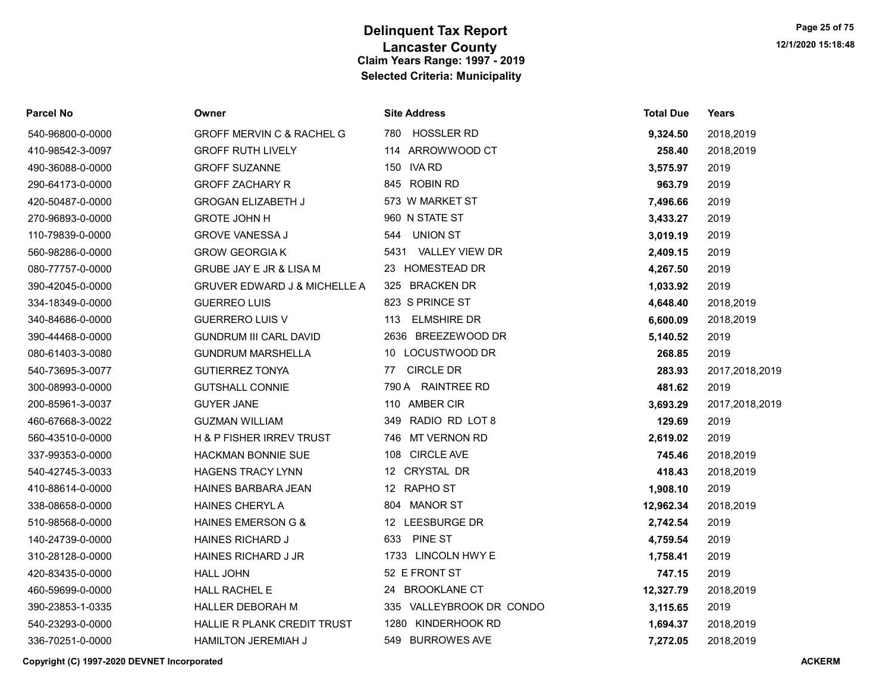| Parcel No        | Owner                                   | <b>Site Address</b>       | <b>Total Due</b> | Years          |
|------------------|-----------------------------------------|---------------------------|------------------|----------------|
| 540-96800-0-0000 | <b>GROFF MERVIN C &amp; RACHEL G</b>    | 780 HOSSLER RD            | 9,324.50         | 2018,2019      |
| 410-98542-3-0097 | <b>GROFF RUTH LIVELY</b>                | 114 ARROWWOOD CT          | 258.40           | 2018,2019      |
| 490-36088-0-0000 | <b>GROFF SUZANNE</b>                    | 150 IVA RD                | 3,575.97         | 2019           |
| 290-64173-0-0000 | <b>GROFF ZACHARY R</b>                  | 845 ROBIN RD              | 963.79           | 2019           |
| 420-50487-0-0000 | <b>GROGAN ELIZABETH J</b>               | 573 W MARKET ST           | 7,496.66         | 2019           |
| 270-96893-0-0000 | <b>GROTE JOHN H</b>                     | 960 N STATE ST            | 3,433.27         | 2019           |
| 110-79839-0-0000 | <b>GROVE VANESSA J</b>                  | UNION ST<br>544           | 3,019.19         | 2019           |
| 560-98286-0-0000 | <b>GROW GEORGIAK</b>                    | 5431 VALLEY VIEW DR       | 2,409.15         | 2019           |
| 080-77757-0-0000 | GRUBE JAY E JR & LISA M                 | <b>HOMESTEAD DR</b><br>23 | 4,267.50         | 2019           |
| 390-42045-0-0000 | <b>GRUVER EDWARD J &amp; MICHELLE A</b> | 325 BRACKEN DR            | 1,033.92         | 2019           |
| 334-18349-0-0000 | <b>GUERREO LUIS</b>                     | 823 S PRINCE ST           | 4,648.40         | 2018,2019      |
| 340-84686-0-0000 | <b>GUERRERO LUIS V</b>                  | <b>ELMSHIRE DR</b><br>113 | 6,600.09         | 2018,2019      |
| 390-44468-0-0000 | <b>GUNDRUM III CARL DAVID</b>           | 2636 BREEZEWOOD DR        | 5,140.52         | 2019           |
| 080-61403-3-0080 | <b>GUNDRUM MARSHELLA</b>                | 10 LOCUSTWOOD DR          | 268.85           | 2019           |
| 540-73695-3-0077 | <b>GUTIERREZ TONYA</b>                  | <b>CIRCLE DR</b><br>77    | 283.93           | 2017,2018,2019 |
| 300-08993-0-0000 | <b>GUTSHALL CONNIE</b>                  | 790 A RAINTREE RD         | 481.62           | 2019           |
| 200-85961-3-0037 | <b>GUYER JANE</b>                       | 110 AMBER CIR             | 3,693.29         | 2017,2018,2019 |
| 460-67668-3-0022 | <b>GUZMAN WILLIAM</b>                   | 349 RADIO RD LOT 8        | 129.69           | 2019           |
| 560-43510-0-0000 | H & P FISHER IRREV TRUST                | MT VERNON RD<br>746       | 2,619.02         | 2019           |
| 337-99353-0-0000 | <b>HACKMAN BONNIE SUE</b>               | 108 CIRCLE AVE            | 745.46           | 2018,2019      |
| 540-42745-3-0033 | <b>HAGENS TRACY LYNN</b>                | 12 CRYSTAL DR             | 418.43           | 2018,2019      |
| 410-88614-0-0000 | <b>HAINES BARBARA JEAN</b>              | 12 RAPHO ST               | 1,908.10         | 2019           |
| 338-08658-0-0000 | <b>HAINES CHERYLA</b>                   | 804 MANOR ST              | 12,962.34        | 2018,2019      |
| 510-98568-0-0000 | <b>HAINES EMERSON G &amp;</b>           | 12 LEESBURGE DR           | 2,742.54         | 2019           |
| 140-24739-0-0000 | <b>HAINES RICHARD J</b>                 | PINE ST<br>633            | 4,759.54         | 2019           |
| 310-28128-0-0000 | HAINES RICHARD J JR                     | 1733 LINCOLN HWY E        | 1,758.41         | 2019           |
| 420-83435-0-0000 | <b>HALL JOHN</b>                        | 52 E FRONT ST             | 747.15           | 2019           |
| 460-59699-0-0000 | HALL RACHEL E                           | 24 BROOKLANE CT           | 12,327.79        | 2018,2019      |
| 390-23853-1-0335 | HALLER DEBORAH M                        | 335 VALLEYBROOK DR CONDO  | 3,115.65         | 2019           |
| 540-23293-0-0000 | <b>HALLIE R PLANK CREDIT TRUST</b>      | 1280 KINDERHOOK RD        | 1,694.37         | 2018,2019      |
| 336-70251-0-0000 | <b>HAMILTON JEREMIAH J</b>              | 549 BURROWES AVE          | 7,272.05         | 2018,2019      |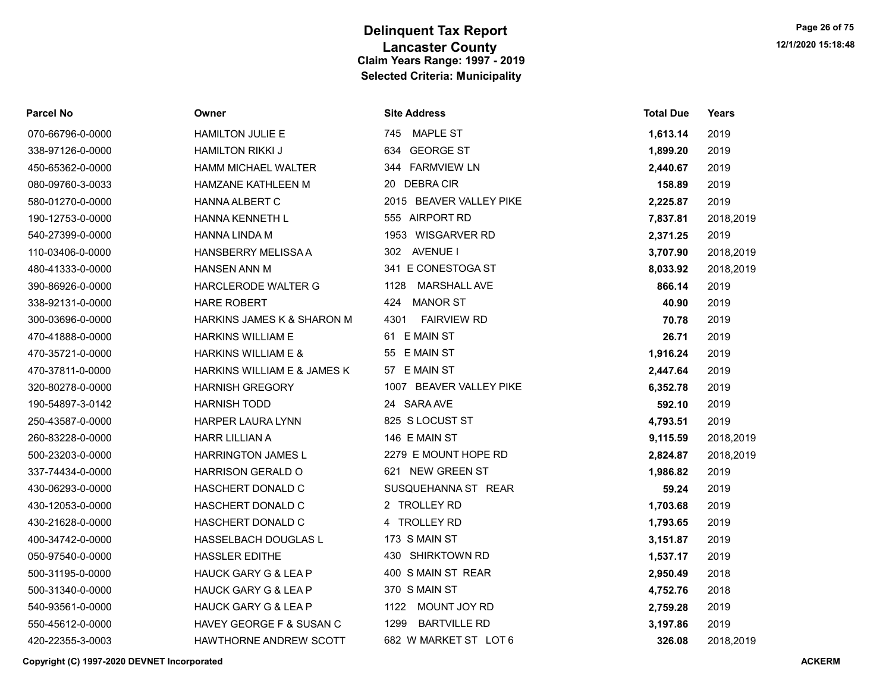| <b>Parcel No</b> | Owner                           | <b>Site Address</b>         | <b>Total Due</b> | Years     |
|------------------|---------------------------------|-----------------------------|------------------|-----------|
| 070-66796-0-0000 | <b>HAMILTON JULIE E</b>         | 745 MAPLE ST                | 1,613.14         | 2019      |
| 338-97126-0-0000 | <b>HAMILTON RIKKI J</b>         | 634 GEORGE ST               | 1,899.20         | 2019      |
| 450-65362-0-0000 | HAMM MICHAEL WALTER             | 344 FARMVIEW LN             | 2,440.67         | 2019      |
| 080-09760-3-0033 | <b>HAMZANE KATHLEEN M</b>       | 20 DEBRACIR                 | 158.89           | 2019      |
| 580-01270-0-0000 | <b>HANNA ALBERT C</b>           | 2015 BEAVER VALLEY PIKE     | 2,225.87         | 2019      |
| 190-12753-0-0000 | HANNA KENNETH L                 | 555 AIRPORT RD              | 7,837.81         | 2018,2019 |
| 540-27399-0-0000 | <b>HANNA LINDA M</b>            | 1953 WISGARVER RD           | 2,371.25         | 2019      |
| 110-03406-0-0000 | <b>HANSBERRY MELISSA A</b>      | 302 AVENUE I                | 3,707.90         | 2018,2019 |
| 480-41333-0-0000 | <b>HANSEN ANN M</b>             | 341 E CONESTOGA ST          | 8,033.92         | 2018,2019 |
| 390-86926-0-0000 | <b>HARCLERODE WALTER G</b>      | <b>MARSHALL AVE</b><br>1128 | 866.14           | 2019      |
| 338-92131-0-0000 | <b>HARE ROBERT</b>              | <b>MANOR ST</b><br>424      | 40.90            | 2019      |
| 300-03696-0-0000 | HARKINS JAMES K & SHARON M      | 4301<br><b>FAIRVIEW RD</b>  | 70.78            | 2019      |
| 470-41888-0-0000 | <b>HARKINS WILLIAM E</b>        | 61 E MAIN ST                | 26.71            | 2019      |
| 470-35721-0-0000 | <b>HARKINS WILLIAM E &amp;</b>  | 55 E MAIN ST                | 1,916.24         | 2019      |
| 470-37811-0-0000 | HARKINS WILLIAM E & JAMES K     | 57 E MAIN ST                | 2,447.64         | 2019      |
| 320-80278-0-0000 | <b>HARNISH GREGORY</b>          | 1007 BEAVER VALLEY PIKE     | 6,352.78         | 2019      |
| 190-54897-3-0142 | <b>HARNISH TODD</b>             | 24 SARA AVE                 | 592.10           | 2019      |
| 250-43587-0-0000 | <b>HARPER LAURA LYNN</b>        | 825 SLOCUST ST              | 4,793.51         | 2019      |
| 260-83228-0-0000 | <b>HARR LILLIAN A</b>           | 146 E MAIN ST               | 9,115.59         | 2018,2019 |
| 500-23203-0-0000 | <b>HARRINGTON JAMES L</b>       | 2279 E MOUNT HOPE RD        | 2,824.87         | 2018,2019 |
| 337-74434-0-0000 | <b>HARRISON GERALD O</b>        | 621 NEW GREEN ST            | 1,986.82         | 2019      |
| 430-06293-0-0000 | HASCHERT DONALD C               | SUSQUEHANNA ST REAR         | 59.24            | 2019      |
| 430-12053-0-0000 | HASCHERT DONALD C               | 2 TROLLEY RD                | 1,703.68         | 2019      |
| 430-21628-0-0000 | HASCHERT DONALD C               | 4 TROLLEY RD                | 1,793.65         | 2019      |
| 400-34742-0-0000 | HASSELBACH DOUGLAS L            | 173 S MAIN ST               | 3,151.87         | 2019      |
| 050-97540-0-0000 | <b>HASSLER EDITHE</b>           | 430 SHIRKTOWN RD            | 1,537.17         | 2019      |
| 500-31195-0-0000 | <b>HAUCK GARY G &amp; LEA P</b> | 400 S MAIN ST REAR          | 2,950.49         | 2018      |
| 500-31340-0-0000 | <b>HAUCK GARY G &amp; LEA P</b> | 370 S MAIN ST               | 4,752.76         | 2018      |
| 540-93561-0-0000 | HAUCK GARY G & LEA P            | 1122 MOUNT JOY RD           | 2,759.28         | 2019      |
| 550-45612-0-0000 | HAVEY GEORGE F & SUSAN C        | <b>BARTVILLE RD</b><br>1299 | 3,197.86         | 2019      |
| 420-22355-3-0003 | <b>HAWTHORNE ANDREW SCOTT</b>   | 682 W MARKET ST LOT 6       | 326.08           | 2018,2019 |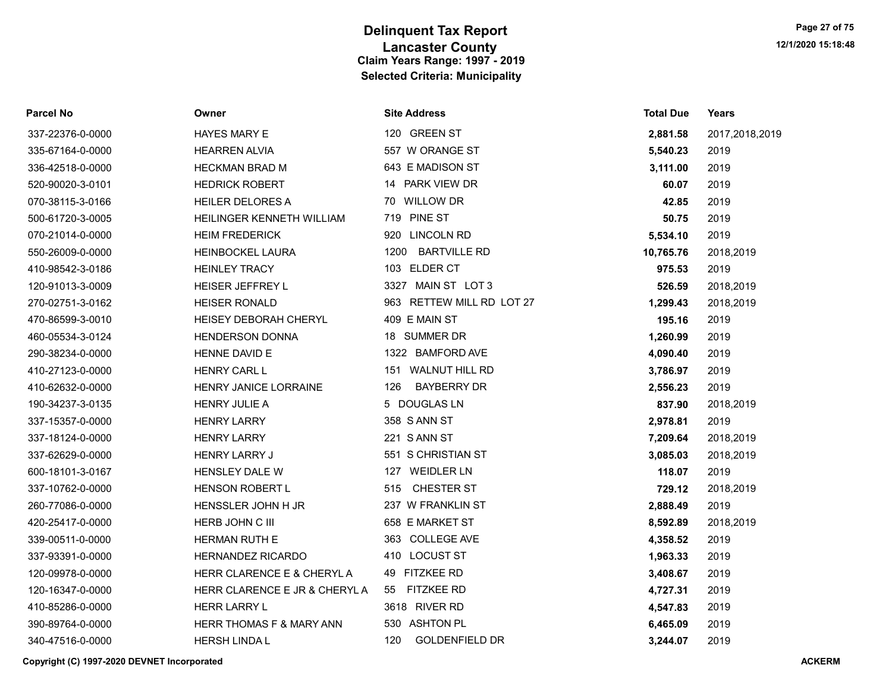| <b>Parcel No</b> | Owner                         | <b>Site Address</b>          | <b>Total Due</b> | Years          |
|------------------|-------------------------------|------------------------------|------------------|----------------|
| 337-22376-0-0000 | HAYES MARY E                  | 120 GREEN ST                 | 2,881.58         | 2017,2018,2019 |
| 335-67164-0-0000 | <b>HEARREN ALVIA</b>          | 557 W ORANGE ST              | 5,540.23         | 2019           |
| 336-42518-0-0000 | <b>HECKMAN BRAD M</b>         | 643 E MADISON ST             | 3,111.00         | 2019           |
| 520-90020-3-0101 | <b>HEDRICK ROBERT</b>         | 14 PARK VIEW DR              | 60.07            | 2019           |
| 070-38115-3-0166 | <b>HEILER DELORES A</b>       | 70 WILLOW DR                 | 42.85            | 2019           |
| 500-61720-3-0005 | HEILINGER KENNETH WILLIAM     | 719 PINE ST                  | 50.75            | 2019           |
| 070-21014-0-0000 | <b>HEIM FREDERICK</b>         | 920 LINCOLN RD               | 5,534.10         | 2019           |
| 550-26009-0-0000 | <b>HEINBOCKEL LAURA</b>       | 1200<br><b>BARTVILLE RD</b>  | 10,765.76        | 2018,2019      |
| 410-98542-3-0186 | <b>HEINLEY TRACY</b>          | 103 ELDER CT                 | 975.53           | 2019           |
| 120-91013-3-0009 | <b>HEISER JEFFREY L</b>       | 3327 MAIN ST LOT 3           | 526.59           | 2018,2019      |
| 270-02751-3-0162 | <b>HEISER RONALD</b>          | 963 RETTEW MILL RD LOT 27    | 1,299.43         | 2018,2019      |
| 470-86599-3-0010 | <b>HEISEY DEBORAH CHERYL</b>  | 409 E MAIN ST                | 195.16           | 2019           |
| 460-05534-3-0124 | <b>HENDERSON DONNA</b>        | 18 SUMMER DR                 | 1,260.99         | 2019           |
| 290-38234-0-0000 | HENNE DAVID E                 | 1322 BAMFORD AVE             | 4,090.40         | 2019           |
| 410-27123-0-0000 | <b>HENRY CARL L</b>           | 151 WALNUT HILL RD           | 3,786.97         | 2019           |
| 410-62632-0-0000 | <b>HENRY JANICE LORRAINE</b>  | <b>BAYBERRY DR</b><br>126    | 2,556.23         | 2019           |
| 190-34237-3-0135 | <b>HENRY JULIE A</b>          | 5 DOUGLAS LN                 | 837.90           | 2018,2019      |
| 337-15357-0-0000 | <b>HENRY LARRY</b>            | 358 S ANN ST                 | 2,978.81         | 2019           |
| 337-18124-0-0000 | <b>HENRY LARRY</b>            | 221 S ANN ST                 | 7,209.64         | 2018,2019      |
| 337-62629-0-0000 | <b>HENRY LARRY J</b>          | 551 S CHRISTIAN ST           | 3,085.03         | 2018,2019      |
| 600-18101-3-0167 | HENSLEY DALE W                | 127 WEIDLER LN               | 118.07           | 2019           |
| 337-10762-0-0000 | HENSON ROBERT L               | CHESTER ST<br>515            | 729.12           | 2018,2019      |
| 260-77086-0-0000 | HENSSLER JOHN H JR            | 237 W FRANKLIN ST            | 2,888.49         | 2019           |
| 420-25417-0-0000 | HERB JOHN C III               | 658 E MARKET ST              | 8,592.89         | 2018,2019      |
| 339-00511-0-0000 | <b>HERMAN RUTH E</b>          | 363 COLLEGE AVE              | 4,358.52         | 2019           |
| 337-93391-0-0000 | <b>HERNANDEZ RICARDO</b>      | 410 LOCUST ST                | 1,963.33         | 2019           |
| 120-09978-0-0000 | HERR CLARENCE E & CHERYL A    | 49 FITZKEE RD                | 3,408.67         | 2019           |
| 120-16347-0-0000 | HERR CLARENCE E JR & CHERYL A | <b>FITZKEE RD</b><br>55      | 4,727.31         | 2019           |
| 410-85286-0-0000 | <b>HERR LARRY L</b>           | 3618 RIVER RD                | 4,547.83         | 2019           |
| 390-89764-0-0000 | HERR THOMAS F & MARY ANN      | 530 ASHTON PL                | 6,465.09         | 2019           |
| 340-47516-0-0000 | <b>HERSH LINDA L</b>          | 120<br><b>GOLDENFIELD DR</b> | 3,244.07         | 2019           |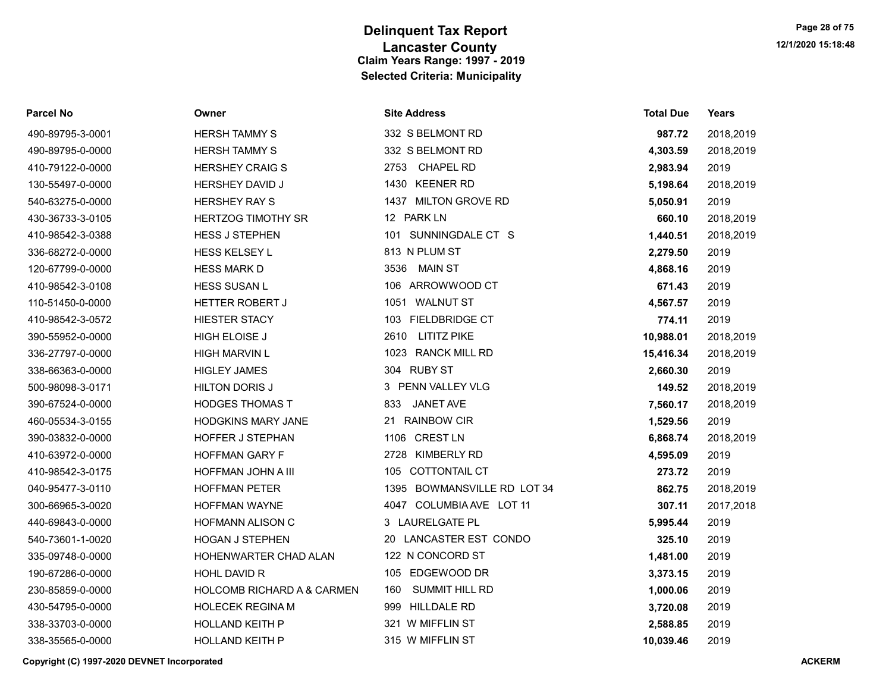#### Parcel No Owner Site Address Total Due Years

| 490-89795-3-0001 | <b>HERSH TAMMY S</b>       | 332 S BELMONT RD             | 987.72    | 2018,2019 |
|------------------|----------------------------|------------------------------|-----------|-----------|
| 490-89795-0-0000 | <b>HERSH TAMMY S</b>       | 332 S BELMONT RD             | 4,303.59  | 2018,2019 |
| 410-79122-0-0000 | <b>HERSHEY CRAIG S</b>     | 2753 CHAPEL RD               | 2,983.94  | 2019      |
| 130-55497-0-0000 | <b>HERSHEY DAVID J</b>     | 1430 KEENER RD               | 5,198.64  | 2018,2019 |
| 540-63275-0-0000 | <b>HERSHEY RAY S</b>       | 1437 MILTON GROVE RD         | 5,050.91  | 2019      |
| 430-36733-3-0105 | <b>HERTZOG TIMOTHY SR</b>  | 12 PARK LN                   | 660.10    | 2018,2019 |
| 410-98542-3-0388 | <b>HESS J STEPHEN</b>      | 101 SUNNINGDALE CT S         | 1,440.51  | 2018,2019 |
| 336-68272-0-0000 | <b>HESS KELSEY L</b>       | 813 N PLUM ST                | 2,279.50  | 2019      |
| 120-67799-0-0000 | <b>HESS MARK D</b>         | 3536 MAIN ST                 | 4,868.16  | 2019      |
| 410-98542-3-0108 | <b>HESS SUSAN L</b>        | 106 ARROWWOOD CT             | 671.43    | 2019      |
| 110-51450-0-0000 | <b>HETTER ROBERT J</b>     | 1051 WALNUT ST               | 4,567.57  | 2019      |
| 410-98542-3-0572 | <b>HIESTER STACY</b>       | 103 FIELDBRIDGE CT           | 774.11    | 2019      |
| 390-55952-0-0000 | <b>HIGH ELOISE J</b>       | 2610<br><b>LITITZ PIKE</b>   | 10,988.01 | 2018,2019 |
| 336-27797-0-0000 | <b>HIGH MARVIN L</b>       | 1023 RANCK MILL RD           | 15,416.34 | 2018,2019 |
| 338-66363-0-0000 | <b>HIGLEY JAMES</b>        | 304 RUBY ST                  | 2,660.30  | 2019      |
| 500-98098-3-0171 | <b>HILTON DORIS J</b>      | 3 PENN VALLEY VLG            | 149.52    | 2018,2019 |
| 390-67524-0-0000 | <b>HODGES THOMAS T</b>     | <b>JANET AVE</b><br>833      | 7,560.17  | 2018,2019 |
| 460-05534-3-0155 | <b>HODGKINS MARY JANE</b>  | 21 RAINBOW CIR               | 1,529.56  | 2019      |
| 390-03832-0-0000 | <b>HOFFER J STEPHAN</b>    | 1106 CREST LN                | 6,868.74  | 2018,2019 |
| 410-63972-0-0000 | <b>HOFFMAN GARY F</b>      | <b>KIMBERLY RD</b><br>2728   | 4,595.09  | 2019      |
| 410-98542-3-0175 | HOFFMAN JOHN A III         | 105 COTTONTAIL CT            | 273.72    | 2019      |
| 040-95477-3-0110 | <b>HOFFMAN PETER</b>       | 1395 BOWMANSVILLE RD LOT 34  | 862.75    | 2018,2019 |
| 300-66965-3-0020 | <b>HOFFMAN WAYNE</b>       | 4047 COLUMBIA AVE LOT 11     | 307.11    | 2017,2018 |
| 440-69843-0-0000 | <b>HOFMANN ALISON C</b>    | 3 LAURELGATE PL              | 5,995.44  | 2019      |
| 540-73601-1-0020 | <b>HOGAN J STEPHEN</b>     | LANCASTER EST CONDO<br>20    | 325.10    | 2019      |
| 335-09748-0-0000 | HOHENWARTER CHAD ALAN      | 122 N CONCORD ST             | 1,481.00  | 2019      |
| 190-67286-0-0000 | HOHL DAVID R               | 105 EDGEWOOD DR              | 3,373.15  | 2019      |
| 230-85859-0-0000 | HOLCOMB RICHARD A & CARMEN | <b>SUMMIT HILL RD</b><br>160 | 1,000.06  | 2019      |
| 430-54795-0-0000 | <b>HOLECEK REGINA M</b>    | 999 HILLDALE RD              | 3,720.08  | 2019      |
| 338-33703-0-0000 | <b>HOLLAND KEITH P</b>     | 321 W MIFFLIN ST             | 2,588.85  | 2019      |
| 338-35565-0-0000 | <b>HOLLAND KEITH P</b>     | 315 W MIFFLIN ST             | 10.039.46 | 2019      |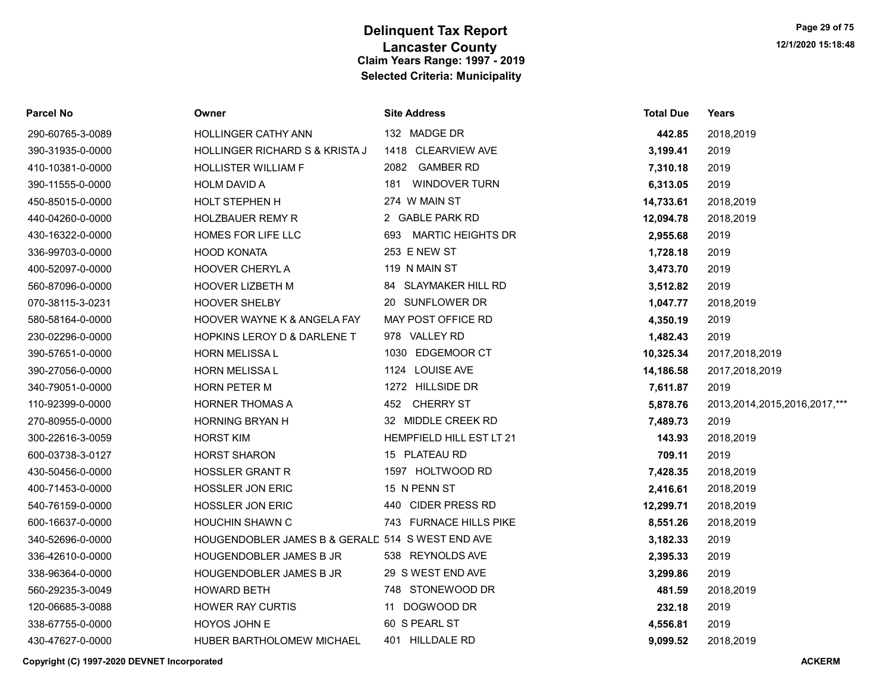| Parcel No        | Owner                                            | <b>Site Address</b>      | <b>Total Due</b> | Years                             |
|------------------|--------------------------------------------------|--------------------------|------------------|-----------------------------------|
| 290-60765-3-0089 | <b>HOLLINGER CATHY ANN</b>                       | 132 MADGE DR             | 442.85           | 2018,2019                         |
| 390-31935-0-0000 | HOLLINGER RICHARD S & KRISTA J                   | 1418 CLEARVIEW AVE       | 3,199.41         | 2019                              |
| 410-10381-0-0000 | <b>HOLLISTER WILLIAM F</b>                       | 2082 GAMBER RD           | 7,310.18         | 2019                              |
| 390-11555-0-0000 | <b>HOLM DAVID A</b>                              | 181 WINDOVER TURN        | 6,313.05         | 2019                              |
| 450-85015-0-0000 | HOLT STEPHEN H                                   | 274 W MAIN ST            | 14,733.61        | 2018,2019                         |
| 440-04260-0-0000 | <b>HOLZBAUER REMY R</b>                          | 2 GABLE PARK RD          | 12,094.78        | 2018,2019                         |
| 430-16322-0-0000 | HOMES FOR LIFE LLC                               | 693 MARTIC HEIGHTS DR    | 2,955.68         | 2019                              |
| 336-99703-0-0000 | <b>HOOD KONATA</b>                               | 253 E NEW ST             | 1,728.18         | 2019                              |
| 400-52097-0-0000 | <b>HOOVER CHERYLA</b>                            | 119 N MAIN ST            | 3,473.70         | 2019                              |
| 560-87096-0-0000 | HOOVER LIZBETH M                                 | 84 SLAYMAKER HILL RD     | 3,512.82         | 2019                              |
| 070-38115-3-0231 | HOOVER SHELBY                                    | 20 SUNFLOWER DR          | 1,047.77         | 2018,2019                         |
| 580-58164-0-0000 | HOOVER WAYNE K & ANGELA FAY                      | MAY POST OFFICE RD       | 4,350.19         | 2019                              |
| 230-02296-0-0000 | HOPKINS LEROY D & DARLENE T                      | 978 VALLEY RD            | 1,482.43         | 2019                              |
| 390-57651-0-0000 | HORN MELISSA L                                   | 1030 EDGEMOOR CT         | 10,325.34        | 2017,2018,2019                    |
| 390-27056-0-0000 | HORN MELISSA L                                   | 1124 LOUISE AVE          | 14,186.58        | 2017,2018,2019                    |
| 340-79051-0-0000 | <b>HORN PETER M</b>                              | 1272 HILLSIDE DR         | 7,611.87         | 2019                              |
| 110-92399-0-0000 | <b>HORNER THOMAS A</b>                           | 452 CHERRY ST            | 5,878.76         | 2013, 2014, 2015, 2016, 2017, *** |
| 270-80955-0-0000 | <b>HORNING BRYAN H</b>                           | 32 MIDDLE CREEK RD       | 7,489.73         | 2019                              |
| 300-22616-3-0059 | <b>HORST KIM</b>                                 | HEMPFIELD HILL EST LT 21 | 143.93           | 2018,2019                         |
| 600-03738-3-0127 | <b>HORST SHARON</b>                              | 15 PLATEAU RD            | 709.11           | 2019                              |
| 430-50456-0-0000 | <b>HOSSLER GRANT R</b>                           | 1597 HOLTWOOD RD         | 7,428.35         | 2018,2019                         |
| 400-71453-0-0000 | <b>HOSSLER JON ERIC</b>                          | 15 N PENN ST             | 2,416.61         | 2018,2019                         |
| 540-76159-0-0000 | <b>HOSSLER JON ERIC</b>                          | 440 CIDER PRESS RD       | 12,299.71        | 2018,2019                         |
| 600-16637-0-0000 | <b>HOUCHIN SHAWN C</b>                           | 743 FURNACE HILLS PIKE   | 8,551.26         | 2018,2019                         |
| 340-52696-0-0000 | HOUGENDOBLER JAMES B & GERALD 514 S WEST END AVE |                          | 3,182.33         | 2019                              |
| 336-42610-0-0000 | HOUGENDOBLER JAMES B JR                          | 538 REYNOLDS AVE         | 2,395.33         | 2019                              |
| 338-96364-0-0000 | HOUGENDOBLER JAMES B JR                          | 29 S WEST END AVE        | 3,299.86         | 2019                              |
| 560-29235-3-0049 | <b>HOWARD BETH</b>                               | 748 STONEWOOD DR         | 481.59           | 2018,2019                         |
| 120-06685-3-0088 | <b>HOWER RAY CURTIS</b>                          | 11 DOGWOOD DR            | 232.18           | 2019                              |
| 338-67755-0-0000 | HOYOS JOHN E                                     | 60 S PEARL ST            | 4,556.81         | 2019                              |
| 430-47627-0-0000 | HUBER BARTHOLOMEW MICHAEL                        | 401 HILLDALE RD          | 9,099.52         | 2018,2019                         |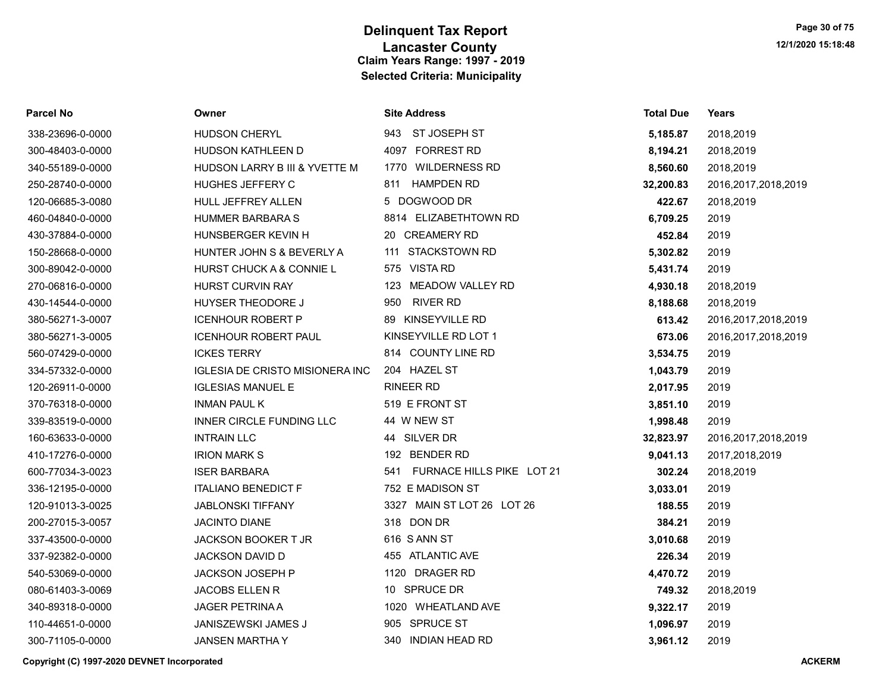| <b>Parcel No</b> | Owner                                  | <b>Site Address</b>              | <b>Total Due</b> | Years                  |
|------------------|----------------------------------------|----------------------------------|------------------|------------------------|
| 338-23696-0-0000 | <b>HUDSON CHERYL</b>                   | 943 ST JOSEPH ST                 | 5,185.87         | 2018,2019              |
| 300-48403-0-0000 | <b>HUDSON KATHLEEN D</b>               | 4097 FORREST RD                  | 8,194.21         | 2018,2019              |
| 340-55189-0-0000 | HUDSON LARRY B III & YVETTE M          | 1770 WILDERNESS RD               | 8,560.60         | 2018,2019              |
| 250-28740-0-0000 | HUGHES JEFFERY C                       | <b>HAMPDEN RD</b><br>811         | 32,200.83        | 2016, 2017, 2018, 2019 |
| 120-06685-3-0080 | HULL JEFFREY ALLEN                     | 5 DOGWOOD DR                     | 422.67           | 2018,2019              |
| 460-04840-0-0000 | <b>HUMMER BARBARA S</b>                | 8814 ELIZABETHTOWN RD            | 6,709.25         | 2019                   |
| 430-37884-0-0000 | HUNSBERGER KEVIN H                     | 20 CREAMERY RD                   | 452.84           | 2019                   |
| 150-28668-0-0000 | HUNTER JOHN S & BEVERLY A              | 111 STACKSTOWN RD                | 5,302.82         | 2019                   |
| 300-89042-0-0000 | HURST CHUCK A & CONNIE L               | 575 VISTA RD                     | 5,431.74         | 2019                   |
| 270-06816-0-0000 | HURST CURVIN RAY                       | 123 MEADOW VALLEY RD             | 4,930.18         | 2018,2019              |
| 430-14544-0-0000 | <b>HUYSER THEODORE J</b>               | <b>RIVER RD</b><br>950           | 8,188.68         | 2018,2019              |
| 380-56271-3-0007 | <b>ICENHOUR ROBERT P</b>               | 89 KINSEYVILLE RD                | 613.42           | 2016,2017,2018,2019    |
| 380-56271-3-0005 | <b>ICENHOUR ROBERT PAUL</b>            | KINSEYVILLE RD LOT 1             | 673.06           | 2016, 2017, 2018, 2019 |
| 560-07429-0-0000 | <b>ICKES TERRY</b>                     | 814 COUNTY LINE RD               | 3,534.75         | 2019                   |
| 334-57332-0-0000 | <b>IGLESIA DE CRISTO MISIONERA INC</b> | 204 HAZEL ST                     | 1,043.79         | 2019                   |
| 120-26911-0-0000 | <b>IGLESIAS MANUEL E</b>               | <b>RINEER RD</b>                 | 2,017.95         | 2019                   |
| 370-76318-0-0000 | <b>INMAN PAUL K</b>                    | 519 E FRONT ST                   | 3,851.10         | 2019                   |
| 339-83519-0-0000 | INNER CIRCLE FUNDING LLC               | 44 W NEW ST                      | 1,998.48         | 2019                   |
| 160-63633-0-0000 | <b>INTRAIN LLC</b>                     | 44 SILVER DR                     | 32,823.97        | 2016, 2017, 2018, 2019 |
| 410-17276-0-0000 | <b>IRION MARK S</b>                    | 192 BENDER RD                    | 9,041.13         | 2017,2018,2019         |
| 600-77034-3-0023 | <b>ISER BARBARA</b>                    | FURNACE HILLS PIKE LOT 21<br>541 | 302.24           | 2018,2019              |
| 336-12195-0-0000 | <b>ITALIANO BENEDICT F</b>             | 752 E MADISON ST                 | 3,033.01         | 2019                   |
| 120-91013-3-0025 | <b>JABLONSKI TIFFANY</b>               | 3327 MAIN ST LOT 26 LOT 26       | 188.55           | 2019                   |
| 200-27015-3-0057 | JACINTO DIANE                          | 318 DON DR                       | 384.21           | 2019                   |
| 337-43500-0-0000 | <b>JACKSON BOOKER T JR</b>             | 616 SANN ST                      | 3,010.68         | 2019                   |
| 337-92382-0-0000 | JACKSON DAVID D                        | 455 ATLANTIC AVE                 | 226.34           | 2019                   |
| 540-53069-0-0000 | JACKSON JOSEPH P                       | 1120 DRAGER RD                   | 4,470.72         | 2019                   |
| 080-61403-3-0069 | <b>JACOBS ELLEN R</b>                  | 10 SPRUCE DR                     | 749.32           | 2018,2019              |
| 340-89318-0-0000 | <b>JAGER PETRINA A</b>                 | 1020 WHEATLAND AVE               | 9,322.17         | 2019                   |
| 110-44651-0-0000 | JANISZEWSKI JAMES J                    | 905 SPRUCE ST                    | 1,096.97         | 2019                   |
| 300-71105-0-0000 | <b>JANSEN MARTHAY</b>                  | 340 INDIAN HEAD RD               | 3,961.12         | 2019                   |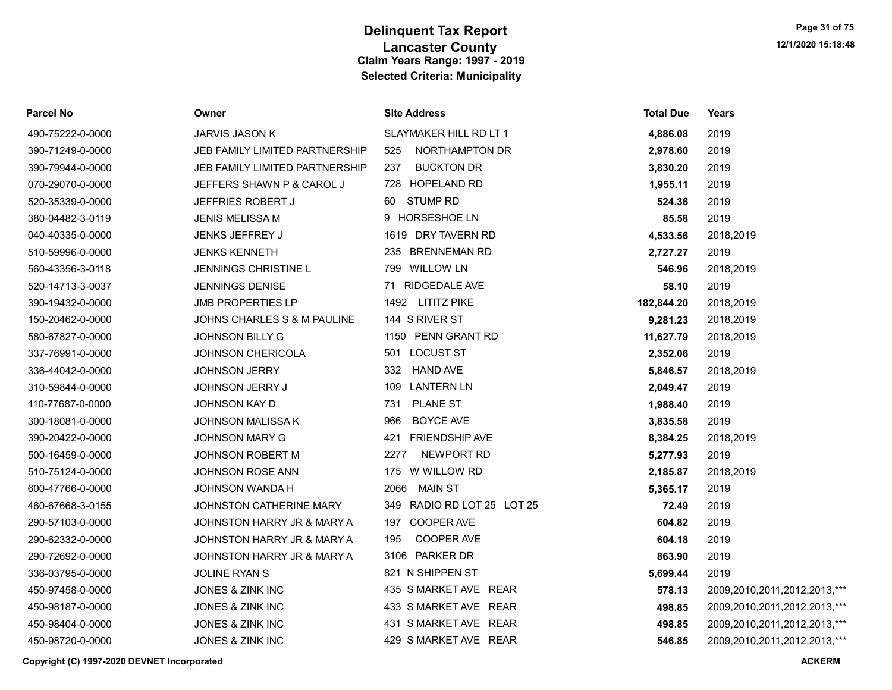| Parcel No        | Owner                          | <b>Site Address</b>        | <b>Total Due</b> | Years                        |
|------------------|--------------------------------|----------------------------|------------------|------------------------------|
| 490-75222-0-0000 | JARVIS JASON K                 | SLAYMAKER HILL RD LT 1     | 4,886.08         | 2019                         |
| 390-71249-0-0000 | JEB FAMILY LIMITED PARTNERSHIP | NORTHAMPTON DR<br>525      | 2,978.60         | 2019                         |
| 390-79944-0-0000 | JEB FAMILY LIMITED PARTNERSHIP | <b>BUCKTON DR</b><br>237   | 3,830.20         | 2019                         |
| 070-29070-0-0000 | JEFFERS SHAWN P & CAROL J      | 728 HOPELAND RD            | 1,955.11         | 2019                         |
| 520-35339-0-0000 | <b>JEFFRIES ROBERT J</b>       | <b>STUMP RD</b><br>60      | 524.36           | 2019                         |
| 380-04482-3-0119 | <b>JENIS MELISSA M</b>         | 9 HORSESHOE LN             | 85.58            | 2019                         |
| 040-40335-0-0000 | JENKS JEFFREY J                | 1619 DRY TAVERN RD         | 4,533.56         | 2018,2019                    |
| 510-59996-0-0000 | <b>JENKS KENNETH</b>           | 235 BRENNEMAN RD           | 2,727.27         | 2019                         |
| 560-43356-3-0118 | <b>JENNINGS CHRISTINE L</b>    | 799 WILLOW LN              | 546.96           | 2018,2019                    |
| 520-14713-3-0037 | <b>JENNINGS DENISE</b>         | 71 RIDGEDALE AVE           | 58.10            | 2019                         |
| 390-19432-0-0000 | <b>JMB PROPERTIES LP</b>       | 1492 LITITZ PIKE           | 182,844.20       | 2018,2019                    |
| 150-20462-0-0000 | JOHNS CHARLES S & M PAULINE    | 144 S RIVER ST             | 9,281.23         | 2018,2019                    |
| 580-67827-0-0000 | <b>JOHNSON BILLY G</b>         | 1150 PENN GRANT RD         | 11,627.79        | 2018,2019                    |
| 337-76991-0-0000 | <b>JOHNSON CHERICOLA</b>       | 501 LOCUST ST              | 2,352.06         | 2019                         |
| 336-44042-0-0000 | <b>JOHNSON JERRY</b>           | 332 HAND AVE               | 5,846.57         | 2018,2019                    |
| 310-59844-0-0000 | <b>JOHNSON JERRY J</b>         | 109 LANTERN LN             | 2,049.47         | 2019                         |
| 110-77687-0-0000 | JOHNSON KAY D                  | <b>PLANE ST</b><br>731     | 1,988.40         | 2019                         |
| 300-18081-0-0000 | <b>JOHNSON MALISSA K</b>       | 966<br><b>BOYCE AVE</b>    | 3,835.58         | 2019                         |
| 390-20422-0-0000 | <b>JOHNSON MARY G</b>          | 421 FRIENDSHIP AVE         | 8,384.25         | 2018,2019                    |
| 500-16459-0-0000 | <b>JOHNSON ROBERT M</b>        | NEWPORT RD<br>2277         | 5,277.93         | 2019                         |
| 510-75124-0-0000 | JOHNSON ROSE ANN               | 175 W WILLOW RD            | 2,185.87         | 2018,2019                    |
| 600-47766-0-0000 | JOHNSON WANDA H                | 2066<br>MAIN ST            | 5,365.17         | 2019                         |
| 460-67668-3-0155 | JOHNSTON CATHERINE MARY        | 349 RADIO RD LOT 25 LOT 25 | 72.49            | 2019                         |
| 290-57103-0-0000 | JOHNSTON HARRY JR & MARY A     | 197 COOPER AVE             | 604.82           | 2019                         |
| 290-62332-0-0000 | JOHNSTON HARRY JR & MARY A     | COOPER AVE<br>195          | 604.18           | 2019                         |
| 290-72692-0-0000 | JOHNSTON HARRY JR & MARY A     | 3106 PARKER DR             | 863.90           | 2019                         |
| 336-03795-0-0000 | <b>JOLINE RYAN S</b>           | 821 N SHIPPEN ST           | 5,699.44         | 2019                         |
| 450-97458-0-0000 | JONES & ZINK INC               | 435 S MARKET AVE REAR      | 578.13           | 2009,2010,2011,2012,2013,*** |
| 450-98187-0-0000 | JONES & ZINK INC               | 433 S MARKET AVE REAR      | 498.85           | 2009,2010,2011,2012,2013,*** |
| 450-98404-0-0000 | <b>JONES &amp; ZINK INC</b>    | 431 S MARKET AVE REAR      | 498.85           | 2009,2010,2011,2012,2013,*** |
| 450-98720-0-0000 | JONES & ZINK INC               | 429 S MARKET AVE REAR      | 546.85           | 2009,2010,2011,2012,2013,*** |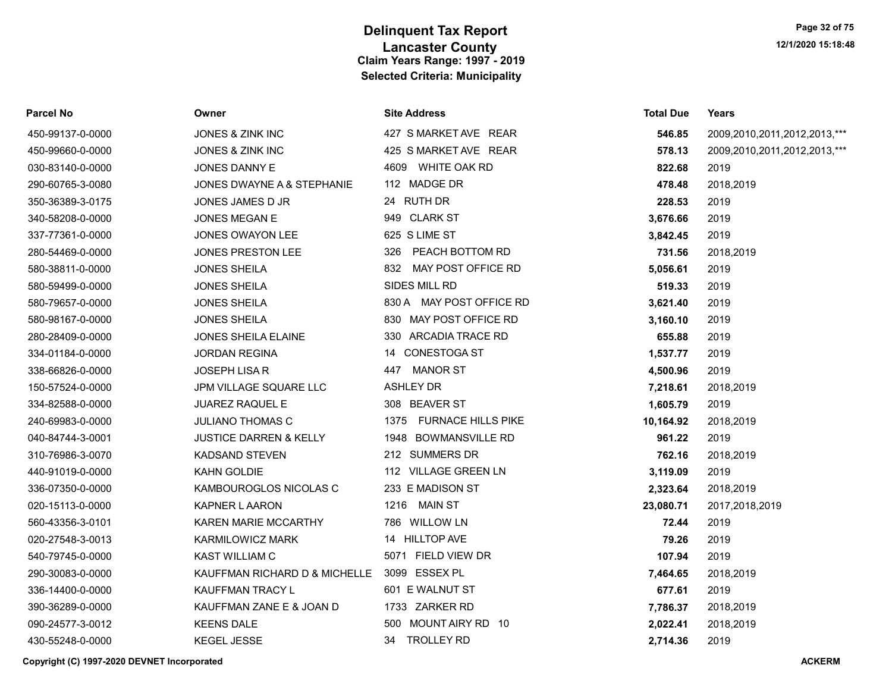| Parcel No        | Owner                             | <b>Site Address</b>      | <b>Total Due</b> | Years                        |
|------------------|-----------------------------------|--------------------------|------------------|------------------------------|
| 450-99137-0-0000 | JONES & ZINK INC                  | 427 S MARKET AVE REAR    | 546.85           | 2009,2010,2011,2012,2013,*** |
| 450-99660-0-0000 | JONES & ZINK INC                  | 425 S MARKET AVE REAR    | 578.13           | 2009,2010,2011,2012,2013,*** |
| 030-83140-0-0000 | JONES DANNY E                     | 4609 WHITE OAK RD        | 822.68           | 2019                         |
| 290-60765-3-0080 | JONES DWAYNE A & STEPHANIE        | 112 MADGE DR             | 478.48           | 2018,2019                    |
| 350-36389-3-0175 | JONES JAMES D JR                  | 24 RUTH DR               | 228.53           | 2019                         |
| 340-58208-0-0000 | <b>JONES MEGAN E</b>              | 949 CLARK ST             | 3,676.66         | 2019                         |
| 337-77361-0-0000 | <b>JONES OWAYON LEE</b>           | 625 S LIME ST            | 3,842.45         | 2019                         |
| 280-54469-0-0000 | <b>JONES PRESTON LEE</b>          | 326 PEACH BOTTOM RD      | 731.56           | 2018,2019                    |
| 580-38811-0-0000 | <b>JONES SHEILA</b>               | 832 MAY POST OFFICE RD   | 5,056.61         | 2019                         |
| 580-59499-0-0000 | <b>JONES SHEILA</b>               | SIDES MILL RD            | 519.33           | 2019                         |
| 580-79657-0-0000 | <b>JONES SHEILA</b>               | 830 A MAY POST OFFICE RD | 3,621.40         | 2019                         |
| 580-98167-0-0000 | <b>JONES SHEILA</b>               | 830 MAY POST OFFICE RD   | 3,160.10         | 2019                         |
| 280-28409-0-0000 | JONES SHEILA ELAINE               | 330 ARCADIA TRACE RD     | 655.88           | 2019                         |
| 334-01184-0-0000 | <b>JORDAN REGINA</b>              | 14 CONESTOGA ST          | 1,537.77         | 2019                         |
| 338-66826-0-0000 | <b>JOSEPH LISA R</b>              | 447 MANOR ST             | 4,500.96         | 2019                         |
| 150-57524-0-0000 | JPM VILLAGE SQUARE LLC            | <b>ASHLEY DR</b>         | 7,218.61         | 2018,2019                    |
| 334-82588-0-0000 | <b>JUAREZ RAQUEL E</b>            | 308 BEAVER ST            | 1,605.79         | 2019                         |
| 240-69983-0-0000 | <b>JULIANO THOMAS C</b>           | 1375 FURNACE HILLS PIKE  | 10,164.92        | 2018,2019                    |
| 040-84744-3-0001 | <b>JUSTICE DARREN &amp; KELLY</b> | 1948 BOWMANSVILLE RD     | 961.22           | 2019                         |
| 310-76986-3-0070 | <b>KADSAND STEVEN</b>             | 212 SUMMERS DR           | 762.16           | 2018,2019                    |
| 440-91019-0-0000 | KAHN GOLDIE                       | 112 VILLAGE GREEN LN     | 3,119.09         | 2019                         |
| 336-07350-0-0000 | KAMBOUROGLOS NICOLAS C            | 233 E MADISON ST         | 2,323.64         | 2018,2019                    |
| 020-15113-0-0000 | <b>KAPNER L AARON</b>             | 1216 MAIN ST             | 23,080.71        | 2017,2018,2019               |
| 560-43356-3-0101 | KAREN MARIE MCCARTHY              | 786 WILLOW LN            | 72.44            | 2019                         |
| 020-27548-3-0013 | <b>KARMILOWICZ MARK</b>           | 14 HILLTOP AVE           | 79.26            | 2019                         |
| 540-79745-0-0000 | <b>KAST WILLIAM C</b>             | 5071 FIELD VIEW DR       | 107.94           | 2019                         |
| 290-30083-0-0000 | KAUFFMAN RICHARD D & MICHELLE     | 3099 ESSEX PL            | 7,464.65         | 2018,2019                    |
| 336-14400-0-0000 | KAUFFMAN TRACY L                  | 601 E WALNUT ST          | 677.61           | 2019                         |
| 390-36289-0-0000 | KAUFFMAN ZANE E & JOAN D          | 1733 ZARKER RD           | 7,786.37         | 2018,2019                    |
| 090-24577-3-0012 | <b>KEENS DALE</b>                 | 500 MOUNT AIRY RD 10     | 2,022.41         | 2018,2019                    |
| 430-55248-0-0000 | <b>KEGEL JESSE</b>                | 34 TROLLEY RD            | 2.714.36         | 2019                         |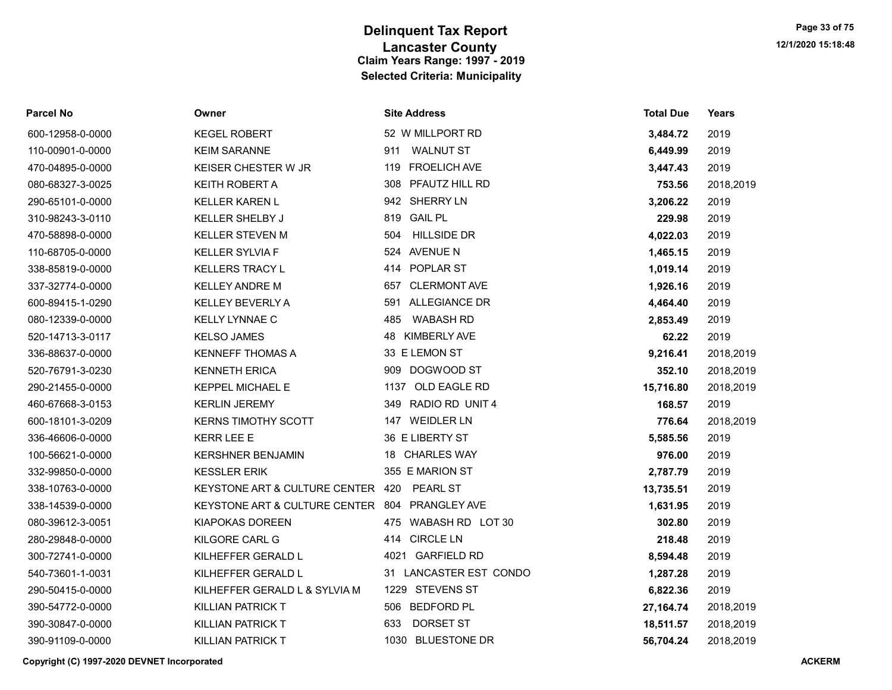| <b>Parcel No</b> | Owner                                          | <b>Site Address</b>        | <b>Total Due</b> | Years     |
|------------------|------------------------------------------------|----------------------------|------------------|-----------|
| 600-12958-0-0000 | <b>KEGEL ROBERT</b>                            | 52 W MILLPORT RD           | 3,484.72         | 2019      |
| 110-00901-0-0000 | <b>KEIM SARANNE</b>                            | <b>WALNUT ST</b><br>911    | 6,449.99         | 2019      |
| 470-04895-0-0000 | KEISER CHESTER W JR                            | <b>FROELICH AVE</b><br>119 | 3,447.43         | 2019      |
| 080-68327-3-0025 | <b>KEITH ROBERT A</b>                          | 308 PFAUTZ HILL RD         | 753.56           | 2018,2019 |
| 290-65101-0-0000 | <b>KELLER KAREN L</b>                          | 942 SHERRY LN              | 3,206.22         | 2019      |
| 310-98243-3-0110 | <b>KELLER SHELBY J</b>                         | 819 GAIL PL                | 229.98           | 2019      |
| 470-58898-0-0000 | <b>KELLER STEVEN M</b>                         | <b>HILLSIDE DR</b><br>504  | 4,022.03         | 2019      |
| 110-68705-0-0000 | <b>KELLER SYLVIA F</b>                         | 524 AVENUE N               | 1,465.15         | 2019      |
| 338-85819-0-0000 | <b>KELLERS TRACY L</b>                         | 414 POPLAR ST              | 1,019.14         | 2019      |
| 337-32774-0-0000 | <b>KELLEY ANDRE M</b>                          | <b>CLERMONT AVE</b><br>657 | 1,926.16         | 2019      |
| 600-89415-1-0290 | <b>KELLEY BEVERLY A</b>                        | 591 ALLEGIANCE DR          | 4,464.40         | 2019      |
| 080-12339-0-0000 | <b>KELLY LYNNAE C</b>                          | <b>WABASH RD</b><br>485    | 2,853.49         | 2019      |
| 520-14713-3-0117 | <b>KELSO JAMES</b>                             | 48 KIMBERLY AVE            | 62.22            | 2019      |
| 336-88637-0-0000 | <b>KENNEFF THOMAS A</b>                        | 33 E LEMON ST              | 9,216.41         | 2018,2019 |
| 520-76791-3-0230 | <b>KENNETH ERICA</b>                           | DOGWOOD ST<br>909          | 352.10           | 2018,2019 |
| 290-21455-0-0000 | KEPPEL MICHAEL E                               | 1137 OLD EAGLE RD          | 15,716.80        | 2018,2019 |
| 460-67668-3-0153 | <b>KERLIN JEREMY</b>                           | 349 RADIO RD UNIT 4        | 168.57           | 2019      |
| 600-18101-3-0209 | <b>KERNS TIMOTHY SCOTT</b>                     | 147 WEIDLER LN             | 776.64           | 2018,2019 |
| 336-46606-0-0000 | <b>KERR LEE E</b>                              | 36 E LIBERTY ST            | 5,585.56         | 2019      |
| 100-56621-0-0000 | <b>KERSHNER BENJAMIN</b>                       | 18 CHARLES WAY             | 976.00           | 2019      |
| 332-99850-0-0000 | <b>KESSLER ERIK</b>                            | 355 E MARION ST            | 2,787.79         | 2019      |
| 338-10763-0-0000 | KEYSTONE ART & CULTURE CENTER                  | 420 PEARL ST               | 13,735.51        | 2019      |
| 338-14539-0-0000 | KEYSTONE ART & CULTURE CENTER 804 PRANGLEY AVE |                            | 1,631.95         | 2019      |
| 080-39612-3-0051 | KIAPOKAS DOREEN                                | 475 WABASH RD LOT 30       | 302.80           | 2019      |
| 280-29848-0-0000 | KILGORE CARL G                                 | 414 CIRCLE LN              | 218.48           | 2019      |
| 300-72741-0-0000 | KILHEFFER GERALD L                             | 4021 GARFIELD RD           | 8,594.48         | 2019      |
| 540-73601-1-0031 | KILHEFFER GERALD L                             | 31 LANCASTER EST CONDO     | 1,287.28         | 2019      |
| 290-50415-0-0000 | KILHEFFER GERALD L & SYLVIA M                  | 1229 STEVENS ST            | 6,822.36         | 2019      |
| 390-54772-0-0000 | <b>KILLIAN PATRICK T</b>                       | 506 BEDFORD PL             | 27,164.74        | 2018,2019 |
| 390-30847-0-0000 | <b>KILLIAN PATRICK T</b>                       | DORSET ST<br>633           | 18,511.57        | 2018,2019 |
| 390-91109-0-0000 | <b>KILLIAN PATRICK T</b>                       | 1030 BLUESTONE DR          | 56.704.24        | 2018,2019 |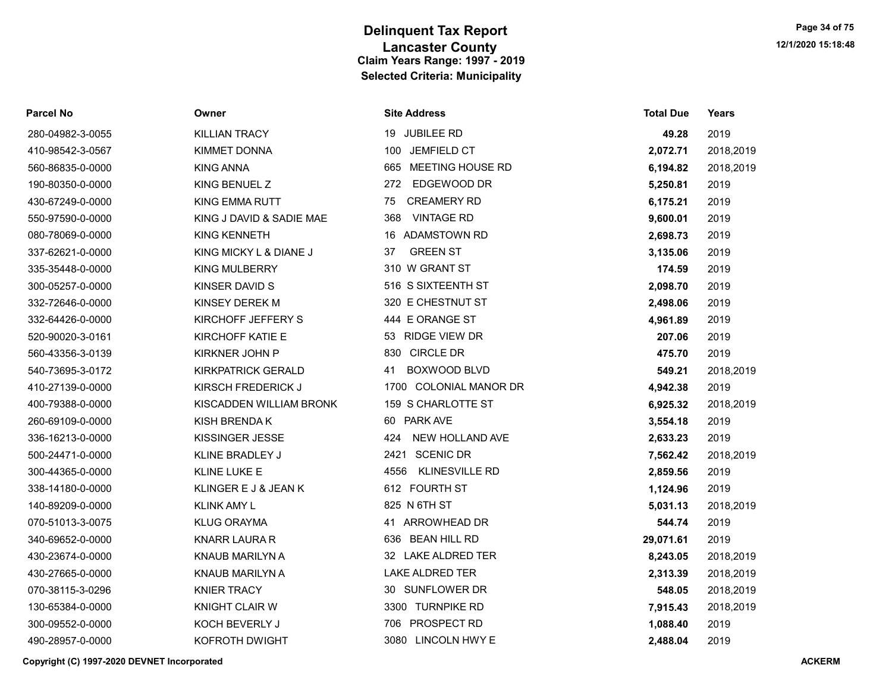| <b>Parcel No</b> | Owner                     | <b>Site Address</b>           | <b>Total Due</b> | Years     |
|------------------|---------------------------|-------------------------------|------------------|-----------|
| 280-04982-3-0055 | <b>KILLIAN TRACY</b>      | 19 JUBILEE RD                 | 49.28            | 2019      |
| 410-98542-3-0567 | <b>KIMMET DONNA</b>       | 100 JEMFIELD CT               | 2,072.71         | 2018,2019 |
| 560-86835-0-0000 | <b>KING ANNA</b>          | 665 MEETING HOUSE RD          | 6,194.82         | 2018,2019 |
| 190-80350-0-0000 | KING BENUEL Z             | EDGEWOOD DR<br>272            | 5,250.81         | 2019      |
| 430-67249-0-0000 | KING EMMA RUTT            | <b>CREAMERY RD</b><br>75      | 6,175.21         | 2019      |
| 550-97590-0-0000 | KING J DAVID & SADIE MAE  | <b>VINTAGE RD</b><br>368      | 9,600.01         | 2019      |
| 080-78069-0-0000 | <b>KING KENNETH</b>       | 16 ADAMSTOWN RD               | 2,698.73         | 2019      |
| 337-62621-0-0000 | KING MICKY L & DIANE J    | <b>GREEN ST</b><br>37         | 3,135.06         | 2019      |
| 335-35448-0-0000 | <b>KING MULBERRY</b>      | 310 W GRANT ST                | 174.59           | 2019      |
| 300-05257-0-0000 | KINSER DAVID S            | 516 S SIXTEENTH ST            | 2,098.70         | 2019      |
| 332-72646-0-0000 | KINSEY DEREK M            | 320 E CHESTNUT ST             | 2,498.06         | 2019      |
| 332-64426-0-0000 | KIRCHOFF JEFFERY S        | 444 E ORANGE ST               | 4,961.89         | 2019      |
| 520-90020-3-0161 | KIRCHOFF KATIE E          | 53 RIDGE VIEW DR              | 207.06           | 2019      |
| 560-43356-3-0139 | KIRKNER JOHN P            | 830 CIRCLE DR                 | 475.70           | 2019      |
| 540-73695-3-0172 | <b>KIRKPATRICK GERALD</b> | <b>BOXWOOD BLVD</b><br>41     | 549.21           | 2018,2019 |
| 410-27139-0-0000 | KIRSCH FREDERICK J        | 1700 COLONIAL MANOR DR        | 4,942.38         | 2019      |
| 400-79388-0-0000 | KISCADDEN WILLIAM BRONK   | 159 S CHARLOTTE ST            | 6,925.32         | 2018,2019 |
| 260-69109-0-0000 | KISH BRENDA K             | 60 PARK AVE                   | 3,554.18         | 2019      |
| 336-16213-0-0000 | KISSINGER JESSE           | NEW HOLLAND AVE<br>424        | 2,633.23         | 2019      |
| 500-24471-0-0000 | KLINE BRADLEY J           | 2421 SCENIC DR                | 7,562.42         | 2018,2019 |
| 300-44365-0-0000 | KLINE LUKE E              | <b>KLINESVILLE RD</b><br>4556 | 2,859.56         | 2019      |
| 338-14180-0-0000 | KLINGER E J & JEAN K      | 612 FOURTH ST                 | 1,124.96         | 2019      |
| 140-89209-0-0000 | <b>KLINK AMY L</b>        | 825 N 6TH ST                  | 5,031.13         | 2018,2019 |
| 070-51013-3-0075 | <b>KLUG ORAYMA</b>        | 41 ARROWHEAD DR               | 544.74           | 2019      |
| 340-69652-0-0000 | <b>KNARR LAURA R</b>      | 636 BEAN HILL RD              | 29,071.61        | 2019      |
| 430-23674-0-0000 | KNAUB MARILYN A           | 32 LAKE ALDRED TER            | 8,243.05         | 2018,2019 |
| 430-27665-0-0000 | <b>KNAUB MARILYN A</b>    | <b>LAKE ALDRED TER</b>        | 2,313.39         | 2018,2019 |
| 070-38115-3-0296 | <b>KNIER TRACY</b>        | 30 SUNFLOWER DR               | 548.05           | 2018,2019 |
| 130-65384-0-0000 | <b>KNIGHT CLAIR W</b>     | 3300 TURNPIKE RD              | 7,915.43         | 2018,2019 |
| 300-09552-0-0000 | KOCH BEVERLY J            | 706 PROSPECT RD               | 1,088.40         | 2019      |
| 490-28957-0-0000 | KOFROTH DWIGHT            | 3080 LINCOLN HWY E            | 2.488.04         | 2019      |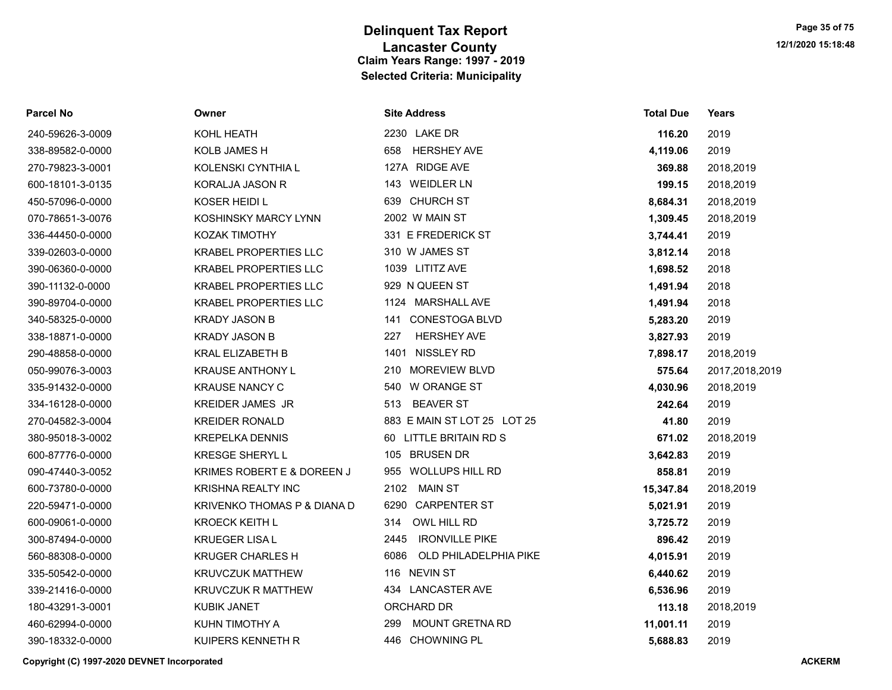| <b>Parcel No</b> | Owner                        | <b>Site Address</b>           | <b>Total Due</b> | <b>Years</b>   |
|------------------|------------------------------|-------------------------------|------------------|----------------|
| 240-59626-3-0009 | KOHL HEATH                   | 2230 LAKE DR                  | 116.20           | 2019           |
| 338-89582-0-0000 | <b>KOLB JAMES H</b>          | <b>HERSHEY AVE</b><br>658     | 4,119.06         | 2019           |
| 270-79823-3-0001 | KOLENSKI CYNTHIA L           | 127A RIDGE AVE                | 369.88           | 2018,2019      |
| 600-18101-3-0135 | <b>KORALJA JASON R</b>       | 143 WEIDLER LN                | 199.15           | 2018,2019      |
| 450-57096-0-0000 | KOSER HEIDI L                | 639 CHURCH ST                 | 8,684.31         | 2018,2019      |
| 070-78651-3-0076 | KOSHINSKY MARCY LYNN         | 2002 W MAIN ST                | 1,309.45         | 2018,2019      |
| 336-44450-0-0000 | KOZAK TIMOTHY                | 331 E FREDERICK ST            | 3,744.41         | 2019           |
| 339-02603-0-0000 | <b>KRABEL PROPERTIES LLC</b> | 310 W JAMES ST                | 3,812.14         | 2018           |
| 390-06360-0-0000 | <b>KRABEL PROPERTIES LLC</b> | 1039 LITITZ AVE               | 1,698.52         | 2018           |
| 390-11132-0-0000 | <b>KRABEL PROPERTIES LLC</b> | 929 N QUEEN ST                | 1,491.94         | 2018           |
| 390-89704-0-0000 | <b>KRABEL PROPERTIES LLC</b> | 1124 MARSHALL AVE             | 1,491.94         | 2018           |
| 340-58325-0-0000 | <b>KRADY JASON B</b>         | <b>CONESTOGA BLVD</b><br>141  | 5,283.20         | 2019           |
| 338-18871-0-0000 | <b>KRADY JASON B</b>         | 227<br><b>HERSHEY AVE</b>     | 3,827.93         | 2019           |
| 290-48858-0-0000 | <b>KRAL ELIZABETH B</b>      | NISSLEY RD<br>1401            | 7,898.17         | 2018,2019      |
| 050-99076-3-0003 | <b>KRAUSE ANTHONY L</b>      | 210 MOREVIEW BLVD             | 575.64           | 2017,2018,2019 |
| 335-91432-0-0000 | <b>KRAUSE NANCY C</b>        | 540 W ORANGE ST               | 4,030.96         | 2018,2019      |
| 334-16128-0-0000 | <b>KREIDER JAMES JR</b>      | <b>BEAVER ST</b><br>513       | 242.64           | 2019           |
| 270-04582-3-0004 | <b>KREIDER RONALD</b>        | 883 E MAIN ST LOT 25 LOT 25   | 41.80            | 2019           |
| 380-95018-3-0002 | <b>KREPELKA DENNIS</b>       | 60 LITTLE BRITAIN RD S        | 671.02           | 2018,2019      |
| 600-87776-0-0000 | <b>KRESGE SHERYL L</b>       | 105 BRUSEN DR                 | 3,642.83         | 2019           |
| 090-47440-3-0052 | KRIMES ROBERT E & DOREEN J   | 955 WOLLUPS HILL RD           | 858.81           | 2019           |
| 600-73780-0-0000 | <b>KRISHNA REALTY INC</b>    | 2102 MAIN ST                  | 15,347.84        | 2018,2019      |
| 220-59471-0-0000 | KRIVENKO THOMAS P & DIANA D  | 6290 CARPENTER ST             | 5,021.91         | 2019           |
| 600-09061-0-0000 | <b>KROECK KEITH L</b>        | OWL HILL RD<br>314            | 3,725.72         | 2019           |
| 300-87494-0-0000 | <b>KRUEGER LISA L</b>        | <b>IRONVILLE PIKE</b><br>2445 | 896.42           | 2019           |
| 560-88308-0-0000 | <b>KRUGER CHARLES H</b>      | OLD PHILADELPHIA PIKE<br>6086 | 4,015.91         | 2019           |
| 335-50542-0-0000 | <b>KRUVCZUK MATTHEW</b>      | 116 NEVIN ST                  | 6,440.62         | 2019           |
| 339-21416-0-0000 | <b>KRUVCZUK R MATTHEW</b>    | 434 LANCASTER AVE             | 6,536.96         | 2019           |
| 180-43291-3-0001 | <b>KUBIK JANET</b>           | ORCHARD DR                    | 113.18           | 2018,2019      |
| 460-62994-0-0000 | KUHN TIMOTHY A               | MOUNT GRETNA RD<br>299        | 11,001.11        | 2019           |
| 390-18332-0-0000 | KUIPERS KENNETH R            | 446 CHOWNING PL               | 5,688.83         | 2019           |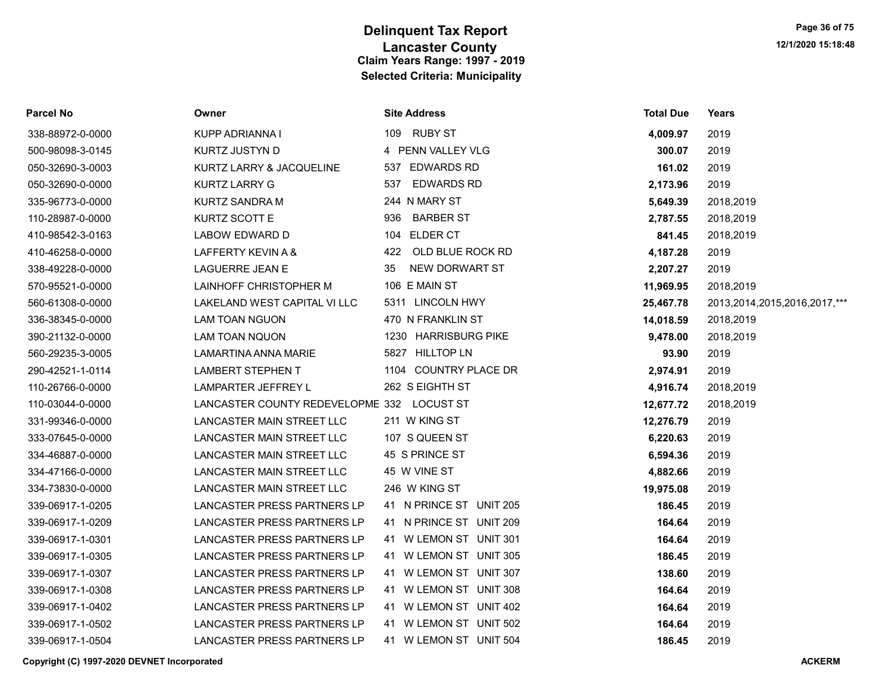| <b>Parcel No</b> | Owner                                      | <b>Site Address</b>      | <b>Total Due</b> | Years                             |
|------------------|--------------------------------------------|--------------------------|------------------|-----------------------------------|
| 338-88972-0-0000 | KUPP ADRIANNA I                            | <b>RUBY ST</b><br>109    | 4,009.97         | 2019                              |
| 500-98098-3-0145 | KURTZ JUSTYN D                             | 4 PENN VALLEY VLG        | 300.07           | 2019                              |
| 050-32690-3-0003 | KURTZ LARRY & JACQUELINE                   | <b>EDWARDS RD</b><br>537 | 161.02           | 2019                              |
| 050-32690-0-0000 | <b>KURTZ LARRY G</b>                       | <b>EDWARDS RD</b><br>537 | 2,173.96         | 2019                              |
| 335-96773-0-0000 | KURTZ SANDRA M                             | 244 N MARY ST            | 5,649.39         | 2018,2019                         |
| 110-28987-0-0000 | KURTZ SCOTT E                              | 936<br><b>BARBER ST</b>  | 2,787.55         | 2018,2019                         |
| 410-98542-3-0163 | LABOW EDWARD D                             | 104 ELDER CT             | 841.45           | 2018,2019                         |
| 410-46258-0-0000 | LAFFERTY KEVIN A &                         | 422 OLD BLUE ROCK RD     | 4,187.28         | 2019                              |
| 338-49228-0-0000 | <b>LAGUERRE JEAN E</b>                     | NEW DORWART ST<br>35     | 2,207.27         | 2019                              |
| 570-95521-0-0000 | LAINHOFF CHRISTOPHER M                     | 106 E MAIN ST            | 11,969.95        | 2018,2019                         |
| 560-61308-0-0000 | LAKELAND WEST CAPITAL VI LLC               | 5311 LINCOLN HWY         | 25,467.78        | 2013, 2014, 2015, 2016, 2017, *** |
| 336-38345-0-0000 | LAM TOAN NGUON                             | 470 N FRANKLIN ST        | 14,018.59        | 2018,2019                         |
| 390-21132-0-0000 | <b>LAM TOAN NQUON</b>                      | 1230 HARRISBURG PIKE     | 9,478.00         | 2018,2019                         |
| 560-29235-3-0005 | LAMARTINA ANNA MARIE                       | 5827 HILLTOP LN          | 93.90            | 2019                              |
| 290-42521-1-0114 | <b>LAMBERT STEPHEN T</b>                   | 1104 COUNTRY PLACE DR    | 2,974.91         | 2019                              |
| 110-26766-0-0000 | LAMPARTER JEFFREY L                        | 262 S EIGHTH ST          | 4,916.74         | 2018,2019                         |
| 110-03044-0-0000 | LANCASTER COUNTY REDEVELOPME 332 LOCUST ST |                          | 12,677.72        | 2018,2019                         |
| 331-99346-0-0000 | LANCASTER MAIN STREET LLC                  | 211 W KING ST            | 12,276.79        | 2019                              |
| 333-07645-0-0000 | LANCASTER MAIN STREET LLC                  | 107 S QUEEN ST           | 6,220.63         | 2019                              |
| 334-46887-0-0000 | LANCASTER MAIN STREET LLC                  | 45 S PRINCE ST           | 6,594.36         | 2019                              |
| 334-47166-0-0000 | LANCASTER MAIN STREET LLC                  | 45 W VINE ST             | 4,882.66         | 2019                              |
| 334-73830-0-0000 | LANCASTER MAIN STREET LLC                  | 246 W KING ST            | 19,975.08        | 2019                              |
| 339-06917-1-0205 | LANCASTER PRESS PARTNERS LP                | 41 N PRINCE ST UNIT 205  | 186.45           | 2019                              |
| 339-06917-1-0209 | LANCASTER PRESS PARTNERS LP                | 41 N PRINCE ST UNIT 209  | 164.64           | 2019                              |
| 339-06917-1-0301 | LANCASTER PRESS PARTNERS LP                | 41 W LEMON ST UNIT 301   | 164.64           | 2019                              |
| 339-06917-1-0305 | LANCASTER PRESS PARTNERS LP                | 41 W LEMON ST UNIT 305   | 186.45           | 2019                              |
| 339-06917-1-0307 | LANCASTER PRESS PARTNERS LP                | 41 W LEMON ST UNIT 307   | 138.60           | 2019                              |
| 339-06917-1-0308 | LANCASTER PRESS PARTNERS LP                | 41 W LEMON ST UNIT 308   | 164.64           | 2019                              |
| 339-06917-1-0402 | LANCASTER PRESS PARTNERS LP                | 41 W LEMON ST UNIT 402   | 164.64           | 2019                              |
| 339-06917-1-0502 | LANCASTER PRESS PARTNERS LP                | 41 W LEMON ST UNIT 502   | 164.64           | 2019                              |
| 339-06917-1-0504 | LANCASTER PRESS PARTNERS LP                | 41 W LEMON ST UNIT 504   | 186.45           | 2019                              |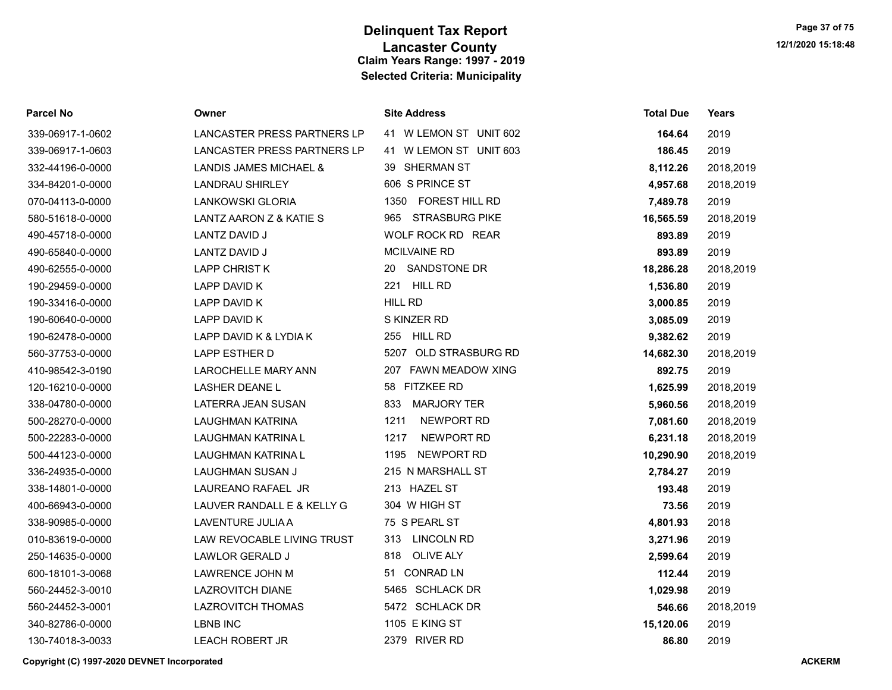| Parcel No        | Owner                       | <b>Site Address</b>           | <b>Total Due</b> | Years     |
|------------------|-----------------------------|-------------------------------|------------------|-----------|
| 339-06917-1-0602 | LANCASTER PRESS PARTNERS LP | 41 W LEMON ST UNIT 602        | 164.64           | 2019      |
| 339-06917-1-0603 | LANCASTER PRESS PARTNERS LP | 41 W LEMON ST UNIT 603        | 186.45           | 2019      |
| 332-44196-0-0000 | LANDIS JAMES MICHAEL &      | 39 SHERMAN ST                 | 8,112.26         | 2018,2019 |
| 334-84201-0-0000 | <b>LANDRAU SHIRLEY</b>      | 606 S PRINCE ST               | 4,957.68         | 2018,2019 |
| 070-04113-0-0000 | LANKOWSKI GLORIA            | <b>FOREST HILL RD</b><br>1350 | 7,489.78         | 2019      |
| 580-51618-0-0000 | LANTZ AARON Z & KATIE S     | <b>STRASBURG PIKE</b><br>965  | 16,565.59        | 2018,2019 |
| 490-45718-0-0000 | LANTZ DAVID J               | WOLF ROCK RD REAR             | 893.89           | 2019      |
| 490-65840-0-0000 | LANTZ DAVID J               | MCILVAINE RD                  | 893.89           | 2019      |
| 490-62555-0-0000 | <b>LAPP CHRIST K</b>        | SANDSTONE DR<br>20            | 18,286.28        | 2018,2019 |
| 190-29459-0-0000 | LAPP DAVID K                | HILL RD<br>221                | 1,536.80         | 2019      |
| 190-33416-0-0000 | LAPP DAVID K                | <b>HILL RD</b>                | 3,000.85         | 2019      |
| 190-60640-0-0000 | LAPP DAVID K                | S KINZER RD                   | 3,085.09         | 2019      |
| 190-62478-0-0000 | LAPP DAVID K & LYDIA K      | 255 HILL RD                   | 9,382.62         | 2019      |
| 560-37753-0-0000 | LAPP ESTHER D               | 5207 OLD STRASBURG RD         | 14,682.30        | 2018,2019 |
| 410-98542-3-0190 | LAROCHELLE MARY ANN         | 207 FAWN MEADOW XING          | 892.75           | 2019      |
| 120-16210-0-0000 | <b>LASHER DEANE L</b>       | 58 FITZKEE RD                 | 1,625.99         | 2018,2019 |
| 338-04780-0-0000 | LATERRA JEAN SUSAN          | <b>MARJORY TER</b><br>833     | 5,960.56         | 2018,2019 |
| 500-28270-0-0000 | <b>LAUGHMAN KATRINA</b>     | 1211<br>NEWPORT RD            | 7,081.60         | 2018,2019 |
| 500-22283-0-0000 | LAUGHMAN KATRINA L          | 1217<br>NEWPORT RD            | 6,231.18         | 2018,2019 |
| 500-44123-0-0000 | LAUGHMAN KATRINA L          | NEWPORT RD<br>1195            | 10,290.90        | 2018,2019 |
| 336-24935-0-0000 | LAUGHMAN SUSAN J            | 215 N MARSHALL ST             | 2,784.27         | 2019      |
| 338-14801-0-0000 | LAUREANO RAFAEL JR          | 213 HAZEL ST                  | 193.48           | 2019      |
| 400-66943-0-0000 | LAUVER RANDALL E & KELLY G  | 304 W HIGH ST                 | 73.56            | 2019      |
| 338-90985-0-0000 | LAVENTURE JULIA A           | 75 S PEARL ST                 | 4,801.93         | 2018      |
| 010-83619-0-0000 | LAW REVOCABLE LIVING TRUST  | <b>LINCOLN RD</b><br>313      | 3,271.96         | 2019      |
| 250-14635-0-0000 | LAWLOR GERALD J             | <b>OLIVE ALY</b><br>818       | 2,599.64         | 2019      |
| 600-18101-3-0068 | LAWRENCE JOHN M             | <b>CONRAD LN</b><br>51        | 112.44           | 2019      |
| 560-24452-3-0010 | <b>LAZROVITCH DIANE</b>     | 5465 SCHLACK DR               | 1,029.98         | 2019      |
| 560-24452-3-0001 | <b>LAZROVITCH THOMAS</b>    | 5472 SCHLACK DR               | 546.66           | 2018,2019 |
| 340-82786-0-0000 | <b>LBNB INC</b>             | 1105 E KING ST                | 15,120.06        | 2019      |
| 130-74018-3-0033 | <b>LEACH ROBERT JR</b>      | 2379 RIVER RD                 | 86.80            | 2019      |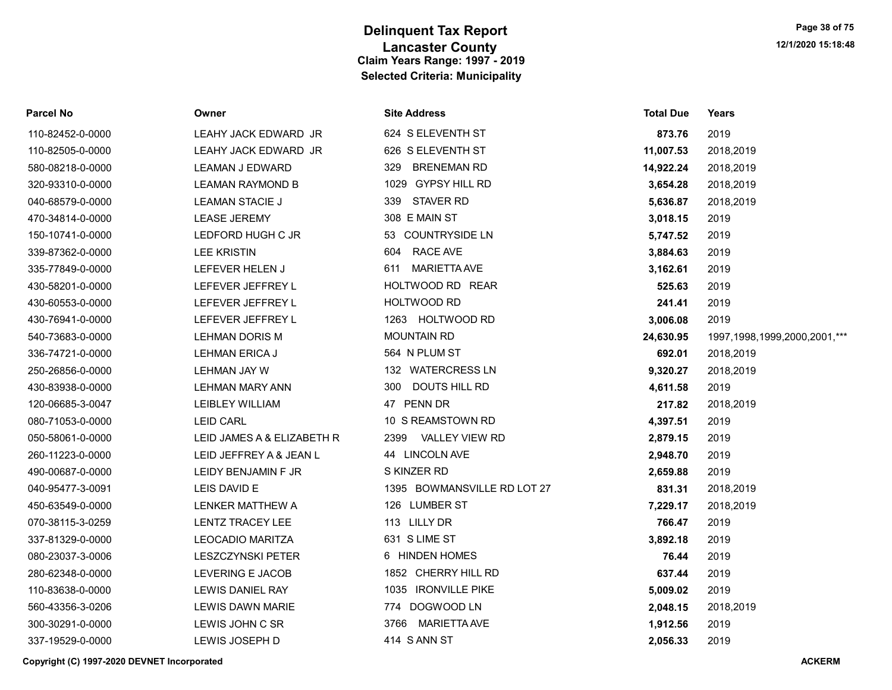| Parcel No        | Owner                      | <b>Site Address</b>         | <b>Total Due</b> | Years                             |
|------------------|----------------------------|-----------------------------|------------------|-----------------------------------|
| 110-82452-0-0000 | LEAHY JACK EDWARD JR       | 624 S ELEVENTH ST           | 873.76           | 2019                              |
| 110-82505-0-0000 | LEAHY JACK EDWARD JR       | 626 S ELEVENTH ST           | 11,007.53        | 2018,2019                         |
| 580-08218-0-0000 | <b>LEAMAN J EDWARD</b>     | 329 BRENEMAN RD             | 14,922.24        | 2018,2019                         |
| 320-93310-0-0000 | <b>LEAMAN RAYMOND B</b>    | 1029 GYPSY HILL RD          | 3,654.28         | 2018,2019                         |
| 040-68579-0-0000 | <b>LEAMAN STACIE J</b>     | 339 STAVER RD               | 5,636.87         | 2018,2019                         |
| 470-34814-0-0000 | <b>LEASE JEREMY</b>        | 308 E MAIN ST               | 3,018.15         | 2019                              |
| 150-10741-0-0000 | LEDFORD HUGH C JR          | 53 COUNTRYSIDE LN           | 5,747.52         | 2019                              |
| 339-87362-0-0000 | <b>LEE KRISTIN</b>         | 604 RACE AVE                | 3,884.63         | 2019                              |
| 335-77849-0-0000 | LEFEVER HELEN J            | 611 MARIETTA AVE            | 3,162.61         | 2019                              |
| 430-58201-0-0000 | LEFEVER JEFFREY L          | HOLTWOOD RD REAR            | 525.63           | 2019                              |
| 430-60553-0-0000 | LEFEVER JEFFREY L          | HOLTWOOD RD                 | 241.41           | 2019                              |
| 430-76941-0-0000 | LEFEVER JEFFREY L          | 1263 HOLTWOOD RD            | 3,006.08         | 2019                              |
| 540-73683-0-0000 | <b>LEHMAN DORIS M</b>      | <b>MOUNTAIN RD</b>          | 24,630.95        | 1997, 1998, 1999, 2000, 2001, *** |
| 336-74721-0-0000 | LEHMAN ERICA J             | 564 N PLUM ST               | 692.01           | 2018,2019                         |
| 250-26856-0-0000 | <b>LEHMAN JAY W</b>        | 132 WATERCRESS LN           | 9,320.27         | 2018,2019                         |
| 430-83938-0-0000 | LEHMAN MARY ANN            | 300 DOUTS HILL RD           | 4,611.58         | 2019                              |
| 120-06685-3-0047 | LEIBLEY WILLIAM            | 47 PENN DR                  | 217.82           | 2018,2019                         |
| 080-71053-0-0000 | <b>LEID CARL</b>           | 10 S REAMSTOWN RD           | 4,397.51         | 2019                              |
| 050-58061-0-0000 | LEID JAMES A & ELIZABETH R | 2399<br>VALLEY VIEW RD      | 2,879.15         | 2019                              |
| 260-11223-0-0000 | LEID JEFFREY A & JEAN L    | 44 LINCOLN AVE              | 2,948.70         | 2019                              |
| 490-00687-0-0000 | LEIDY BENJAMIN F JR        | S KINZER RD                 | 2,659.88         | 2019                              |
| 040-95477-3-0091 | LEIS DAVID E               | 1395 BOWMANSVILLE RD LOT 27 | 831.31           | 2018,2019                         |
| 450-63549-0-0000 | LENKER MATTHEW A           | 126 LUMBER ST               | 7,229.17         | 2018,2019                         |
| 070-38115-3-0259 | <b>LENTZ TRACEY LEE</b>    | 113 LILLY DR                | 766.47           | 2019                              |
| 337-81329-0-0000 | <b>LEOCADIO MARITZA</b>    | 631 S LIME ST               | 3,892.18         | 2019                              |
| 080-23037-3-0006 | <b>LESZCZYNSKI PETER</b>   | 6 HINDEN HOMES              | 76.44            | 2019                              |
| 280-62348-0-0000 | LEVERING E JACOB           | 1852 CHERRY HILL RD         | 637.44           | 2019                              |
| 110-83638-0-0000 | LEWIS DANIEL RAY           | 1035 IRONVILLE PIKE         | 5,009.02         | 2019                              |
| 560-43356-3-0206 | LEWIS DAWN MARIE           | 774 DOGWOOD LN              | 2,048.15         | 2018,2019                         |
| 300-30291-0-0000 | LEWIS JOHN C SR            | MARIETTA AVE<br>3766        | 1,912.56         | 2019                              |
| 337-19529-0-0000 | LEWIS JOSEPH D             | 414 S ANN ST                | 2.056.33         | 2019                              |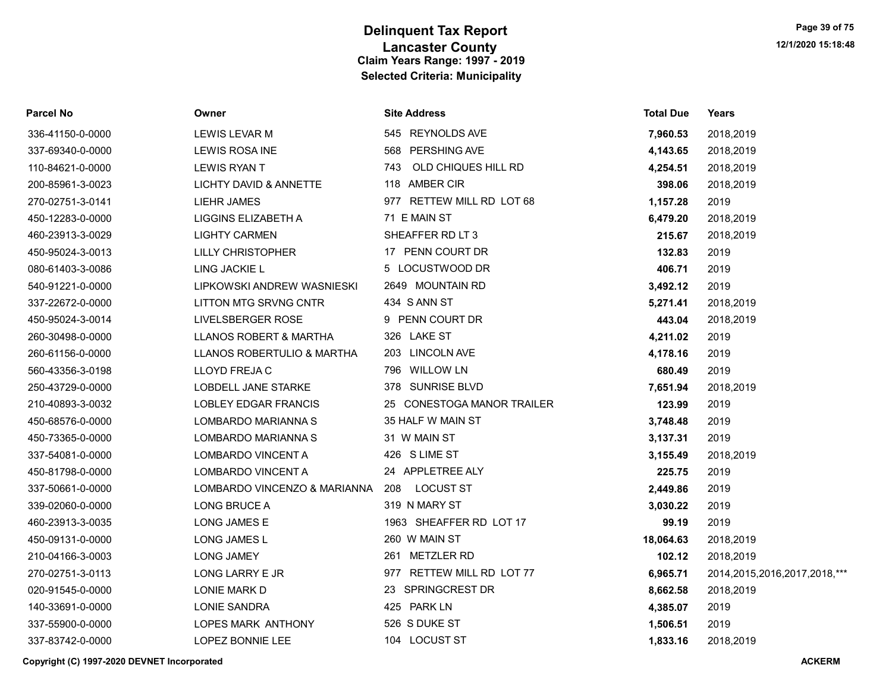| Parcel No        | Owner                        | <b>Site Address</b>        | <b>Total Due</b> | Years                             |
|------------------|------------------------------|----------------------------|------------------|-----------------------------------|
| 336-41150-0-0000 | LEWIS LEVAR M                | 545 REYNOLDS AVE           | 7,960.53         | 2018,2019                         |
| 337-69340-0-0000 | LEWIS ROSA INE               | 568 PERSHING AVE           | 4,143.65         | 2018,2019                         |
| 110-84621-0-0000 | <b>LEWIS RYAN T</b>          | OLD CHIQUES HILL RD<br>743 | 4,254.51         | 2018,2019                         |
| 200-85961-3-0023 | LICHTY DAVID & ANNETTE       | 118 AMBER CIR              | 398.06           | 2018,2019                         |
| 270-02751-3-0141 | <b>LIEHR JAMES</b>           | 977 RETTEW MILL RD LOT 68  | 1,157.28         | 2019                              |
| 450-12283-0-0000 | LIGGINS ELIZABETH A          | 71 E MAIN ST               | 6,479.20         | 2018,2019                         |
| 460-23913-3-0029 | <b>LIGHTY CARMEN</b>         | SHEAFFER RD LT 3           | 215.67           | 2018,2019                         |
| 450-95024-3-0013 | <b>LILLY CHRISTOPHER</b>     | 17 PENN COURT DR           | 132.83           | 2019                              |
| 080-61403-3-0086 | LING JACKIE L                | 5 LOCUSTWOOD DR            | 406.71           | 2019                              |
| 540-91221-0-0000 | LIPKOWSKI ANDREW WASNIESKI   | 2649 MOUNTAIN RD           | 3,492.12         | 2019                              |
| 337-22672-0-0000 | LITTON MTG SRVNG CNTR        | 434 S ANN ST               | 5,271.41         | 2018,2019                         |
| 450-95024-3-0014 | LIVELSBERGER ROSE            | 9 PENN COURT DR            | 443.04           | 2018,2019                         |
| 260-30498-0-0000 | LLANOS ROBERT & MARTHA       | 326 LAKE ST                | 4,211.02         | 2019                              |
| 260-61156-0-0000 | LLANOS ROBERTULIO & MARTHA   | 203 LINCOLN AVE            | 4,178.16         | 2019                              |
| 560-43356-3-0198 | LLOYD FREJA C                | 796 WILLOW LN              | 680.49           | 2019                              |
| 250-43729-0-0000 | LOBDELL JANE STARKE          | 378 SUNRISE BLVD           | 7,651.94         | 2018,2019                         |
| 210-40893-3-0032 | LOBLEY EDGAR FRANCIS         | 25 CONESTOGA MANOR TRAILER | 123.99           | 2019                              |
| 450-68576-0-0000 | LOMBARDO MARIANNA S          | 35 HALF W MAIN ST          | 3,748.48         | 2019                              |
| 450-73365-0-0000 | LOMBARDO MARIANNA S          | 31 W MAIN ST               | 3,137.31         | 2019                              |
| 337-54081-0-0000 | LOMBARDO VINCENT A           | 426 S LIME ST              | 3,155.49         | 2018,2019                         |
| 450-81798-0-0000 | LOMBARDO VINCENT A           | 24 APPLETREE ALY           | 225.75           | 2019                              |
| 337-50661-0-0000 | LOMBARDO VINCENZO & MARIANNA | LOCUST ST<br>208           | 2,449.86         | 2019                              |
| 339-02060-0-0000 | LONG BRUCE A                 | 319 N MARY ST              | 3,030.22         | 2019                              |
| 460-23913-3-0035 | <b>LONG JAMES E</b>          | 1963 SHEAFFER RD LOT 17    | 99.19            | 2019                              |
| 450-09131-0-0000 | LONG JAMES L                 | 260 W MAIN ST              | 18,064.63        | 2018,2019                         |
| 210-04166-3-0003 | <b>LONG JAMEY</b>            | 261 METZLER RD             | 102.12           | 2018,2019                         |
| 270-02751-3-0113 | LONG LARRY E JR              | 977 RETTEW MILL RD LOT 77  | 6,965.71         | 2014, 2015, 2016, 2017, 2018, *** |
| 020-91545-0-0000 | LONIE MARK D                 | 23 SPRINGCREST DR          | 8,662.58         | 2018,2019                         |
| 140-33691-0-0000 | <b>LONIE SANDRA</b>          | 425 PARK LN                | 4,385.07         | 2019                              |
| 337-55900-0-0000 | LOPES MARK ANTHONY           | 526 S DUKE ST              | 1,506.51         | 2019                              |
| 337-83742-0-0000 | LOPEZ BONNIE LEE             | 104 LOCUST ST              | 1,833.16         | 2018,2019                         |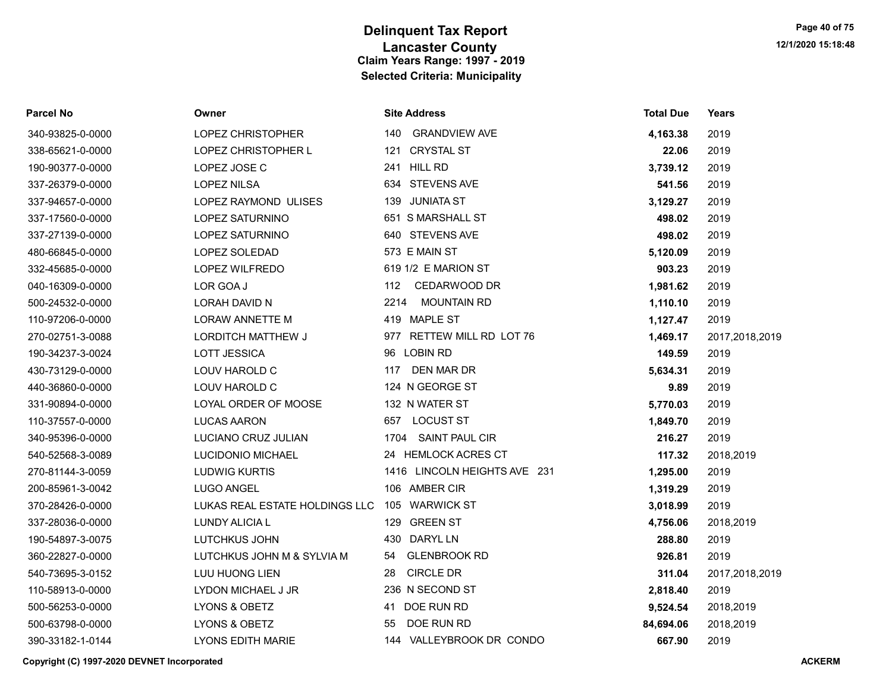| <b>Parcel No</b> | Owner                          | <b>Site Address</b>          | <b>Total Due</b> | Years          |
|------------------|--------------------------------|------------------------------|------------------|----------------|
| 340-93825-0-0000 | LOPEZ CHRISTOPHER              | <b>GRANDVIEW AVE</b><br>140  | 4,163.38         | 2019           |
| 338-65621-0-0000 | LOPEZ CHRISTOPHER L            | 121 CRYSTAL ST               | 22.06            | 2019           |
| 190-90377-0-0000 | LOPEZ JOSE C                   | 241 HILL RD                  | 3,739.12         | 2019           |
| 337-26379-0-0000 | <b>LOPEZ NILSA</b>             | 634 STEVENS AVE              | 541.56           | 2019           |
| 337-94657-0-0000 | LOPEZ RAYMOND ULISES           | 139 JUNIATA ST               | 3,129.27         | 2019           |
| 337-17560-0-0000 | LOPEZ SATURNINO                | 651 S MARSHALL ST            | 498.02           | 2019           |
| 337-27139-0-0000 | <b>LOPEZ SATURNINO</b>         | 640 STEVENS AVE              | 498.02           | 2019           |
| 480-66845-0-0000 | <b>LOPEZ SOLEDAD</b>           | 573 E MAIN ST                | 5,120.09         | 2019           |
| 332-45685-0-0000 | LOPEZ WILFREDO                 | 619 1/2 E MARION ST          | 903.23           | 2019           |
| 040-16309-0-0000 | LOR GOA J                      | CEDARWOOD DR<br>112          | 1,981.62         | 2019           |
| 500-24532-0-0000 | LORAH DAVID N                  | <b>MOUNTAIN RD</b><br>2214   | 1,110.10         | 2019           |
| 110-97206-0-0000 | <b>LORAW ANNETTE M</b>         | 419 MAPLE ST                 | 1,127.47         | 2019           |
| 270-02751-3-0088 | <b>LORDITCH MATTHEW J</b>      | RETTEW MILL RD LOT 76<br>977 | 1,469.17         | 2017,2018,2019 |
| 190-34237-3-0024 | <b>LOTT JESSICA</b>            | 96 LOBIN RD                  | 149.59           | 2019           |
| 430-73129-0-0000 | LOUV HAROLD C                  | DEN MAR DR<br>117            | 5,634.31         | 2019           |
| 440-36860-0-0000 | LOUV HAROLD C                  | 124 N GEORGE ST              | 9.89             | 2019           |
| 331-90894-0-0000 | LOYAL ORDER OF MOOSE           | 132 N WATER ST               | 5,770.03         | 2019           |
| 110-37557-0-0000 | LUCAS AARON                    | <b>LOCUST ST</b><br>657      | 1,849.70         | 2019           |
| 340-95396-0-0000 | LUCIANO CRUZ JULIAN            | SAINT PAUL CIR<br>1704       | 216.27           | 2019           |
| 540-52568-3-0089 | LUCIDONIO MICHAEL              | 24 HEMLOCK ACRES CT          | 117.32           | 2018,2019      |
| 270-81144-3-0059 | <b>LUDWIG KURTIS</b>           | 1416 LINCOLN HEIGHTS AVE 231 | 1,295.00         | 2019           |
| 200-85961-3-0042 | <b>LUGO ANGEL</b>              | 106 AMBER CIR                | 1,319.29         | 2019           |
| 370-28426-0-0000 | LUKAS REAL ESTATE HOLDINGS LLC | 105 WARWICK ST               | 3,018.99         | 2019           |
| 337-28036-0-0000 | LUNDY ALICIA L                 | <b>GREEN ST</b><br>129       | 4,756.06         | 2018,2019      |
| 190-54897-3-0075 | LUTCHKUS JOHN                  | <b>DARYL LN</b><br>430       | 288.80           | 2019           |
| 360-22827-0-0000 | LUTCHKUS JOHN M & SYLVIA M     | <b>GLENBROOK RD</b><br>54    | 926.81           | 2019           |
| 540-73695-3-0152 | <b>LUU HUONG LIEN</b>          | <b>CIRCLE DR</b><br>28       | 311.04           | 2017,2018,2019 |
| 110-58913-0-0000 | LYDON MICHAEL J JR             | 236 N SECOND ST              | 2,818.40         | 2019           |
| 500-56253-0-0000 | LYONS & OBETZ                  | DOE RUN RD<br>41             | 9,524.54         | 2018,2019      |
| 500-63798-0-0000 | LYONS & OBETZ                  | DOE RUN RD<br>55             | 84,694.06        | 2018,2019      |
| 390-33182-1-0144 | <b>LYONS EDITH MARIE</b>       | 144 VALLEYBROOK DR CONDO     | 667.90           | 2019           |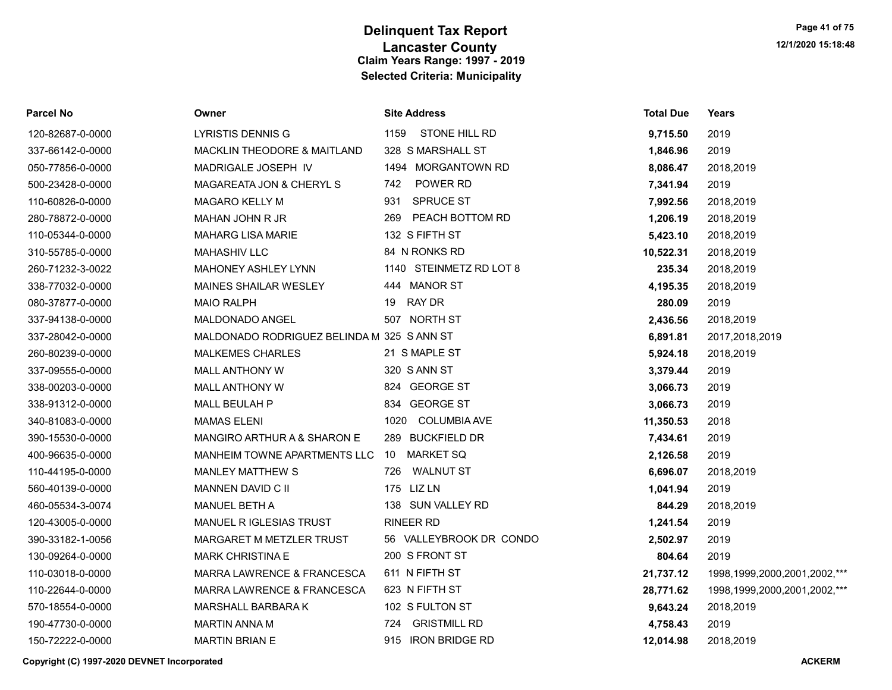| Parcel No        | Owner                                      | <b>Site Address</b>         | <b>Total Due</b> | Years                             |
|------------------|--------------------------------------------|-----------------------------|------------------|-----------------------------------|
| 120-82687-0-0000 | <b>LYRISTIS DENNIS G</b>                   | STONE HILL RD<br>1159       | 9,715.50         | 2019                              |
| 337-66142-0-0000 | MACKLIN THEODORE & MAITLAND                | 328 S MARSHALL ST           | 1,846.96         | 2019                              |
| 050-77856-0-0000 | MADRIGALE JOSEPH IV                        | 1494 MORGANTOWN RD          | 8,086.47         | 2018,2019                         |
| 500-23428-0-0000 | MAGAREATA JON & CHERYL S                   | POWER RD<br>742             | 7,341.94         | 2019                              |
| 110-60826-0-0000 | <b>MAGARO KELLY M</b>                      | 931 SPRUCE ST               | 7,992.56         | 2018,2019                         |
| 280-78872-0-0000 | MAHAN JOHN R JR                            | PEACH BOTTOM RD<br>269      | 1,206.19         | 2018,2019                         |
| 110-05344-0-0000 | <b>MAHARG LISA MARIE</b>                   | 132 S FIFTH ST              | 5,423.10         | 2018,2019                         |
| 310-55785-0-0000 | <b>MAHASHIV LLC</b>                        | 84 N RONKS RD               | 10,522.31        | 2018,2019                         |
| 260-71232-3-0022 | MAHONEY ASHLEY LYNN                        | 1140 STEINMETZ RD LOT 8     | 235.34           | 2018,2019                         |
| 338-77032-0-0000 | <b>MAINES SHAILAR WESLEY</b>               | 444 MANOR ST                | 4,195.35         | 2018,2019                         |
| 080-37877-0-0000 | <b>MAIO RALPH</b>                          | 19 RAY DR                   | 280.09           | 2019                              |
| 337-94138-0-0000 | MALDONADO ANGEL                            | 507 NORTH ST                | 2,436.56         | 2018,2019                         |
| 337-28042-0-0000 | MALDONADO RODRIGUEZ BELINDA M 325 S ANN ST |                             | 6,891.81         | 2017,2018,2019                    |
| 260-80239-0-0000 | <b>MALKEMES CHARLES</b>                    | 21 S MAPLE ST               | 5,924.18         | 2018,2019                         |
| 337-09555-0-0000 | <b>MALL ANTHONY W</b>                      | 320 S ANN ST                | 3,379.44         | 2019                              |
| 338-00203-0-0000 | <b>MALL ANTHONY W</b>                      | 824 GEORGE ST               | 3,066.73         | 2019                              |
| 338-91312-0-0000 | MALL BEULAH P                              | 834 GEORGE ST               | 3,066.73         | 2019                              |
| 340-81083-0-0000 | <b>MAMAS ELENI</b>                         | 1020<br><b>COLUMBIA AVE</b> | 11,350.53        | 2018                              |
| 390-15530-0-0000 | MANGIRO ARTHUR A & SHARON E                | 289 BUCKFIELD DR            | 7,434.61         | 2019                              |
| 400-96635-0-0000 | MANHEIM TOWNE APARTMENTS LLC               | 10 MARKET SQ                | 2,126.58         | 2019                              |
| 110-44195-0-0000 | <b>MANLEY MATTHEW S</b>                    | <b>WALNUT ST</b><br>726     | 6,696.07         | 2018,2019                         |
| 560-40139-0-0000 | MANNEN DAVID C II                          | 175 LIZ LN                  | 1,041.94         | 2019                              |
| 460-05534-3-0074 | MANUEL BETH A                              | 138 SUN VALLEY RD           | 844.29           | 2018,2019                         |
| 120-43005-0-0000 | MANUEL RIGLESIAS TRUST                     | <b>RINEER RD</b>            | 1,241.54         | 2019                              |
| 390-33182-1-0056 | MARGARET M METZLER TRUST                   | 56 VALLEYBROOK DR CONDO     | 2,502.97         | 2019                              |
| 130-09264-0-0000 | <b>MARK CHRISTINA E</b>                    | 200 S FRONT ST              | 804.64           | 2019                              |
| 110-03018-0-0000 | MARRA LAWRENCE & FRANCESCA                 | 611 N FIFTH ST              | 21,737.12        | 1998, 1999, 2000, 2001, 2002, *** |
| 110-22644-0-0000 | MARRA LAWRENCE & FRANCESCA                 | 623 N FIFTH ST              | 28,771.62        | 1998, 1999, 2000, 2001, 2002, *** |
| 570-18554-0-0000 | MARSHALL BARBARA K                         | 102 S FULTON ST             | 9,643.24         | 2018,2019                         |
| 190-47730-0-0000 | <b>MARTIN ANNA M</b>                       | <b>GRISTMILL RD</b><br>724  | 4,758.43         | 2019                              |
| 150-72222-0-0000 | <b>MARTIN BRIAN E</b>                      | 915 IRON BRIDGE RD          | 12.014.98        | 2018.2019                         |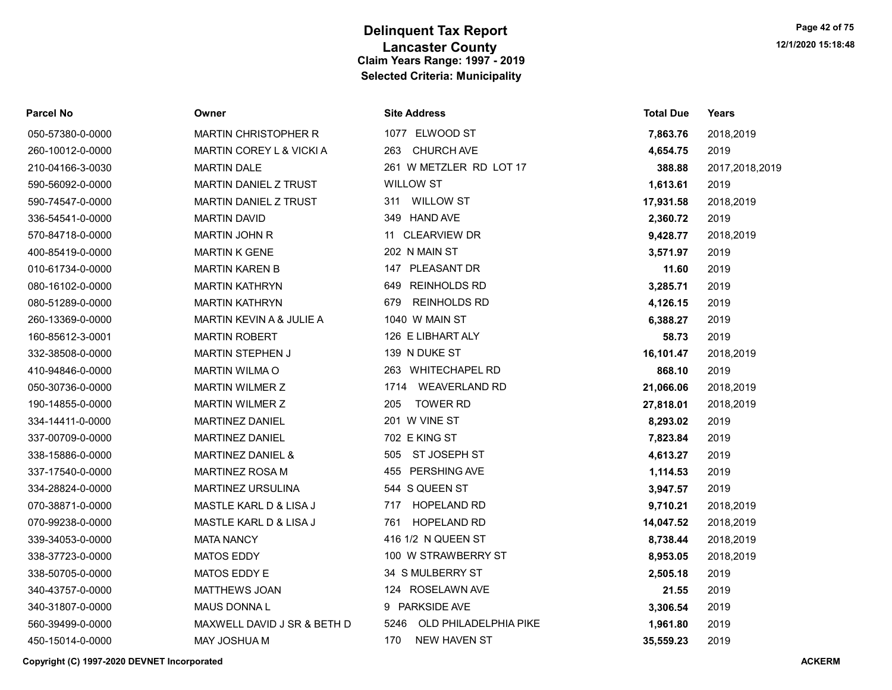| Parcel No        | Owner                        | <b>Site Address</b>           | <b>Total Due</b> | Years          |
|------------------|------------------------------|-------------------------------|------------------|----------------|
| 050-57380-0-0000 | <b>MARTIN CHRISTOPHER R</b>  | 1077 ELWOOD ST                | 7,863.76         | 2018,2019      |
| 260-10012-0-0000 | MARTIN COREY L & VICKI A     | <b>CHURCH AVE</b><br>263      | 4,654.75         | 2019           |
| 210-04166-3-0030 | <b>MARTIN DALE</b>           | 261 W METZLER RD LOT 17       | 388.88           | 2017,2018,2019 |
| 590-56092-0-0000 | <b>MARTIN DANIEL Z TRUST</b> | <b>WILLOW ST</b>              | 1,613.61         | 2019           |
| 590-74547-0-0000 | <b>MARTIN DANIEL Z TRUST</b> | 311 WILLOW ST                 | 17,931.58        | 2018,2019      |
| 336-54541-0-0000 | <b>MARTIN DAVID</b>          | 349 HAND AVE                  | 2,360.72         | 2019           |
| 570-84718-0-0000 | <b>MARTIN JOHN R</b>         | 11 CLEARVIEW DR               | 9,428.77         | 2018,2019      |
| 400-85419-0-0000 | <b>MARTIN K GENE</b>         | 202 N MAIN ST                 | 3,571.97         | 2019           |
| 010-61734-0-0000 | <b>MARTIN KAREN B</b>        | 147 PLEASANT DR               | 11.60            | 2019           |
| 080-16102-0-0000 | <b>MARTIN KATHRYN</b>        | <b>REINHOLDS RD</b><br>649    | 3,285.71         | 2019           |
| 080-51289-0-0000 | <b>MARTIN KATHRYN</b>        | <b>REINHOLDS RD</b><br>679    | 4,126.15         | 2019           |
| 260-13369-0-0000 | MARTIN KEVIN A & JULIE A     | 1040 W MAIN ST                | 6,388.27         | 2019           |
| 160-85612-3-0001 | <b>MARTIN ROBERT</b>         | 126 E LIBHART ALY             | 58.73            | 2019           |
| 332-38508-0-0000 | <b>MARTIN STEPHEN J</b>      | 139 N DUKE ST                 | 16,101.47        | 2018,2019      |
| 410-94846-0-0000 | <b>MARTIN WILMA O</b>        | 263 WHITECHAPEL RD            | 868.10           | 2019           |
| 050-30736-0-0000 | MARTIN WILMER Z              | <b>WEAVERLAND RD</b><br>1714  | 21,066.06        | 2018,2019      |
| 190-14855-0-0000 | <b>MARTIN WILMER Z</b>       | 205<br><b>TOWER RD</b>        | 27,818.01        | 2018,2019      |
| 334-14411-0-0000 | <b>MARTINEZ DANIEL</b>       | 201 W VINE ST                 | 8,293.02         | 2019           |
| 337-00709-0-0000 | MARTINEZ DANIEL              | 702 E KING ST                 | 7,823.84         | 2019           |
| 338-15886-0-0000 | <b>MARTINEZ DANIEL &amp;</b> | 505<br>ST JOSEPH ST           | 4,613.27         | 2019           |
| 337-17540-0-0000 | <b>MARTINEZ ROSA M</b>       | 455 PERSHING AVE              | 1,114.53         | 2019           |
| 334-28824-0-0000 | <b>MARTINEZ URSULINA</b>     | 544 S QUEEN ST                | 3,947.57         | 2019           |
| 070-38871-0-0000 | MASTLE KARL D & LISA J       | <b>HOPELAND RD</b><br>717     | 9,710.21         | 2018,2019      |
| 070-99238-0-0000 | MASTLE KARL D & LISA J       | <b>HOPELAND RD</b><br>761     | 14,047.52        | 2018,2019      |
| 339-34053-0-0000 | <b>MATA NANCY</b>            | 416 1/2 N QUEEN ST            | 8,738.44         | 2018,2019      |
| 338-37723-0-0000 | <b>MATOS EDDY</b>            | 100 W STRAWBERRY ST           | 8,953.05         | 2018,2019      |
| 338-50705-0-0000 | MATOS EDDY E                 | 34 S MULBERRY ST              | 2,505.18         | 2019           |
| 340-43757-0-0000 | <b>MATTHEWS JOAN</b>         | 124 ROSELAWN AVE              | 21.55            | 2019           |
| 340-31807-0-0000 | <b>MAUS DONNAL</b>           | 9 PARKSIDE AVE                | 3,306.54         | 2019           |
| 560-39499-0-0000 | MAXWELL DAVID J SR & BETH D  | 5246<br>OLD PHILADELPHIA PIKE | 1,961.80         | 2019           |
| 450-15014-0-0000 | <b>MAY JOSHUA M</b>          | 170<br><b>NEW HAVEN ST</b>    | 35.559.23        | 2019           |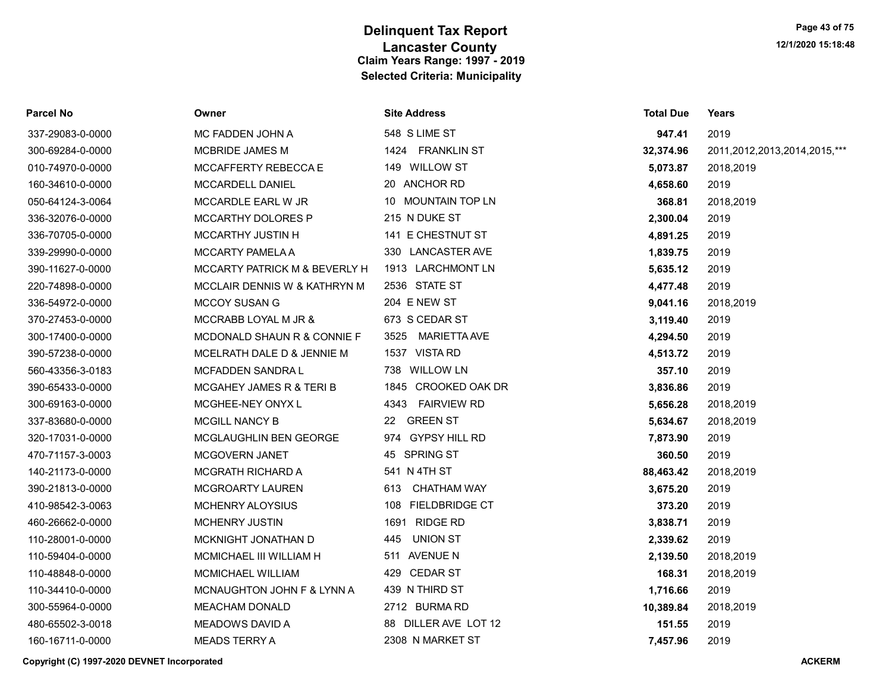| Parcel No        | Owner                         | <b>Site Address</b>   | <b>Total Due</b> | Years                        |
|------------------|-------------------------------|-----------------------|------------------|------------------------------|
| 337-29083-0-0000 | MC FADDEN JOHN A              | 548 S LIME ST         | 947.41           | 2019                         |
| 300-69284-0-0000 | MCBRIDE JAMES M               | 1424 FRANKLIN ST      | 32,374.96        | 2011,2012,2013,2014,2015,*** |
| 010-74970-0-0000 | MCCAFFERTY REBECCA E          | 149 WILLOW ST         | 5,073.87         | 2018,2019                    |
| 160-34610-0-0000 | <b>MCCARDELL DANIEL</b>       | 20 ANCHOR RD          | 4,658.60         | 2019                         |
| 050-64124-3-0064 | MCCARDLE EARL W JR            | 10 MOUNTAIN TOP LN    | 368.81           | 2018,2019                    |
| 336-32076-0-0000 | MCCARTHY DOLORES P            | 215 N DUKE ST         | 2,300.04         | 2019                         |
| 336-70705-0-0000 | MCCARTHY JUSTIN H             | 141 E CHESTNUT ST     | 4,891.25         | 2019                         |
| 339-29990-0-0000 | MCCARTY PAMELA A              | 330 LANCASTER AVE     | 1,839.75         | 2019                         |
| 390-11627-0-0000 | MCCARTY PATRICK M & BEVERLY H | 1913 LARCHMONT LN     | 5,635.12         | 2019                         |
| 220-74898-0-0000 | MCCLAIR DENNIS W & KATHRYN M  | 2536 STATE ST         | 4,477.48         | 2019                         |
| 336-54972-0-0000 | <b>MCCOY SUSAN G</b>          | 204 E NEW ST          | 9,041.16         | 2018,2019                    |
| 370-27453-0-0000 | MCCRABB LOYAL M JR &          | 673 S CEDAR ST        | 3,119.40         | 2019                         |
| 300-17400-0-0000 | MCDONALD SHAUN R & CONNIE F   | MARIETTA AVE<br>3525  | 4,294.50         | 2019                         |
| 390-57238-0-0000 | MCELRATH DALE D & JENNIE M    | 1537 VISTA RD         | 4,513.72         | 2019                         |
| 560-43356-3-0183 | MCFADDEN SANDRA L             | 738 WILLOW LN         | 357.10           | 2019                         |
| 390-65433-0-0000 | MCGAHEY JAMES R & TERI B      | 1845 CROOKED OAK DR   | 3,836.86         | 2019                         |
| 300-69163-0-0000 | MCGHEE-NEY ONYX L             | 4343 FAIRVIEW RD      | 5,656.28         | 2018,2019                    |
| 337-83680-0-0000 | MCGILL NANCY B                | <b>GREEN ST</b><br>22 | 5,634.67         | 2018,2019                    |
| 320-17031-0-0000 | <b>MCGLAUGHLIN BEN GEORGE</b> | 974 GYPSY HILL RD     | 7,873.90         | 2019                         |
| 470-71157-3-0003 | MCGOVERN JANET                | 45 SPRING ST          | 360.50           | 2019                         |
| 140-21173-0-0000 | <b>MCGRATH RICHARD A</b>      | 541 N 4TH ST          | 88,463.42        | 2018,2019                    |
| 390-21813-0-0000 | <b>MCGROARTY LAUREN</b>       | CHATHAM WAY<br>613    | 3,675.20         | 2019                         |
| 410-98542-3-0063 | <b>MCHENRY ALOYSIUS</b>       | 108 FIELDBRIDGE CT    | 373.20           | 2019                         |
| 460-26662-0-0000 | <b>MCHENRY JUSTIN</b>         | 1691 RIDGE RD         | 3,838.71         | 2019                         |
| 110-28001-0-0000 | MCKNIGHT JONATHAN D           | UNION ST<br>445       | 2,339.62         | 2019                         |
| 110-59404-0-0000 | MCMICHAEL III WILLIAM H       | 511 AVENUE N          | 2,139.50         | 2018,2019                    |
| 110-48848-0-0000 | <b>MCMICHAEL WILLIAM</b>      | 429 CEDAR ST          | 168.31           | 2018,2019                    |
| 110-34410-0-0000 | MCNAUGHTON JOHN F & LYNN A    | 439 N THIRD ST        | 1,716.66         | 2019                         |
| 300-55964-0-0000 | <b>MEACHAM DONALD</b>         | 2712 BURMARD          | 10,389.84        | 2018,2019                    |
| 480-65502-3-0018 | <b>MEADOWS DAVID A</b>        | 88 DILLER AVE LOT 12  | 151.55           | 2019                         |
| 160-16711-0-0000 | <b>MEADS TERRY A</b>          | 2308 N MARKET ST      | 7,457.96         | 2019                         |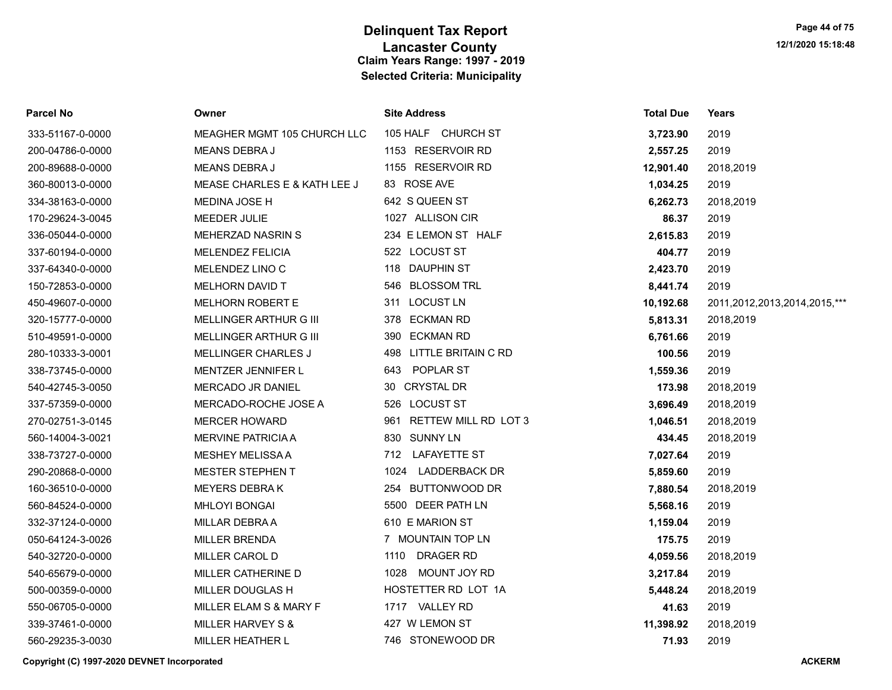| Parcel No        | Owner                        | <b>Site Address</b>      | <b>Total Due</b> | Years                        |
|------------------|------------------------------|--------------------------|------------------|------------------------------|
| 333-51167-0-0000 | MEAGHER MGMT 105 CHURCH LLC  | 105 HALF CHURCH ST       | 3,723.90         | 2019                         |
| 200-04786-0-0000 | MEANS DEBRA J                | 1153 RESERVOIR RD        | 2,557.25         | 2019                         |
| 200-89688-0-0000 | <b>MEANS DEBRAJ</b>          | 1155 RESERVOIR RD        | 12,901.40        | 2018,2019                    |
| 360-80013-0-0000 | MEASE CHARLES E & KATH LEE J | 83 ROSE AVE              | 1,034.25         | 2019                         |
| 334-38163-0-0000 | MEDINA JOSE H                | 642 S QUEEN ST           | 6,262.73         | 2018,2019                    |
| 170-29624-3-0045 | MEEDER JULIE                 | 1027 ALLISON CIR         | 86.37            | 2019                         |
| 336-05044-0-0000 | MEHERZAD NASRIN S            | 234 E LEMON ST HALF      | 2,615.83         | 2019                         |
| 337-60194-0-0000 | <b>MELENDEZ FELICIA</b>      | 522 LOCUST ST            | 404.77           | 2019                         |
| 337-64340-0-0000 | MELENDEZ LINO C              | 118 DAUPHIN ST           | 2,423.70         | 2019                         |
| 150-72853-0-0000 | <b>MELHORN DAVID T</b>       | 546 BLOSSOM TRL          | 8,441.74         | 2019                         |
| 450-49607-0-0000 | <b>MELHORN ROBERT E</b>      | 311 LOCUST LN            | 10,192.68        | 2011,2012,2013,2014,2015,*** |
| 320-15777-0-0000 | MELLINGER ARTHUR G III       | 378 ECKMAN RD            | 5,813.31         | 2018,2019                    |
| 510-49591-0-0000 | MELLINGER ARTHUR G III       | 390 ECKMAN RD            | 6,761.66         | 2019                         |
| 280-10333-3-0001 | MELLINGER CHARLES J          | 498 LITTLE BRITAIN C RD  | 100.56           | 2019                         |
| 338-73745-0-0000 | <b>MENTZER JENNIFER L</b>    | POPLAR ST<br>643         | 1,559.36         | 2019                         |
| 540-42745-3-0050 | MERCADO JR DANIEL            | 30 CRYSTAL DR            | 173.98           | 2018,2019                    |
| 337-57359-0-0000 | MERCADO-ROCHE JOSE A         | 526 LOCUST ST            | 3,696.49         | 2018,2019                    |
| 270-02751-3-0145 | <b>MERCER HOWARD</b>         | 961 RETTEW MILL RD LOT 3 | 1,046.51         | 2018,2019                    |
| 560-14004-3-0021 | MERVINE PATRICIA A           | 830 SUNNY LN             | 434.45           | 2018,2019                    |
| 338-73727-0-0000 | <b>MESHEY MELISSA A</b>      | 712 LAFAYETTE ST         | 7,027.64         | 2019                         |
| 290-20868-0-0000 | <b>MESTER STEPHEN T</b>      | 1024 LADDERBACK DR       | 5,859.60         | 2019                         |
| 160-36510-0-0000 | MEYERS DEBRAK                | 254 BUTTONWOOD DR        | 7,880.54         | 2018,2019                    |
| 560-84524-0-0000 | <b>MHLOYI BONGAI</b>         | 5500 DEER PATH LN        | 5,568.16         | 2019                         |
| 332-37124-0-0000 | MILLAR DEBRAA                | 610 E MARION ST          | 1,159.04         | 2019                         |
| 050-64124-3-0026 | <b>MILLER BRENDA</b>         | 7 MOUNTAIN TOP LN        | 175.75           | 2019                         |
| 540-32720-0-0000 | MILLER CAROL D               | 1110 DRAGER RD           | 4,059.56         | 2018,2019                    |
| 540-65679-0-0000 | MILLER CATHERINE D           | 1028 MOUNT JOY RD        | 3,217.84         | 2019                         |
| 500-00359-0-0000 | MILLER DOUGLAS H             | HOSTETTER RD LOT 1A      | 5,448.24         | 2018,2019                    |
| 550-06705-0-0000 | MILLER ELAM S & MARY F       | 1717 VALLEY RD           | 41.63            | 2019                         |
| 339-37461-0-0000 | MILLER HARVEY S &            | 427 W LEMON ST           | 11,398.92        | 2018,2019                    |
| 560-29235-3-0030 | <b>MILLER HEATHER L</b>      | 746 STONEWOOD DR         | 71.93            | 2019                         |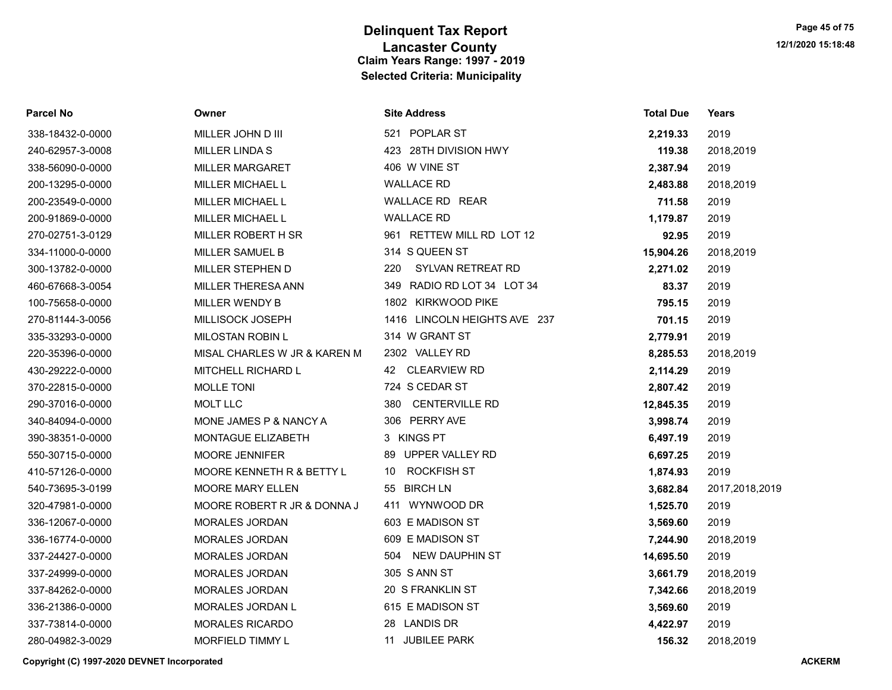| <b>Parcel No</b> | Owner                        | <b>Site Address</b>          | <b>Total Due</b> | Years          |
|------------------|------------------------------|------------------------------|------------------|----------------|
| 338-18432-0-0000 | MILLER JOHN D III            | 521 POPLAR ST                | 2,219.33         | 2019           |
| 240-62957-3-0008 | MILLER LINDA S               | 423 28TH DIVISION HWY        | 119.38           | 2018,2019      |
| 338-56090-0-0000 | <b>MILLER MARGARET</b>       | 406 W VINE ST                | 2,387.94         | 2019           |
| 200-13295-0-0000 | MILLER MICHAEL L             | <b>WALLACE RD</b>            | 2,483.88         | 2018,2019      |
| 200-23549-0-0000 | <b>MILLER MICHAEL L</b>      | WALLACE RD REAR              | 711.58           | 2019           |
| 200-91869-0-0000 | MILLER MICHAEL L             | <b>WALLACE RD</b>            | 1,179.87         | 2019           |
| 270-02751-3-0129 | MILLER ROBERT H SR           | 961 RETTEW MILL RD LOT 12    | 92.95            | 2019           |
| 334-11000-0-0000 | MILLER SAMUEL B              | 314 S QUEEN ST               | 15,904.26        | 2018,2019      |
| 300-13782-0-0000 | <b>MILLER STEPHEN D</b>      | 220<br>SYLVAN RETREAT RD     | 2,271.02         | 2019           |
| 460-67668-3-0054 | MILLER THERESA ANN           | 349 RADIO RD LOT 34 LOT 34   | 83.37            | 2019           |
| 100-75658-0-0000 | MILLER WENDY B               | 1802 KIRKWOOD PIKE           | 795.15           | 2019           |
| 270-81144-3-0056 | MILLISOCK JOSEPH             | 1416 LINCOLN HEIGHTS AVE 237 | 701.15           | 2019           |
| 335-33293-0-0000 | MILOSTAN ROBIN L             | 314 W GRANT ST               | 2,779.91         | 2019           |
| 220-35396-0-0000 | MISAL CHARLES W JR & KAREN M | 2302 VALLEY RD               | 8,285.53         | 2018,2019      |
| 430-29222-0-0000 | <b>MITCHELL RICHARD L</b>    | 42 CLEARVIEW RD              | 2,114.29         | 2019           |
| 370-22815-0-0000 | <b>MOLLE TONI</b>            | 724 S CEDAR ST               | 2,807.42         | 2019           |
| 290-37016-0-0000 | <b>MOLT LLC</b>              | <b>CENTERVILLE RD</b><br>380 | 12,845.35        | 2019           |
| 340-84094-0-0000 | MONE JAMES P & NANCY A       | 306 PERRY AVE                | 3,998.74         | 2019           |
| 390-38351-0-0000 | MONTAGUE ELIZABETH           | 3 KINGS PT                   | 6,497.19         | 2019           |
| 550-30715-0-0000 | <b>MOORE JENNIFER</b>        | 89 UPPER VALLEY RD           | 6,697.25         | 2019           |
| 410-57126-0-0000 | MOORE KENNETH R & BETTY L    | 10 ROCKFISH ST               | 1,874.93         | 2019           |
| 540-73695-3-0199 | <b>MOORE MARY ELLEN</b>      | 55 BIRCH LN                  | 3,682.84         | 2017,2018,2019 |
| 320-47981-0-0000 | MOORE ROBERT R JR & DONNA J  | 411 WYNWOOD DR               | 1,525.70         | 2019           |
| 336-12067-0-0000 | MORALES JORDAN               | 603 E MADISON ST             | 3,569.60         | 2019           |
| 336-16774-0-0000 | MORALES JORDAN               | 609 E MADISON ST             | 7,244.90         | 2018,2019      |
| 337-24427-0-0000 | <b>MORALES JORDAN</b>        | 504 NEW DAUPHIN ST           | 14,695.50        | 2019           |
| 337-24999-0-0000 | MORALES JORDAN               | 305 S ANN ST                 | 3,661.79         | 2018,2019      |
| 337-84262-0-0000 | MORALES JORDAN               | 20 S FRANKLIN ST             | 7,342.66         | 2018,2019      |
| 336-21386-0-0000 | MORALES JORDAN L             | 615 E MADISON ST             | 3,569.60         | 2019           |
| 337-73814-0-0000 | <b>MORALES RICARDO</b>       | 28 LANDIS DR                 | 4,422.97         | 2019           |
| 280-04982-3-0029 | MORFIELD TIMMY L             | 11 JUBILEE PARK              | 156.32           | 2018,2019      |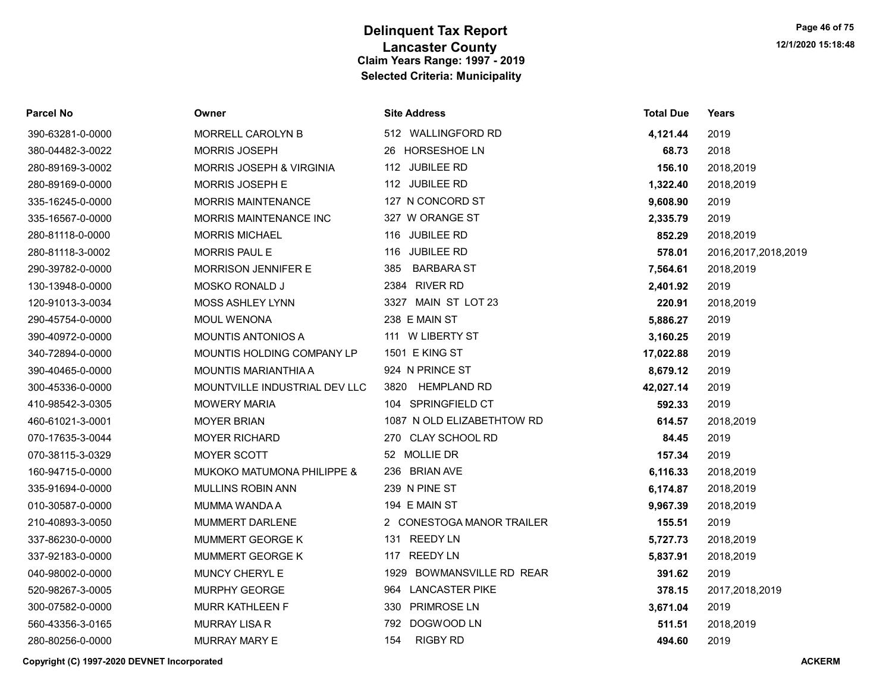| Parcel No        | Owner                               | <b>Site Address</b>        | <b>Total Due</b> | <b>Years</b>           |
|------------------|-------------------------------------|----------------------------|------------------|------------------------|
| 390-63281-0-0000 | MORRELL CAROLYN B                   | 512 WALLINGFORD RD         | 4,121.44         | 2019                   |
| 380-04482-3-0022 | MORRIS JOSEPH                       | 26 HORSESHOE LN            | 68.73            | 2018                   |
| 280-89169-3-0002 | <b>MORRIS JOSEPH &amp; VIRGINIA</b> | 112 JUBILEE RD             | 156.10           | 2018,2019              |
| 280-89169-0-0000 | MORRIS JOSEPH E                     | 112 JUBILEE RD             | 1,322.40         | 2018,2019              |
| 335-16245-0-0000 | <b>MORRIS MAINTENANCE</b>           | 127 N CONCORD ST           | 9,608.90         | 2019                   |
| 335-16567-0-0000 | MORRIS MAINTENANCE INC              | 327 W ORANGE ST            | 2,335.79         | 2019                   |
| 280-81118-0-0000 | <b>MORRIS MICHAEL</b>               | 116 JUBILEE RD             | 852.29           | 2018,2019              |
| 280-81118-3-0002 | MORRIS PAUL E                       | 116 JUBILEE RD             | 578.01           | 2016, 2017, 2018, 2019 |
| 290-39782-0-0000 | <b>MORRISON JENNIFER E</b>          | <b>BARBARA ST</b><br>385   | 7,564.61         | 2018,2019              |
| 130-13948-0-0000 | MOSKO RONALD J                      | 2384 RIVER RD              | 2,401.92         | 2019                   |
| 120-91013-3-0034 | MOSS ASHLEY LYNN                    | 3327 MAIN ST LOT 23        | 220.91           | 2018,2019              |
| 290-45754-0-0000 | <b>MOUL WENONA</b>                  | 238 E MAIN ST              | 5,886.27         | 2019                   |
| 390-40972-0-0000 | <b>MOUNTIS ANTONIOS A</b>           | 111 W LIBERTY ST           | 3,160.25         | 2019                   |
| 340-72894-0-0000 | MOUNTIS HOLDING COMPANY LP          | 1501 E KING ST             | 17,022.88        | 2019                   |
| 390-40465-0-0000 | MOUNTIS MARIANTHIA A                | 924 N PRINCE ST            | 8,679.12         | 2019                   |
| 300-45336-0-0000 | MOUNTVILLE INDUSTRIAL DEV LLC       | 3820 HEMPLAND RD           | 42,027.14        | 2019                   |
| 410-98542-3-0305 | <b>MOWERY MARIA</b>                 | 104 SPRINGFIELD CT         | 592.33           | 2019                   |
| 460-61021-3-0001 | <b>MOYER BRIAN</b>                  | 1087 N OLD ELIZABETHTOW RD | 614.57           | 2018,2019              |
| 070-17635-3-0044 | <b>MOYER RICHARD</b>                | 270 CLAY SCHOOL RD         | 84.45            | 2019                   |
| 070-38115-3-0329 | <b>MOYER SCOTT</b>                  | 52 MOLLIE DR               | 157.34           | 2019                   |
| 160-94715-0-0000 | MUKOKO MATUMONA PHILIPPE &          | 236 BRIAN AVE              | 6,116.33         | 2018,2019              |
| 335-91694-0-0000 | MULLINS ROBIN ANN                   | 239 N PINE ST              | 6,174.87         | 2018,2019              |
| 010-30587-0-0000 | MUMMA WANDA A                       | 194 E MAIN ST              | 9,967.39         | 2018,2019              |
| 210-40893-3-0050 | MUMMERT DARLENE                     | 2 CONESTOGA MANOR TRAILER  | 155.51           | 2019                   |
| 337-86230-0-0000 | MUMMERT GEORGE K                    | 131 REEDY LN               | 5,727.73         | 2018,2019              |
| 337-92183-0-0000 | MUMMERT GEORGE K                    | 117 REEDY LN               | 5,837.91         | 2018,2019              |
| 040-98002-0-0000 | MUNCY CHERYL E                      | 1929 BOWMANSVILLE RD REAR  | 391.62           | 2019                   |
| 520-98267-3-0005 | MURPHY GEORGE                       | 964 LANCASTER PIKE         | 378.15           | 2017,2018,2019         |
| 300-07582-0-0000 | <b>MURR KATHLEEN F</b>              | 330 PRIMROSE LN            | 3,671.04         | 2019                   |
| 560-43356-3-0165 | <b>MURRAY LISA R</b>                | 792 DOGWOOD LN             | 511.51           | 2018,2019              |
| 280-80256-0-0000 | <b>MURRAY MARY E</b>                | 154<br><b>RIGBY RD</b>     | 494.60           | 2019                   |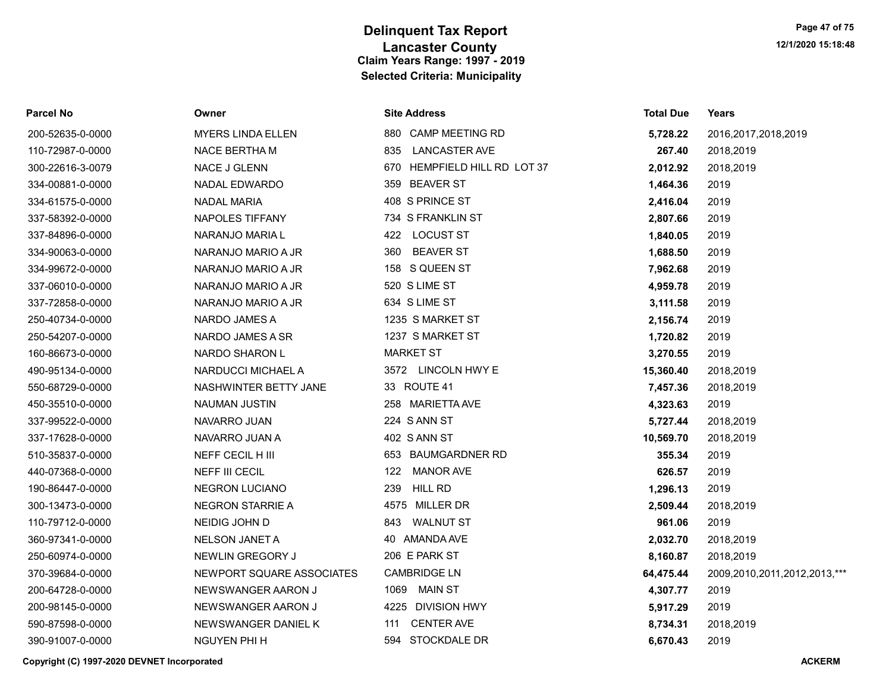| Parcel No        | Owner                     | <b>Site Address</b>          | <b>Total Due</b> | Years                        |
|------------------|---------------------------|------------------------------|------------------|------------------------------|
| 200-52635-0-0000 | <b>MYERS LINDA ELLEN</b>  | 880 CAMP MEETING RD          | 5,728.22         | 2016, 2017, 2018, 2019       |
| 110-72987-0-0000 | NACE BERTHA M             | <b>LANCASTER AVE</b><br>835  | 267.40           | 2018,2019                    |
| 300-22616-3-0079 | NACE J GLENN              | 670 HEMPFIELD HILL RD LOT 37 | 2,012.92         | 2018,2019                    |
| 334-00881-0-0000 | NADAL EDWARDO             | 359 BEAVER ST                | 1,464.36         | 2019                         |
| 334-61575-0-0000 | <b>NADAL MARIA</b>        | 408 S PRINCE ST              | 2,416.04         | 2019                         |
| 337-58392-0-0000 | NAPOLES TIFFANY           | 734 S FRANKLIN ST            | 2,807.66         | 2019                         |
| 337-84896-0-0000 | NARANJO MARIA L           | 422 LOCUST ST                | 1,840.05         | 2019                         |
| 334-90063-0-0000 | NARANJO MARIO A JR        | <b>BEAVER ST</b><br>360      | 1,688.50         | 2019                         |
| 334-99672-0-0000 | NARANJO MARIO A JR        | 158 S QUEEN ST               | 7,962.68         | 2019                         |
| 337-06010-0-0000 | NARANJO MARIO A JR        | 520 S LIME ST                | 4,959.78         | 2019                         |
| 337-72858-0-0000 | NARANJO MARIO A JR        | 634 S LIME ST                | 3,111.58         | 2019                         |
| 250-40734-0-0000 | NARDO JAMES A             | 1235 S MARKET ST             | 2,156.74         | 2019                         |
| 250-54207-0-0000 | NARDO JAMES A SR          | 1237 S MARKET ST             | 1,720.82         | 2019                         |
| 160-86673-0-0000 | NARDO SHARON L            | <b>MARKET ST</b>             | 3,270.55         | 2019                         |
| 490-95134-0-0000 | NARDUCCI MICHAEL A        | 3572 LINCOLN HWY E           | 15,360.40        | 2018,2019                    |
| 550-68729-0-0000 | NASHWINTER BETTY JANE     | 33 ROUTE 41                  | 7,457.36         | 2018,2019                    |
| 450-35510-0-0000 | <b>NAUMAN JUSTIN</b>      | 258 MARIETTA AVE             | 4,323.63         | 2019                         |
| 337-99522-0-0000 | NAVARRO JUAN              | 224 S ANN ST                 | 5,727.44         | 2018,2019                    |
| 337-17628-0-0000 | NAVARRO JUAN A            | 402 S ANN ST                 | 10,569.70        | 2018,2019                    |
| 510-35837-0-0000 | NEFF CECIL H III          | 653 BAUMGARDNER RD           | 355.34           | 2019                         |
| 440-07368-0-0000 | <b>NEFF III CECIL</b>     | <b>MANOR AVE</b><br>122      | 626.57           | 2019                         |
| 190-86447-0-0000 | NEGRON LUCIANO            | <b>HILL RD</b><br>239        | 1,296.13         | 2019                         |
| 300-13473-0-0000 | <b>NEGRON STARRIE A</b>   | 4575 MILLER DR               | 2,509.44         | 2018,2019                    |
| 110-79712-0-0000 | NEIDIG JOHN D             | WALNUT ST<br>843             | 961.06           | 2019                         |
| 360-97341-0-0000 | NELSON JANET A            | 40 AMANDA AVE                | 2,032.70         | 2018,2019                    |
| 250-60974-0-0000 | NEWLIN GREGORY J          | 206 E PARK ST                | 8,160.87         | 2018,2019                    |
| 370-39684-0-0000 | NEWPORT SQUARE ASSOCIATES | <b>CAMBRIDGE LN</b>          | 64,475.44        | 2009,2010,2011,2012,2013,*** |
| 200-64728-0-0000 | NEWSWANGER AARON J        | 1069 MAIN ST                 | 4,307.77         | 2019                         |
| 200-98145-0-0000 | NEWSWANGER AARON J        | 4225 DIVISION HWY            | 5,917.29         | 2019                         |
| 590-87598-0-0000 | NEWSWANGER DANIEL K       | <b>CENTER AVE</b><br>111     | 8,734.31         | 2018,2019                    |
| 390-91007-0-0000 | <b>NGUYEN PHI H</b>       | 594 STOCKDALE DR             | 6.670.43         | 2019                         |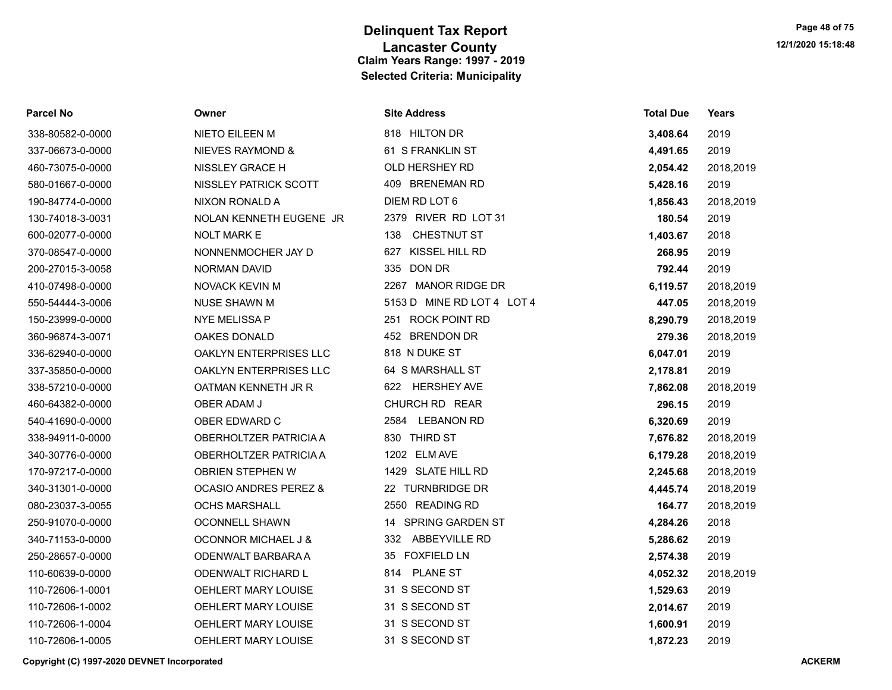| Parcel No        | Owner                            | <b>Site Address</b>        | <b>Total Due</b> | Years     |
|------------------|----------------------------------|----------------------------|------------------|-----------|
| 338-80582-0-0000 | NIETO EILEEN M                   | 818 HILTON DR              | 3,408.64         | 2019      |
| 337-06673-0-0000 | NIEVES RAYMOND &                 | 61 S FRANKLIN ST           | 4,491.65         | 2019      |
| 460-73075-0-0000 | NISSLEY GRACE H                  | OLD HERSHEY RD             | 2,054.42         | 2018,2019 |
| 580-01667-0-0000 | NISSLEY PATRICK SCOTT            | 409 BRENEMAN RD            | 5,428.16         | 2019      |
| 190-84774-0-0000 | NIXON RONALD A                   | DIEM RD LOT 6              | 1,856.43         | 2018,2019 |
| 130-74018-3-0031 | NOLAN KENNETH EUGENE JR          | 2379 RIVER RD LOT 31       | 180.54           | 2019      |
| 600-02077-0-0000 | <b>NOLT MARK E</b>               | 138<br>CHESTNUT ST         | 1,403.67         | 2018      |
| 370-08547-0-0000 | NONNENMOCHER JAY D               | 627 KISSEL HILL RD         | 268.95           | 2019      |
| 200-27015-3-0058 | <b>NORMAN DAVID</b>              | 335 DON DR                 | 792.44           | 2019      |
| 410-07498-0-0000 | NOVACK KEVIN M                   | 2267 MANOR RIDGE DR        | 6,119.57         | 2018,2019 |
| 550-54444-3-0006 | <b>NUSE SHAWN M</b>              | 5153 D MINE RD LOT 4 LOT 4 | 447.05           | 2018,2019 |
| 150-23999-0-0000 | <b>NYE MELISSA P</b>             | 251 ROCK POINT RD          | 8,290.79         | 2018,2019 |
| 360-96874-3-0071 | <b>OAKES DONALD</b>              | 452 BRENDON DR             | 279.36           | 2018,2019 |
| 336-62940-0-0000 | OAKLYN ENTERPRISES LLC           | 818 N DUKE ST              | 6,047.01         | 2019      |
| 337-35850-0-0000 | OAKLYN ENTERPRISES LLC           | 64 S MARSHALL ST           | 2,178.81         | 2019      |
| 338-57210-0-0000 | OATMAN KENNETH JR R              | 622 HERSHEY AVE            | 7,862.08         | 2018,2019 |
| 460-64382-0-0000 | OBER ADAM J                      | CHURCH RD REAR             | 296.15           | 2019      |
| 540-41690-0-0000 | OBER EDWARD C                    | 2584 LEBANON RD            | 6,320.69         | 2019      |
| 338-94911-0-0000 | OBERHOLTZER PATRICIA A           | 830 THIRD ST               | 7,676.82         | 2018,2019 |
| 340-30776-0-0000 | OBERHOLTZER PATRICIA A           | 1202 ELM AVE               | 6,179.28         | 2018,2019 |
| 170-97217-0-0000 | OBRIEN STEPHEN W                 | 1429 SLATE HILL RD         | 2,245.68         | 2018,2019 |
| 340-31301-0-0000 | <b>OCASIO ANDRES PEREZ &amp;</b> | 22 TURNBRIDGE DR           | 4,445.74         | 2018,2019 |
| 080-23037-3-0055 | <b>OCHS MARSHALL</b>             | 2550 READING RD            | 164.77           | 2018,2019 |
| 250-91070-0-0000 | <b>OCONNELL SHAWN</b>            | 14 SPRING GARDEN ST        | 4,284.26         | 2018      |
| 340-71153-0-0000 | <b>OCONNOR MICHAEL J &amp;</b>   | 332 ABBEYVILLE RD          | 5,286.62         | 2019      |
| 250-28657-0-0000 | ODENWALT BARBARA A               | 35 FOXFIELD LN             | 2,574.38         | 2019      |
| 110-60639-0-0000 | ODENWALT RICHARD L               | 814 PLANE ST               | 4,052.32         | 2018,2019 |
| 110-72606-1-0001 | OEHLERT MARY LOUISE              | 31 S SECOND ST             | 1,529.63         | 2019      |
| 110-72606-1-0002 | OEHLERT MARY LOUISE              | 31 S SECOND ST             | 2,014.67         | 2019      |
| 110-72606-1-0004 | OEHLERT MARY LOUISE              | 31 S SECOND ST             | 1,600.91         | 2019      |
| 110-72606-1-0005 | OEHLERT MARY LOUISE              | 31 S SECOND ST             | 1,872.23         | 2019      |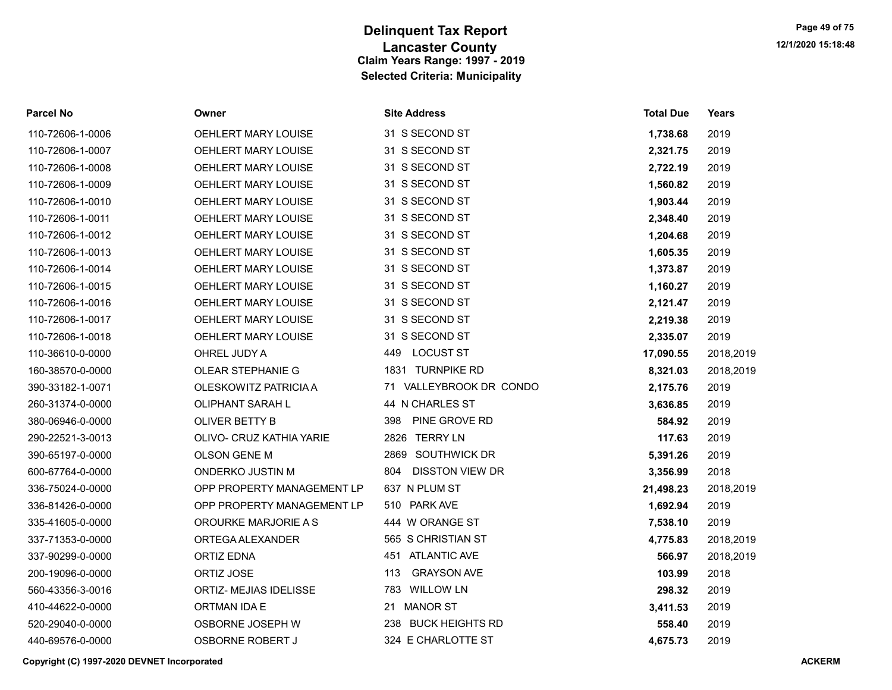| Parcel No        | Owner                      | <b>Site Address</b>           | <b>Total Due</b> | Years     |
|------------------|----------------------------|-------------------------------|------------------|-----------|
| 110-72606-1-0006 | OEHLERT MARY LOUISE        | 31 S SECOND ST                | 1,738.68         | 2019      |
| 110-72606-1-0007 | <b>OEHLERT MARY LOUISE</b> | 31 S SECOND ST                | 2,321.75         | 2019      |
| 110-72606-1-0008 | <b>OEHLERT MARY LOUISE</b> | 31 S SECOND ST                | 2,722.19         | 2019      |
| 110-72606-1-0009 | OEHLERT MARY LOUISE        | 31 S SECOND ST                | 1,560.82         | 2019      |
| 110-72606-1-0010 | OEHLERT MARY LOUISE        | 31 S SECOND ST                | 1,903.44         | 2019      |
| 110-72606-1-0011 | <b>OEHLERT MARY LOUISE</b> | 31 S SECOND ST                | 2,348.40         | 2019      |
| 110-72606-1-0012 | OEHLERT MARY LOUISE        | 31 S SECOND ST                | 1,204.68         | 2019      |
| 110-72606-1-0013 | OEHLERT MARY LOUISE        | 31 S SECOND ST                | 1,605.35         | 2019      |
| 110-72606-1-0014 | OEHLERT MARY LOUISE        | 31 S SECOND ST                | 1,373.87         | 2019      |
| 110-72606-1-0015 | OEHLERT MARY LOUISE        | 31 S SECOND ST                | 1,160.27         | 2019      |
| 110-72606-1-0016 | OEHLERT MARY LOUISE        | 31 S SECOND ST                | 2,121.47         | 2019      |
| 110-72606-1-0017 | OEHLERT MARY LOUISE        | 31 S SECOND ST                | 2,219.38         | 2019      |
| 110-72606-1-0018 | OEHLERT MARY LOUISE        | 31 S SECOND ST                | 2,335.07         | 2019      |
| 110-36610-0-0000 | OHREL JUDY A               | <b>LOCUST ST</b><br>449       | 17,090.55        | 2018,2019 |
| 160-38570-0-0000 | OLEAR STEPHANIE G          | 1831 TURNPIKE RD              | 8,321.03         | 2018,2019 |
| 390-33182-1-0071 | OLESKOWITZ PATRICIA A      | 71 VALLEYBROOK DR CONDO       | 2,175.76         | 2019      |
| 260-31374-0-0000 | OLIPHANT SARAH L           | 44 N CHARLES ST               | 3,636.85         | 2019      |
| 380-06946-0-0000 | OLIVER BETTY B             | 398<br>PINE GROVE RD          | 584.92           | 2019      |
| 290-22521-3-0013 | OLIVO- CRUZ KATHIA YARIE   | 2826 TERRY LN                 | 117.63           | 2019      |
| 390-65197-0-0000 | <b>OLSON GENE M</b>        | 2869 SOUTHWICK DR             | 5,391.26         | 2019      |
| 600-67764-0-0000 | ONDERKO JUSTIN M           | 804<br><b>DISSTON VIEW DR</b> | 3,356.99         | 2018      |
| 336-75024-0-0000 | OPP PROPERTY MANAGEMENT LP | 637 N PLUM ST                 | 21,498.23        | 2018,2019 |
| 336-81426-0-0000 | OPP PROPERTY MANAGEMENT LP | 510 PARK AVE                  | 1,692.94         | 2019      |
| 335-41605-0-0000 | OROURKE MARJORIE A S       | 444 W ORANGE ST               | 7,538.10         | 2019      |
| 337-71353-0-0000 | ORTEGA ALEXANDER           | 565 S CHRISTIAN ST            | 4,775.83         | 2018,2019 |
| 337-90299-0-0000 | <b>ORTIZ EDNA</b>          | 451 ATLANTIC AVE              | 566.97           | 2018,2019 |
| 200-19096-0-0000 | ORTIZ JOSE                 | <b>GRAYSON AVE</b><br>113     | 103.99           | 2018      |
| 560-43356-3-0016 | ORTIZ- MEJIAS IDELISSE     | 783 WILLOW LN                 | 298.32           | 2019      |
| 410-44622-0-0000 | ORTMAN IDA E               | 21 MANOR ST                   | 3,411.53         | 2019      |
| 520-29040-0-0000 | OSBORNE JOSEPH W           | 238 BUCK HEIGHTS RD           | 558.40           | 2019      |
| 440-69576-0-0000 | OSBORNE ROBERT J           | 324 E CHARLOTTE ST            | 4.675.73         | 2019      |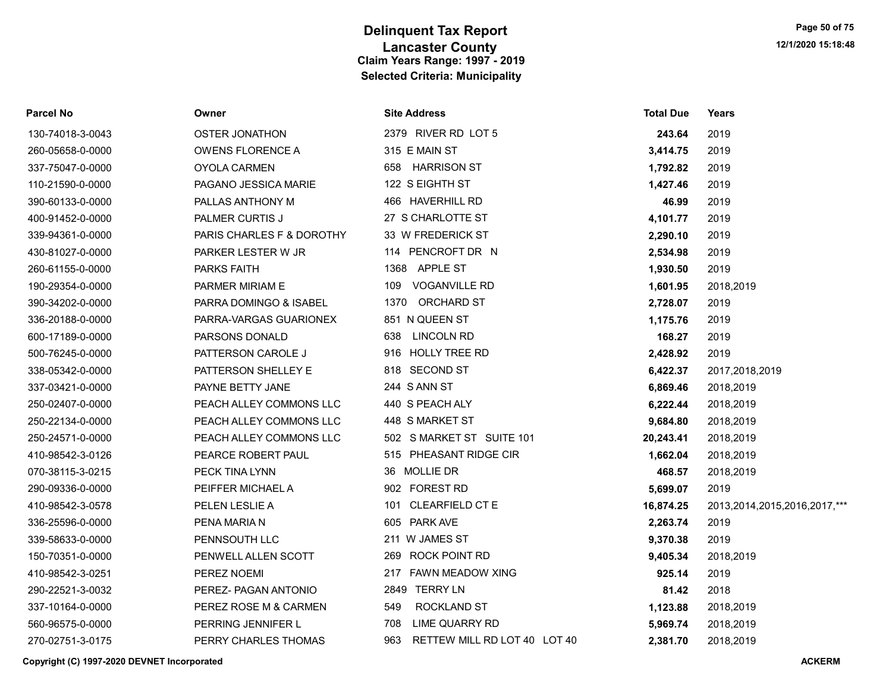| <b>Parcel No</b> | Owner                     | <b>Site Address</b>                 | <b>Total Due</b> | Years                             |
|------------------|---------------------------|-------------------------------------|------------------|-----------------------------------|
| 130-74018-3-0043 | <b>OSTER JONATHON</b>     | 2379 RIVER RD LOT 5                 | 243.64           | 2019                              |
| 260-05658-0-0000 | <b>OWENS FLORENCE A</b>   | 315 E MAIN ST                       | 3,414.75         | 2019                              |
| 337-75047-0-0000 | OYOLA CARMEN              | 658 HARRISON ST                     | 1,792.82         | 2019                              |
| 110-21590-0-0000 | PAGANO JESSICA MARIE      | 122 S EIGHTH ST                     | 1,427.46         | 2019                              |
| 390-60133-0-0000 | PALLAS ANTHONY M          | 466 HAVERHILL RD                    | 46.99            | 2019                              |
| 400-91452-0-0000 | <b>PALMER CURTIS J</b>    | 27 S CHARLOTTE ST                   | 4,101.77         | 2019                              |
| 339-94361-0-0000 | PARIS CHARLES F & DOROTHY | 33 W FREDERICK ST                   | 2,290.10         | 2019                              |
| 430-81027-0-0000 | PARKER LESTER W JR        | 114 PENCROFT DR N                   | 2,534.98         | 2019                              |
| 260-61155-0-0000 | <b>PARKS FAITH</b>        | 1368 APPLE ST                       | 1,930.50         | 2019                              |
| 190-29354-0-0000 | PARMER MIRIAM E           | 109 VOGANVILLE RD                   | 1,601.95         | 2018,2019                         |
| 390-34202-0-0000 | PARRA DOMINGO & ISABEL    | 1370 ORCHARD ST                     | 2,728.07         | 2019                              |
| 336-20188-0-0000 | PARRA-VARGAS GUARIONEX    | 851 N QUEEN ST                      | 1,175.76         | 2019                              |
| 600-17189-0-0000 | PARSONS DONALD            | <b>LINCOLN RD</b><br>638            | 168.27           | 2019                              |
| 500-76245-0-0000 | PATTERSON CAROLE J        | 916 HOLLY TREE RD                   | 2,428.92         | 2019                              |
| 338-05342-0-0000 | PATTERSON SHELLEY E       | 818 SECOND ST                       | 6,422.37         | 2017,2018,2019                    |
| 337-03421-0-0000 | PAYNE BETTY JANE          | 244 S ANN ST                        | 6,869.46         | 2018,2019                         |
| 250-02407-0-0000 | PEACH ALLEY COMMONS LLC   | 440 S PEACH ALY                     | 6,222.44         | 2018,2019                         |
| 250-22134-0-0000 | PEACH ALLEY COMMONS LLC   | 448 S MARKET ST                     | 9,684.80         | 2018,2019                         |
| 250-24571-0-0000 | PEACH ALLEY COMMONS LLC   | 502 S MARKET ST SUITE 101           | 20,243.41        | 2018,2019                         |
| 410-98542-3-0126 | PEARCE ROBERT PAUL        | 515 PHEASANT RIDGE CIR              | 1,662.04         | 2018,2019                         |
| 070-38115-3-0215 | PECK TINA LYNN            | 36 MOLLIE DR                        | 468.57           | 2018,2019                         |
| 290-09336-0-0000 | PEIFFER MICHAEL A         | 902 FOREST RD                       | 5,699.07         | 2019                              |
| 410-98542-3-0578 | PELEN LESLIE A            | 101 CLEARFIELD CT E                 | 16,874.25        | 2013, 2014, 2015, 2016, 2017, *** |
| 336-25596-0-0000 | PENA MARIA N              | 605 PARK AVE                        | 2,263.74         | 2019                              |
| 339-58633-0-0000 | PENNSOUTH LLC             | 211 W JAMES ST                      | 9,370.38         | 2019                              |
| 150-70351-0-0000 | PENWELL ALLEN SCOTT       | 269 ROCK POINT RD                   | 9,405.34         | 2018,2019                         |
| 410-98542-3-0251 | PEREZ NOEMI               | 217 FAWN MEADOW XING                | 925.14           | 2019                              |
| 290-22521-3-0032 | PEREZ- PAGAN ANTONIO      | 2849 TERRY LN                       | 81.42            | 2018                              |
| 337-10164-0-0000 | PEREZ ROSE M & CARMEN     | 549<br>ROCKLAND ST                  | 1,123.88         | 2018,2019                         |
| 560-96575-0-0000 | PERRING JENNIFER L        | 708<br>LIME QUARRY RD               | 5,969.74         | 2018,2019                         |
| 270-02751-3-0175 | PERRY CHARLES THOMAS      | RETTEW MILL RD LOT 40 LOT 40<br>963 | 2,381.70         | 2018,2019                         |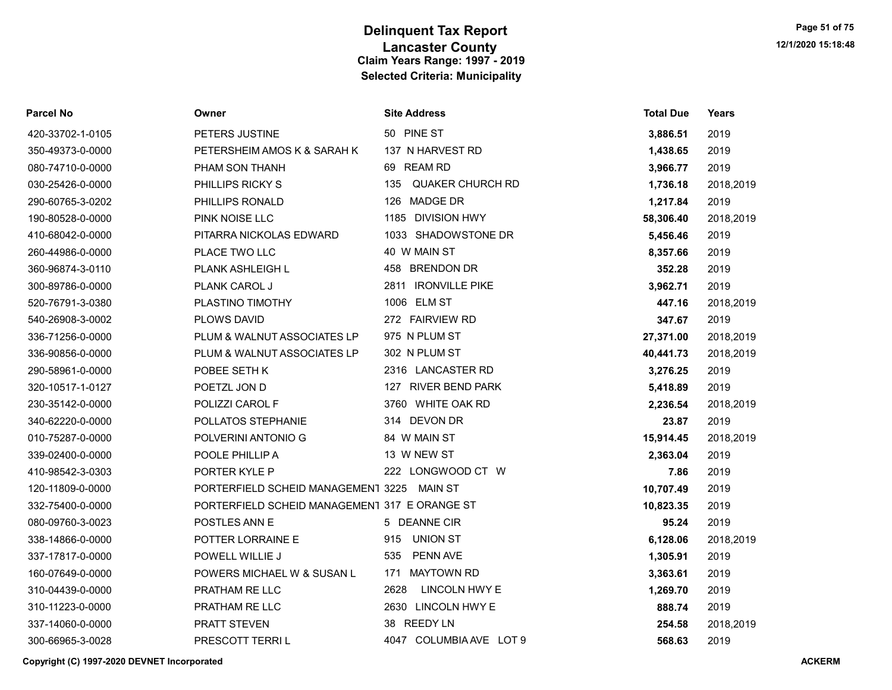| Parcel No        | Owner                                         | <b>Site Address</b>     | <b>Total Due</b> | <b>Years</b> |
|------------------|-----------------------------------------------|-------------------------|------------------|--------------|
| 420-33702-1-0105 | PETERS JUSTINE                                | 50 PINE ST              | 3,886.51         | 2019         |
| 350-49373-0-0000 | PETERSHEIM AMOS K & SARAH K                   | 137 N HARVEST RD        | 1,438.65         | 2019         |
| 080-74710-0-0000 | PHAM SON THANH                                | 69 REAM RD              | 3,966.77         | 2019         |
| 030-25426-0-0000 | PHILLIPS RICKY S                              | 135<br>QUAKER CHURCH RD | 1,736.18         | 2018,2019    |
| 290-60765-3-0202 | PHILLIPS RONALD                               | 126 MADGE DR            | 1,217.84         | 2019         |
| 190-80528-0-0000 | PINK NOISE LLC                                | 1185 DIVISION HWY       | 58,306.40        | 2018,2019    |
| 410-68042-0-0000 | PITARRA NICKOLAS EDWARD                       | 1033 SHADOWSTONE DR     | 5,456.46         | 2019         |
| 260-44986-0-0000 | PLACE TWO LLC                                 | 40 W MAIN ST            | 8,357.66         | 2019         |
| 360-96874-3-0110 | <b>PLANK ASHLEIGH L</b>                       | 458 BRENDON DR          | 352.28           | 2019         |
| 300-89786-0-0000 | PLANK CAROL J                                 | 2811 IRONVILLE PIKE     | 3,962.71         | 2019         |
| 520-76791-3-0380 | PLASTINO TIMOTHY                              | 1006 ELM ST             | 447.16           | 2018,2019    |
| 540-26908-3-0002 | PLOWS DAVID                                   | 272 FAIRVIEW RD         | 347.67           | 2019         |
| 336-71256-0-0000 | PLUM & WALNUT ASSOCIATES LP                   | 975 N PLUM ST           | 27,371.00        | 2018,2019    |
| 336-90856-0-0000 | PLUM & WALNUT ASSOCIATES LP                   | 302 N PLUM ST           | 40,441.73        | 2018,2019    |
| 290-58961-0-0000 | POBEE SETH K                                  | 2316 LANCASTER RD       | 3,276.25         | 2019         |
| 320-10517-1-0127 | POETZL JON D                                  | 127 RIVER BEND PARK     | 5,418.89         | 2019         |
| 230-35142-0-0000 | POLIZZI CAROL F                               | 3760 WHITE OAK RD       | 2,236.54         | 2018,2019    |
| 340-62220-0-0000 | POLLATOS STEPHANIE                            | 314 DEVON DR            | 23.87            | 2019         |
| 010-75287-0-0000 | POLVERINI ANTONIO G                           | 84 W MAIN ST            | 15,914.45        | 2018,2019    |
| 339-02400-0-0000 | POOLE PHILLIP A                               | 13 W NEW ST             | 2,363.04         | 2019         |
| 410-98542-3-0303 | PORTER KYLE P                                 | 222 LONGWOOD CT W       | 7.86             | 2019         |
| 120-11809-0-0000 | PORTERFIELD SCHEID MANAGEMEN1 3225            | MAIN ST                 | 10,707.49        | 2019         |
| 332-75400-0-0000 | PORTERFIELD SCHEID MANAGEMEN1 317 E ORANGE ST |                         | 10,823.35        | 2019         |
| 080-09760-3-0023 | <b>POSTLES ANN E</b>                          | 5 DEANNE CIR            | 95.24            | 2019         |
| 338-14866-0-0000 | POTTER LORRAINE E                             | <b>UNION ST</b><br>915  | 6,128.06         | 2018,2019    |
| 337-17817-0-0000 | POWELL WILLIE J                               | PENN AVE<br>535         | 1,305.91         | 2019         |
| 160-07649-0-0000 | POWERS MICHAEL W & SUSAN L                    | 171 MAYTOWN RD          | 3,363.61         | 2019         |
| 310-04439-0-0000 | PRATHAM RE LLC                                | 2628<br>LINCOLN HWY E   | 1,269.70         | 2019         |
| 310-11223-0-0000 | PRATHAM RE LLC                                | 2630 LINCOLN HWY E      | 888.74           | 2019         |
| 337-14060-0-0000 | <b>PRATT STEVEN</b>                           | 38 REEDY LN             | 254.58           | 2018,2019    |
| 300-66965-3-0028 | PRESCOTT TERRI L                              | 4047 COLUMBIA AVE LOT 9 | 568.63           | 2019         |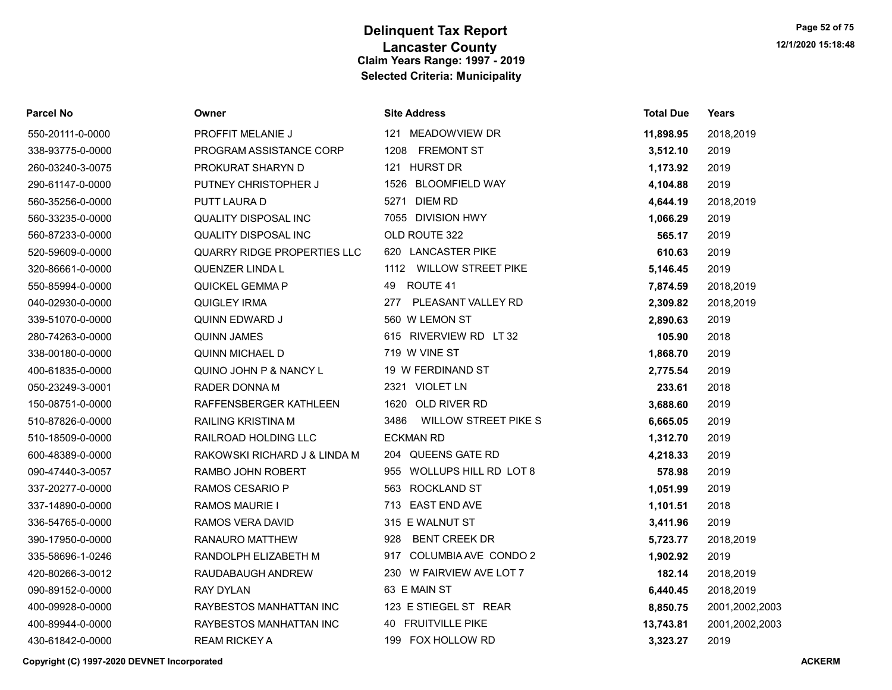| <b>Parcel No</b> | Owner                        | <b>Site Address</b>                 | <b>Total Due</b> | Years          |
|------------------|------------------------------|-------------------------------------|------------------|----------------|
| 550-20111-0-0000 | <b>PROFFIT MELANIE J</b>     | 121 MEADOWVIEW DR                   | 11,898.95        | 2018,2019      |
| 338-93775-0-0000 | PROGRAM ASSISTANCE CORP      | <b>FREMONT ST</b><br>1208           | 3,512.10         | 2019           |
| 260-03240-3-0075 | PROKURAT SHARYN D            | 121 HURST DR                        | 1,173.92         | 2019           |
| 290-61147-0-0000 | PUTNEY CHRISTOPHER J         | <b>BLOOMFIELD WAY</b><br>1526       | 4,104.88         | 2019           |
| 560-35256-0-0000 | PUTT LAURA D                 | <b>DIEM RD</b><br>5271              | 4,644.19         | 2018,2019      |
| 560-33235-0-0000 | <b>QUALITY DISPOSAL INC</b>  | 7055 DIVISION HWY                   | 1,066.29         | 2019           |
| 560-87233-0-0000 | <b>QUALITY DISPOSAL INC</b>  | OLD ROUTE 322                       | 565.17           | 2019           |
| 520-59609-0-0000 | QUARRY RIDGE PROPERTIES LLC  | 620 LANCASTER PIKE                  | 610.63           | 2019           |
| 320-86661-0-0000 | QUENZER LINDA L              | 1112 WILLOW STREET PIKE             | 5,146.45         | 2019           |
| 550-85994-0-0000 | QUICKEL GEMMA P              | ROUTE 41<br>49                      | 7,874.59         | 2018,2019      |
| 040-02930-0-0000 | <b>QUIGLEY IRMA</b>          | PLEASANT VALLEY RD<br>277           | 2,309.82         | 2018,2019      |
| 339-51070-0-0000 | QUINN EDWARD J               | 560 W LEMON ST                      | 2,890.63         | 2019           |
| 280-74263-0-0000 | <b>QUINN JAMES</b>           | 615 RIVERVIEW RD LT 32              | 105.90           | 2018           |
| 338-00180-0-0000 | <b>QUINN MICHAEL D</b>       | 719 W VINE ST                       | 1,868.70         | 2019           |
| 400-61835-0-0000 | QUINO JOHN P & NANCY L       | 19 W FERDINAND ST                   | 2,775.54         | 2019           |
| 050-23249-3-0001 | <b>RADER DONNA M</b>         | 2321 VIOLET LN                      | 233.61           | 2018           |
| 150-08751-0-0000 | RAFFENSBERGER KATHLEEN       | 1620 OLD RIVER RD                   | 3,688.60         | 2019           |
| 510-87826-0-0000 | <b>RAILING KRISTINA M</b>    | 3486<br><b>WILLOW STREET PIKE S</b> | 6,665.05         | 2019           |
| 510-18509-0-0000 | RAILROAD HOLDING LLC         | <b>ECKMAN RD</b>                    | 1,312.70         | 2019           |
| 600-48389-0-0000 | RAKOWSKI RICHARD J & LINDA M | 204 QUEENS GATE RD                  | 4,218.33         | 2019           |
| 090-47440-3-0057 | RAMBO JOHN ROBERT            | 955 WOLLUPS HILL RD LOT 8           | 578.98           | 2019           |
| 337-20277-0-0000 | RAMOS CESARIO P              | 563 ROCKLAND ST                     | 1,051.99         | 2019           |
| 337-14890-0-0000 | <b>RAMOS MAURIE I</b>        | 713 EAST END AVE                    | 1,101.51         | 2018           |
| 336-54765-0-0000 | RAMOS VERA DAVID             | 315 E WALNUT ST                     | 3,411.96         | 2019           |
| 390-17950-0-0000 | <b>RANAURO MATTHEW</b>       | <b>BENT CREEK DR</b><br>928         | 5,723.77         | 2018,2019      |
| 335-58696-1-0246 | RANDOLPH ELIZABETH M         | COLUMBIA AVE CONDO 2<br>917         | 1,902.92         | 2019           |
| 420-80266-3-0012 | RAUDABAUGH ANDREW            | W FAIRVIEW AVE LOT 7<br>230         | 182.14           | 2018,2019      |
| 090-89152-0-0000 | <b>RAY DYLAN</b>             | 63 E MAIN ST                        | 6,440.45         | 2018,2019      |
| 400-09928-0-0000 | RAYBESTOS MANHATTAN INC      | 123 E STIEGEL ST REAR               | 8,850.75         | 2001,2002,2003 |
| 400-89944-0-0000 | RAYBESTOS MANHATTAN INC      | 40 FRUITVILLE PIKE                  | 13,743.81        | 2001,2002,2003 |
| 430-61842-0-0000 | <b>REAM RICKEY A</b>         | 199 FOX HOLLOW RD                   | 3.323.27         | 2019           |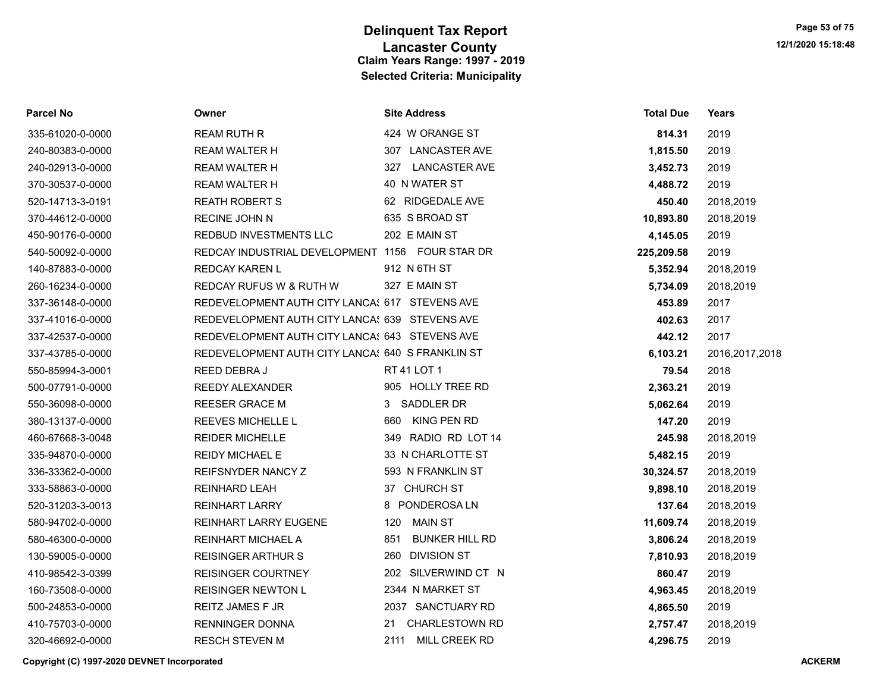| <b>Parcel No</b> | Owner                                            | <b>Site Address</b>          | <b>Total Due</b> | <b>Years</b>     |
|------------------|--------------------------------------------------|------------------------------|------------------|------------------|
| 335-61020-0-0000 | <b>REAM RUTH R</b>                               | 424 W ORANGE ST              | 814.31           | 2019             |
| 240-80383-0-0000 | <b>REAM WALTER H</b>                             | 307 LANCASTER AVE            | 1,815.50         | 2019             |
| 240-02913-0-0000 | <b>REAM WALTER H</b>                             | <b>LANCASTER AVE</b><br>327  | 3,452.73         | 2019             |
| 370-30537-0-0000 | <b>REAM WALTER H</b>                             | 40 N WATER ST                | 4,488.72         | 2019             |
| 520-14713-3-0191 | <b>REATH ROBERT S</b>                            | 62 RIDGEDALE AVE             | 450.40           | 2018,2019        |
| 370-44612-0-0000 | <b>RECINE JOHN N</b>                             | 635 S BROAD ST               | 10,893.80        | 2018,2019        |
| 450-90176-0-0000 | <b>REDBUD INVESTMENTS LLC</b>                    | 202 E MAIN ST                | 4,145.05         | 2019             |
| 540-50092-0-0000 | REDCAY INDUSTRIAL DEVELOPMENT 1156 FOUR STAR DR  |                              | 225,209.58       | 2019             |
| 140-87883-0-0000 | <b>REDCAY KAREN L</b>                            | 912 N 6TH ST                 | 5,352.94         | 2018,2019        |
| 260-16234-0-0000 | REDCAY RUFUS W & RUTH W                          | 327 E MAIN ST                | 5,734.09         | 2018,2019        |
| 337-36148-0-0000 | REDEVELOPMENT AUTH CITY LANCA! 617 STEVENS AVE   |                              | 453.89           | 2017             |
| 337-41016-0-0000 | REDEVELOPMENT AUTH CITY LANCA! 639 STEVENS AVE   |                              | 402.63           | 2017             |
| 337-42537-0-0000 | REDEVELOPMENT AUTH CITY LANCA! 643 STEVENS AVE   |                              | 442.12           | 2017             |
| 337-43785-0-0000 | REDEVELOPMENT AUTH CITY LANCA! 640 S FRANKLIN ST |                              | 6,103.21         | 2016, 2017, 2018 |
| 550-85994-3-0001 | REED DEBRAJ                                      | RT 41 LOT 1                  | 79.54            | 2018             |
| 500-07791-0-0000 | <b>REEDY ALEXANDER</b>                           | 905 HOLLY TREE RD            | 2,363.21         | 2019             |
| 550-36098-0-0000 | <b>REESER GRACE M</b>                            | 3 SADDLER DR                 | 5,062.64         | 2019             |
| 380-13137-0-0000 | REEVES MICHELLE L                                | KING PEN RD<br>660           | 147.20           | 2019             |
| 460-67668-3-0048 | <b>REIDER MICHELLE</b>                           | RADIO RD LOT 14<br>349       | 245.98           | 2018,2019        |
| 335-94870-0-0000 | <b>REIDY MICHAEL E</b>                           | 33 N CHARLOTTE ST            | 5,482.15         | 2019             |
| 336-33362-0-0000 | REIFSNYDER NANCY Z                               | 593 N FRANKLIN ST            | 30,324.57        | 2018,2019        |
| 333-58863-0-0000 | <b>REINHARD LEAH</b>                             | 37 CHURCH ST                 | 9,898.10         | 2018,2019        |
| 520-31203-3-0013 | <b>REINHART LARRY</b>                            | 8 PONDEROSALN                | 137.64           | 2018,2019        |
| 580-94702-0-0000 | <b>REINHART LARRY EUGENE</b>                     | <b>MAIN ST</b><br>120        | 11,609.74        | 2018,2019        |
| 580-46300-0-0000 | REINHART MICHAEL A                               | 851<br><b>BUNKER HILL RD</b> | 3,806.24         | 2018,2019        |
| 130-59005-0-0000 | <b>REISINGER ARTHUR S</b>                        | <b>DIVISION ST</b><br>260    | 7,810.93         | 2018,2019        |
| 410-98542-3-0399 | <b>REISINGER COURTNEY</b>                        | 202 SILVERWIND CT N          | 860.47           | 2019             |
| 160-73508-0-0000 | <b>REISINGER NEWTON L</b>                        | 2344 N MARKET ST             | 4,963.45         | 2018,2019        |
| 500-24853-0-0000 | <b>REITZ JAMES F JR</b>                          | 2037 SANCTUARY RD            | 4,865.50         | 2019             |
| 410-75703-0-0000 | RENNINGER DONNA                                  | <b>CHARLESTOWN RD</b><br>21  | 2,757.47         | 2018,2019        |
| 320-46692-0-0000 | RESCH STEVEN M                                   | 2111<br>MILL CREEK RD        | 4.296.75         | 2019             |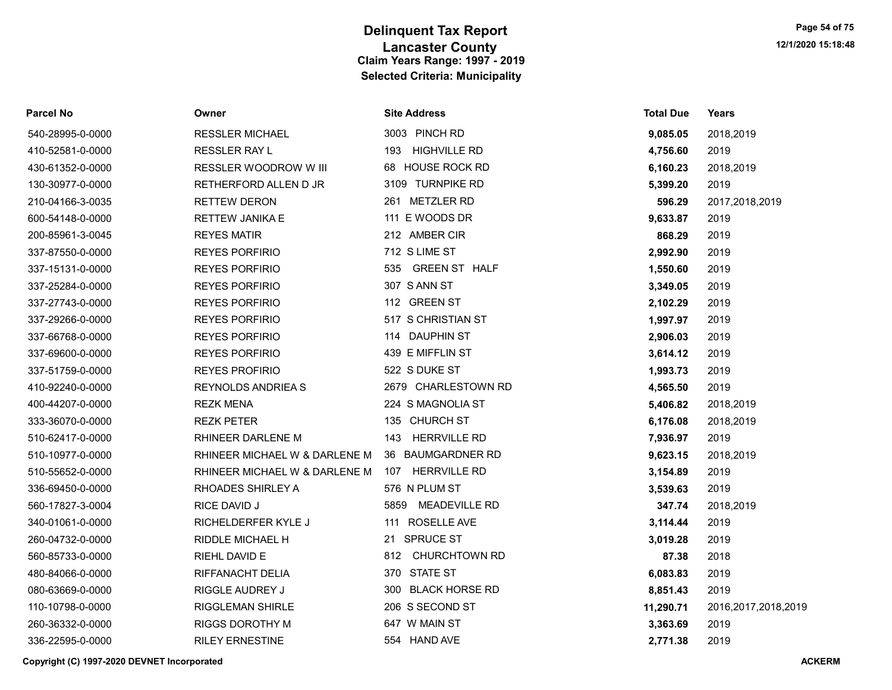| Parcel No        | Owner                         | <b>Site Address</b>        | <b>Total Due</b> | Years                  |
|------------------|-------------------------------|----------------------------|------------------|------------------------|
| 540-28995-0-0000 | <b>RESSLER MICHAEL</b>        | 3003 PINCH RD              | 9,085.05         | 2018,2019              |
| 410-52581-0-0000 | <b>RESSLER RAY L</b>          | 193 HIGHVILLE RD           | 4,756.60         | 2019                   |
| 430-61352-0-0000 | RESSLER WOODROW W III         | 68 HOUSE ROCK RD           | 6,160.23         | 2018,2019              |
| 130-30977-0-0000 | RETHERFORD ALLEN D JR         | 3109 TURNPIKE RD           | 5,399.20         | 2019                   |
| 210-04166-3-0035 | <b>RETTEW DERON</b>           | 261 METZLER RD             | 596.29           | 2017,2018,2019         |
| 600-54148-0-0000 | <b>RETTEW JANIKA E</b>        | 111 E WOODS DR             | 9,633.87         | 2019                   |
| 200-85961-3-0045 | <b>REYES MATIR</b>            | 212 AMBER CIR              | 868.29           | 2019                   |
| 337-87550-0-0000 | <b>REYES PORFIRIO</b>         | 712 S LIME ST              | 2,992.90         | 2019                   |
| 337-15131-0-0000 | <b>REYES PORFIRIO</b>         | 535 GREEN ST HALF          | 1,550.60         | 2019                   |
| 337-25284-0-0000 | <b>REYES PORFIRIO</b>         | 307 S ANN ST               | 3,349.05         | 2019                   |
| 337-27743-0-0000 | <b>REYES PORFIRIO</b>         | 112 GREEN ST               | 2,102.29         | 2019                   |
| 337-29266-0-0000 | <b>REYES PORFIRIO</b>         | 517 S CHRISTIAN ST         | 1,997.97         | 2019                   |
| 337-66768-0-0000 | <b>REYES PORFIRIO</b>         | 114 DAUPHIN ST             | 2,906.03         | 2019                   |
| 337-69600-0-0000 | <b>REYES PORFIRIO</b>         | 439 E MIFFLIN ST           | 3,614.12         | 2019                   |
| 337-51759-0-0000 | <b>REYES PROFIRIO</b>         | 522 S DUKE ST              | 1,993.73         | 2019                   |
| 410-92240-0-0000 | <b>REYNOLDS ANDRIEA S</b>     | 2679 CHARLESTOWN RD        | 4,565.50         | 2019                   |
| 400-44207-0-0000 | <b>REZK MENA</b>              | 224 S MAGNOLIA ST          | 5,406.82         | 2018,2019              |
| 333-36070-0-0000 | <b>REZK PETER</b>             | 135 CHURCH ST              | 6,176.08         | 2018,2019              |
| 510-62417-0-0000 | RHINEER DARLENE M             | <b>HERRVILLE RD</b><br>143 | 7,936.97         | 2019                   |
| 510-10977-0-0000 | RHINEER MICHAEL W & DARLENE M | 36 BAUMGARDNER RD          | 9,623.15         | 2018,2019              |
| 510-55652-0-0000 | RHINEER MICHAEL W & DARLENE M | 107 HERRVILLE RD           | 3,154.89         | 2019                   |
| 336-69450-0-0000 | RHOADES SHIRLEY A             | 576 N PLUM ST              | 3,539.63         | 2019                   |
| 560-17827-3-0004 | RICE DAVID J                  | 5859 MEADEVILLE RD         | 347.74           | 2018,2019              |
| 340-01061-0-0000 | RICHELDERFER KYLE J           | 111 ROSELLE AVE            | 3,114.44         | 2019                   |
| 260-04732-0-0000 | RIDDLE MICHAEL H              | 21 SPRUCE ST               | 3,019.28         | 2019                   |
| 560-85733-0-0000 | RIEHL DAVID E                 | 812 CHURCHTOWN RD          | 87.38            | 2018                   |
| 480-84066-0-0000 | RIFFANACHT DELIA              | 370 STATE ST               | 6,083.83         | 2019                   |
| 080-63669-0-0000 | RIGGLE AUDREY J               | 300 BLACK HORSE RD         | 8,851.43         | 2019                   |
| 110-10798-0-0000 | <b>RIGGLEMAN SHIRLE</b>       | 206 S SECOND ST            | 11,290.71        | 2016, 2017, 2018, 2019 |
| 260-36332-0-0000 | RIGGS DOROTHY M               | 647 W MAIN ST              | 3,363.69         | 2019                   |
| 336-22595-0-0000 | <b>RILEY ERNESTINE</b>        | 554 HAND AVE               | 2,771.38         | 2019                   |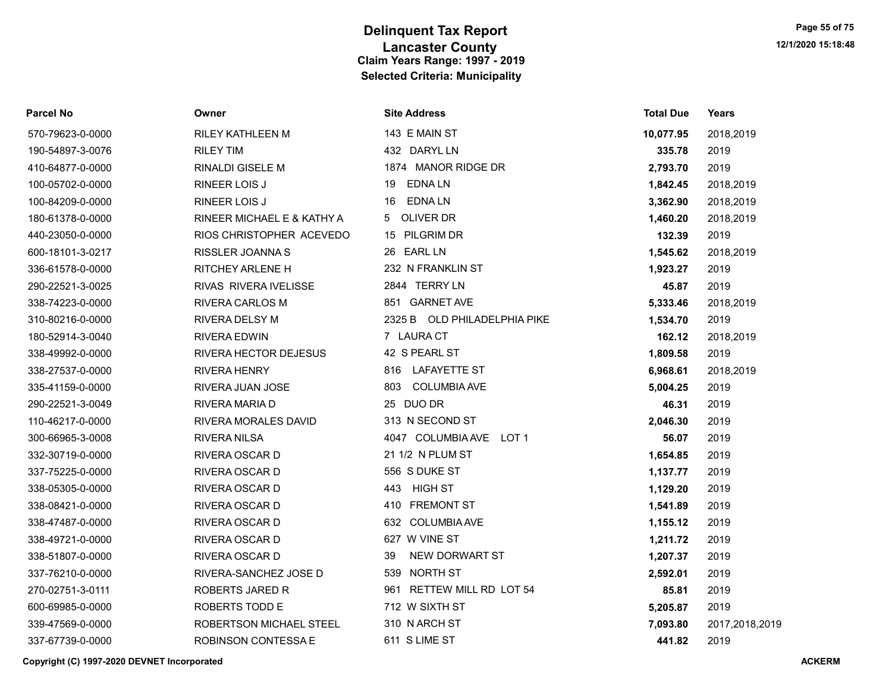| <b>Parcel No</b> | Owner                      | <b>Site Address</b>          | <b>Total Due</b> | Years          |
|------------------|----------------------------|------------------------------|------------------|----------------|
| 570-79623-0-0000 | <b>RILEY KATHLEEN M</b>    | 143 E MAIN ST                | 10,077.95        | 2018,2019      |
| 190-54897-3-0076 | <b>RILEY TIM</b>           | 432 DARYL LN                 | 335.78           | 2019           |
| 410-64877-0-0000 | <b>RINALDI GISELE M</b>    | 1874 MANOR RIDGE DR          | 2,793.70         | 2019           |
| 100-05702-0-0000 | RINEER LOIS J              | <b>EDNALN</b><br>19          | 1,842.45         | 2018,2019      |
| 100-84209-0-0000 | <b>RINEER LOIS J</b>       | EDNA LN<br>16                | 3,362.90         | 2018,2019      |
| 180-61378-0-0000 | RINEER MICHAEL E & KATHY A | OLIVER DR<br>5               | 1,460.20         | 2018,2019      |
| 440-23050-0-0000 | RIOS CHRISTOPHER ACEVEDO   | 15 PILGRIM DR                | 132.39           | 2019           |
| 600-18101-3-0217 | <b>RISSLER JOANNAS</b>     | 26 EARL LN                   | 1,545.62         | 2018,2019      |
| 336-61578-0-0000 | RITCHEY ARLENE H           | 232 N FRANKLIN ST            | 1,923.27         | 2019           |
| 290-22521-3-0025 | RIVAS RIVERA IVELISSE      | 2844 TERRY LN                | 45.87            | 2019           |
| 338-74223-0-0000 | RIVERA CARLOS M            | 851 GARNET AVE               | 5,333.46         | 2018,2019      |
| 310-80216-0-0000 | <b>RIVERA DELSY M</b>      | 2325 B OLD PHILADELPHIA PIKE | 1,534.70         | 2019           |
| 180-52914-3-0040 | RIVERA EDWIN               | 7 LAURA CT                   | 162.12           | 2018,2019      |
| 338-49992-0-0000 | RIVERA HECTOR DEJESUS      | 42 S PEARL ST                | 1,809.58         | 2019           |
| 338-27537-0-0000 | <b>RIVERA HENRY</b>        | 816 LAFAYETTE ST             | 6,968.61         | 2018,2019      |
| 335-41159-0-0000 | RIVERA JUAN JOSE           | <b>COLUMBIA AVE</b><br>803   | 5,004.25         | 2019           |
| 290-22521-3-0049 | RIVERA MARIA D             | 25 DUO DR                    | 46.31            | 2019           |
| 110-46217-0-0000 | RIVERA MORALES DAVID       | 313 N SECOND ST              | 2,046.30         | 2019           |
| 300-66965-3-0008 | <b>RIVERA NILSA</b>        | 4047 COLUMBIA AVE LOT 1      | 56.07            | 2019           |
| 332-30719-0-0000 | RIVERA OSCAR D             | 21 1/2 N PLUM ST             | 1,654.85         | 2019           |
| 337-75225-0-0000 | RIVERA OSCAR D             | 556 S DUKE ST                | 1,137.77         | 2019           |
| 338-05305-0-0000 | RIVERA OSCAR D             | HIGH ST<br>443               | 1,129.20         | 2019           |
| 338-08421-0-0000 | RIVERA OSCAR D             | 410 FREMONT ST               | 1,541.89         | 2019           |
| 338-47487-0-0000 | RIVERA OSCAR D             | 632 COLUMBIA AVE             | 1,155.12         | 2019           |
| 338-49721-0-0000 | RIVERA OSCAR D             | 627 W VINE ST                | 1,211.72         | 2019           |
| 338-51807-0-0000 | <b>RIVERA OSCAR D</b>      | NEW DORWART ST<br>39         | 1,207.37         | 2019           |
| 337-76210-0-0000 | RIVERA-SANCHEZ JOSE D      | NORTH ST<br>539              | 2,592.01         | 2019           |
| 270-02751-3-0111 | ROBERTS JARED R            | RETTEW MILL RD LOT 54<br>961 | 85.81            | 2019           |
| 600-69985-0-0000 | ROBERTS TODD E             | 712 W SIXTH ST               | 5,205.87         | 2019           |
| 339-47569-0-0000 | ROBERTSON MICHAEL STEEL    | 310 N ARCH ST                | 7.093.80         | 2017,2018,2019 |
| 337-67739-0-0000 | ROBINSON CONTESSA E        | 611 S LIME ST                | 441.82           | 2019           |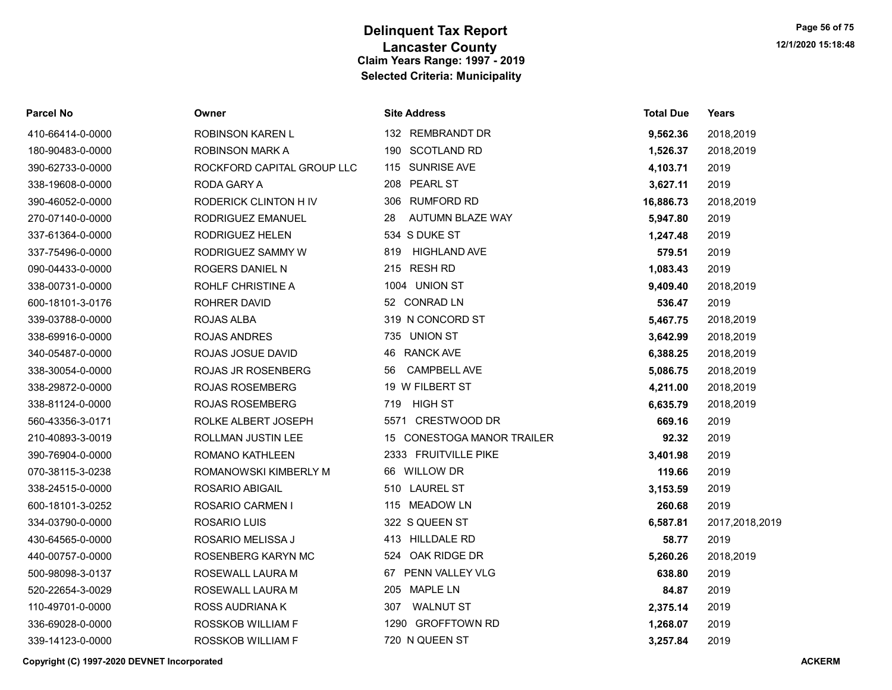| Parcel No        | Owner                      | <b>Site Address</b>                  | <b>Total Due</b> | Years          |
|------------------|----------------------------|--------------------------------------|------------------|----------------|
| 410-66414-0-0000 | <b>ROBINSON KAREN L</b>    | 132 REMBRANDT DR                     | 9,562.36         | 2018,2019      |
| 180-90483-0-0000 | ROBINSON MARK A            | 190 SCOTLAND RD                      | 1,526.37         | 2018,2019      |
| 390-62733-0-0000 | ROCKFORD CAPITAL GROUP LLC | 115 SUNRISE AVE                      | 4,103.71         | 2019           |
| 338-19608-0-0000 | <b>RODA GARY A</b>         | <b>PEARL ST</b><br>208               | 3,627.11         | 2019           |
| 390-46052-0-0000 | RODERICK CLINTON H IV      | 306 RUMFORD RD                       | 16,886.73        | 2018,2019      |
| 270-07140-0-0000 | RODRIGUEZ EMANUEL          | 28<br>AUTUMN BLAZE WAY               | 5,947.80         | 2019           |
| 337-61364-0-0000 | RODRIGUEZ HELEN            | 534 S DUKE ST                        | 1,247.48         | 2019           |
| 337-75496-0-0000 | RODRIGUEZ SAMMY W          | <b>HIGHLAND AVE</b><br>819           | 579.51           | 2019           |
| 090-04433-0-0000 | ROGERS DANIEL N            | 215 RESH RD                          | 1,083.43         | 2019           |
| 338-00731-0-0000 | ROHLF CHRISTINE A          | 1004 UNION ST                        | 9,409.40         | 2018,2019      |
| 600-18101-3-0176 | ROHRER DAVID               | 52 CONRAD LN                         | 536.47           | 2019           |
| 339-03788-0-0000 | ROJAS ALBA                 | 319 N CONCORD ST                     | 5,467.75         | 2018,2019      |
| 338-69916-0-0000 | <b>ROJAS ANDRES</b>        | 735 UNION ST                         | 3,642.99         | 2018,2019      |
| 340-05487-0-0000 | ROJAS JOSUE DAVID          | <b>RANCK AVE</b><br>46               | 6,388.25         | 2018,2019      |
| 338-30054-0-0000 | <b>ROJAS JR ROSENBERG</b>  | <b>CAMPBELL AVE</b><br>56            | 5,086.75         | 2018,2019      |
| 338-29872-0-0000 | <b>ROJAS ROSEMBERG</b>     | 19 W FILBERT ST                      | 4,211.00         | 2018,2019      |
| 338-81124-0-0000 | <b>ROJAS ROSEMBERG</b>     | <b>HIGH ST</b><br>719                | 6,635.79         | 2018,2019      |
| 560-43356-3-0171 | ROLKE ALBERT JOSEPH        | CRESTWOOD DR<br>5571                 | 669.16           | 2019           |
| 210-40893-3-0019 | ROLLMAN JUSTIN LEE         | <b>CONESTOGA MANOR TRAILER</b><br>15 | 92.32            | 2019           |
| 390-76904-0-0000 | ROMANO KATHLEEN            | 2333 FRUITVILLE PIKE                 | 3,401.98         | 2019           |
| 070-38115-3-0238 | ROMANOWSKI KIMBERLY M      | <b>WILLOW DR</b><br>66               | 119.66           | 2019           |
| 338-24515-0-0000 | <b>ROSARIO ABIGAIL</b>     | 510 LAUREL ST                        | 3,153.59         | 2019           |
| 600-18101-3-0252 | ROSARIO CARMEN I           | 115 MEADOW LN                        | 260.68           | 2019           |
| 334-03790-0-0000 | ROSARIO LUIS               | 322 S QUEEN ST                       | 6,587.81         | 2017,2018,2019 |
| 430-64565-0-0000 | ROSARIO MELISSA J          | 413 HILLDALE RD                      | 58.77            | 2019           |
| 440-00757-0-0000 | ROSENBERG KARYN MC         | 524 OAK RIDGE DR                     | 5,260.26         | 2018,2019      |
| 500-98098-3-0137 | ROSEWALL LAURA M           | 67 PENN VALLEY VLG                   | 638.80           | 2019           |
| 520-22654-3-0029 | ROSEWALL LAURA M           | 205 MAPLE LN                         | 84.87            | 2019           |
| 110-49701-0-0000 | ROSS AUDRIANA K            | <b>WALNUT ST</b><br>307              | 2,375.14         | 2019           |
| 336-69028-0-0000 | ROSSKOB WILLIAM F          | 1290 GROFFTOWN RD                    | 1,268.07         | 2019           |
| 339-14123-0-0000 | ROSSKOB WILLIAM F          | 720 N QUEEN ST                       | 3,257.84         | 2019           |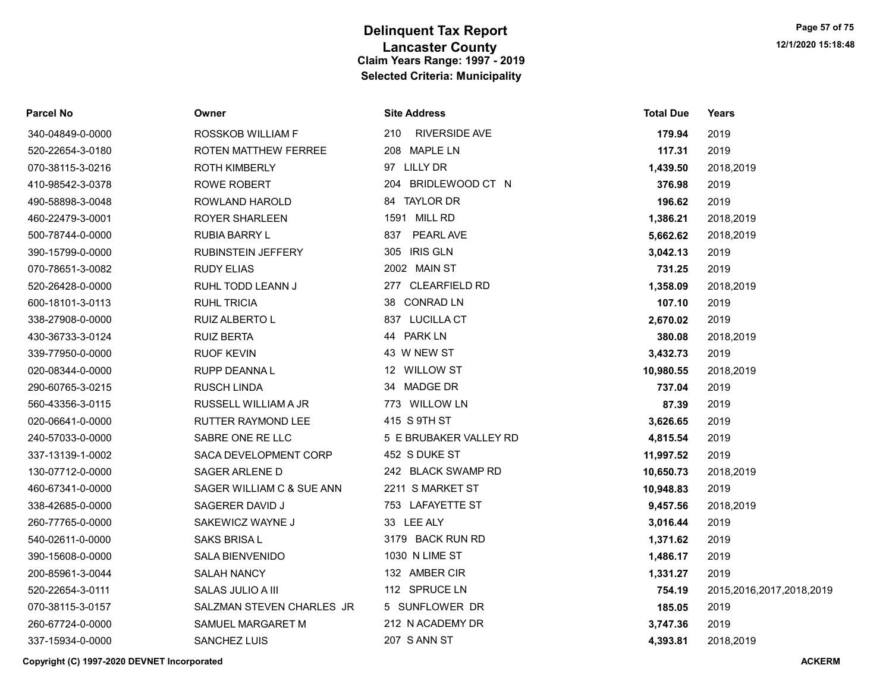| Parcel No        | Owner                     | <b>Site Address</b>         | <b>Total Due</b> | Years                    |
|------------------|---------------------------|-----------------------------|------------------|--------------------------|
| 340-04849-0-0000 | ROSSKOB WILLIAM F         | <b>RIVERSIDE AVE</b><br>210 | 179.94           | 2019                     |
| 520-22654-3-0180 | ROTEN MATTHEW FERREE      | 208 MAPLE LN                | 117.31           | 2019                     |
| 070-38115-3-0216 | <b>ROTH KIMBERLY</b>      | 97 LILLY DR                 | 1,439.50         | 2018,2019                |
| 410-98542-3-0378 | <b>ROWE ROBERT</b>        | 204 BRIDLEWOOD CT N         | 376.98           | 2019                     |
| 490-58898-3-0048 | ROWLAND HAROLD            | 84 TAYLOR DR                | 196.62           | 2019                     |
| 460-22479-3-0001 | ROYER SHARLEEN            | 1591 MILL RD                | 1,386.21         | 2018,2019                |
| 500-78744-0-0000 | RUBIA BARRY L             | PEARL AVE<br>837            | 5,662.62         | 2018,2019                |
| 390-15799-0-0000 | <b>RUBINSTEIN JEFFERY</b> | 305 IRIS GLN                | 3,042.13         | 2019                     |
| 070-78651-3-0082 | <b>RUDY ELIAS</b>         | 2002 MAIN ST                | 731.25           | 2019                     |
| 520-26428-0-0000 | RUHL TODD LEANN J         | 277 CLEARFIELD RD           | 1,358.09         | 2018,2019                |
| 600-18101-3-0113 | <b>RUHL TRICIA</b>        | 38 CONRAD LN                | 107.10           | 2019                     |
| 338-27908-0-0000 | RUIZ ALBERTO L            | 837 LUCILLA CT              | 2,670.02         | 2019                     |
| 430-36733-3-0124 | <b>RUIZ BERTA</b>         | 44 PARK LN                  | 380.08           | 2018,2019                |
| 339-77950-0-0000 | <b>RUOF KEVIN</b>         | 43 W NEW ST                 | 3,432.73         | 2019                     |
| 020-08344-0-0000 | RUPP DEANNA L             | 12 WILLOW ST                | 10,980.55        | 2018,2019                |
| 290-60765-3-0215 | <b>RUSCH LINDA</b>        | 34 MADGE DR                 | 737.04           | 2019                     |
| 560-43356-3-0115 | RUSSELL WILLIAM A JR      | 773 WILLOW LN               | 87.39            | 2019                     |
| 020-06641-0-0000 | <b>RUTTER RAYMOND LEE</b> | 415 S 9TH ST                | 3,626.65         | 2019                     |
| 240-57033-0-0000 | SABRE ONE RE LLC          | 5 E BRUBAKER VALLEY RD      | 4,815.54         | 2019                     |
| 337-13139-1-0002 | SACA DEVELOPMENT CORP     | 452 S DUKE ST               | 11,997.52        | 2019                     |
| 130-07712-0-0000 | SAGER ARLENE D            | 242 BLACK SWAMP RD          | 10,650.73        | 2018,2019                |
| 460-67341-0-0000 | SAGER WILLIAM C & SUE ANN | 2211 S MARKET ST            | 10,948.83        | 2019                     |
| 338-42685-0-0000 | SAGERER DAVID J           | 753 LAFAYETTE ST            | 9,457.56         | 2018,2019                |
| 260-77765-0-0000 | SAKEWICZ WAYNE J          | 33 LEE ALY                  | 3,016.44         | 2019                     |
| 540-02611-0-0000 | <b>SAKS BRISAL</b>        | 3179 BACK RUN RD            | 1,371.62         | 2019                     |
| 390-15608-0-0000 | <b>SALA BIENVENIDO</b>    | 1030 N LIME ST              | 1,486.17         | 2019                     |
| 200-85961-3-0044 | <b>SALAH NANCY</b>        | 132 AMBER CIR               | 1,331.27         | 2019                     |
| 520-22654-3-0111 | SALAS JULIO A III         | 112 SPRUCE LN               | 754.19           | 2015,2016,2017,2018,2019 |
| 070-38115-3-0157 | SALZMAN STEVEN CHARLES JR | 5 SUNFLOWER DR              | 185.05           | 2019                     |
| 260-67724-0-0000 | SAMUEL MARGARET M         | 212 N ACADEMY DR            | 3,747.36         | 2019                     |
| 337-15934-0-0000 | <b>SANCHEZ LUIS</b>       | 207 S ANN ST                | 4,393.81         | 2018,2019                |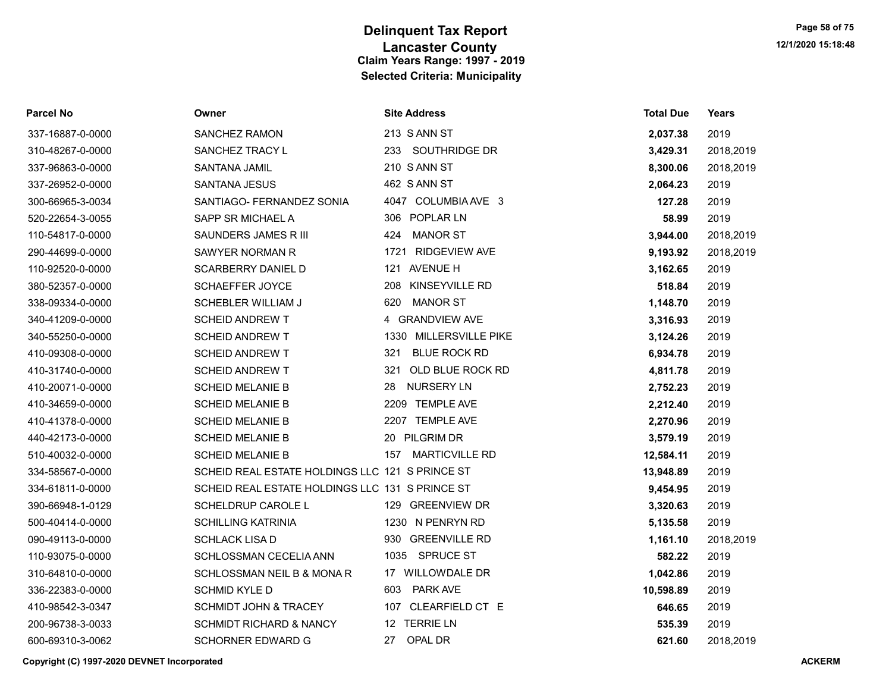| <b>Parcel No</b> | Owner                                           | <b>Site Address</b>          | <b>Total Due</b> | Years     |
|------------------|-------------------------------------------------|------------------------------|------------------|-----------|
| 337-16887-0-0000 | SANCHEZ RAMON                                   | 213 S ANN ST                 | 2,037.38         | 2019      |
| 310-48267-0-0000 | SANCHEZ TRACY L                                 | 233 SOUTHRIDGE DR            | 3,429.31         | 2018,2019 |
| 337-96863-0-0000 | SANTANA JAMIL                                   | 210 S ANN ST                 | 8,300.06         | 2018,2019 |
| 337-26952-0-0000 | <b>SANTANA JESUS</b>                            | 462 S ANN ST                 | 2,064.23         | 2019      |
| 300-66965-3-0034 | SANTIAGO- FERNANDEZ SONIA                       | 4047 COLUMBIA AVE 3          | 127.28           | 2019      |
| 520-22654-3-0055 | SAPP SR MICHAEL A                               | 306 POPLAR LN                | 58.99            | 2019      |
| 110-54817-0-0000 | SAUNDERS JAMES R III                            | 424<br><b>MANOR ST</b>       | 3,944.00         | 2018,2019 |
| 290-44699-0-0000 | SAWYER NORMAN R                                 | 1721 RIDGEVIEW AVE           | 9,193.92         | 2018,2019 |
| 110-92520-0-0000 | <b>SCARBERRY DANIEL D</b>                       | 121 AVENUE H                 | 3,162.65         | 2019      |
| 380-52357-0-0000 | <b>SCHAEFFER JOYCE</b>                          | 208 KINSEYVILLE RD           | 518.84           | 2019      |
| 338-09334-0-0000 | SCHEBLER WILLIAM J                              | 620<br><b>MANOR ST</b>       | 1,148.70         | 2019      |
| 340-41209-0-0000 | <b>SCHEID ANDREW T</b>                          | 4 GRANDVIEW AVE              | 3,316.93         | 2019      |
| 340-55250-0-0000 | <b>SCHEID ANDREW T</b>                          | 1330 MILLERSVILLE PIKE       | 3,124.26         | 2019      |
| 410-09308-0-0000 | <b>SCHEID ANDREW T</b>                          | <b>BLUE ROCK RD</b><br>321   | 6,934.78         | 2019      |
| 410-31740-0-0000 | <b>SCHEID ANDREW T</b>                          | OLD BLUE ROCK RD<br>321      | 4,811.78         | 2019      |
| 410-20071-0-0000 | <b>SCHEID MELANIE B</b>                         | NURSERY LN<br>28             | 2,752.23         | 2019      |
| 410-34659-0-0000 | <b>SCHEID MELANIE B</b>                         | 2209 TEMPLE AVE              | 2,212.40         | 2019      |
| 410-41378-0-0000 | <b>SCHEID MELANIE B</b>                         | 2207 TEMPLE AVE              | 2,270.96         | 2019      |
| 440-42173-0-0000 | <b>SCHEID MELANIE B</b>                         | 20 PILGRIM DR                | 3,579.19         | 2019      |
| 510-40032-0-0000 | <b>SCHEID MELANIE B</b>                         | <b>MARTICVILLE RD</b><br>157 | 12,584.11        | 2019      |
| 334-58567-0-0000 | SCHEID REAL ESTATE HOLDINGS LLC 121 S PRINCE ST |                              | 13,948.89        | 2019      |
| 334-61811-0-0000 | SCHEID REAL ESTATE HOLDINGS LLC 131 S PRINCE ST |                              | 9,454.95         | 2019      |
| 390-66948-1-0129 | SCHELDRUP CAROLE L                              | 129 GREENVIEW DR             | 3,320.63         | 2019      |
| 500-40414-0-0000 | <b>SCHILLING KATRINIA</b>                       | 1230 N PENRYN RD             | 5,135.58         | 2019      |
| 090-49113-0-0000 | <b>SCHLACK LISA D</b>                           | 930 GREENVILLE RD            | 1,161.10         | 2018,2019 |
| 110-93075-0-0000 | SCHLOSSMAN CECELIA ANN                          | 1035 SPRUCE ST               | 582.22           | 2019      |
| 310-64810-0-0000 | SCHLOSSMAN NEIL B & MONA R                      | 17 WILLOWDALE DR             | 1,042.86         | 2019      |
| 336-22383-0-0000 | <b>SCHMID KYLE D</b>                            | <b>PARK AVE</b><br>603       | 10,598.89        | 2019      |
| 410-98542-3-0347 | <b>SCHMIDT JOHN &amp; TRACEY</b>                | 107 CLEARFIELD CT E          | 646.65           | 2019      |
| 200-96738-3-0033 | <b>SCHMIDT RICHARD &amp; NANCY</b>              | 12 TERRIE LN                 | 535.39           | 2019      |
| 600-69310-3-0062 | SCHORNER EDWARD G                               | 27<br>OPAL DR                | 621.60           | 2018.2019 |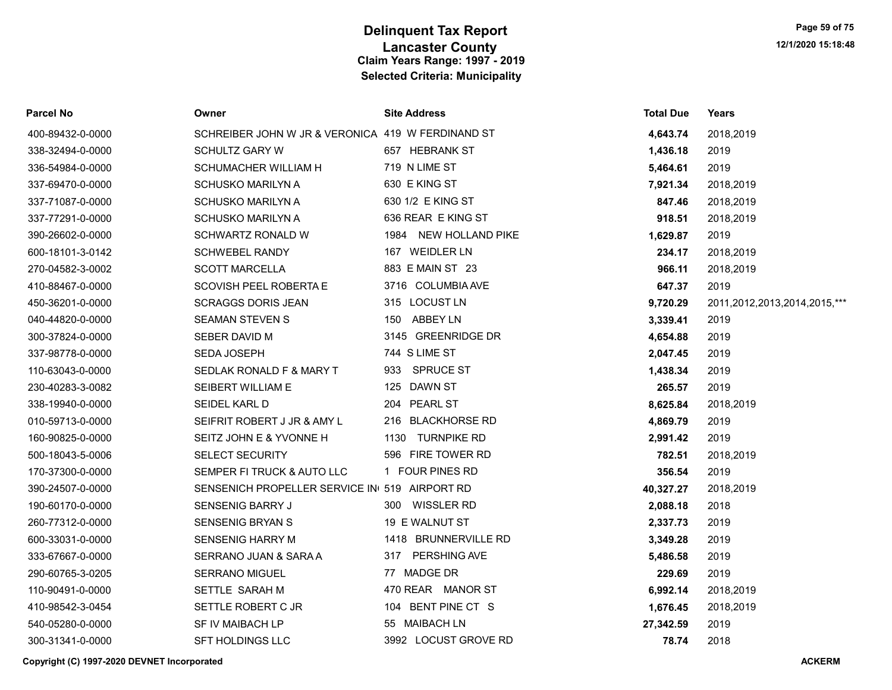| <b>Parcel No</b> | Owner                                             | <b>Site Address</b>   | <b>Total Due</b> | <b>Years</b>                 |
|------------------|---------------------------------------------------|-----------------------|------------------|------------------------------|
| 400-89432-0-0000 | SCHREIBER JOHN W JR & VERONICA 419 W FERDINAND ST |                       | 4,643.74         | 2018,2019                    |
| 338-32494-0-0000 | <b>SCHULTZ GARY W</b>                             | 657 HEBRANK ST        | 1,436.18         | 2019                         |
| 336-54984-0-0000 | SCHUMACHER WILLIAM H                              | 719 N LIME ST         | 5,464.61         | 2019                         |
| 337-69470-0-0000 | <b>SCHUSKO MARILYN A</b>                          | 630 E KING ST         | 7,921.34         | 2018,2019                    |
| 337-71087-0-0000 | <b>SCHUSKO MARILYN A</b>                          | 630 1/2 E KING ST     | 847.46           | 2018,2019                    |
| 337-77291-0-0000 | <b>SCHUSKO MARILYN A</b>                          | 636 REAR E KING ST    | 918.51           | 2018,2019                    |
| 390-26602-0-0000 | SCHWARTZ RONALD W                                 | 1984 NEW HOLLAND PIKE | 1,629.87         | 2019                         |
| 600-18101-3-0142 | <b>SCHWEBEL RANDY</b>                             | 167 WEIDLER LN        | 234.17           | 2018,2019                    |
| 270-04582-3-0002 | <b>SCOTT MARCELLA</b>                             | 883 E MAIN ST 23      | 966.11           | 2018,2019                    |
| 410-88467-0-0000 | SCOVISH PEEL ROBERTA E                            | 3716 COLUMBIA AVE     | 647.37           | 2019                         |
| 450-36201-0-0000 | <b>SCRAGGS DORIS JEAN</b>                         | 315 LOCUST LN         | 9,720.29         | 2011,2012,2013,2014,2015,*** |
| 040-44820-0-0000 | <b>SEAMAN STEVEN S</b>                            | 150 ABBEY LN          | 3,339.41         | 2019                         |
| 300-37824-0-0000 | SEBER DAVID M                                     | 3145 GREENRIDGE DR    | 4,654.88         | 2019                         |
| 337-98778-0-0000 | SEDA JOSEPH                                       | 744 S LIME ST         | 2,047.45         | 2019                         |
| 110-63043-0-0000 | SEDLAK RONALD F & MARY T                          | 933 SPRUCE ST         | 1,438.34         | 2019                         |
| 230-40283-3-0082 | SEIBERT WILLIAM E                                 | 125 DAWN ST           | 265.57           | 2019                         |
| 338-19940-0-0000 | SEIDEL KARL D                                     | 204 PEARL ST          | 8,625.84         | 2018,2019                    |
| 010-59713-0-0000 | SEIFRIT ROBERT J JR & AMY L                       | 216 BLACKHORSE RD     | 4,869.79         | 2019                         |
| 160-90825-0-0000 | SEITZ JOHN E & YVONNE H                           | 1130 TURNPIKE RD      | 2,991.42         | 2019                         |
| 500-18043-5-0006 | <b>SELECT SECURITY</b>                            | 596 FIRE TOWER RD     | 782.51           | 2018,2019                    |
| 170-37300-0-0000 | SEMPER FI TRUCK & AUTO LLC                        | 1 FOUR PINES RD       | 356.54           | 2019                         |
| 390-24507-0-0000 | SENSENICH PROPELLER SERVICE IN 519 AIRPORT RD     |                       | 40,327.27        | 2018,2019                    |
| 190-60170-0-0000 | SENSENIG BARRY J                                  | 300 WISSLER RD        | 2,088.18         | 2018                         |
| 260-77312-0-0000 | <b>SENSENIG BRYAN S</b>                           | 19 E WALNUT ST        | 2,337.73         | 2019                         |
| 600-33031-0-0000 | <b>SENSENIG HARRY M</b>                           | 1418 BRUNNERVILLE RD  | 3,349.28         | 2019                         |
| 333-67667-0-0000 | SERRANO JUAN & SARA A                             | 317 PERSHING AVE      | 5,486.58         | 2019                         |
| 290-60765-3-0205 | <b>SERRANO MIGUEL</b>                             | 77 MADGE DR           | 229.69           | 2019                         |
| 110-90491-0-0000 | SETTLE SARAH M                                    | 470 REAR MANOR ST     | 6,992.14         | 2018,2019                    |
| 410-98542-3-0454 | SETTLE ROBERT C JR                                | 104 BENT PINE CT S    | 1,676.45         | 2018,2019                    |
| 540-05280-0-0000 | SF IV MAIBACH LP                                  | 55 MAIBACH LN         | 27,342.59        | 2019                         |
| 300-31341-0-0000 | <b>SFT HOLDINGS LLC</b>                           | 3992 LOCUST GROVE RD  | 78.74            | 2018                         |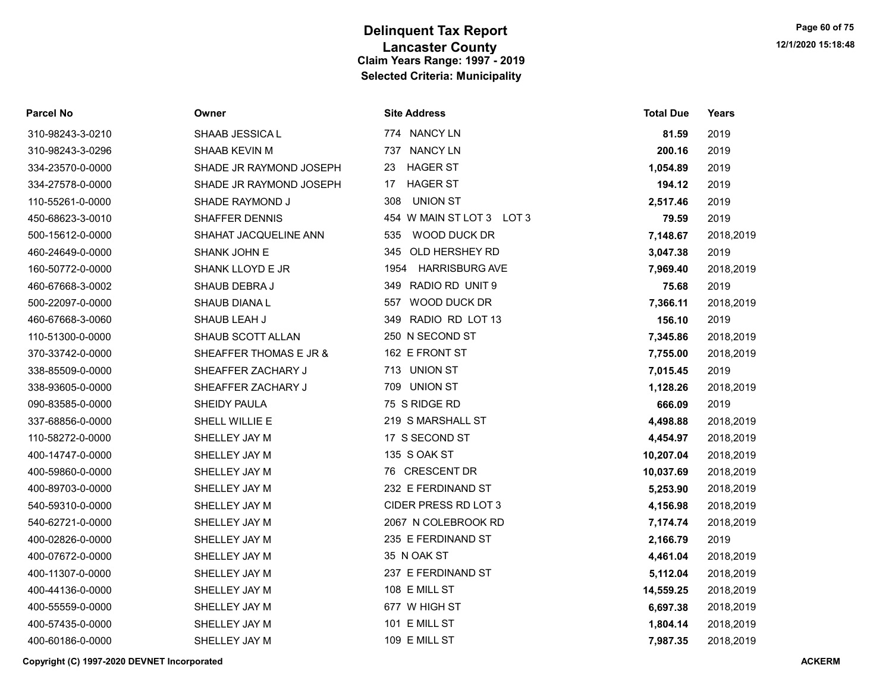| <b>Parcel No</b> | Owner                   | <b>Site Address</b>           | <b>Total Due</b> | Years     |
|------------------|-------------------------|-------------------------------|------------------|-----------|
| 310-98243-3-0210 | SHAAB JESSICA L         | 774 NANCY LN                  | 81.59            | 2019      |
| 310-98243-3-0296 | SHAAB KEVIN M           | 737 NANCY LN                  | 200.16           | 2019      |
| 334-23570-0-0000 | SHADE JR RAYMOND JOSEPH | <b>HAGER ST</b><br>23         | 1,054.89         | 2019      |
| 334-27578-0-0000 | SHADE JR RAYMOND JOSEPH | <b>HAGER ST</b><br>17         | 194.12           | 2019      |
| 110-55261-0-0000 | SHADE RAYMOND J         | 308<br><b>UNION ST</b>        | 2,517.46         | 2019      |
| 450-68623-3-0010 | <b>SHAFFER DENNIS</b>   | 454 W MAIN ST LOT 3 LOT 3     | 79.59            | 2019      |
| 500-15612-0-0000 | SHAHAT JACQUELINE ANN   | WOOD DUCK DR<br>535           | 7,148.67         | 2018,2019 |
| 460-24649-0-0000 | SHANK JOHN E            | OLD HERSHEY RD<br>345         | 3,047.38         | 2019      |
| 160-50772-0-0000 | SHANK LLOYD E JR        | <b>HARRISBURG AVE</b><br>1954 | 7,969.40         | 2018,2019 |
| 460-67668-3-0002 | SHAUB DEBRA J           | 349 RADIO RD UNIT 9           | 75.68            | 2019      |
| 500-22097-0-0000 | SHAUB DIANA L           | 557 WOOD DUCK DR              | 7,366.11         | 2018,2019 |
| 460-67668-3-0060 | SHAUB LEAH J            | 349 RADIO RD LOT 13           | 156.10           | 2019      |
| 110-51300-0-0000 | SHAUB SCOTT ALLAN       | 250 N SECOND ST               | 7,345.86         | 2018,2019 |
| 370-33742-0-0000 | SHEAFFER THOMAS E JR &  | 162 E FRONT ST                | 7,755.00         | 2018,2019 |
| 338-85509-0-0000 | SHEAFFER ZACHARY J      | 713 UNION ST                  | 7,015.45         | 2019      |
| 338-93605-0-0000 | SHEAFFER ZACHARY J      | 709<br><b>UNION ST</b>        | 1,128.26         | 2018,2019 |
| 090-83585-0-0000 | SHEIDY PAULA            | 75 S RIDGE RD                 | 666.09           | 2019      |
| 337-68856-0-0000 | SHELL WILLIE E          | 219 S MARSHALL ST             | 4,498.88         | 2018,2019 |
| 110-58272-0-0000 | SHELLEY JAY M           | 17 S SECOND ST                | 4,454.97         | 2018,2019 |
| 400-14747-0-0000 | SHELLEY JAY M           | 135 S OAK ST                  | 10,207.04        | 2018,2019 |
| 400-59860-0-0000 | SHELLEY JAY M           | 76 CRESCENT DR                | 10,037.69        | 2018,2019 |
| 400-89703-0-0000 | SHELLEY JAY M           | 232 E FERDINAND ST            | 5,253.90         | 2018,2019 |
| 540-59310-0-0000 | SHELLEY JAY M           | CIDER PRESS RD LOT 3          | 4,156.98         | 2018,2019 |
| 540-62721-0-0000 | SHELLEY JAY M           | 2067 N COLEBROOK RD           | 7,174.74         | 2018,2019 |
| 400-02826-0-0000 | SHELLEY JAY M           | 235 E FERDINAND ST            | 2,166.79         | 2019      |
| 400-07672-0-0000 | SHELLEY JAY M           | 35 N OAK ST                   | 4,461.04         | 2018,2019 |
| 400-11307-0-0000 | SHELLEY JAY M           | 237 E FERDINAND ST            | 5,112.04         | 2018,2019 |
| 400-44136-0-0000 | SHELLEY JAY M           | 108 E MILL ST                 | 14,559.25        | 2018,2019 |
| 400-55559-0-0000 | SHELLEY JAY M           | 677 W HIGH ST                 | 6,697.38         | 2018,2019 |
| 400-57435-0-0000 | SHELLEY JAY M           | 101 E MILL ST                 | 1,804.14         | 2018,2019 |
| 400-60186-0-0000 | SHELLEY JAY M           | 109 E MILL ST                 | 7,987.35         | 2018,2019 |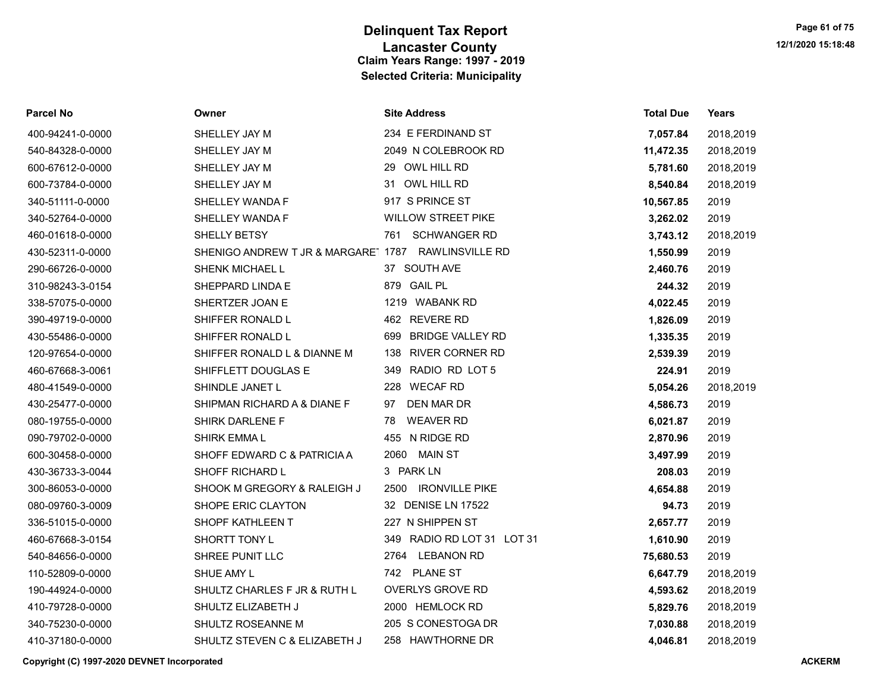| <b>Parcel No</b> | Owner                                               | <b>Site Address</b>            | <b>Total Due</b> | Years     |
|------------------|-----------------------------------------------------|--------------------------------|------------------|-----------|
| 400-94241-0-0000 | SHELLEY JAY M                                       | 234 E FERDINAND ST             | 7,057.84         | 2018,2019 |
| 540-84328-0-0000 | SHELLEY JAY M                                       | 2049 N COLEBROOK RD            | 11,472.35        | 2018,2019 |
| 600-67612-0-0000 | SHELLEY JAY M                                       | 29 OWL HILL RD                 | 5,781.60         | 2018,2019 |
| 600-73784-0-0000 | SHELLEY JAY M                                       | 31 OWL HILL RD                 | 8,540.84         | 2018,2019 |
| 340-51111-0-0000 | SHELLEY WANDA F                                     | 917 S PRINCE ST                | 10,567.85        | 2019      |
| 340-52764-0-0000 | SHELLEY WANDA F                                     | <b>WILLOW STREET PIKE</b>      | 3,262.02         | 2019      |
| 460-01618-0-0000 | SHELLY BETSY                                        | 761 SCHWANGER RD               | 3,743.12         | 2018,2019 |
| 430-52311-0-0000 | SHENIGO ANDREW T JR & MARGARE' 1787 RAWLINSVILLE RD |                                | 1,550.99         | 2019      |
| 290-66726-0-0000 | SHENK MICHAEL L                                     | 37 SOUTH AVE                   | 2,460.76         | 2019      |
| 310-98243-3-0154 | SHEPPARD LINDA E                                    | 879 GAIL PL                    | 244.32           | 2019      |
| 338-57075-0-0000 | SHERTZER JOAN E                                     | 1219 WABANK RD                 | 4,022.45         | 2019      |
| 390-49719-0-0000 | SHIFFER RONALD L                                    | 462 REVERE RD                  | 1,826.09         | 2019      |
| 430-55486-0-0000 | SHIFFER RONALD L                                    | <b>BRIDGE VALLEY RD</b><br>699 | 1,335.35         | 2019      |
| 120-97654-0-0000 | SHIFFER RONALD L & DIANNE M                         | <b>RIVER CORNER RD</b><br>138  | 2,539.39         | 2019      |
| 460-67668-3-0061 | SHIFFLETT DOUGLAS E                                 | RADIO RD LOT 5<br>349          | 224.91           | 2019      |
| 480-41549-0-0000 | SHINDLE JANET L                                     | 228 WECAF RD                   | 5,054.26         | 2018,2019 |
| 430-25477-0-0000 | SHIPMAN RICHARD A & DIANE F                         | DEN MAR DR<br>97               | 4,586.73         | 2019      |
| 080-19755-0-0000 | SHIRK DARLENE F                                     | <b>WEAVER RD</b><br>78         | 6,021.87         | 2019      |
| 090-79702-0-0000 | <b>SHIRK EMMAL</b>                                  | 455 N RIDGE RD                 | 2,870.96         | 2019      |
| 600-30458-0-0000 | SHOFF EDWARD C & PATRICIA A                         | <b>MAIN ST</b><br>2060         | 3,497.99         | 2019      |
| 430-36733-3-0044 | SHOFF RICHARD L                                     | 3 PARK LN                      | 208.03           | 2019      |
| 300-86053-0-0000 | SHOOK M GREGORY & RALEIGH J                         | <b>IRONVILLE PIKE</b><br>2500  | 4,654.88         | 2019      |
| 080-09760-3-0009 | SHOPE ERIC CLAYTON                                  | 32 DENISE LN 17522             | 94.73            | 2019      |
| 336-51015-0-0000 | SHOPF KATHLEEN T                                    | 227 N SHIPPEN ST               | 2,657.77         | 2019      |
| 460-67668-3-0154 | SHORTT TONY L                                       | 349 RADIO RD LOT 31 LOT 31     | 1,610.90         | 2019      |
| 540-84656-0-0000 | SHREE PUNIT LLC                                     | 2764 LEBANON RD                | 75,680.53        | 2019      |
| 110-52809-0-0000 | SHUE AMY L                                          | 742 PLANE ST                   | 6,647.79         | 2018,2019 |
| 190-44924-0-0000 | SHULTZ CHARLES F JR & RUTH L                        | <b>OVERLYS GROVE RD</b>        | 4,593.62         | 2018,2019 |
| 410-79728-0-0000 | SHULTZ ELIZABETH J                                  | 2000 HEMLOCK RD                | 5,829.76         | 2018,2019 |
| 340-75230-0-0000 | SHULTZ ROSEANNE M                                   | 205 S CONESTOGA DR             | 7,030.88         | 2018,2019 |
| 410-37180-0-0000 | SHULTZ STEVEN C & ELIZABETH J                       | 258 HAWTHORNE DR               | 4.046.81         | 2018,2019 |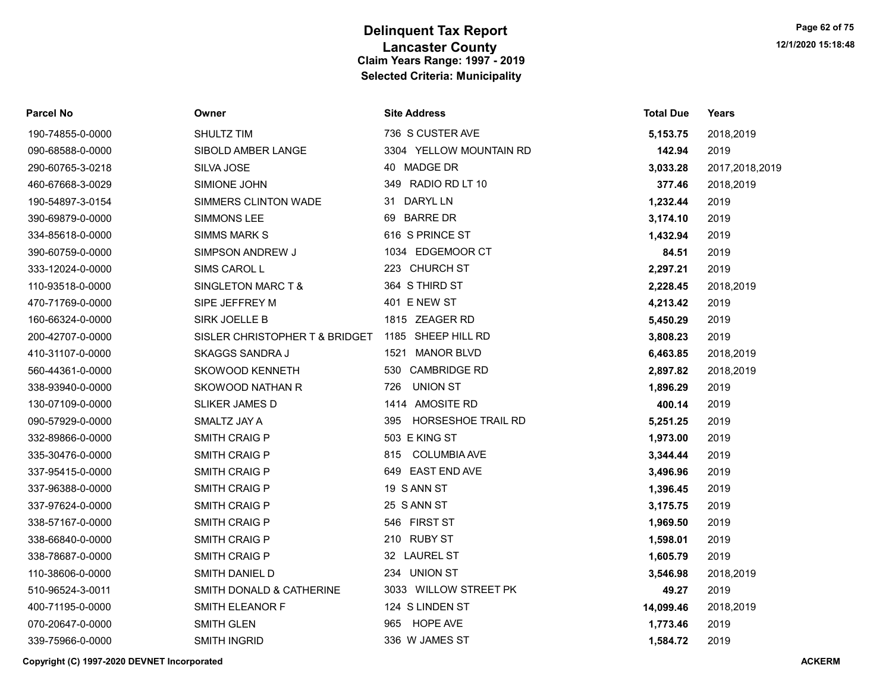| Parcel No        | Owner                          | <b>Site Address</b>              | <b>Total Due</b> | Years          |
|------------------|--------------------------------|----------------------------------|------------------|----------------|
| 190-74855-0-0000 | SHULTZ TIM                     | 736 S CUSTER AVE                 | 5,153.75         | 2018,2019      |
| 090-68588-0-0000 | SIBOLD AMBER LANGE             | 3304 YELLOW MOUNTAIN RD          | 142.94           | 2019           |
| 290-60765-3-0218 | SILVA JOSE                     | 40 MADGE DR                      | 3,033.28         | 2017,2018,2019 |
| 460-67668-3-0029 | SIMIONE JOHN                   | 349 RADIO RD LT 10               | 377.46           | 2018,2019      |
| 190-54897-3-0154 | SIMMERS CLINTON WADE           | 31 DARYL LN                      | 1,232.44         | 2019           |
| 390-69879-0-0000 | SIMMONS LEE                    | 69 BARRE DR                      | 3,174.10         | 2019           |
| 334-85618-0-0000 | <b>SIMMS MARK S</b>            | 616 S PRINCE ST                  | 1,432.94         | 2019           |
| 390-60759-0-0000 | SIMPSON ANDREW J               | 1034 EDGEMOOR CT                 | 84.51            | 2019           |
| 333-12024-0-0000 | SIMS CAROL L                   | 223 CHURCH ST                    | 2,297.21         | 2019           |
| 110-93518-0-0000 | SINGLETON MARC T &             | 364 S THIRD ST                   | 2,228.45         | 2018,2019      |
| 470-71769-0-0000 | SIPE JEFFREY M                 | 401 E NEW ST                     | 4,213.42         | 2019           |
| 160-66324-0-0000 | SIRK JOELLE B                  | 1815 ZEAGER RD                   | 5,450.29         | 2019           |
| 200-42707-0-0000 | SISLER CHRISTOPHER T & BRIDGET | 1185 SHEEP HILL RD               | 3,808.23         | 2019           |
| 410-31107-0-0000 | <b>SKAGGS SANDRA J</b>         | <b>MANOR BLVD</b><br>1521        | 6,463.85         | 2018,2019      |
| 560-44361-0-0000 | SKOWOOD KENNETH                | 530 CAMBRIDGE RD                 | 2,897.82         | 2018,2019      |
| 338-93940-0-0000 | SKOWOOD NATHAN R               | <b>UNION ST</b><br>726           | 1,896.29         | 2019           |
| 130-07109-0-0000 | <b>SLIKER JAMES D</b>          | 1414 AMOSITE RD                  | 400.14           | 2019           |
| 090-57929-0-0000 | SMALTZ JAY A                   | <b>HORSESHOE TRAIL RD</b><br>395 | 5,251.25         | 2019           |
| 332-89866-0-0000 | <b>SMITH CRAIG P</b>           | 503 E KING ST                    | 1,973.00         | 2019           |
| 335-30476-0-0000 | <b>SMITH CRAIG P</b>           | <b>COLUMBIA AVE</b><br>815       | 3,344.44         | 2019           |
| 337-95415-0-0000 | <b>SMITH CRAIG P</b>           | 649 EAST END AVE                 | 3,496.96         | 2019           |
| 337-96388-0-0000 | <b>SMITH CRAIG P</b>           | 19 S ANN ST                      | 1,396.45         | 2019           |
| 337-97624-0-0000 | <b>SMITH CRAIG P</b>           | 25 S ANN ST                      | 3,175.75         | 2019           |
| 338-57167-0-0000 | <b>SMITH CRAIG P</b>           | 546 FIRST ST                     | 1,969.50         | 2019           |
| 338-66840-0-0000 | <b>SMITH CRAIG P</b>           | 210 RUBY ST                      | 1,598.01         | 2019           |
| 338-78687-0-0000 | <b>SMITH CRAIG P</b>           | 32 LAUREL ST                     | 1,605.79         | 2019           |
| 110-38606-0-0000 | SMITH DANIEL D                 | 234 UNION ST                     | 3,546.98         | 2018,2019      |
| 510-96524-3-0011 | SMITH DONALD & CATHERINE       | 3033 WILLOW STREET PK            | 49.27            | 2019           |
| 400-71195-0-0000 | SMITH ELEANOR F                | 124 S LINDEN ST                  | 14,099.46        | 2018,2019      |
| 070-20647-0-0000 | <b>SMITH GLEN</b>              | <b>HOPE AVE</b><br>965           | 1,773.46         | 2019           |
| 339-75966-0-0000 | <b>SMITH INGRID</b>            | 336 W JAMES ST                   | 1,584.72         | 2019           |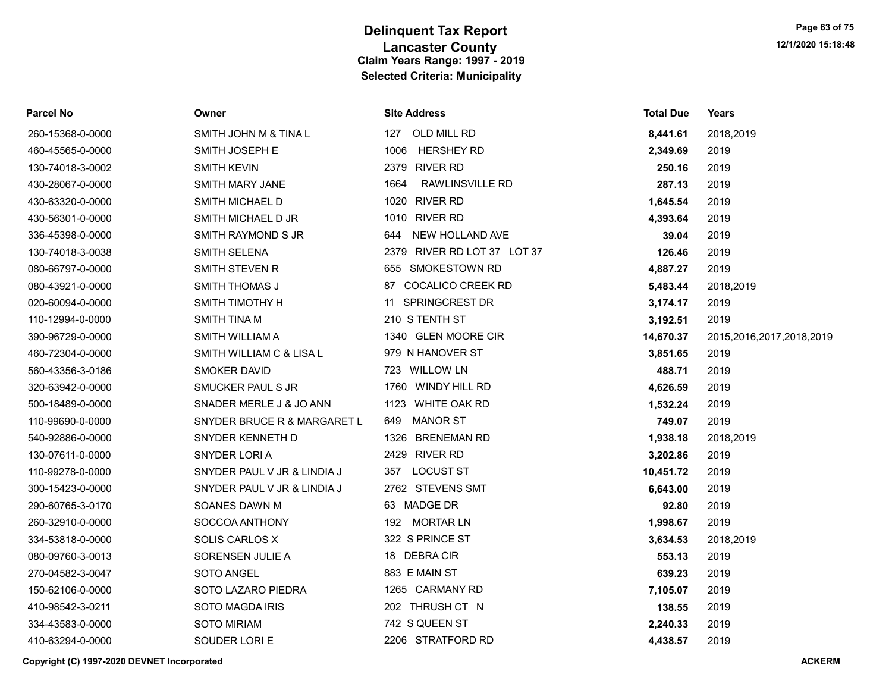| Parcel No        | Owner                       | <b>Site Address</b>            | <b>Total Due</b> | Years                    |
|------------------|-----------------------------|--------------------------------|------------------|--------------------------|
| 260-15368-0-0000 | SMITH JOHN M & TINA L       | 127<br>OLD MILL RD             | 8,441.61         | 2018,2019                |
| 460-45565-0-0000 | SMITH JOSEPH E              | <b>HERSHEY RD</b><br>1006      | 2,349.69         | 2019                     |
| 130-74018-3-0002 | <b>SMITH KEVIN</b>          | 2379 RIVER RD                  | 250.16           | 2019                     |
| 430-28067-0-0000 | <b>SMITH MARY JANE</b>      | 1664<br><b>RAWLINSVILLE RD</b> | 287.13           | 2019                     |
| 430-63320-0-0000 | SMITH MICHAEL D             | 1020 RIVER RD                  | 1,645.54         | 2019                     |
| 430-56301-0-0000 | SMITH MICHAEL D JR          | 1010 RIVER RD                  | 4,393.64         | 2019                     |
| 336-45398-0-0000 | SMITH RAYMOND S JR          | NEW HOLLAND AVE<br>644         | 39.04            | 2019                     |
| 130-74018-3-0038 | <b>SMITH SELENA</b>         | 2379 RIVER RD LOT 37 LOT 37    | 126.46           | 2019                     |
| 080-66797-0-0000 | <b>SMITH STEVEN R</b>       | 655 SMOKESTOWN RD              | 4,887.27         | 2019                     |
| 080-43921-0-0000 | <b>SMITH THOMAS J</b>       | 87 COCALICO CREEK RD           | 5,483.44         | 2018,2019                |
| 020-60094-0-0000 | SMITH TIMOTHY H             | 11 SPRINGCREST DR              | 3,174.17         | 2019                     |
| 110-12994-0-0000 | <b>SMITH TINA M</b>         | 210 S TENTH ST                 | 3,192.51         | 2019                     |
| 390-96729-0-0000 | SMITH WILLIAM A             | 1340 GLEN MOORE CIR            | 14,670.37        | 2015,2016,2017,2018,2019 |
| 460-72304-0-0000 | SMITH WILLIAM C & LISA L    | 979 N HANOVER ST               | 3,851.65         | 2019                     |
| 560-43356-3-0186 | <b>SMOKER DAVID</b>         | 723 WILLOW LN                  | 488.71           | 2019                     |
| 320-63942-0-0000 | SMUCKER PAUL S JR           | 1760 WINDY HILL RD             | 4,626.59         | 2019                     |
| 500-18489-0-0000 | SNADER MERLE J & JO ANN     | 1123 WHITE OAK RD              | 1,532.24         | 2019                     |
| 110-99690-0-0000 | SNYDER BRUCE R & MARGARET L | <b>MANOR ST</b><br>649         | 749.07           | 2019                     |
| 540-92886-0-0000 | SNYDER KENNETH D            | 1326 BRENEMAN RD               | 1,938.18         | 2018,2019                |
| 130-07611-0-0000 | SNYDER LORI A               | 2429 RIVER RD                  | 3,202.86         | 2019                     |
| 110-99278-0-0000 | SNYDER PAUL V JR & LINDIA J | <b>LOCUST ST</b><br>357        | 10,451.72        | 2019                     |
| 300-15423-0-0000 | SNYDER PAUL V JR & LINDIA J | 2762 STEVENS SMT               | 6,643.00         | 2019                     |
| 290-60765-3-0170 | SOANES DAWN M               | 63 MADGE DR                    | 92.80            | 2019                     |
| 260-32910-0-0000 | SOCCOA ANTHONY              | 192 MORTAR LN                  | 1,998.67         | 2019                     |
| 334-53818-0-0000 | SOLIS CARLOS X              | 322 S PRINCE ST                | 3,634.53         | 2018,2019                |
| 080-09760-3-0013 | SORENSEN JULIE A            | 18 DEBRACIR                    | 553.13           | 2019                     |
| 270-04582-3-0047 | SOTO ANGEL                  | 883 E MAIN ST                  | 639.23           | 2019                     |
| 150-62106-0-0000 | SOTO LAZARO PIEDRA          | 1265 CARMANY RD                | 7,105.07         | 2019                     |
| 410-98542-3-0211 | <b>SOTO MAGDA IRIS</b>      | 202 THRUSH CT N                | 138.55           | 2019                     |
| 334-43583-0-0000 | SOTO MIRIAM                 | 742 S QUEEN ST                 | 2,240.33         | 2019                     |
| 410-63294-0-0000 | SOUDER LORI E               | 2206 STRATFORD RD              | 4,438.57         | 2019                     |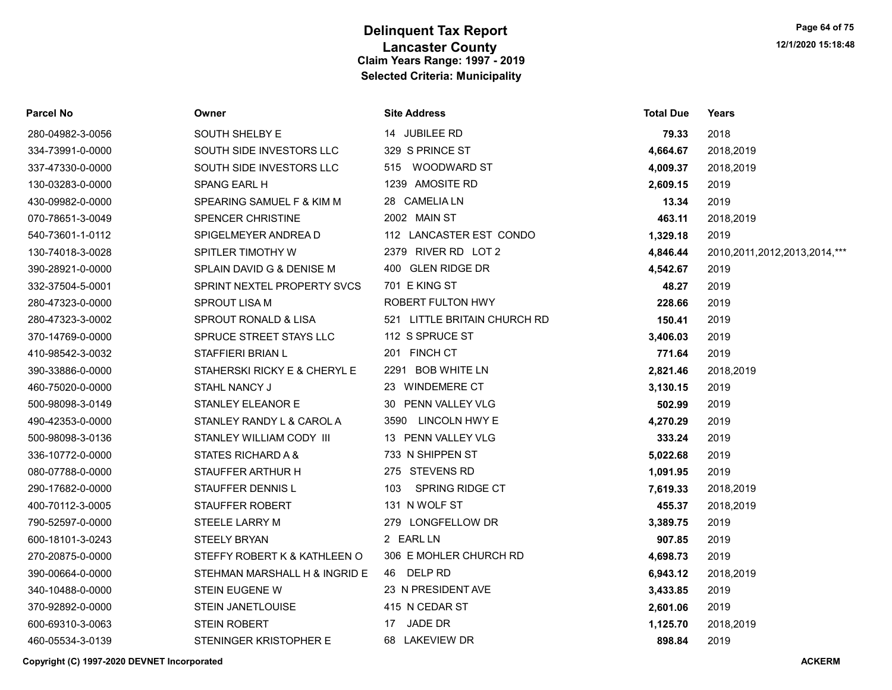| <b>Parcel No</b> | Owner                         | <b>Site Address</b>           | <b>Total Due</b> | Years                             |
|------------------|-------------------------------|-------------------------------|------------------|-----------------------------------|
| 280-04982-3-0056 | SOUTH SHELBY E                | 14 JUBILEE RD                 | 79.33            | 2018                              |
| 334-73991-0-0000 | SOUTH SIDE INVESTORS LLC      | 329 S PRINCE ST               | 4,664.67         | 2018,2019                         |
| 337-47330-0-0000 | SOUTH SIDE INVESTORS LLC      | 515 WOODWARD ST               | 4,009.37         | 2018,2019                         |
| 130-03283-0-0000 | <b>SPANG EARL H</b>           | 1239 AMOSITE RD               | 2,609.15         | 2019                              |
| 430-09982-0-0000 | SPEARING SAMUEL F & KIM M     | 28 CAMELIA LN                 | 13.34            | 2019                              |
| 070-78651-3-0049 | <b>SPENCER CHRISTINE</b>      | 2002 MAIN ST                  | 463.11           | 2018,2019                         |
| 540-73601-1-0112 | SPIGELMEYER ANDREA D          | 112 LANCASTER EST CONDO       | 1,329.18         | 2019                              |
| 130-74018-3-0028 | SPITLER TIMOTHY W             | 2379 RIVER RD LOT 2           | 4,846.44         | 2010, 2011, 2012, 2013, 2014, *** |
| 390-28921-0-0000 | SPLAIN DAVID G & DENISE M     | 400 GLEN RIDGE DR             | 4,542.67         | 2019                              |
| 332-37504-5-0001 | SPRINT NEXTEL PROPERTY SVCS   | 701 E KING ST                 | 48.27            | 2019                              |
| 280-47323-0-0000 | SPROUT LISA M                 | ROBERT FULTON HWY             | 228.66           | 2019                              |
| 280-47323-3-0002 | SPROUT RONALD & LISA          | 521 LITTLE BRITAIN CHURCH RD  | 150.41           | 2019                              |
| 370-14769-0-0000 | SPRUCE STREET STAYS LLC       | 112 S SPRUCE ST               | 3,406.03         | 2019                              |
| 410-98542-3-0032 | STAFFIERI BRIAN L             | 201 FINCH CT                  | 771.64           | 2019                              |
| 390-33886-0-0000 | STAHERSKI RICKY E & CHERYL E  | 2291 BOB WHITE LN             | 2,821.46         | 2018,2019                         |
| 460-75020-0-0000 | STAHL NANCY J                 | 23 WINDEMERE CT               | 3,130.15         | 2019                              |
| 500-98098-3-0149 | STANLEY ELEANOR E             | 30 PENN VALLEY VLG            | 502.99           | 2019                              |
| 490-42353-0-0000 | STANLEY RANDY L & CAROL A     | LINCOLN HWY E<br>3590         | 4,270.29         | 2019                              |
| 500-98098-3-0136 | STANLEY WILLIAM CODY III      | 13 PENN VALLEY VLG            | 333.24           | 2019                              |
| 336-10772-0-0000 | STATES RICHARD A &            | 733 N SHIPPEN ST              | 5,022.68         | 2019                              |
| 080-07788-0-0000 | STAUFFER ARTHUR H             | 275 STEVENS RD                | 1,091.95         | 2019                              |
| 290-17682-0-0000 | STAUFFER DENNIS L             | <b>SPRING RIDGE CT</b><br>103 | 7,619.33         | 2018,2019                         |
| 400-70112-3-0005 | STAUFFER ROBERT               | 131 N WOLF ST                 | 455.37           | 2018,2019                         |
| 790-52597-0-0000 | STEELE LARRY M                | 279 LONGFELLOW DR             | 3,389.75         | 2019                              |
| 600-18101-3-0243 | <b>STEELY BRYAN</b>           | 2 EARL LN                     | 907.85           | 2019                              |
| 270-20875-0-0000 | STEFFY ROBERT K & KATHLEEN O  | 306 E MOHLER CHURCH RD        | 4,698.73         | 2019                              |
| 390-00664-0-0000 | STEHMAN MARSHALL H & INGRID E | 46 DELP RD                    | 6,943.12         | 2018,2019                         |
| 340-10488-0-0000 | <b>STEIN EUGENE W</b>         | 23 N PRESIDENT AVE            | 3,433.85         | 2019                              |
| 370-92892-0-0000 | STEIN JANETLOUISE             | 415 N CEDAR ST                | 2,601.06         | 2019                              |
| 600-69310-3-0063 | <b>STEIN ROBERT</b>           | 17 JADE DR                    | 1,125.70         | 2018,2019                         |
| 460-05534-3-0139 | STENINGER KRISTOPHER E        | 68 LAKEVIEW DR                | 898.84           | 2019                              |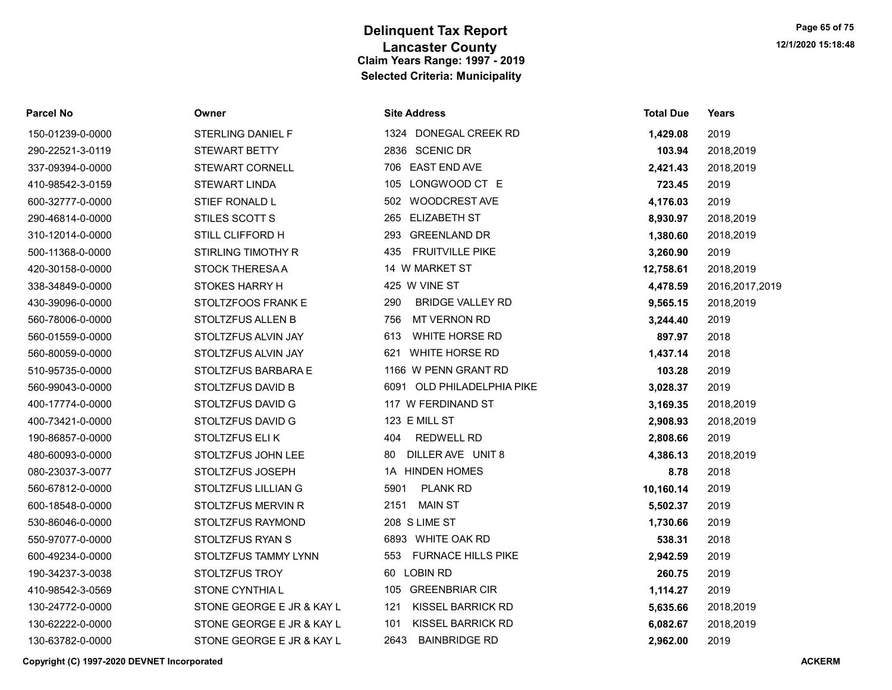| 150-01239-0-0000 |
|------------------|
| 290-22521-3-0119 |
| 337-09394-0-0000 |
| 410-98542-3-0159 |
| 600-32777-0-0000 |
| 290-46814-0-0000 |
| 310-12014-0-0000 |
| 500-11368-0-0000 |
| 420-30158-0-0000 |
| 338-34849-0-0000 |
| 430-39096-0-0000 |
| 560-78006-0-0000 |
| 560-01559-0-0000 |
| 560-80059-0-0000 |
| 510-95735-0-0000 |
| 560-99043-0-0000 |
| 400-17774-0-0000 |
| 400-73421-0-0000 |
| 190-86857-0-0000 |
| 480-60093-0-0000 |
| 080-23037-3-0077 |
| 560-67812-0-0000 |
| 600-18548-0-0000 |
| 530-86046-0-0000 |
| 550-97077-0-0000 |
| 600-49234-0-0000 |
| 190-34237-3-0038 |
| 410-98542-3-0569 |
| 130-24772-0-0000 |
| 130-62222-0-0000 |

| Parcel No        | Owner                      | <b>Site Address</b>             | <b>Total Due</b> | Years          |
|------------------|----------------------------|---------------------------------|------------------|----------------|
| 150-01239-0-0000 | STERLING DANIEL F          | 1324 DONEGAL CREEK RD           | 1,429.08         | 2019           |
| 290-22521-3-0119 | <b>STEWART BETTY</b>       | 2836 SCENIC DR                  | 103.94           | 2018,2019      |
| 337-09394-0-0000 | <b>STEWART CORNELL</b>     | 706 EAST END AVE                | 2,421.43         | 2018,2019      |
| 410-98542-3-0159 | <b>STEWART LINDA</b>       | 105 LONGWOOD CT E               | 723.45           | 2019           |
| 600-32777-0-0000 | STIEF RONALD L             | 502 WOODCREST AVE               | 4,176.03         | 2019           |
| 290-46814-0-0000 | STILES SCOTT S             | 265 ELIZABETH ST                | 8,930.97         | 2018,2019      |
| 310-12014-0-0000 | STILL CLIFFORD H           | <b>GREENLAND DR</b><br>293      | 1,380.60         | 2018,2019      |
| 500-11368-0-0000 | STIRLING TIMOTHY R         | 435<br><b>FRUITVILLE PIKE</b>   | 3,260.90         | 2019           |
| 420-30158-0-0000 | <b>STOCK THERESA A</b>     | 14 W MARKET ST                  | 12,758.61        | 2018,2019      |
| 338-34849-0-0000 | <b>STOKES HARRY H</b>      | 425 W VINE ST                   | 4,478.59         | 2016,2017,2019 |
| 430-39096-0-0000 | STOLTZFOOS FRANK E         | <b>BRIDGE VALLEY RD</b><br>290  | 9,565.15         | 2018,2019      |
| 560-78006-0-0000 | <b>STOLTZFUS ALLEN B</b>   | <b>MT VERNON RD</b><br>756      | 3,244.40         | 2019           |
| 560-01559-0-0000 | STOLTZFUS ALVIN JAY        | <b>WHITE HORSE RD</b><br>613    | 897.97           | 2018           |
| 560-80059-0-0000 | STOLTZFUS ALVIN JAY        | WHITE HORSE RD<br>621           | 1,437.14         | 2018           |
| 510-95735-0-0000 | STOLTZFUS BARBARA E        | 1166 W PENN GRANT RD            | 103.28           | 2019           |
| 560-99043-0-0000 | <b>STOLTZFUS DAVID B</b>   | 6091 OLD PHILADELPHIA PIKE      | 3,028.37         | 2019           |
| 400-17774-0-0000 | STOLTZFUS DAVID G          | 117 W FERDINAND ST              | 3,169.35         | 2018,2019      |
| 400-73421-0-0000 | STOLTZFUS DAVID G          | 123 E MILL ST                   | 2,908.93         | 2018,2019      |
| 190-86857-0-0000 | STOLTZFUS ELIK             | <b>REDWELL RD</b><br>404        | 2,808.66         | 2019           |
| 480-60093-0-0000 | STOLTZFUS JOHN LEE         | DILLER AVE UNIT 8<br>80         | 4,386.13         | 2018,2019      |
| 080-23037-3-0077 | STOLTZFUS JOSEPH           | <b>HINDEN HOMES</b><br>1A       | 8.78             | 2018           |
| 560-67812-0-0000 | <b>STOLTZFUS LILLIAN G</b> | 5901<br><b>PLANK RD</b>         | 10,160.14        | 2019           |
| 600-18548-0-0000 | STOLTZFUS MERVIN R         | 2151<br><b>MAIN ST</b>          | 5,502.37         | 2019           |
| 530-86046-0-0000 | STOLTZFUS RAYMOND          | 208 S LIME ST                   | 1,730.66         | 2019           |
| 550-97077-0-0000 | STOLTZFUS RYAN S           | 6893 WHITE OAK RD               | 538.31           | 2018           |
| 600-49234-0-0000 | STOLTZFUS TAMMY LYNN       | 553 FURNACE HILLS PIKE          | 2,942.59         | 2019           |
| 190-34237-3-0038 | STOLTZFUS TROY             | 60 LOBIN RD                     | 260.75           | 2019           |
| 410-98542-3-0569 | STONE CYNTHIA L            | <b>GREENBRIAR CIR</b><br>105    | 1,114.27         | 2019           |
| 130-24772-0-0000 | STONE GEORGE E JR & KAY L  | <b>KISSEL BARRICK RD</b><br>121 | 5,635.66         | 2018,2019      |
| 130-62222-0-0000 | STONE GEORGE E JR & KAY L  | <b>KISSEL BARRICK RD</b><br>101 | 6,082.67         | 2018,2019      |
| 130-63782-0-0000 | STONE GEORGE E JR & KAY L  | 2643<br><b>BAINBRIDGE RD</b>    | 2.962.00         | 2019           |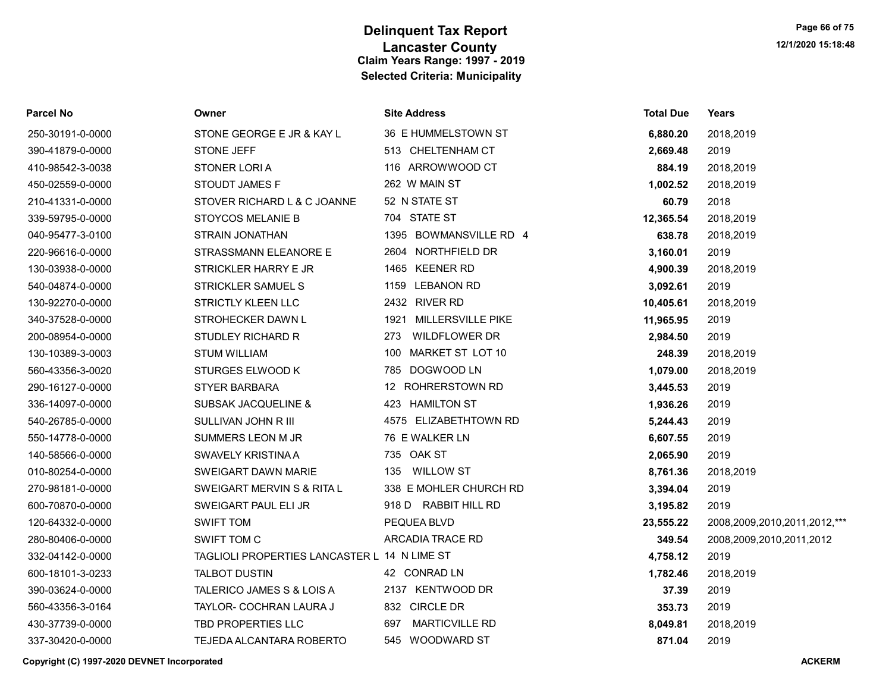| <b>Parcel No</b> | Owner                                        | <b>Site Address</b>          | <b>Total Due</b> | <b>Years</b>                 |
|------------------|----------------------------------------------|------------------------------|------------------|------------------------------|
| 250-30191-0-0000 | STONE GEORGE E JR & KAY L                    | 36 E HUMMELSTOWN ST          | 6,880.20         | 2018,2019                    |
| 390-41879-0-0000 | <b>STONE JEFF</b>                            | 513 CHELTENHAM CT            | 2,669.48         | 2019                         |
| 410-98542-3-0038 | STONER LORI A                                | 116 ARROWWOOD CT             | 884.19           | 2018,2019                    |
| 450-02559-0-0000 | STOUDT JAMES F                               | 262 W MAIN ST                | 1,002.52         | 2018,2019                    |
| 210-41331-0-0000 | STOVER RICHARD L & C JOANNE                  | 52 N STATE ST                | 60.79            | 2018                         |
| 339-59795-0-0000 | <b>STOYCOS MELANIE B</b>                     | 704 STATE ST                 | 12,365.54        | 2018,2019                    |
| 040-95477-3-0100 | <b>STRAIN JONATHAN</b>                       | 1395 BOWMANSVILLE RD 4       | 638.78           | 2018,2019                    |
| 220-96616-0-0000 | STRASSMANN ELEANORE E                        | 2604 NORTHFIELD DR           | 3,160.01         | 2019                         |
| 130-03938-0-0000 | STRICKLER HARRY E JR                         | 1465 KEENER RD               | 4,900.39         | 2018,2019                    |
| 540-04874-0-0000 | <b>STRICKLER SAMUEL S</b>                    | 1159 LEBANON RD              | 3,092.61         | 2019                         |
| 130-92270-0-0000 | <b>STRICTLY KLEEN LLC</b>                    | 2432 RIVER RD                | 10,405.61        | 2018,2019                    |
| 340-37528-0-0000 | STROHECKER DAWN L                            | 1921 MILLERSVILLE PIKE       | 11,965.95        | 2019                         |
| 200-08954-0-0000 | <b>STUDLEY RICHARD R</b>                     | <b>WILDFLOWER DR</b><br>273  | 2,984.50         | 2019                         |
| 130-10389-3-0003 | <b>STUM WILLIAM</b>                          | MARKET ST LOT 10<br>100      | 248.39           | 2018,2019                    |
| 560-43356-3-0020 | STURGES ELWOOD K                             | 785 DOGWOOD LN               | 1,079.00         | 2018,2019                    |
| 290-16127-0-0000 | <b>STYER BARBARA</b>                         | 12 ROHRERSTOWN RD            | 3,445.53         | 2019                         |
| 336-14097-0-0000 | <b>SUBSAK JACQUELINE &amp;</b>               | 423 HAMILTON ST              | 1,936.26         | 2019                         |
| 540-26785-0-0000 | SULLIVAN JOHN R III                          | 4575 ELIZABETHTOWN RD        | 5,244.43         | 2019                         |
| 550-14778-0-0000 | SUMMERS LEON M JR                            | 76 E WALKER LN               | 6,607.55         | 2019                         |
| 140-58566-0-0000 | <b>SWAVELY KRISTINA A</b>                    | 735 OAK ST                   | 2,065.90         | 2019                         |
| 010-80254-0-0000 | SWEIGART DAWN MARIE                          | 135<br>WILLOW ST             | 8,761.36         | 2018,2019                    |
| 270-98181-0-0000 | SWEIGART MERVIN S & RITA L                   | 338 E MOHLER CHURCH RD       | 3,394.04         | 2019                         |
| 600-70870-0-0000 | SWEIGART PAUL ELI JR                         | 918 D RABBIT HILL RD         | 3,195.82         | 2019                         |
| 120-64332-0-0000 | <b>SWIFT TOM</b>                             | PEQUEA BLVD                  | 23,555.22        | 2008,2009,2010,2011,2012,*** |
| 280-80406-0-0000 | SWIFT TOM C                                  | ARCADIA TRACE RD             | 349.54           | 2008,2009,2010,2011,2012     |
| 332-04142-0-0000 | TAGLIOLI PROPERTIES LANCASTER L 14 N LIME ST |                              | 4,758.12         | 2019                         |
| 600-18101-3-0233 | <b>TALBOT DUSTIN</b>                         | 42 CONRAD LN                 | 1,782.46         | 2018,2019                    |
| 390-03624-0-0000 | TALERICO JAMES S & LOIS A                    | 2137 KENTWOOD DR             | 37.39            | 2019                         |
| 560-43356-3-0164 | TAYLOR- COCHRAN LAURA J                      | 832 CIRCLE DR                | 353.73           | 2019                         |
| 430-37739-0-0000 | TBD PROPERTIES LLC                           | <b>MARTICVILLE RD</b><br>697 | 8,049.81         | 2018,2019                    |
| 337-30420-0-0000 | TEJEDA ALCANTARA ROBERTO                     | 545 WOODWARD ST              | 871.04           | 2019                         |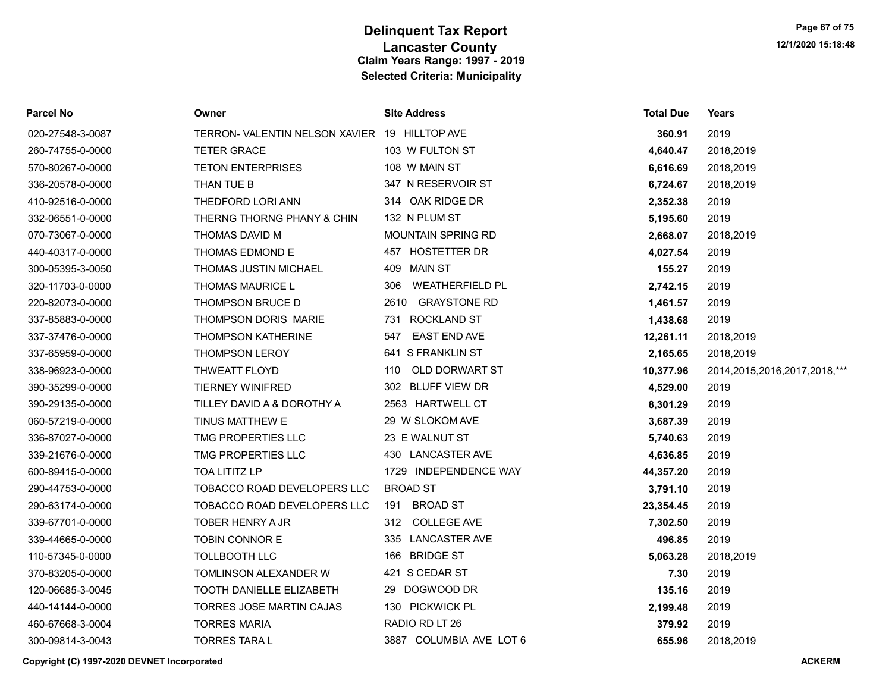| Parcel No        | Owner                                         | <b>Site Address</b>       | <b>Total Due</b> | Years                             |
|------------------|-----------------------------------------------|---------------------------|------------------|-----------------------------------|
| 020-27548-3-0087 | TERRON- VALENTIN NELSON XAVIER 19 HILLTOP AVE |                           | 360.91           | 2019                              |
| 260-74755-0-0000 | <b>TETER GRACE</b>                            | 103 W FULTON ST           | 4,640.47         | 2018,2019                         |
| 570-80267-0-0000 | <b>TETON ENTERPRISES</b>                      | 108 W MAIN ST             | 6,616.69         | 2018,2019                         |
| 336-20578-0-0000 | THAN TUE B                                    | 347 N RESERVOIR ST        | 6,724.67         | 2018,2019                         |
| 410-92516-0-0000 | THEDFORD LORI ANN                             | 314 OAK RIDGE DR          | 2,352.38         | 2019                              |
| 332-06551-0-0000 | THERNG THORNG PHANY & CHIN                    | 132 N PLUM ST             | 5,195.60         | 2019                              |
| 070-73067-0-0000 | THOMAS DAVID M                                | <b>MOUNTAIN SPRING RD</b> | 2,668.07         | 2018,2019                         |
| 440-40317-0-0000 | THOMAS EDMOND E                               | 457 HOSTETTER DR          | 4,027.54         | 2019                              |
| 300-05395-3-0050 | <b>THOMAS JUSTIN MICHAEL</b>                  | 409 MAIN ST               | 155.27           | 2019                              |
| 320-11703-0-0000 | <b>THOMAS MAURICE L</b>                       | 306 WEATHERFIELD PL       | 2,742.15         | 2019                              |
| 220-82073-0-0000 | THOMPSON BRUCE D                              | 2610 GRAYSTONE RD         | 1,461.57         | 2019                              |
| 337-85883-0-0000 | THOMPSON DORIS MARIE                          | 731 ROCKLAND ST           | 1,438.68         | 2019                              |
| 337-37476-0-0000 | <b>THOMPSON KATHERINE</b>                     | 547 EAST END AVE          | 12,261.11        | 2018,2019                         |
| 337-65959-0-0000 | <b>THOMPSON LEROY</b>                         | 641 S FRANKLIN ST         | 2,165.65         | 2018,2019                         |
| 338-96923-0-0000 | <b>THWEATT FLOYD</b>                          | OLD DORWART ST<br>110     | 10,377.96        | 2014, 2015, 2016, 2017, 2018, *** |
| 390-35299-0-0000 | TIERNEY WINIFRED                              | 302 BLUFF VIEW DR         | 4,529.00         | 2019                              |
| 390-29135-0-0000 | TILLEY DAVID A & DOROTHY A                    | 2563 HARTWELL CT          | 8,301.29         | 2019                              |
| 060-57219-0-0000 | TINUS MATTHEW E                               | 29 W SLOKOM AVE           | 3,687.39         | 2019                              |
| 336-87027-0-0000 | TMG PROPERTIES LLC                            | 23 E WALNUT ST            | 5,740.63         | 2019                              |
| 339-21676-0-0000 | TMG PROPERTIES LLC                            | 430 LANCASTER AVE         | 4,636.85         | 2019                              |
| 600-89415-0-0000 | <b>TOA LITITZ LP</b>                          | 1729 INDEPENDENCE WAY     | 44,357.20        | 2019                              |
| 290-44753-0-0000 | TOBACCO ROAD DEVELOPERS LLC                   | <b>BROAD ST</b>           | 3,791.10         | 2019                              |
| 290-63174-0-0000 | TOBACCO ROAD DEVELOPERS LLC                   | 191 BROAD ST              | 23,354.45        | 2019                              |
| 339-67701-0-0000 | TOBER HENRY A JR                              | 312 COLLEGE AVE           | 7,302.50         | 2019                              |
| 339-44665-0-0000 | TOBIN CONNOR E                                | 335 LANCASTER AVE         | 496.85           | 2019                              |
| 110-57345-0-0000 | <b>TOLLBOOTH LLC</b>                          | 166 BRIDGE ST             | 5,063.28         | 2018,2019                         |
| 370-83205-0-0000 | TOMLINSON ALEXANDER W                         | 421 S CEDAR ST            | 7.30             | 2019                              |
| 120-06685-3-0045 | TOOTH DANIELLE ELIZABETH                      | 29 DOGWOOD DR             | 135.16           | 2019                              |
| 440-14144-0-0000 | TORRES JOSE MARTIN CAJAS                      | 130 PICKWICK PL           | 2,199.48         | 2019                              |
| 460-67668-3-0004 | <b>TORRES MARIA</b>                           | RADIO RD LT 26            | 379.92           | 2019                              |
| 300-09814-3-0043 | <b>TORRES TARAL</b>                           | 3887 COLUMBIA AVE LOT 6   | 655.96           | 2018,2019                         |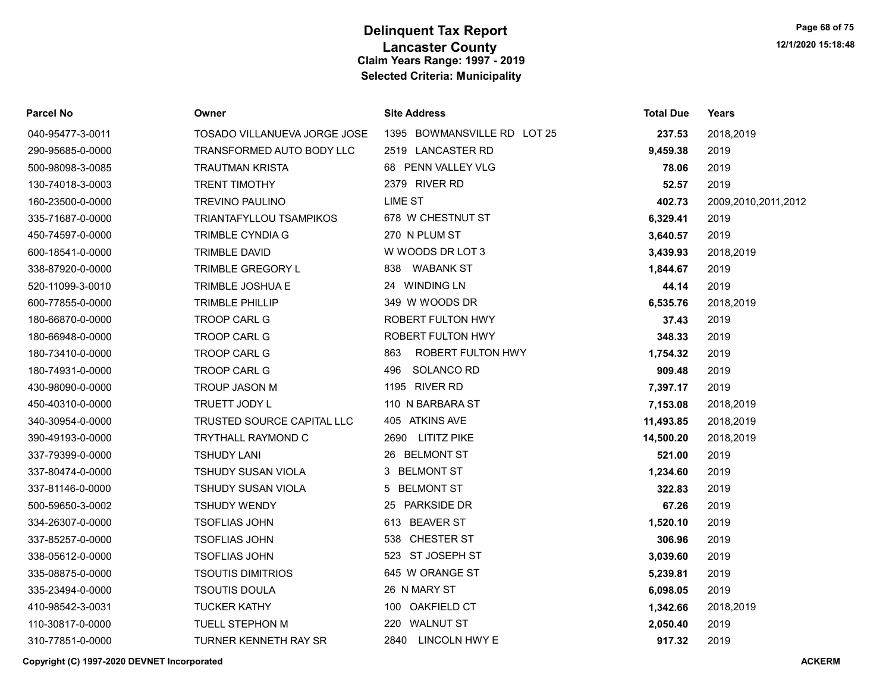| Parcel No        | Owner                        | <b>Site Address</b>         | <b>Total Due</b> | <b>Years</b>        |
|------------------|------------------------------|-----------------------------|------------------|---------------------|
| 040-95477-3-0011 | TOSADO VILLANUEVA JORGE JOSE | 1395 BOWMANSVILLE RD LOT 25 | 237.53           | 2018,2019           |
| 290-95685-0-0000 | TRANSFORMED AUTO BODY LLC    | 2519 LANCASTER RD           | 9,459.38         | 2019                |
| 500-98098-3-0085 | <b>TRAUTMAN KRISTA</b>       | 68 PENN VALLEY VLG          | 78.06            | 2019                |
| 130-74018-3-0003 | <b>TRENT TIMOTHY</b>         | 2379 RIVER RD               | 52.57            | 2019                |
| 160-23500-0-0000 | TREVINO PAULINO              | <b>LIME ST</b>              | 402.73           | 2009,2010,2011,2012 |
| 335-71687-0-0000 | TRIANTAFYLLOU TSAMPIKOS      | 678 W CHESTNUT ST           | 6,329.41         | 2019                |
| 450-74597-0-0000 | <b>TRIMBLE CYNDIA G</b>      | 270 N PLUM ST               | 3,640.57         | 2019                |
| 600-18541-0-0000 | <b>TRIMBLE DAVID</b>         | W WOODS DR LOT 3            | 3,439.93         | 2018,2019           |
| 338-87920-0-0000 | TRIMBLE GREGORY L            | 838 WABANK ST               | 1,844.67         | 2019                |
| 520-11099-3-0010 | TRIMBLE JOSHUA E             | 24 WINDING LN               | 44.14            | 2019                |
| 600-77855-0-0000 | <b>TRIMBLE PHILLIP</b>       | 349 W WOODS DR              | 6,535.76         | 2018,2019           |
| 180-66870-0-0000 | <b>TROOP CARL G</b>          | ROBERT FULTON HWY           | 37.43            | 2019                |
| 180-66948-0-0000 | TROOP CARL G                 | ROBERT FULTON HWY           | 348.33           | 2019                |
| 180-73410-0-0000 | TROOP CARL G                 | ROBERT FULTON HWY<br>863    | 1,754.32         | 2019                |
| 180-74931-0-0000 | <b>TROOP CARL G</b>          | SOLANCO RD<br>496           | 909.48           | 2019                |
| 430-98090-0-0000 | <b>TROUP JASON M</b>         | 1195 RIVER RD               | 7,397.17         | 2019                |
| 450-40310-0-0000 | TRUETT JODY L                | 110 N BARBARA ST            | 7,153.08         | 2018,2019           |
| 340-30954-0-0000 | TRUSTED SOURCE CAPITAL LLC   | 405 ATKINS AVE              | 11,493.85        | 2018,2019           |
| 390-49193-0-0000 | TRYTHALL RAYMOND C           | 2690 LITITZ PIKE            | 14,500.20        | 2018,2019           |
| 337-79399-0-0000 | <b>TSHUDY LANI</b>           | 26 BELMONT ST               | 521.00           | 2019                |
| 337-80474-0-0000 | <b>TSHUDY SUSAN VIOLA</b>    | 3 BELMONT ST                | 1,234.60         | 2019                |
| 337-81146-0-0000 | <b>TSHUDY SUSAN VIOLA</b>    | 5 BELMONT ST                | 322.83           | 2019                |
| 500-59650-3-0002 | <b>TSHUDY WENDY</b>          | 25 PARKSIDE DR              | 67.26            | 2019                |
| 334-26307-0-0000 | <b>TSOFLIAS JOHN</b>         | 613 BEAVER ST               | 1,520.10         | 2019                |
| 337-85257-0-0000 | <b>TSOFLIAS JOHN</b>         | 538 CHESTER ST              | 306.96           | 2019                |
| 338-05612-0-0000 | <b>TSOFLIAS JOHN</b>         | 523 ST JOSEPH ST            | 3,039.60         | 2019                |
| 335-08875-0-0000 | <b>TSOUTIS DIMITRIOS</b>     | 645 W ORANGE ST             | 5,239.81         | 2019                |
| 335-23494-0-0000 | <b>TSOUTIS DOULA</b>         | 26 N MARY ST                | 6,098.05         | 2019                |
| 410-98542-3-0031 | <b>TUCKER KATHY</b>          | 100 OAKFIELD CT             | 1,342.66         | 2018,2019           |
| 110-30817-0-0000 | TUELL STEPHON M              | 220 WALNUT ST               | 2,050.40         | 2019                |
| 310-77851-0-0000 | TURNER KENNETH RAY SR        | 2840 LINCOLN HWY E          | 917.32           | 2019                |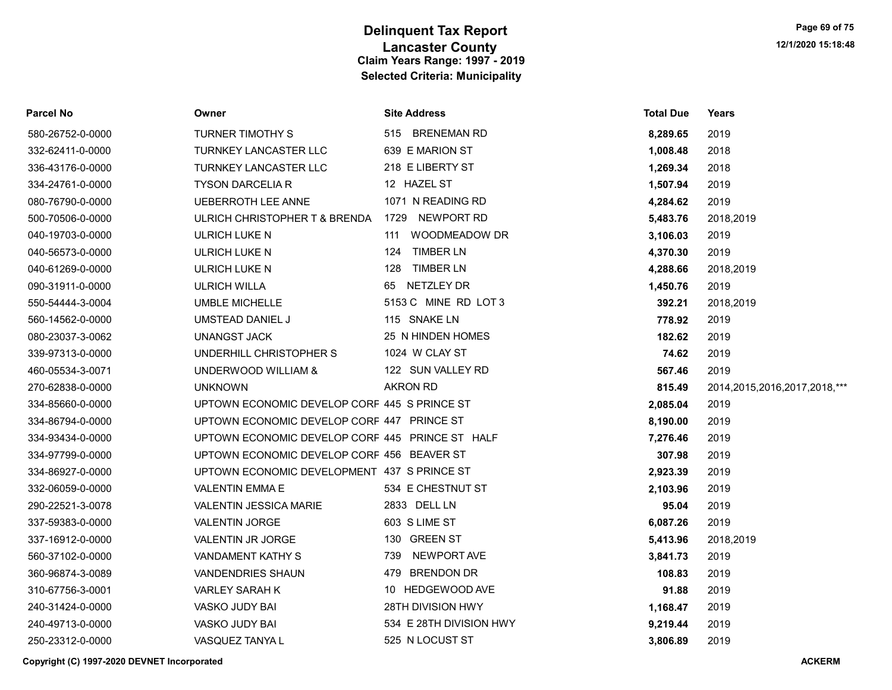| <b>Parcel No</b> | Owner                                           | <b>Site Address</b>     | <b>Total Due</b> | Years                             |
|------------------|-------------------------------------------------|-------------------------|------------------|-----------------------------------|
| 580-26752-0-0000 | TURNER TIMOTHY S                                | 515 BRENEMAN RD         | 8,289.65         | 2019                              |
| 332-62411-0-0000 | <b>TURNKEY LANCASTER LLC</b>                    | 639 E MARION ST         | 1,008.48         | 2018                              |
| 336-43176-0-0000 | TURNKEY LANCASTER LLC                           | 218 E LIBERTY ST        | 1,269.34         | 2018                              |
| 334-24761-0-0000 | <b>TYSON DARCELIA R</b>                         | 12 HAZEL ST             | 1,507.94         | 2019                              |
| 080-76790-0-0000 | <b>UEBERROTH LEE ANNE</b>                       | 1071 N READING RD       | 4,284.62         | 2019                              |
| 500-70506-0-0000 | ULRICH CHRISTOPHER T & BRENDA 1729 NEWPORT RD   |                         | 5,483.76         | 2018,2019                         |
| 040-19703-0-0000 | ULRICH LUKE N                                   | WOODMEADOW DR<br>111    | 3,106.03         | 2019                              |
| 040-56573-0-0000 | <b>ULRICH LUKE N</b>                            | 124 TIMBER LN           | 4,370.30         | 2019                              |
| 040-61269-0-0000 | ULRICH LUKE N                                   | 128 TIMBER LN           | 4,288.66         | 2018,2019                         |
| 090-31911-0-0000 | <b>ULRICH WILLA</b>                             | 65 NETZLEY DR           | 1,450.76         | 2019                              |
| 550-54444-3-0004 | <b>UMBLE MICHELLE</b>                           | 5153 C MINE RD LOT 3    | 392.21           | 2018,2019                         |
| 560-14562-0-0000 | UMSTEAD DANIEL J                                | 115 SNAKE LN            | 778.92           | 2019                              |
| 080-23037-3-0062 | UNANGST JACK                                    | 25 N HINDEN HOMES       | 182.62           | 2019                              |
| 339-97313-0-0000 | UNDERHILL CHRISTOPHER S                         | 1024 W CLAY ST          | 74.62            | 2019                              |
| 460-05534-3-0071 | UNDERWOOD WILLIAM &                             | 122 SUN VALLEY RD       | 567.46           | 2019                              |
| 270-62838-0-0000 | <b>UNKNOWN</b>                                  | <b>AKRON RD</b>         | 815.49           | 2014, 2015, 2016, 2017, 2018, *** |
| 334-85660-0-0000 | UPTOWN ECONOMIC DEVELOP CORF 445 S PRINCE ST    |                         | 2,085.04         | 2019                              |
| 334-86794-0-0000 | UPTOWN ECONOMIC DEVELOP CORF 447 PRINCE ST      |                         | 8,190.00         | 2019                              |
| 334-93434-0-0000 | UPTOWN ECONOMIC DEVELOP CORF 445 PRINCE ST HALF |                         | 7,276.46         | 2019                              |
| 334-97799-0-0000 | UPTOWN ECONOMIC DEVELOP CORF 456 BEAVER ST      |                         | 307.98           | 2019                              |
| 334-86927-0-0000 | UPTOWN ECONOMIC DEVELOPMENT 437 S PRINCE ST     |                         | 2,923.39         | 2019                              |
| 332-06059-0-0000 | <b>VALENTIN EMMA E</b>                          | 534 E CHESTNUT ST       | 2,103.96         | 2019                              |
| 290-22521-3-0078 | <b>VALENTIN JESSICA MARIE</b>                   | 2833 DELL LN            | 95.04            | 2019                              |
| 337-59383-0-0000 | <b>VALENTIN JORGE</b>                           | 603 S LIME ST           | 6,087.26         | 2019                              |
| 337-16912-0-0000 | VALENTIN JR JORGE                               | 130 GREEN ST            | 5,413.96         | 2018,2019                         |
| 560-37102-0-0000 | VANDAMENT KATHY S                               | 739 NEWPORT AVE         | 3,841.73         | 2019                              |
| 360-96874-3-0089 | <b>VANDENDRIES SHAUN</b>                        | 479 BRENDON DR          | 108.83           | 2019                              |
| 310-67756-3-0001 | <b>VARLEY SARAH K</b>                           | 10 HEDGEWOOD AVE        | 91.88            | 2019                              |
| 240-31424-0-0000 | VASKO JUDY BAI                                  | 28TH DIVISION HWY       | 1,168.47         | 2019                              |
| 240-49713-0-0000 | VASKO JUDY BAI                                  | 534 E 28TH DIVISION HWY | 9,219.44         | 2019                              |
| 250-23312-0-0000 | VASQUEZ TANYA L                                 | 525 N LOCUST ST         | 3.806.89         | 2019                              |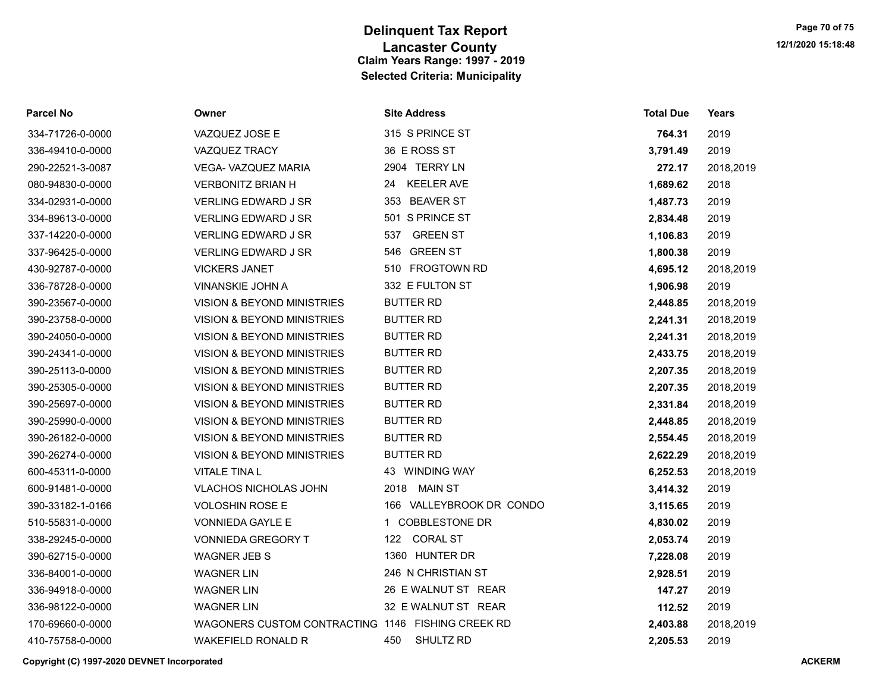| <b>Parcel No</b> | Owner                                             | <b>Site Address</b>      | <b>Total Due</b> | Years     |
|------------------|---------------------------------------------------|--------------------------|------------------|-----------|
| 334-71726-0-0000 | VAZQUEZ JOSE E                                    | 315 S PRINCE ST          | 764.31           | 2019      |
| 336-49410-0-0000 | VAZQUEZ TRACY                                     | 36 E ROSS ST             | 3,791.49         | 2019      |
| 290-22521-3-0087 | <b>VEGA- VAZQUEZ MARIA</b>                        | 2904 TERRY LN            | 272.17           | 2018,2019 |
| 080-94830-0-0000 | <b>VERBONITZ BRIAN H</b>                          | <b>KEELER AVE</b><br>24  | 1,689.62         | 2018      |
| 334-02931-0-0000 | <b>VERLING EDWARD J SR</b>                        | 353 BEAVER ST            | 1,487.73         | 2019      |
| 334-89613-0-0000 | <b>VERLING EDWARD J SR</b>                        | 501 S PRINCE ST          | 2,834.48         | 2019      |
| 337-14220-0-0000 | VERLING EDWARD J SR                               | <b>GREEN ST</b><br>537   | 1,106.83         | 2019      |
| 337-96425-0-0000 | <b>VERLING EDWARD J SR</b>                        | 546 GREEN ST             | 1,800.38         | 2019      |
| 430-92787-0-0000 | <b>VICKERS JANET</b>                              | 510 FROGTOWN RD          | 4,695.12         | 2018,2019 |
| 336-78728-0-0000 | VINANSKIE JOHN A                                  | 332 E FULTON ST          | 1,906.98         | 2019      |
| 390-23567-0-0000 | <b>VISION &amp; BEYOND MINISTRIES</b>             | <b>BUTTER RD</b>         | 2,448.85         | 2018,2019 |
| 390-23758-0-0000 | VISION & BEYOND MINISTRIES                        | <b>BUTTER RD</b>         | 2,241.31         | 2018,2019 |
| 390-24050-0-0000 | VISION & BEYOND MINISTRIES                        | <b>BUTTER RD</b>         | 2,241.31         | 2018,2019 |
| 390-24341-0-0000 | <b>VISION &amp; BEYOND MINISTRIES</b>             | <b>BUTTER RD</b>         | 2,433.75         | 2018,2019 |
| 390-25113-0-0000 | VISION & BEYOND MINISTRIES                        | <b>BUTTER RD</b>         | 2,207.35         | 2018,2019 |
| 390-25305-0-0000 | VISION & BEYOND MINISTRIES                        | <b>BUTTER RD</b>         | 2,207.35         | 2018,2019 |
| 390-25697-0-0000 | <b>VISION &amp; BEYOND MINISTRIES</b>             | <b>BUTTER RD</b>         | 2,331.84         | 2018,2019 |
| 390-25990-0-0000 | VISION & BEYOND MINISTRIES                        | <b>BUTTER RD</b>         | 2,448.85         | 2018,2019 |
| 390-26182-0-0000 | VISION & BEYOND MINISTRIES                        | <b>BUTTER RD</b>         | 2,554.45         | 2018,2019 |
| 390-26274-0-0000 | VISION & BEYOND MINISTRIES                        | <b>BUTTER RD</b>         | 2,622.29         | 2018,2019 |
| 600-45311-0-0000 | <b>VITALE TINA L</b>                              | 43 WINDING WAY           | 6,252.53         | 2018,2019 |
| 600-91481-0-0000 | VLACHOS NICHOLAS JOHN                             | 2018 MAIN ST             | 3,414.32         | 2019      |
| 390-33182-1-0166 | <b>VOLOSHIN ROSE E</b>                            | 166 VALLEYBROOK DR CONDO | 3,115.65         | 2019      |
| 510-55831-0-0000 | VONNIEDA GAYLE E                                  | 1 COBBLESTONE DR         | 4,830.02         | 2019      |
| 338-29245-0-0000 | <b>VONNIEDA GREGORY T</b>                         | 122 CORAL ST             | 2,053.74         | 2019      |
| 390-62715-0-0000 | <b>WAGNER JEB S</b>                               | 1360 HUNTER DR           | 7,228.08         | 2019      |
| 336-84001-0-0000 | <b>WAGNER LIN</b>                                 | 246 N CHRISTIAN ST       | 2,928.51         | 2019      |
| 336-94918-0-0000 | <b>WAGNER LIN</b>                                 | 26 E WALNUT ST REAR      | 147.27           | 2019      |
| 336-98122-0-0000 | <b>WAGNER LIN</b>                                 | 32 E WALNUT ST REAR      | 112.52           | 2019      |
| 170-69660-0-0000 | WAGONERS CUSTOM CONTRACTING 1146 FISHING CREEK RD |                          | 2,403.88         | 2018,2019 |
| 410-75758-0-0000 | WAKEFIELD RONALD R                                | SHULTZ RD<br>450         | 2,205.53         | 2019      |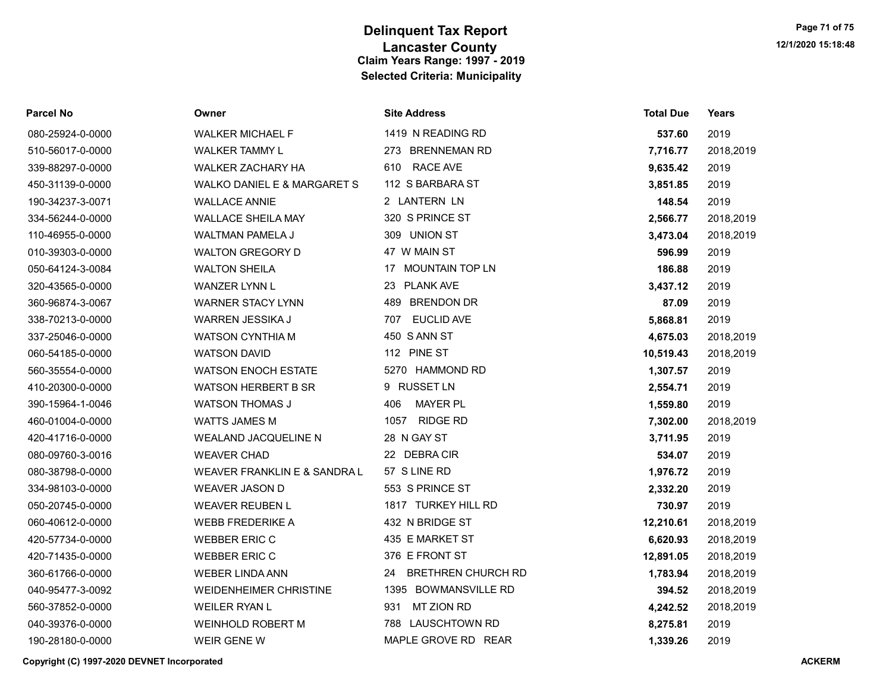| <b>Parcel No</b> | Owner                         | <b>Site Address</b>      | Total Due | Years     |
|------------------|-------------------------------|--------------------------|-----------|-----------|
| 080-25924-0-0000 | <b>WALKER MICHAEL F</b>       | 1419 N READING RD        | 537.60    | 2019      |
| 510-56017-0-0000 | <b>WALKER TAMMY L</b>         | 273 BRENNEMAN RD         | 7,716.77  | 2018,2019 |
| 339-88297-0-0000 | WALKER ZACHARY HA             | <b>RACE AVE</b><br>610   | 9,635.42  | 2019      |
| 450-31139-0-0000 | WALKO DANIEL E & MARGARET S   | 112 S BARBARA ST         | 3,851.85  | 2019      |
| 190-34237-3-0071 | <b>WALLACE ANNIE</b>          | 2 LANTERN LN             | 148.54    | 2019      |
| 334-56244-0-0000 | <b>WALLACE SHEILA MAY</b>     | 320 S PRINCE ST          | 2,566.77  | 2018,2019 |
| 110-46955-0-0000 | <b>WALTMAN PAMELA J</b>       | 309 UNION ST             | 3,473.04  | 2018,2019 |
| 010-39303-0-0000 | <b>WALTON GREGORY D</b>       | 47 W MAIN ST             | 596.99    | 2019      |
| 050-64124-3-0084 | <b>WALTON SHEILA</b>          | 17 MOUNTAIN TOP LN       | 186.88    | 2019      |
| 320-43565-0-0000 | WANZER LYNN L                 | 23 PLANK AVE             | 3,437.12  | 2019      |
| 360-96874-3-0067 | <b>WARNER STACY LYNN</b>      | 489 BRENDON DR           | 87.09     | 2019      |
| 338-70213-0-0000 | WARREN JESSIKA J              | <b>EUCLID AVE</b><br>707 | 5,868.81  | 2019      |
| 337-25046-0-0000 | <b>WATSON CYNTHIA M</b>       | 450 S ANN ST             | 4,675.03  | 2018,2019 |
| 060-54185-0-0000 | <b>WATSON DAVID</b>           | 112 PINE ST              | 10,519.43 | 2018,2019 |
| 560-35554-0-0000 | <b>WATSON ENOCH ESTATE</b>    | 5270 HAMMOND RD          | 1,307.57  | 2019      |
| 410-20300-0-0000 | <b>WATSON HERBERT B SR</b>    | 9 RUSSET LN              | 2,554.71  | 2019      |
| 390-15964-1-0046 | <b>WATSON THOMAS J</b>        | <b>MAYER PL</b><br>406   | 1,559.80  | 2019      |
| 460-01004-0-0000 | <b>WATTS JAMES M</b>          | 1057 RIDGE RD            | 7,302.00  | 2018,2019 |
| 420-41716-0-0000 | WEALAND JACQUELINE N          | 28 N GAY ST              | 3,711.95  | 2019      |
| 080-09760-3-0016 | <b>WEAVER CHAD</b>            | 22 DEBRACIR              | 534.07    | 2019      |
| 080-38798-0-0000 | WEAVER FRANKLIN E & SANDRA L  | 57 S LINE RD             | 1,976.72  | 2019      |
| 334-98103-0-0000 | <b>WEAVER JASON D</b>         | 553 S PRINCE ST          | 2,332.20  | 2019      |
| 050-20745-0-0000 | <b>WEAVER REUBEN L</b>        | 1817 TURKEY HILL RD      | 730.97    | 2019      |
| 060-40612-0-0000 | <b>WEBB FREDERIKE A</b>       | 432 N BRIDGE ST          | 12,210.61 | 2018,2019 |
| 420-57734-0-0000 | <b>WEBBER ERIC C</b>          | 435 E MARKET ST          | 6,620.93  | 2018,2019 |
| 420-71435-0-0000 | <b>WEBBER ERIC C</b>          | 376 E FRONT ST           | 12,891.05 | 2018,2019 |
| 360-61766-0-0000 | <b>WEBER LINDA ANN</b>        | 24 BRETHREN CHURCH RD    | 1,783.94  | 2018,2019 |
| 040-95477-3-0092 | <b>WEIDENHEIMER CHRISTINE</b> | 1395 BOWMANSVILLE RD     | 394.52    | 2018,2019 |
| 560-37852-0-0000 | <b>WEILER RYAN L</b>          | MT ZION RD<br>931        | 4,242.52  | 2018,2019 |
| 040-39376-0-0000 | <b>WEINHOLD ROBERT M</b>      | 788 LAUSCHTOWN RD        | 8,275.81  | 2019      |
| 190-28180-0-0000 | WEIR GENE W                   | MAPLE GROVE RD REAR      | 1,339.26  | 2019      |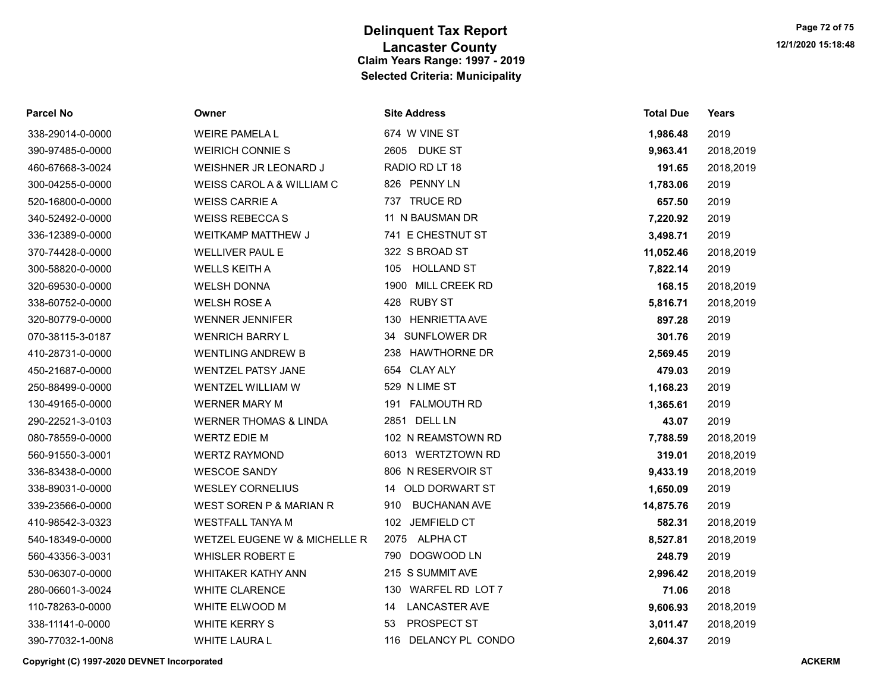| <b>Parcel No</b> | Owner                              | <b>Site Address</b>        | <b>Total Due</b> | Years     |
|------------------|------------------------------------|----------------------------|------------------|-----------|
| 338-29014-0-0000 | <b>WEIRE PAMELA L</b>              | 674 W VINE ST              | 1,986.48         | 2019      |
| 390-97485-0-0000 | <b>WEIRICH CONNIE S</b>            | 2605 DUKE ST               | 9,963.41         | 2018,2019 |
| 460-67668-3-0024 | WEISHNER JR LEONARD J              | RADIO RD LT 18             | 191.65           | 2018,2019 |
| 300-04255-0-0000 | WEISS CAROL A & WILLIAM C          | 826 PENNY LN               | 1,783.06         | 2019      |
| 520-16800-0-0000 | <b>WEISS CARRIE A</b>              | 737 TRUCE RD               | 657.50           | 2019      |
| 340-52492-0-0000 | <b>WEISS REBECCAS</b>              | 11 N BAUSMAN DR            | 7,220.92         | 2019      |
| 336-12389-0-0000 | WEITKAMP MATTHEW J                 | 741 E CHESTNUT ST          | 3,498.71         | 2019      |
| 370-74428-0-0000 | <b>WELLIVER PAUL E</b>             | 322 S BROAD ST             | 11,052.46        | 2018,2019 |
| 300-58820-0-0000 | <b>WELLS KEITH A</b>               | <b>HOLLAND ST</b><br>105   | 7,822.14         | 2019      |
| 320-69530-0-0000 | <b>WELSH DONNA</b>                 | 1900 MILL CREEK RD         | 168.15           | 2018,2019 |
| 338-60752-0-0000 | <b>WELSH ROSE A</b>                | 428 RUBY ST                | 5,816.71         | 2018,2019 |
| 320-80779-0-0000 | <b>WENNER JENNIFER</b>             | 130 HENRIETTA AVE          | 897.28           | 2019      |
| 070-38115-3-0187 | <b>WENRICH BARRY L</b>             | 34 SUNFLOWER DR            | 301.76           | 2019      |
| 410-28731-0-0000 | <b>WENTLING ANDREW B</b>           | 238 HAWTHORNE DR           | 2,569.45         | 2019      |
| 450-21687-0-0000 | <b>WENTZEL PATSY JANE</b>          | 654 CLAY ALY               | 479.03           | 2019      |
| 250-88499-0-0000 | WENTZEL WILLIAM W                  | 529 N LIME ST              | 1,168.23         | 2019      |
| 130-49165-0-0000 | <b>WERNER MARY M</b>               | 191 FALMOUTH RD            | 1,365.61         | 2019      |
| 290-22521-3-0103 | <b>WERNER THOMAS &amp; LINDA</b>   | 2851 DELL LN               | 43.07            | 2019      |
| 080-78559-0-0000 | <b>WERTZ EDIE M</b>                | 102 N REAMSTOWN RD         | 7,788.59         | 2018,2019 |
| 560-91550-3-0001 | <b>WERTZ RAYMOND</b>               | 6013 WERTZTOWN RD          | 319.01           | 2018,2019 |
| 336-83438-0-0000 | <b>WESCOE SANDY</b>                | 806 N RESERVOIR ST         | 9,433.19         | 2018,2019 |
| 338-89031-0-0000 | <b>WESLEY CORNELIUS</b>            | 14 OLD DORWART ST          | 1,650.09         | 2019      |
| 339-23566-0-0000 | <b>WEST SOREN P &amp; MARIAN R</b> | <b>BUCHANAN AVE</b><br>910 | 14,875.76        | 2019      |
| 410-98542-3-0323 | <b>WESTFALL TANYA M</b>            | 102 JEMFIELD CT            | 582.31           | 2018,2019 |
| 540-18349-0-0000 | WETZEL EUGENE W & MICHELLE R       | 2075 ALPHA CT              | 8,527.81         | 2018,2019 |
| 560-43356-3-0031 | <b>WHISLER ROBERT E</b>            | 790 DOGWOOD LN             | 248.79           | 2019      |
| 530-06307-0-0000 | WHITAKER KATHY ANN                 | 215 S SUMMIT AVE           | 2,996.42         | 2018,2019 |
| 280-06601-3-0024 | WHITE CLARENCE                     | 130 WARFEL RD LOT 7        | 71.06            | 2018      |
| 110-78263-0-0000 | WHITE ELWOOD M                     | <b>LANCASTER AVE</b><br>14 | 9,606.93         | 2018,2019 |
| 338-11141-0-0000 | <b>WHITE KERRY S</b>               | PROSPECT ST<br>53          | 3,011.47         | 2018,2019 |
| 390-77032-1-00N8 | <b>WHITE LAURA L</b>               | 116 DELANCY PL CONDO       | 2,604.37         | 2019      |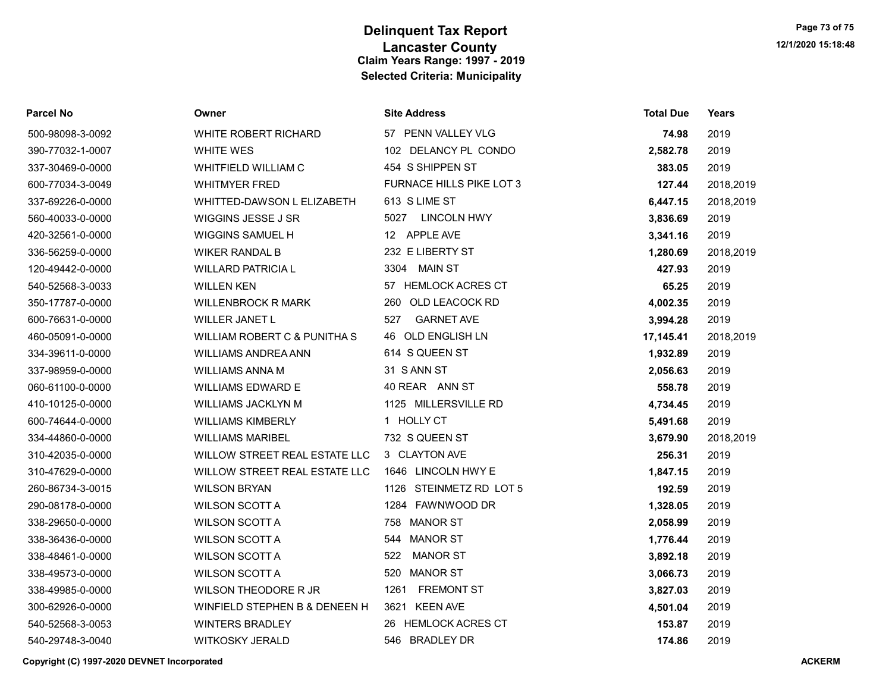## Lancaster County 12/1/2020 15:18:48 Delinquent Tax Report Claim Years Range: 1997 - 2019 Selected Criteria: Municipality

| <b>Parcel No</b> | Owner                         | <b>Site Address</b>             | <b>Total Due</b> | <b>Years</b> |
|------------------|-------------------------------|---------------------------------|------------------|--------------|
| 500-98098-3-0092 | <b>WHITE ROBERT RICHARD</b>   | 57 PENN VALLEY VLG              | 74.98            | 2019         |
| 390-77032-1-0007 | <b>WHITE WES</b>              | 102 DELANCY PL CONDO            | 2,582.78         | 2019         |
| 337-30469-0-0000 | WHITFIELD WILLIAM C           | 454 S SHIPPEN ST                | 383.05           | 2019         |
| 600-77034-3-0049 | <b>WHITMYER FRED</b>          | <b>FURNACE HILLS PIKE LOT 3</b> | 127.44           | 2018,2019    |
| 337-69226-0-0000 | WHITTED-DAWSON L ELIZABETH    | 613 S LIME ST                   | 6,447.15         | 2018,2019    |
| 560-40033-0-0000 | WIGGINS JESSE J SR            | 5027<br><b>LINCOLN HWY</b>      | 3,836.69         | 2019         |
| 420-32561-0-0000 | <b>WIGGINS SAMUEL H</b>       | 12 APPLE AVE                    | 3,341.16         | 2019         |
| 336-56259-0-0000 | <b>WIKER RANDAL B</b>         | 232 E LIBERTY ST                | 1,280.69         | 2018,2019    |
| 120-49442-0-0000 | <b>WILLARD PATRICIA L</b>     | 3304 MAIN ST                    | 427.93           | 2019         |
| 540-52568-3-0033 | <b>WILLEN KEN</b>             | 57 HEMLOCK ACRES CT             | 65.25            | 2019         |
| 350-17787-0-0000 | <b>WILLENBROCK R MARK</b>     | 260 OLD LEACOCK RD              | 4,002.35         | 2019         |
| 600-76631-0-0000 | <b>WILLER JANET L</b>         | <b>GARNET AVE</b><br>527        | 3,994.28         | 2019         |
| 460-05091-0-0000 | WILLIAM ROBERT C & PUNITHA S  | 46 OLD ENGLISH LN               | 17,145.41        | 2018,2019    |
| 334-39611-0-0000 | <b>WILLIAMS ANDREA ANN</b>    | 614 S QUEEN ST                  | 1,932.89         | 2019         |
| 337-98959-0-0000 | <b>WILLIAMS ANNA M</b>        | 31 S ANN ST                     | 2,056.63         | 2019         |
| 060-61100-0-0000 | <b>WILLIAMS EDWARD E</b>      | 40 REAR ANN ST                  | 558.78           | 2019         |
| 410-10125-0-0000 | <b>WILLIAMS JACKLYN M</b>     | 1125 MILLERSVILLE RD            | 4,734.45         | 2019         |
| 600-74644-0-0000 | <b>WILLIAMS KIMBERLY</b>      | 1 HOLLY CT                      | 5,491.68         | 2019         |
| 334-44860-0-0000 | <b>WILLIAMS MARIBEL</b>       | 732 S QUEEN ST                  | 3,679.90         | 2018,2019    |
| 310-42035-0-0000 | WILLOW STREET REAL ESTATE LLC | 3 CLAYTON AVE                   | 256.31           | 2019         |
| 310-47629-0-0000 | WILLOW STREET REAL ESTATE LLC | 1646 LINCOLN HWY E              | 1,847.15         | 2019         |
| 260-86734-3-0015 | <b>WILSON BRYAN</b>           | 1126 STEINMETZ RD LOT 5         | 192.59           | 2019         |
| 290-08178-0-0000 | <b>WILSON SCOTT A</b>         | 1284 FAWNWOOD DR                | 1,328.05         | 2019         |
| 338-29650-0-0000 | <b>WILSON SCOTT A</b>         | 758 MANOR ST                    | 2,058.99         | 2019         |
| 338-36436-0-0000 | <b>WILSON SCOTT A</b>         | 544 MANOR ST                    | 1,776.44         | 2019         |
| 338-48461-0-0000 | <b>WILSON SCOTT A</b>         | 522 MANOR ST                    | 3,892.18         | 2019         |
| 338-49573-0-0000 | <b>WILSON SCOTT A</b>         | <b>MANOR ST</b><br>520          | 3,066.73         | 2019         |
| 338-49985-0-0000 | WILSON THEODORE R JR          | <b>FREMONT ST</b><br>1261       | 3,827.03         | 2019         |
| 300-62926-0-0000 | WINFIELD STEPHEN B & DENEEN H | 3621 KEEN AVE                   | 4,501.04         | 2019         |
| 540-52568-3-0053 | <b>WINTERS BRADLEY</b>        | 26 HEMLOCK ACRES CT             | 153.87           | 2019         |
| 540-29748-3-0040 | <b>WITKOSKY JERALD</b>        | 546 BRADLEY DR                  | 174.86           | 2019         |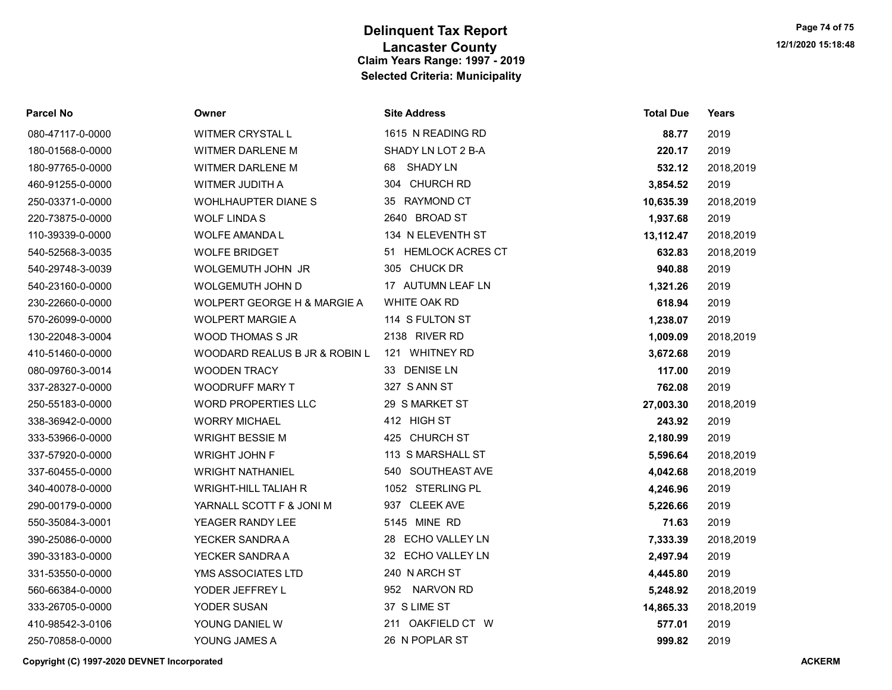## Lancaster County 12/1/2020 15:18:48 Delinquent Tax Report Claim Years Range: 1997 - 2019 Selected Criteria: Municipality

| <b>Parcel No</b> | Owner                         | <b>Site Address</b>   | <b>Total Due</b> | Years     |
|------------------|-------------------------------|-----------------------|------------------|-----------|
| 080-47117-0-0000 | <b>WITMER CRYSTAL L</b>       | 1615 N READING RD     | 88.77            | 2019      |
| 180-01568-0-0000 | WITMER DARLENE M              | SHADY LN LOT 2 B-A    | 220.17           | 2019      |
| 180-97765-0-0000 | <b>WITMER DARLENE M</b>       | <b>SHADY LN</b><br>68 | 532.12           | 2018,2019 |
| 460-91255-0-0000 | WITMER JUDITH A               | 304 CHURCH RD         | 3,854.52         | 2019      |
| 250-03371-0-0000 | <b>WOHLHAUPTER DIANES</b>     | 35 RAYMOND CT         | 10,635.39        | 2018,2019 |
| 220-73875-0-0000 | <b>WOLF LINDAS</b>            | 2640 BROAD ST         | 1,937.68         | 2019      |
| 110-39339-0-0000 | <b>WOLFE AMANDA L</b>         | 134 N ELEVENTH ST     | 13,112.47        | 2018,2019 |
| 540-52568-3-0035 | <b>WOLFE BRIDGET</b>          | 51 HEMLOCK ACRES CT   | 632.83           | 2018,2019 |
| 540-29748-3-0039 | WOLGEMUTH JOHN JR             | 305 CHUCK DR          | 940.88           | 2019      |
| 540-23160-0-0000 | WOLGEMUTH JOHN D              | 17 AUTUMN LEAF LN     | 1,321.26         | 2019      |
| 230-22660-0-0000 | WOLPERT GEORGE H & MARGIE A   | WHITE OAK RD          | 618.94           | 2019      |
| 570-26099-0-0000 | <b>WOLPERT MARGIE A</b>       | 114 S FULTON ST       | 1,238.07         | 2019      |
| 130-22048-3-0004 | <b>WOOD THOMAS S JR</b>       | 2138 RIVER RD         | 1,009.09         | 2018,2019 |
| 410-51460-0-0000 | WOODARD REALUS B JR & ROBIN L | 121 WHITNEY RD        | 3,672.68         | 2019      |
| 080-09760-3-0014 | <b>WOODEN TRACY</b>           | 33 DENISE LN          | 117.00           | 2019      |
| 337-28327-0-0000 | <b>WOODRUFF MARY T</b>        | 327 S ANN ST          | 762.08           | 2019      |
| 250-55183-0-0000 | WORD PROPERTIES LLC           | 29 S MARKET ST        | 27,003.30        | 2018,2019 |
| 338-36942-0-0000 | <b>WORRY MICHAEL</b>          | 412 HIGH ST           | 243.92           | 2019      |
| 333-53966-0-0000 | <b>WRIGHT BESSIE M</b>        | 425 CHURCH ST         | 2,180.99         | 2019      |
| 337-57920-0-0000 | <b>WRIGHT JOHN F</b>          | 113 S MARSHALL ST     | 5,596.64         | 2018,2019 |
| 337-60455-0-0000 | <b>WRIGHT NATHANIEL</b>       | 540 SOUTHEAST AVE     | 4,042.68         | 2018,2019 |
| 340-40078-0-0000 | <b>WRIGHT-HILL TALIAH R</b>   | 1052 STERLING PL      | 4,246.96         | 2019      |
| 290-00179-0-0000 | YARNALL SCOTT F & JONI M      | 937 CLEEK AVE         | 5,226.66         | 2019      |
| 550-35084-3-0001 | YEAGER RANDY LEE              | 5145 MINE RD          | 71.63            | 2019      |
| 390-25086-0-0000 | YECKER SANDRA A               | 28 ECHO VALLEY LN     | 7,333.39         | 2018,2019 |
| 390-33183-0-0000 | YECKER SANDRA A               | 32 ECHO VALLEY LN     | 2,497.94         | 2019      |
| 331-53550-0-0000 | YMS ASSOCIATES LTD            | 240 N ARCH ST         | 4,445.80         | 2019      |
| 560-66384-0-0000 | YODER JEFFREY L               | 952 NARVON RD         | 5,248.92         | 2018,2019 |
| 333-26705-0-0000 | YODER SUSAN                   | 37 S LIME ST          | 14,865.33        | 2018,2019 |
| 410-98542-3-0106 | YOUNG DANIEL W                | 211 OAKFIELD CT W     | 577.01           | 2019      |
| 250-70858-0-0000 | YOUNG JAMES A                 | 26 N POPLAR ST        | 999.82           | 2019      |